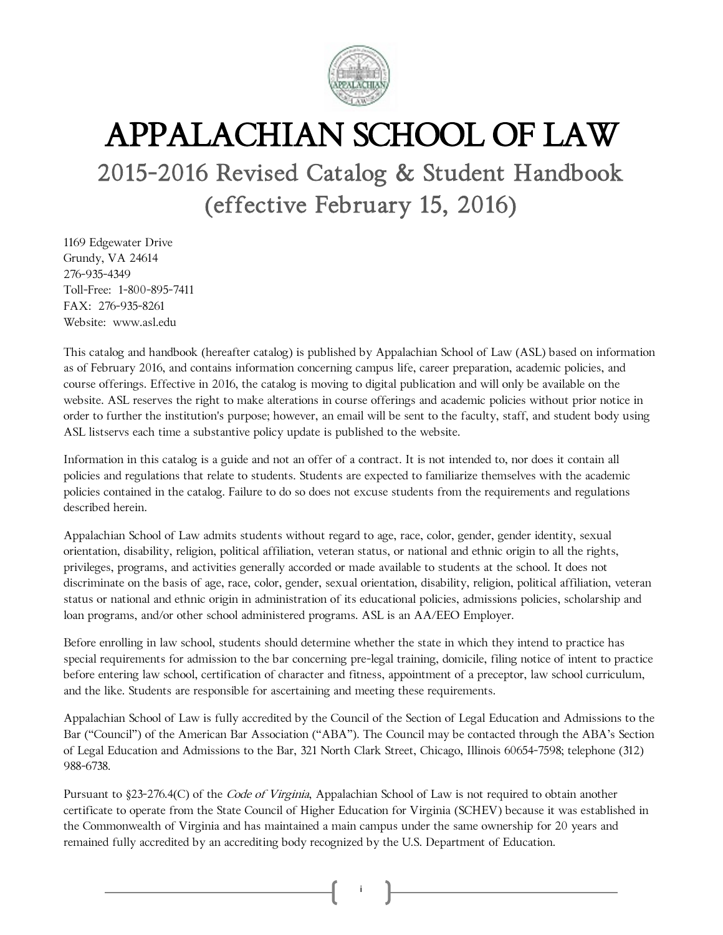

# APPALACHIAN SCHOOL OF LAW

## 2015-2016 Revised Catalog & Student Handbook (effective February 15, 2016)

1169 Edgewater Drive Grundy, VA 24614 276-935-4349 Toll-Free: 1-800-895-7411 FAX: 276-935-8261 Website: www.asl.edu

This catalog and handbook (hereafter catalog) is published by Appalachian School of Law (ASL) based on information as of February 2016, and contains information concerning campus life, career preparation, academic policies, and course offerings. Effective in 2016, the catalog is moving to digital publication and will only be available on the website. ASL reserves the right to make alterations in course offerings and academic policies without prior notice in order to further the institution's purpose; however, an email will be sent to the faculty, staff, and student body using ASL listservs each time a substantive policy update is published to the website.

Information in this catalog is a guide and not an offer of a contract. It is not intended to, nor does it contain all policies and regulations that relate to students. Students are expected to familiarize themselves with the academic policies contained in the catalog. Failure to do so does not excuse students from the requirements and regulations described herein.

Appalachian School of Law admits students without regard to age, race, color, gender, gender identity, sexual orientation, disability, religion, political affiliation, veteran status, or national and ethnic origin to all the rights, privileges, programs, and activities generally accorded or made available to students at the school. It does not discriminate on the basis of age, race, color, gender, sexual orientation, disability, religion, political affiliation, veteran status or national and ethnic origin in administration of its educational policies, admissions policies, scholarship and loan programs, and/or other school administered programs. ASL is an AA/EEO Employer.

Before enrolling in law school, students should determine whether the state in which they intend to practice has special requirements for admission to the bar concerning pre-legal training, domicile, filing notice of intent to practice before entering law school, certification of character and fitness, appointment of a preceptor, law school curriculum, and the like. Students are responsible for ascertaining and meeting these requirements.

Appalachian School of Law is fully accredited by the Council of the Section of Legal Education and Admissions to the Bar ("Council") of the American Bar Association ("ABA"). The Council may be contacted through the ABA's Section of Legal Education and Admissions to the Bar, 321 North Clark Street, Chicago, Illinois 60654-7598; telephone (312) 988-6738.

Pursuant to §23-276.4(C) of the *Code of Virginia*, Appalachian School of Law is not required to obtain another certificate to operate from the State Council of Higher Education for Virginia (SCHEV) because it was established in the Commonwealth of Virginia and has maintained a main campus under the same ownership for 20 years and remained fully accredited by an accrediting body recognized by the U.S. Department of Education.

i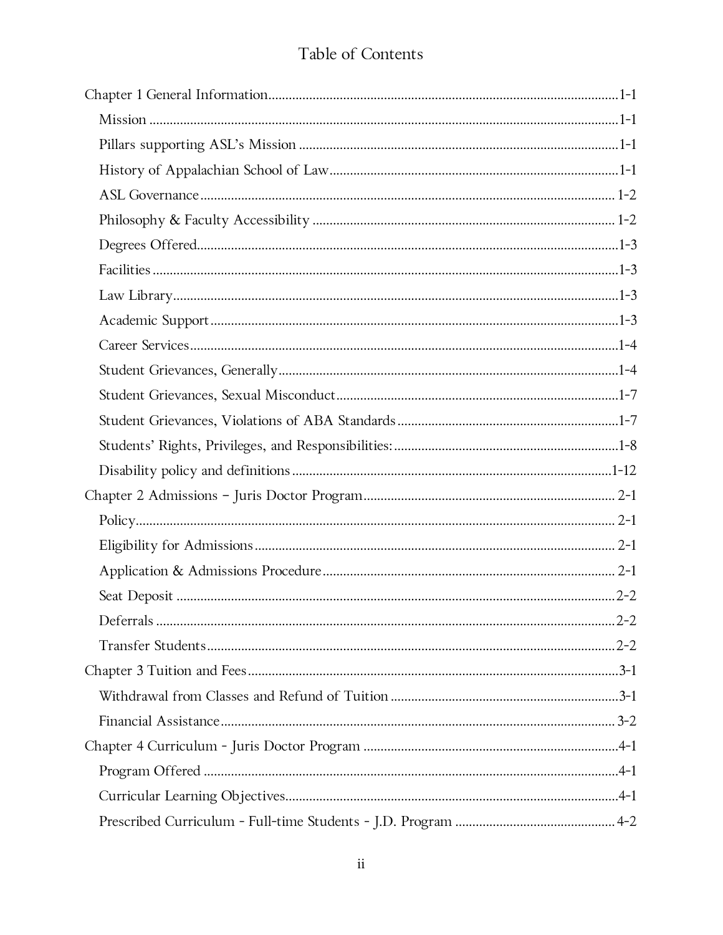## Table of Contents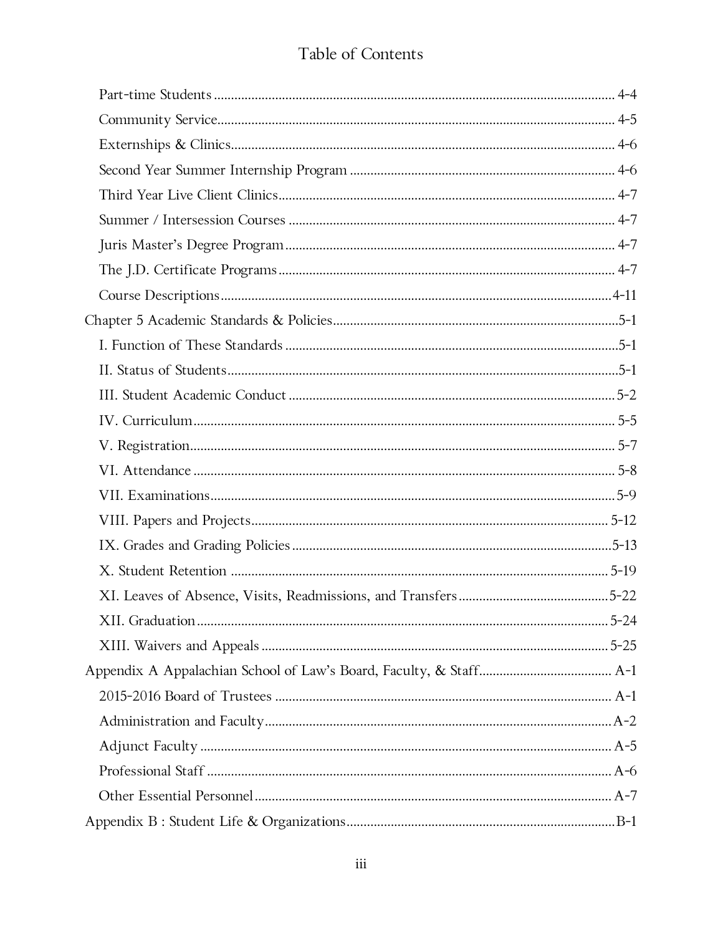## Table of Contents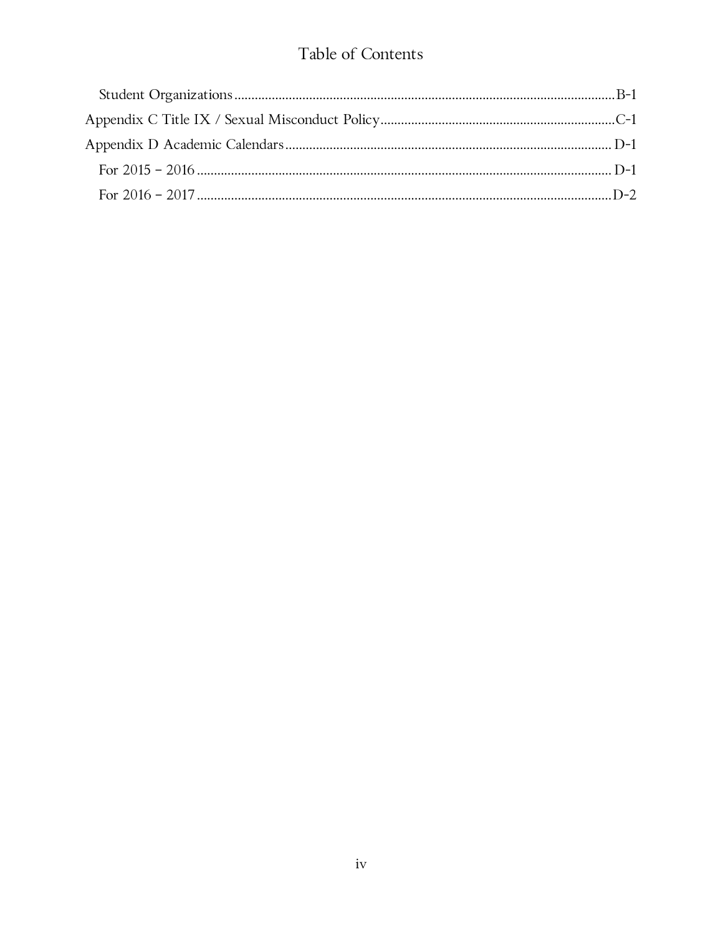### Table of Contents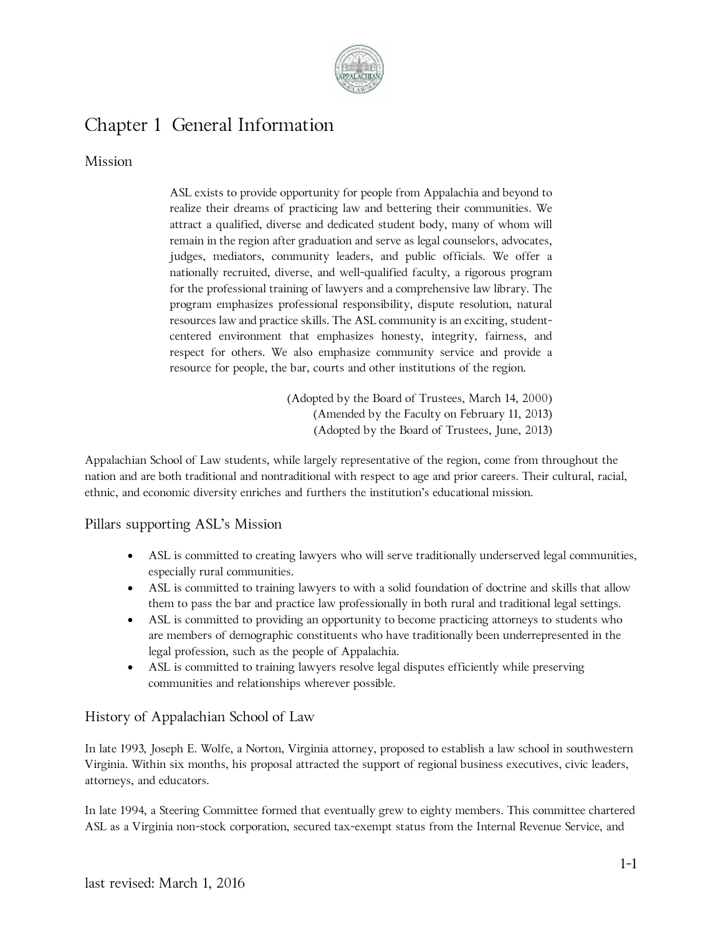

## Chapter 1 General Information

#### Mission

ASL exists to provide opportunity for people from Appalachia and beyond to realize their dreams of practicing law and bettering their communities. We attract a qualified, diverse and dedicated student body, many of whom will remain in the region after graduation and serve as legal counselors, advocates, judges, mediators, community leaders, and public officials. We offer a nationally recruited, diverse, and well-qualified faculty, a rigorous program for the professional training of lawyers and a comprehensive law library. The program emphasizes professional responsibility, dispute resolution, natural resources law and practice skills. The ASL community is an exciting, studentcentered environment that emphasizes honesty, integrity, fairness, and respect for others. We also emphasize community service and provide a resource for people, the bar, courts and other institutions of the region.

> (Adopted by the Board of Trustees, March 14, 2000) (Amended by the Faculty on February 11, 2013) (Adopted by the Board of Trustees, June, 2013)

Appalachian School of Law students, while largely representative of the region, come from throughout the nation and are both traditional and nontraditional with respect to age and prior careers. Their cultural, racial, ethnic, and economic diversity enriches and furthers the institution's educational mission.

#### Pillars supporting ASL's Mission

- ASL is committed to creating lawyers who will serve traditionally underserved legal communities, especially rural communities.
- ASL is committed to training lawyers to with a solid foundation of doctrine and skills that allow them to pass the bar and practice law professionally in both rural and traditional legal settings.
- ASL is committed to providing an opportunity to become practicing attorneys to students who are members of demographic constituents who have traditionally been underrepresented in the legal profession, such as the people of Appalachia.
- ASL is committed to training lawyers resolve legal disputes efficiently while preserving communities and relationships wherever possible.

#### History of Appalachian School of Law

In late 1993, Joseph E. Wolfe, a Norton, Virginia attorney, proposed to establish a law school in southwestern Virginia. Within six months, his proposal attracted the support of regional business executives, civic leaders, attorneys, and educators.

In late 1994, a Steering Committee formed that eventually grew to eighty members. This committee chartered ASL as a Virginia non-stock corporation, secured tax-exempt status from the Internal Revenue Service, and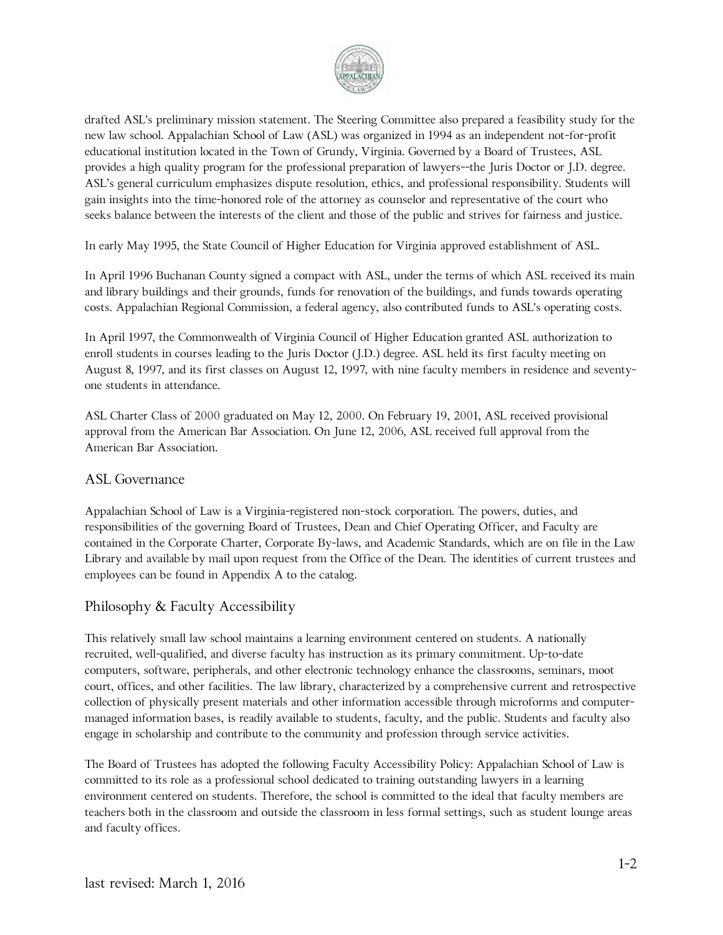

drafted ASL's preliminary mission statement. The Steering Committee also prepared a feasibility study for the new law school. Appalachian School of Law (ASL) was organized in 1994 as an independent not-for-profit educational institution located in the Town of Grundy, Virginia. Governed by a Board of Trustees, ASL provides a high quality program for the professional preparation of lawyers--the Juris Doctor or J.D. degree. ASL's general curriculum emphasizes dispute resolution, ethics, and professional responsibility. Students will gain insights into the time-honored role of the attorney as counselor and representative of the court who seeks balance between the interests of the client and those of the public and strives for fairness and justice.

In early May 1995, the State Council of Higher Education for Virginia approved establishment of ASL.

In April 1996 Buchanan County signed a compact with ASL, under the terms of which ASL received its main and library buildings and their grounds, funds for renovation of the buildings, and funds towards operating costs. Appalachian Regional Commission, a federal agency, also contributed funds to ASL's operating costs.

In April 1997, the Commonwealth of Virginia Council of Higher Education granted ASL authorization to enroll students in courses leading to the Juris Doctor (J.D.) degree. ASL held its first faculty meeting on August 8, 1997, and its first classes on August 12, 1997, with nine faculty members in residence and seventyone students in attendance.

ASL Charter Class of 2000 graduated on May 12, 2000. On February 19, 2001, ASL received provisional approval from the American Bar Association. On June 12, 2006, ASL received full approval from the American Bar Association.

#### ASL Governance

Appalachian School of Law is a Virginia-registered non-stock corporation. The powers, duties, and responsibilities of the governing Board of Trustees, Dean and Chief Operating Officer, and Faculty are contained in the Corporate Charter, Corporate By-laws, and Academic Standards, which are on file in the Law Library and available by mail upon request from the Office of the Dean. The identities of current trustees and employees can be found in Appendix A to the catalog.

#### Philosophy & Faculty Accessibility

This relatively small law school maintains a learning environment centered on students. A nationally recruited, well-qualified, and diverse faculty has instruction as its primary commitment. Up-to-date computers, software, peripherals, and other electronic technology enhance the classrooms, seminars, moot court, offices, and other facilities. The law library, characterized by a comprehensive current and retrospective collection of physically present materials and other information accessible through microforms and computermanaged information bases, is readily available to students, faculty, and the public. Students and faculty also engage in scholarship and contribute to the community and profession through service activities.

The Board of Trustees has adopted the following Faculty Accessibility Policy: Appalachian School of Law is committed to its role as a professional school dedicated to training outstanding lawyers in a learning environment centered on students. Therefore, the school is committed to the ideal that faculty members are teachers both in the classroom and outside the classroom in less formal settings, such as student lounge areas and faculty offices.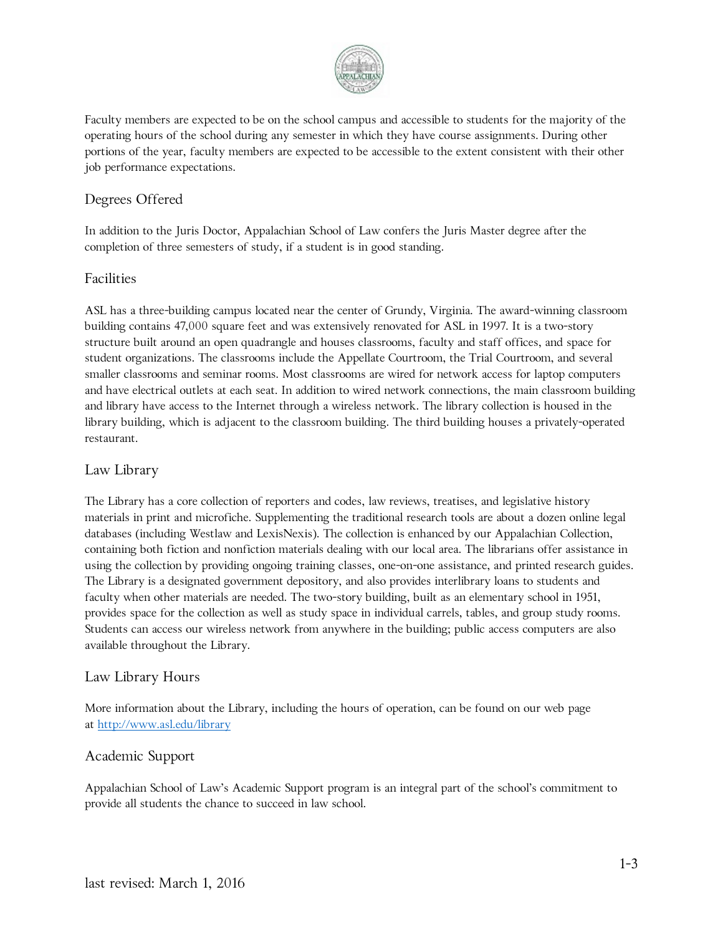

Faculty members are expected to be on the school campus and accessible to students for the majority of the operating hours of the school during any semester in which they have course assignments. During other portions of the year, faculty members are expected to be accessible to the extent consistent with their other job performance expectations.

#### Degrees Offered

In addition to the Juris Doctor, Appalachian School of Law confers the Juris Master degree after the completion of three semesters of study, if a student is in good standing.

#### Facilities

ASL has a three-building campus located near the center of Grundy, Virginia. The award-winning classroom building contains 47,000 square feet and was extensively renovated for ASL in 1997. It is a two-story structure built around an open quadrangle and houses classrooms, faculty and staff offices, and space for student organizations. The classrooms include the Appellate Courtroom, the Trial Courtroom, and several smaller classrooms and seminar rooms. Most classrooms are wired for network access for laptop computers and have electrical outlets at each seat. In addition to wired network connections, the main classroom building and library have access to the Internet through a wireless network. The library collection is housed in the library building, which is adjacent to the classroom building. The third building houses a privately-operated restaurant.

#### Law Library

The Library has a core collection of reporters and codes, law reviews, treatises, and legislative history materials in print and microfiche. Supplementing the traditional research tools are about a dozen online legal databases (including Westlaw and LexisNexis). The collection is enhanced by our Appalachian Collection, containing both fiction and nonfiction materials dealing with our local area. The librarians offer assistance in using the collection by providing ongoing training classes, one-on-one assistance, and printed research guides. The Library is a designated government depository, and also provides interlibrary loans to students and faculty when other materials are needed. The two-story building, built as an elementary school in 1951, provides space for the collection as well as study space in individual carrels, tables, and group study rooms. Students can access our wireless network from anywhere in the building; public access computers are also available throughout the Library.

#### Law Library Hours

More information about the Library, including the hours of operation, can be found on our web page at<http://www.asl.edu/library>

#### Academic Support

Appalachian School of Law's Academic Support program is an integral part of the school's commitment to provide all students the chance to succeed in law school.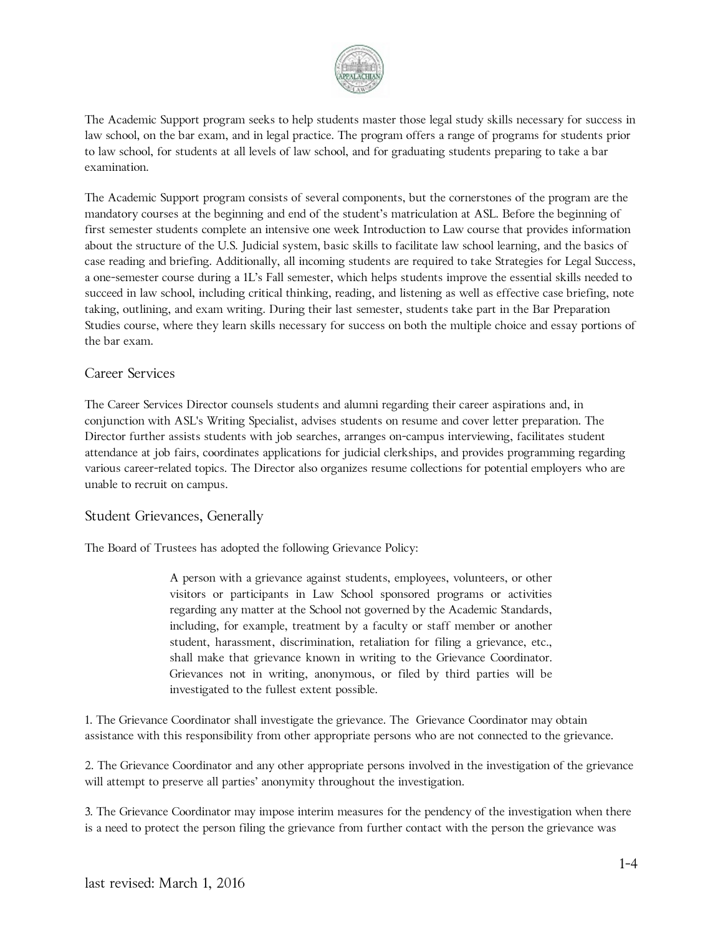

The Academic Support program seeks to help students master those legal study skills necessary for success in law school, on the bar exam, and in legal practice. The program offers a range of programs for students prior to law school, for students at all levels of law school, and for graduating students preparing to take a bar examination.

The Academic Support program consists of several components, but the cornerstones of the program are the mandatory courses at the beginning and end of the student's matriculation at ASL. Before the beginning of first semester students complete an intensive one week Introduction to Law course that provides information about the structure of the U.S. Judicial system, basic skills to facilitate law school learning, and the basics of case reading and briefing. Additionally, all incoming students are required to take Strategies for Legal Success, a one-semester course during a 1L's Fall semester, which helps students improve the essential skills needed to succeed in law school, including critical thinking, reading, and listening as well as effective case briefing, note taking, outlining, and exam writing. During their last semester, students take part in the Bar Preparation Studies course, where they learn skills necessary for success on both the multiple choice and essay portions of the bar exam.

#### Career Services

The Career Services Director counsels students and alumni regarding their career aspirations and, in conjunction with ASL's Writing Specialist, advises students on resume and cover letter preparation. The Director further assists students with job searches, arranges on-campus interviewing, facilitates student attendance at job fairs, coordinates applications for judicial clerkships, and provides programming regarding various career-related topics. The Director also organizes resume collections for potential employers who are unable to recruit on campus.

#### Student Grievances, Generally

The Board of Trustees has adopted the following Grievance Policy:

A person with a grievance against students, employees, volunteers, or other visitors or participants in Law School sponsored programs or activities regarding any matter at the School not governed by the Academic Standards, including, for example, treatment by a faculty or staff member or another student, harassment, discrimination, retaliation for filing a grievance, etc., shall make that grievance known in writing to the Grievance Coordinator. Grievances not in writing, anonymous, or filed by third parties will be investigated to the fullest extent possible.

1. The Grievance Coordinator shall investigate the grievance. The Grievance Coordinator may obtain assistance with this responsibility from other appropriate persons who are not connected to the grievance.

2. The Grievance Coordinator and any other appropriate persons involved in the investigation of the grievance will attempt to preserve all parties' anonymity throughout the investigation.

3. The Grievance Coordinator may impose interim measures for the pendency of the investigation when there is a need to protect the person filing the grievance from further contact with the person the grievance was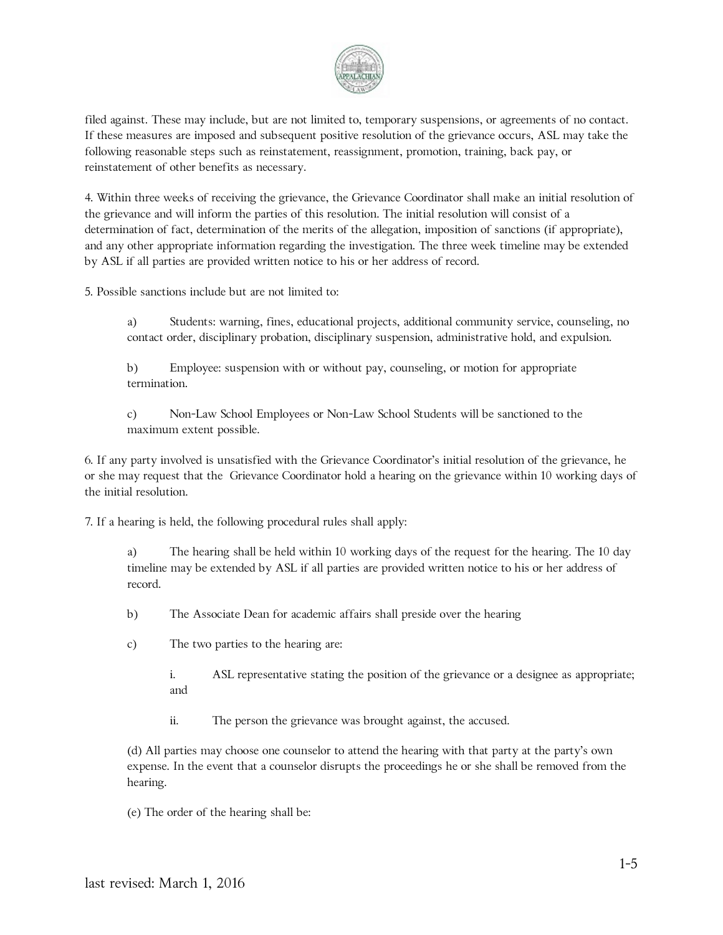

filed against. These may include, but are not limited to, temporary suspensions, or agreements of no contact. If these measures are imposed and subsequent positive resolution of the grievance occurs, ASL may take the following reasonable steps such as reinstatement, reassignment, promotion, training, back pay, or reinstatement of other benefits as necessary.

4. Within three weeks of receiving the grievance, the Grievance Coordinator shall make an initial resolution of the grievance and will inform the parties of this resolution. The initial resolution will consist of a determination of fact, determination of the merits of the allegation, imposition of sanctions (if appropriate), and any other appropriate information regarding the investigation. The three week timeline may be extended by ASL if all parties are provided written notice to his or her address of record.

5. Possible sanctions include but are not limited to:

a) Students: warning, fines, educational projects, additional community service, counseling, no contact order, disciplinary probation, disciplinary suspension, administrative hold, and expulsion.

b) Employee: suspension with or without pay, counseling, or motion for appropriate termination.

c) Non-Law School Employees or Non-Law School Students will be sanctioned to the maximum extent possible.

6. If any party involved is unsatisfied with the Grievance Coordinator's initial resolution of the grievance, he or she may request that the Grievance Coordinator hold a hearing on the grievance within 10 working days of the initial resolution.

7. If a hearing is held, the following procedural rules shall apply:

a) The hearing shall be held within 10 working days of the request for the hearing. The 10 day timeline may be extended by ASL if all parties are provided written notice to his or her address of record.

b) The Associate Dean for academic affairs shall preside over the hearing

c) The two parties to the hearing are:

i. ASL representative stating the position of the grievance or a designee as appropriate; and

ii. The person the grievance was brought against, the accused.

(d) All parties may choose one counselor to attend the hearing with that party at the party's own expense. In the event that a counselor disrupts the proceedings he or she shall be removed from the hearing.

(e) The order of the hearing shall be: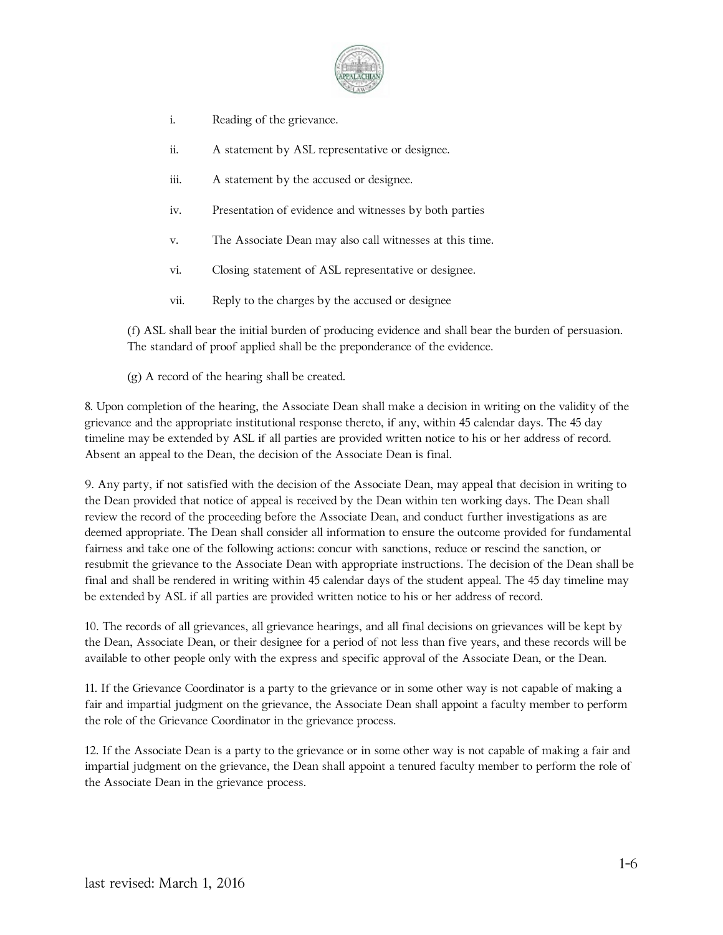

- i. Reading of the grievance.
- ii. A statement by ASL representative or designee.
- iii. A statement by the accused or designee.
- iv. Presentation of evidence and witnesses by both parties
- v. The Associate Dean may also call witnesses at this time.
- vi. Closing statement of ASL representative or designee.
- vii. Reply to the charges by the accused or designee

(f) ASL shall bear the initial burden of producing evidence and shall bear the burden of persuasion. The standard of proof applied shall be the preponderance of the evidence.

(g) A record of the hearing shall be created.

8. Upon completion of the hearing, the Associate Dean shall make a decision in writing on the validity of the grievance and the appropriate institutional response thereto, if any, within 45 calendar days. The 45 day timeline may be extended by ASL if all parties are provided written notice to his or her address of record. Absent an appeal to the Dean, the decision of the Associate Dean is final.

9. Any party, if not satisfied with the decision of the Associate Dean, may appeal that decision in writing to the Dean provided that notice of appeal is received by the Dean within ten working days. The Dean shall review the record of the proceeding before the Associate Dean, and conduct further investigations as are deemed appropriate. The Dean shall consider all information to ensure the outcome provided for fundamental fairness and take one of the following actions: concur with sanctions, reduce or rescind the sanction, or resubmit the grievance to the Associate Dean with appropriate instructions. The decision of the Dean shall be final and shall be rendered in writing within 45 calendar days of the student appeal. The 45 day timeline may be extended by ASL if all parties are provided written notice to his or her address of record.

10. The records of all grievances, all grievance hearings, and all final decisions on grievances will be kept by the Dean, Associate Dean, or their designee for a period of not less than five years, and these records will be available to other people only with the express and specific approval of the Associate Dean, or the Dean.

11. If the Grievance Coordinator is a party to the grievance or in some other way is not capable of making a fair and impartial judgment on the grievance, the Associate Dean shall appoint a faculty member to perform the role of the Grievance Coordinator in the grievance process.

12. If the Associate Dean is a party to the grievance or in some other way is not capable of making a fair and impartial judgment on the grievance, the Dean shall appoint a tenured faculty member to perform the role of the Associate Dean in the grievance process.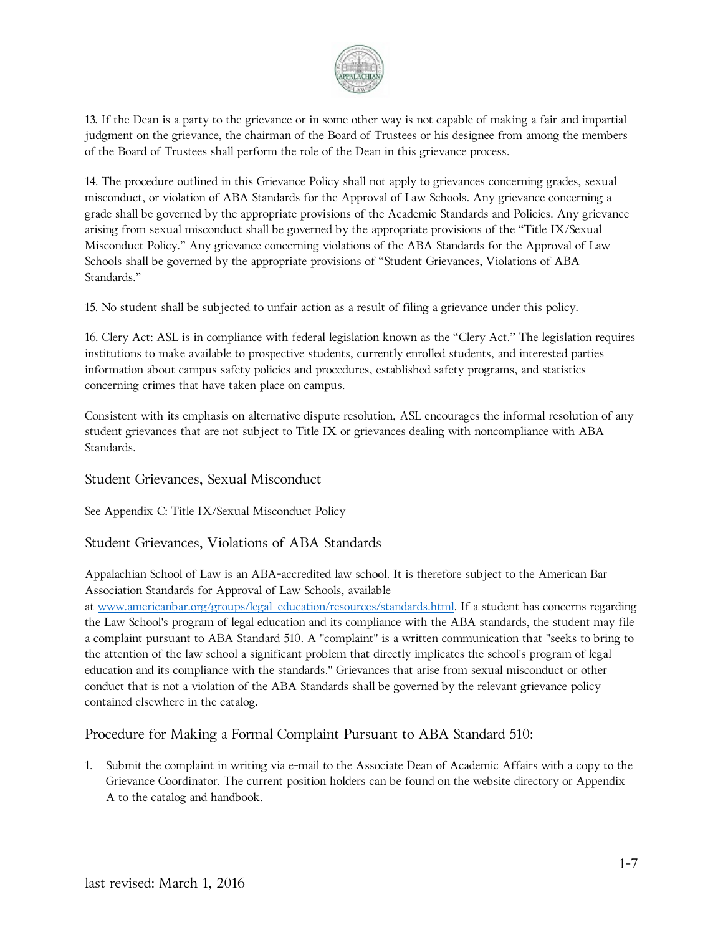

13. If the Dean is a party to the grievance or in some other way is not capable of making a fair and impartial judgment on the grievance, the chairman of the Board of Trustees or his designee from among the members of the Board of Trustees shall perform the role of the Dean in this grievance process.

14. The procedure outlined in this Grievance Policy shall not apply to grievances concerning grades, sexual misconduct, or violation of ABA Standards for the Approval of Law Schools. Any grievance concerning a grade shall be governed by the appropriate provisions of the Academic Standards and Policies. Any grievance arising from sexual misconduct shall be governed by the appropriate provisions of the "Title IX/Sexual Misconduct Policy." Any grievance concerning violations of the ABA Standards for the Approval of Law Schools shall be governed by the appropriate provisions of "Student Grievances, Violations of ABA Standards."

15. No student shall be subjected to unfair action as a result of filing a grievance under this policy.

16. Clery Act: ASL is in compliance with federal legislation known as the "Clery Act." The legislation requires institutions to make available to prospective students, currently enrolled students, and interested parties information about campus safety policies and procedures, established safety programs, and statistics concerning crimes that have taken place on campus.

Consistent with its emphasis on alternative dispute resolution, ASL encourages the informal resolution of any student grievances that are not subject to Title IX or grievances dealing with noncompliance with ABA Standards.

#### Student Grievances, Sexual Misconduct

See Appendix C: Title IX/Sexual Misconduct Policy

#### Student Grievances, Violations of ABA Standards

Appalachian School of Law is an ABA-accredited law school. It is therefore subject to the American Bar Association Standards for Approval of Law Schools, available

at [www.americanbar.org/groups/legal\\_education/resources/standards.html.](http://www.americanbar.org/groups/legal_education/resources/standards.html) If a student has concerns regarding the Law School's program of legal education and its compliance with the ABA standards, the student may file a complaint pursuant to ABA Standard 510. A "complaint" is a written communication that "seeks to bring to the attention of the law school a significant problem that directly implicates the school's program of legal education and its compliance with the standards." Grievances that arise from sexual misconduct or other conduct that is not a violation of the ABA Standards shall be governed by the relevant grievance policy contained elsewhere in the catalog.

Procedure for Making a Formal Complaint Pursuant to ABA Standard 510:

1. Submit the complaint in writing via e-mail to the Associate Dean of Academic Affairs with a copy to the Grievance Coordinator. The current position holders can be found on the website directory or Appendix A to the catalog and handbook.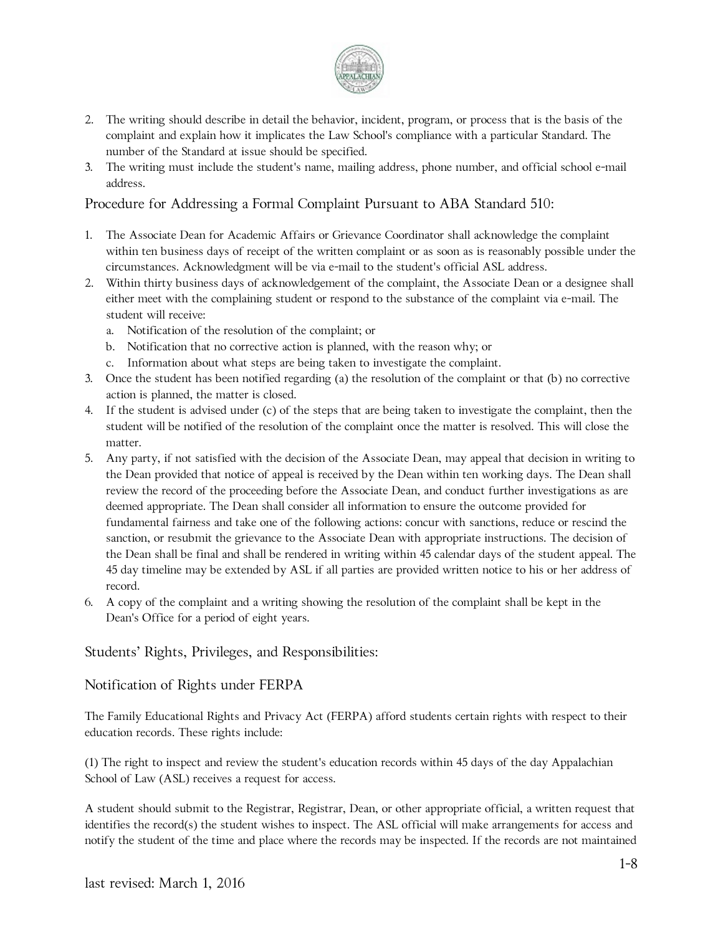

- 2. The writing should describe in detail the behavior, incident, program, or process that is the basis of the complaint and explain how it implicates the Law School's compliance with a particular Standard. The number of the Standard at issue should be specified.
- 3. The writing must include the student's name, mailing address, phone number, and official school e-mail address.

#### Procedure for Addressing a Formal Complaint Pursuant to ABA Standard 510:

- 1. The Associate Dean for Academic Affairs or Grievance Coordinator shall acknowledge the complaint within ten business days of receipt of the written complaint or as soon as is reasonably possible under the circumstances. Acknowledgment will be via e-mail to the student's official ASL address.
- 2. Within thirty business days of acknowledgement of the complaint, the Associate Dean or a designee shall either meet with the complaining student or respond to the substance of the complaint via e-mail. The student will receive:
	- a. Notification of the resolution of the complaint; or
	- b. Notification that no corrective action is planned, with the reason why; or
	- c. Information about what steps are being taken to investigate the complaint.
- 3. Once the student has been notified regarding (a) the resolution of the complaint or that (b) no corrective action is planned, the matter is closed.
- 4. If the student is advised under (c) of the steps that are being taken to investigate the complaint, then the student will be notified of the resolution of the complaint once the matter is resolved. This will close the matter.
- 5. Any party, if not satisfied with the decision of the Associate Dean, may appeal that decision in writing to the Dean provided that notice of appeal is received by the Dean within ten working days. The Dean shall review the record of the proceeding before the Associate Dean, and conduct further investigations as are deemed appropriate. The Dean shall consider all information to ensure the outcome provided for fundamental fairness and take one of the following actions: concur with sanctions, reduce or rescind the sanction, or resubmit the grievance to the Associate Dean with appropriate instructions. The decision of the Dean shall be final and shall be rendered in writing within 45 calendar days of the student appeal. The 45 day timeline may be extended by ASL if all parties are provided written notice to his or her address of record.
- 6. A copy of the complaint and a writing showing the resolution of the complaint shall be kept in the Dean's Office for a period of eight years.

#### Students' Rights, Privileges, and Responsibilities:

#### Notification of Rights under FERPA

The Family Educational Rights and Privacy Act (FERPA) afford students certain rights with respect to their education records. These rights include:

(1) The right to inspect and review the student's education records within 45 days of the day Appalachian School of Law (ASL) receives a request for access.

A student should submit to the Registrar, Registrar, Dean, or other appropriate official, a written request that identifies the record(s) the student wishes to inspect. The ASL official will make arrangements for access and notify the student of the time and place where the records may be inspected. If the records are not maintained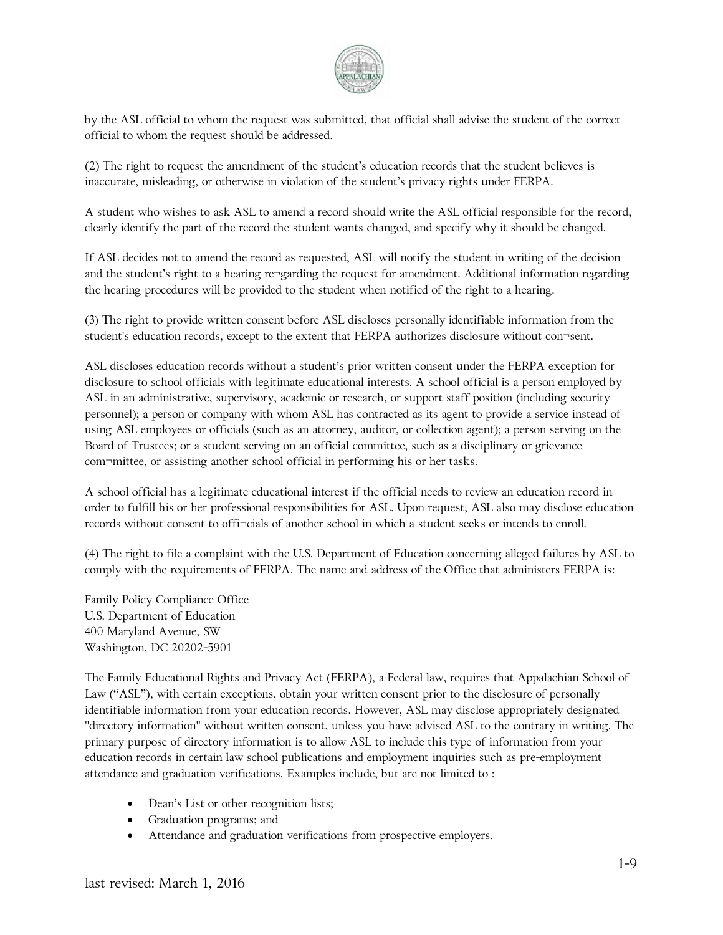

by the ASL official to whom the request was submitted, that official shall advise the student of the correct official to whom the request should be addressed.

(2) The right to request the amendment of the student's education records that the student believes is inaccurate, misleading, or otherwise in violation of the student's privacy rights under FERPA.

A student who wishes to ask ASL to amend a record should write the ASL official responsible for the record, clearly identify the part of the record the student wants changed, and specify why it should be changed.

If ASL decides not to amend the record as requested, ASL will notify the student in writing of the decision and the student's right to a hearing re¬garding the request for amendment. Additional information regarding the hearing procedures will be provided to the student when notified of the right to a hearing.

(3) The right to provide written consent before ASL discloses personally identifiable information from the student's education records, except to the extent that FERPA authorizes disclosure without con¬sent.

ASL discloses education records without a student's prior written consent under the FERPA exception for disclosure to school officials with legitimate educational interests. A school official is a person employed by ASL in an administrative, supervisory, academic or research, or support staff position (including security personnel); a person or company with whom ASL has contracted as its agent to provide a service instead of using ASL employees or officials (such as an attorney, auditor, or collection agent); a person serving on the Board of Trustees; or a student serving on an official committee, such as a disciplinary or grievance com¬mittee, or assisting another school official in performing his or her tasks.

A school official has a legitimate educational interest if the official needs to review an education record in order to fulfill his or her professional responsibilities for ASL. Upon request, ASL also may disclose education records without consent to offi¬cials of another school in which a student seeks or intends to enroll.

(4) The right to file a complaint with the U.S. Department of Education concerning alleged failures by ASL to comply with the requirements of FERPA. The name and address of the Office that administers FERPA is:

Family Policy Compliance Office U.S. Department of Education 400 Maryland Avenue, SW Washington, DC 20202-5901

The Family Educational Rights and Privacy Act (FERPA), a Federal law, requires that Appalachian School of Law ("ASL"), with certain exceptions, obtain your written consent prior to the disclosure of personally identifiable information from your education records. However, ASL may disclose appropriately designated "directory information" without written consent, unless you have advised ASL to the contrary in writing. The primary purpose of directory information is to allow ASL to include this type of information from your education records in certain law school publications and employment inquiries such as pre-employment attendance and graduation verifications. Examples include, but are not limited to :

- Dean's List or other recognition lists;
- Graduation programs; and
- Attendance and graduation verifications from prospective employers.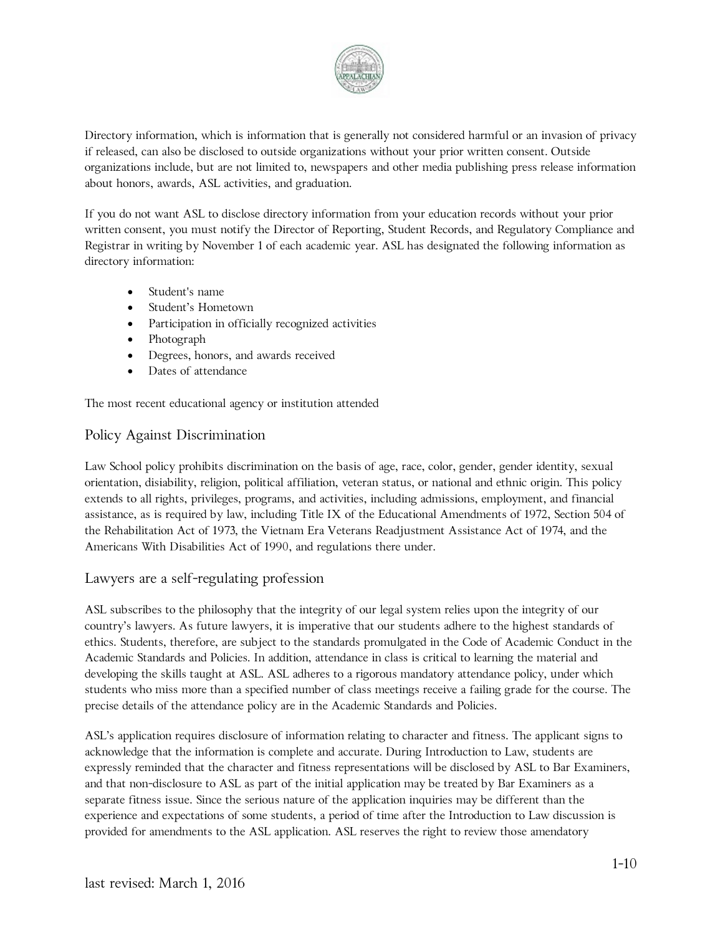

Directory information, which is information that is generally not considered harmful or an invasion of privacy if released, can also be disclosed to outside organizations without your prior written consent. Outside organizations include, but are not limited to, newspapers and other media publishing press release information about honors, awards, ASL activities, and graduation.

If you do not want ASL to disclose directory information from your education records without your prior written consent, you must notify the Director of Reporting, Student Records, and Regulatory Compliance and Registrar in writing by November 1 of each academic year. ASL has designated the following information as directory information:

- Student's name
- Student's Hometown
- Participation in officially recognized activities
- Photograph
- Degrees, honors, and awards received
- Dates of attendance

The most recent educational agency or institution attended

#### Policy Against Discrimination

Law School policy prohibits discrimination on the basis of age, race, color, gender, gender identity, sexual orientation, disiability, religion, political affiliation, veteran status, or national and ethnic origin. This policy extends to all rights, privileges, programs, and activities, including admissions, employment, and financial assistance, as is required by law, including Title IX of the Educational Amendments of 1972, Section 504 of the Rehabilitation Act of 1973, the Vietnam Era Veterans Readjustment Assistance Act of 1974, and the Americans With Disabilities Act of 1990, and regulations there under.

#### Lawyers are a self-regulating profession

ASL subscribes to the philosophy that the integrity of our legal system relies upon the integrity of our country's lawyers. As future lawyers, it is imperative that our students adhere to the highest standards of ethics. Students, therefore, are subject to the standards promulgated in the Code of Academic Conduct in the Academic Standards and Policies. In addition, attendance in class is critical to learning the material and developing the skills taught at ASL. ASL adheres to a rigorous mandatory attendance policy, under which students who miss more than a specified number of class meetings receive a failing grade for the course. The precise details of the attendance policy are in the Academic Standards and Policies.

ASL's application requires disclosure of information relating to character and fitness. The applicant signs to acknowledge that the information is complete and accurate. During Introduction to Law, students are expressly reminded that the character and fitness representations will be disclosed by ASL to Bar Examiners, and that non-disclosure to ASL as part of the initial application may be treated by Bar Examiners as a separate fitness issue. Since the serious nature of the application inquiries may be different than the experience and expectations of some students, a period of time after the Introduction to Law discussion is provided for amendments to the ASL application. ASL reserves the right to review those amendatory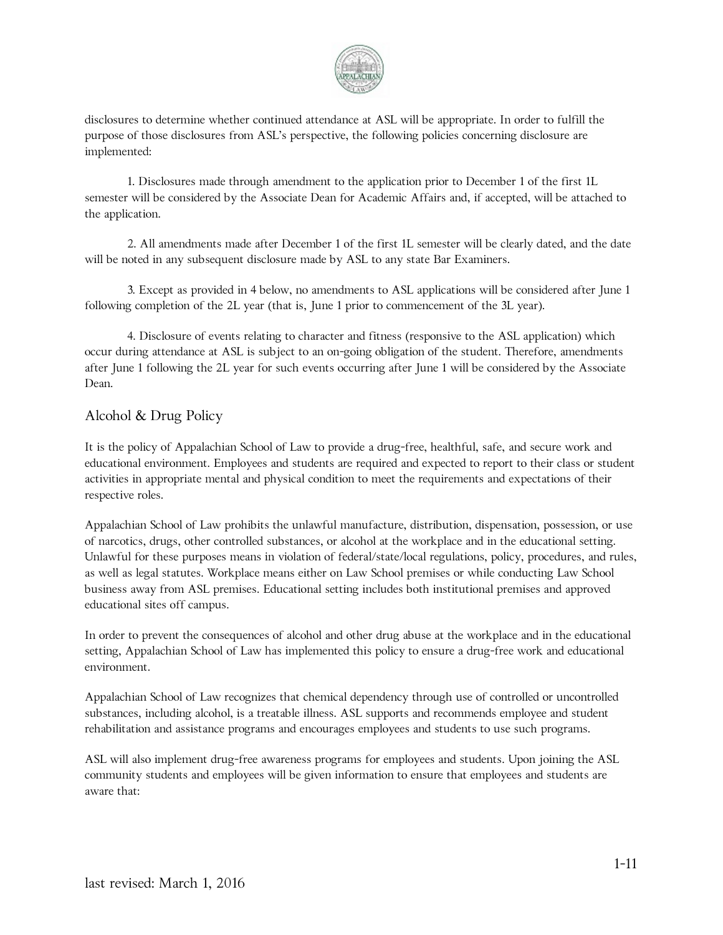

disclosures to determine whether continued attendance at ASL will be appropriate. In order to fulfill the purpose of those disclosures from ASL's perspective, the following policies concerning disclosure are implemented:

1. Disclosures made through amendment to the application prior to December 1 of the first 1L semester will be considered by the Associate Dean for Academic Affairs and, if accepted, will be attached to the application.

2. All amendments made after December 1 of the first 1L semester will be clearly dated, and the date will be noted in any subsequent disclosure made by ASL to any state Bar Examiners.

3. Except as provided in 4 below, no amendments to ASL applications will be considered after June 1 following completion of the 2L year (that is, June 1 prior to commencement of the 3L year).

4. Disclosure of events relating to character and fitness (responsive to the ASL application) which occur during attendance at ASL is subject to an on-going obligation of the student. Therefore, amendments after June 1 following the 2L year for such events occurring after June 1 will be considered by the Associate Dean.

#### Alcohol & Drug Policy

It is the policy of Appalachian School of Law to provide a drug-free, healthful, safe, and secure work and educational environment. Employees and students are required and expected to report to their class or student activities in appropriate mental and physical condition to meet the requirements and expectations of their respective roles.

Appalachian School of Law prohibits the unlawful manufacture, distribution, dispensation, possession, or use of narcotics, drugs, other controlled substances, or alcohol at the workplace and in the educational setting. Unlawful for these purposes means in violation of federal/state/local regulations, policy, procedures, and rules, as well as legal statutes. Workplace means either on Law School premises or while conducting Law School business away from ASL premises. Educational setting includes both institutional premises and approved educational sites off campus.

In order to prevent the consequences of alcohol and other drug abuse at the workplace and in the educational setting, Appalachian School of Law has implemented this policy to ensure a drug-free work and educational environment.

Appalachian School of Law recognizes that chemical dependency through use of controlled or uncontrolled substances, including alcohol, is a treatable illness. ASL supports and recommends employee and student rehabilitation and assistance programs and encourages employees and students to use such programs.

ASL will also implement drug-free awareness programs for employees and students. Upon joining the ASL community students and employees will be given information to ensure that employees and students are aware that: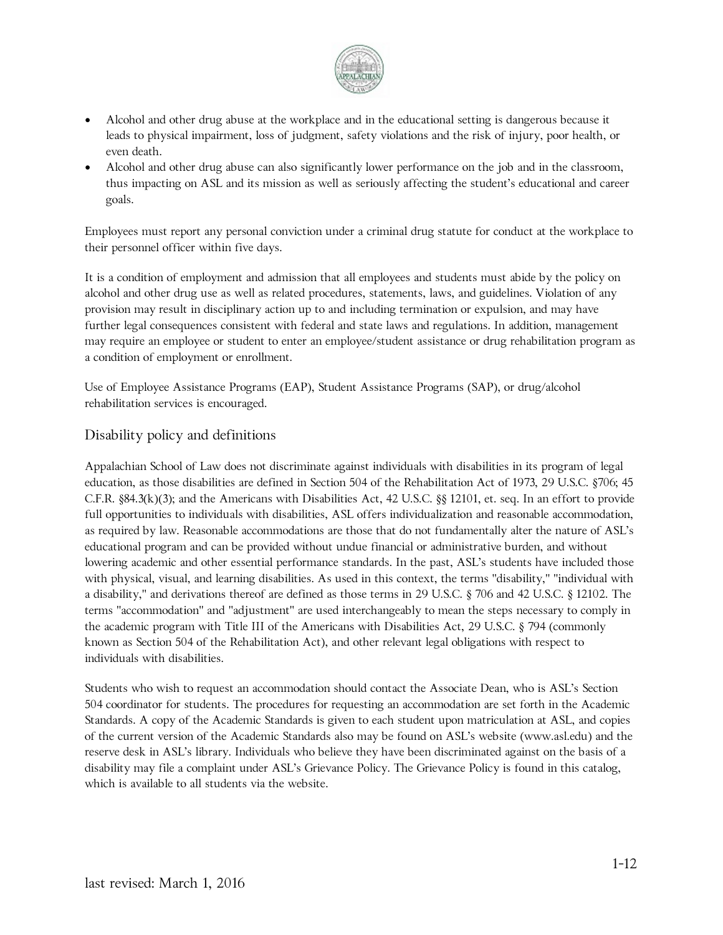

- Alcohol and other drug abuse at the workplace and in the educational setting is dangerous because it leads to physical impairment, loss of judgment, safety violations and the risk of injury, poor health, or even death.
- Alcohol and other drug abuse can also significantly lower performance on the job and in the classroom, thus impacting on ASL and its mission as well as seriously affecting the student's educational and career goals.

Employees must report any personal conviction under a criminal drug statute for conduct at the workplace to their personnel officer within five days.

It is a condition of employment and admission that all employees and students must abide by the policy on alcohol and other drug use as well as related procedures, statements, laws, and guidelines. Violation of any provision may result in disciplinary action up to and including termination or expulsion, and may have further legal consequences consistent with federal and state laws and regulations. In addition, management may require an employee or student to enter an employee/student assistance or drug rehabilitation program as a condition of employment or enrollment.

Use of Employee Assistance Programs (EAP), Student Assistance Programs (SAP), or drug/alcohol rehabilitation services is encouraged.

#### Disability policy and definitions

Appalachian School of Law does not discriminate against individuals with disabilities in its program of legal education, as those disabilities are defined in Section 504 of the Rehabilitation Act of 1973, 29 U.S.C. §706; 45 C.F.R. §84.3(k)(3); and the Americans with Disabilities Act, 42 U.S.C. §§ 12101, et. seq. In an effort to provide full opportunities to individuals with disabilities, ASL offers individualization and reasonable accommodation, as required by law. Reasonable accommodations are those that do not fundamentally alter the nature of ASL's educational program and can be provided without undue financial or administrative burden, and without lowering academic and other essential performance standards. In the past, ASL's students have included those with physical, visual, and learning disabilities. As used in this context, the terms "disability," "individual with a disability," and derivations thereof are defined as those terms in 29 U.S.C. § 706 and 42 U.S.C. § 12102. The terms "accommodation" and "adjustment" are used interchangeably to mean the steps necessary to comply in the academic program with Title III of the Americans with Disabilities Act, 29 U.S.C. § 794 (commonly known as Section 504 of the Rehabilitation Act), and other relevant legal obligations with respect to individuals with disabilities.

Students who wish to request an accommodation should contact the Associate Dean, who is ASL's Section 504 coordinator for students. The procedures for requesting an accommodation are set forth in the Academic Standards. A copy of the Academic Standards is given to each student upon matriculation at ASL, and copies of the current version of the Academic Standards also may be found on ASL's website (www.asl.edu) and the reserve desk in ASL's library. Individuals who believe they have been discriminated against on the basis of a disability may file a complaint under ASL's Grievance Policy. The Grievance Policy is found in this catalog, which is available to all students via the website.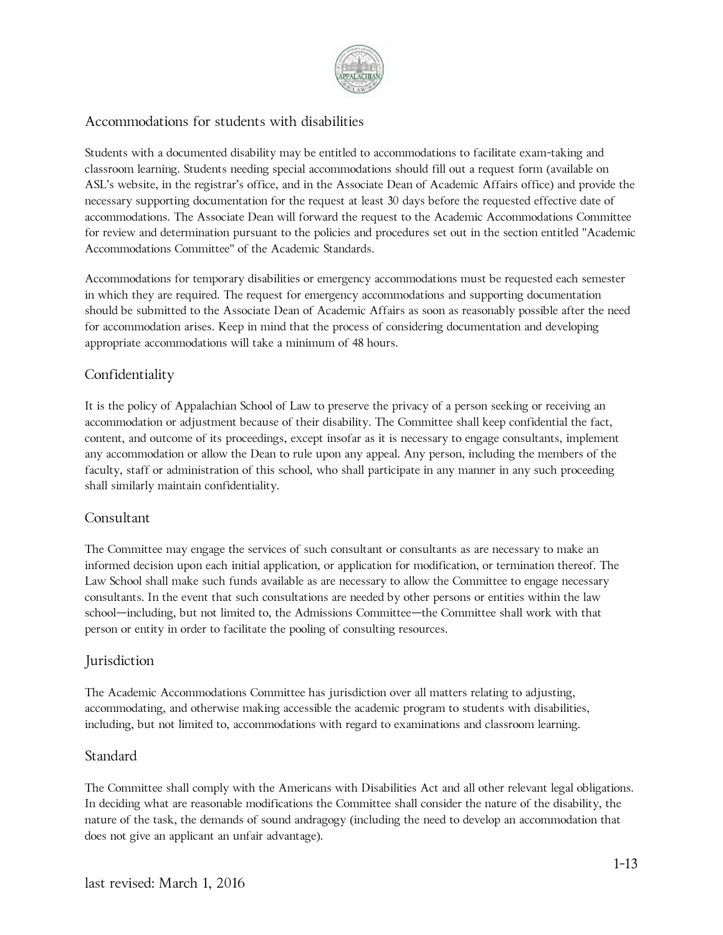

#### Accommodations for students with disabilities

Students with a documented disability may be entitled to accommodations to facilitate exam-taking and classroom learning. Students needing special accommodations should fill out a request form (available on ASL's website, in the registrar's office, and in the Associate Dean of Academic Affairs office) and provide the necessary supporting documentation for the request at least 30 days before the requested effective date of accommodations. The Associate Dean will forward the request to the Academic Accommodations Committee for review and determination pursuant to the policies and procedures set out in the section entitled "Academic Accommodations Committee" of the Academic Standards.

Accommodations for temporary disabilities or emergency accommodations must be requested each semester in which they are required. The request for emergency accommodations and supporting documentation should be submitted to the Associate Dean of Academic Affairs as soon as reasonably possible after the need for accommodation arises. Keep in mind that the process of considering documentation and developing appropriate accommodations will take a minimum of 48 hours.

#### Confidentiality

It is the policy of Appalachian School of Law to preserve the privacy of a person seeking or receiving an accommodation or adjustment because of their disability. The Committee shall keep confidential the fact, content, and outcome of its proceedings, except insofar as it is necessary to engage consultants, implement any accommodation or allow the Dean to rule upon any appeal. Any person, including the members of the faculty, staff or administration of this school, who shall participate in any manner in any such proceeding shall similarly maintain confidentiality.

#### Consultant

The Committee may engage the services of such consultant or consultants as are necessary to make an informed decision upon each initial application, or application for modification, or termination thereof. The Law School shall make such funds available as are necessary to allow the Committee to engage necessary consultants. In the event that such consultations are needed by other persons or entities within the law school—including, but not limited to, the Admissions Committee—the Committee shall work with that person or entity in order to facilitate the pooling of consulting resources.

#### Jurisdiction

The Academic Accommodations Committee has jurisdiction over all matters relating to adjusting, accommodating, and otherwise making accessible the academic program to students with disabilities, including, but not limited to, accommodations with regard to examinations and classroom learning.

#### **Standard**

The Committee shall comply with the Americans with Disabilities Act and all other relevant legal obligations. In deciding what are reasonable modifications the Committee shall consider the nature of the disability, the nature of the task, the demands of sound andragogy (including the need to develop an accommodation that does not give an applicant an unfair advantage).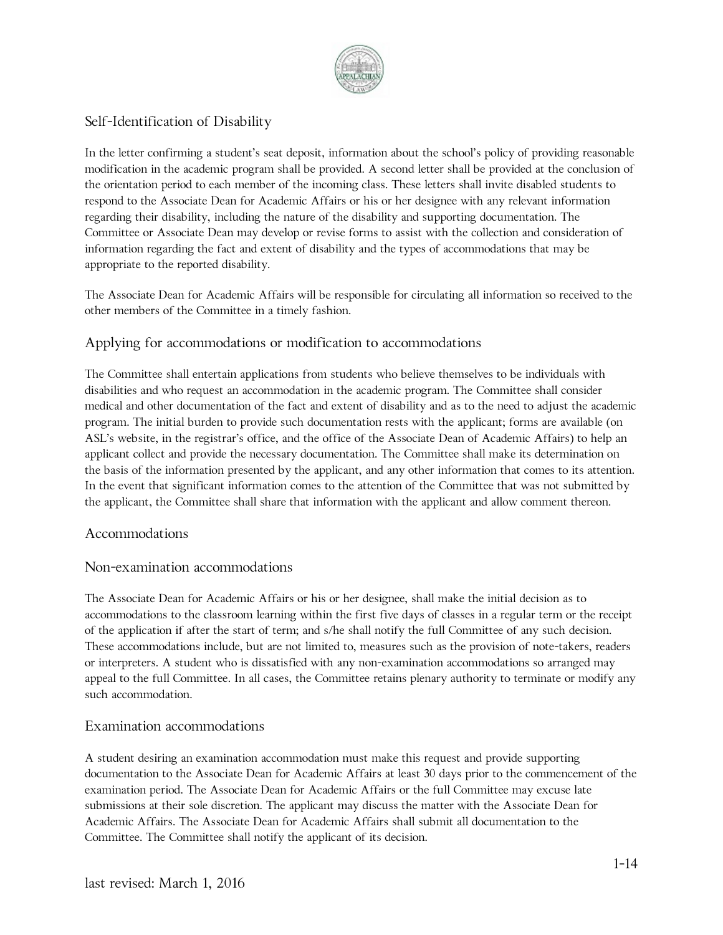

#### Self-Identification of Disability

In the letter confirming a student's seat deposit, information about the school's policy of providing reasonable modification in the academic program shall be provided. A second letter shall be provided at the conclusion of the orientation period to each member of the incoming class. These letters shall invite disabled students to respond to the Associate Dean for Academic Affairs or his or her designee with any relevant information regarding their disability, including the nature of the disability and supporting documentation. The Committee or Associate Dean may develop or revise forms to assist with the collection and consideration of information regarding the fact and extent of disability and the types of accommodations that may be appropriate to the reported disability.

The Associate Dean for Academic Affairs will be responsible for circulating all information so received to the other members of the Committee in a timely fashion.

#### Applying for accommodations or modification to accommodations

The Committee shall entertain applications from students who believe themselves to be individuals with disabilities and who request an accommodation in the academic program. The Committee shall consider medical and other documentation of the fact and extent of disability and as to the need to adjust the academic program. The initial burden to provide such documentation rests with the applicant; forms are available (on ASL's website, in the registrar's office, and the office of the Associate Dean of Academic Affairs) to help an applicant collect and provide the necessary documentation. The Committee shall make its determination on the basis of the information presented by the applicant, and any other information that comes to its attention. In the event that significant information comes to the attention of the Committee that was not submitted by the applicant, the Committee shall share that information with the applicant and allow comment thereon.

#### Accommodations

#### Non-examination accommodations

The Associate Dean for Academic Affairs or his or her designee, shall make the initial decision as to accommodations to the classroom learning within the first five days of classes in a regular term or the receipt of the application if after the start of term; and s/he shall notify the full Committee of any such decision. These accommodations include, but are not limited to, measures such as the provision of note-takers, readers or interpreters. A student who is dissatisfied with any non-examination accommodations so arranged may appeal to the full Committee. In all cases, the Committee retains plenary authority to terminate or modify any such accommodation.

#### Examination accommodations

A student desiring an examination accommodation must make this request and provide supporting documentation to the Associate Dean for Academic Affairs at least 30 days prior to the commencement of the examination period. The Associate Dean for Academic Affairs or the full Committee may excuse late submissions at their sole discretion. The applicant may discuss the matter with the Associate Dean for Academic Affairs. The Associate Dean for Academic Affairs shall submit all documentation to the Committee. The Committee shall notify the applicant of its decision.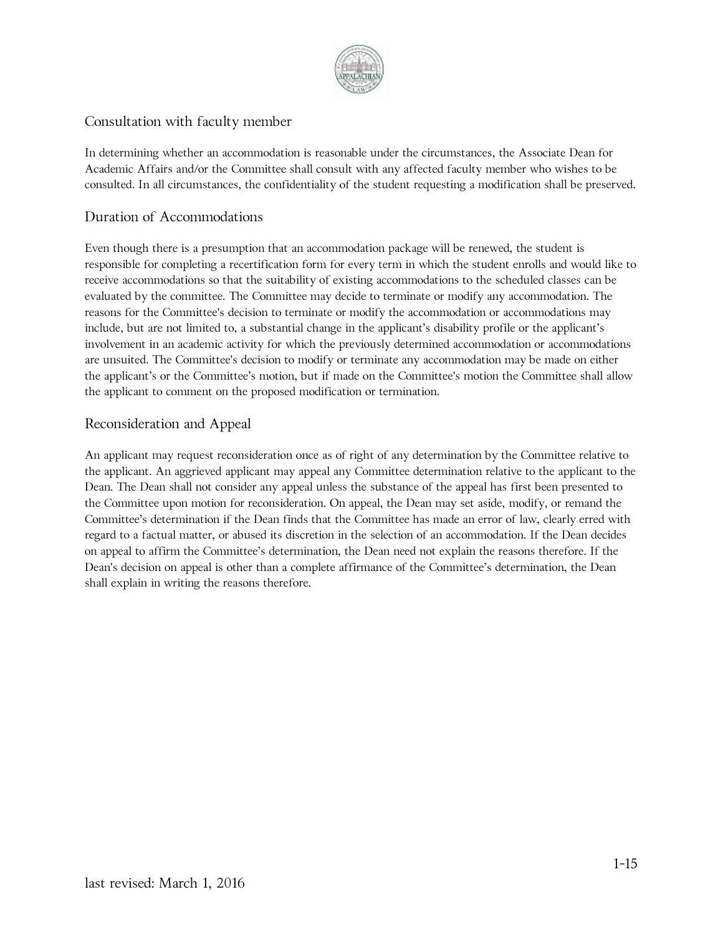

#### Consultation with faculty member

In determining whether an accommodation is reasonable under the circumstances, the Associate Dean for Academic Affairs and/or the Committee shall consult with any affected faculty member who wishes to be consulted. In all circumstances, the confidentiality of the student requesting a modification shall be preserved.

#### Duration of Accommodations

Even though there is a presumption that an accommodation package will be renewed, the student is responsible for completing a recertification form for every term in which the student enrolls and would like to receive accommodations so that the suitability of existing accommodations to the scheduled classes can be evaluated by the committee. The Committee may decide to terminate or modify any accommodation. The reasons for the Committee's decision to terminate or modify the accommodation or accommodations may include, but are not limited to, a substantial change in the applicant's disability profile or the applicant's involvement in an academic activity for which the previously determined accommodation or accommodations are unsuited. The Committee's decision to modify or terminate any accommodation may be made on either the applicant's or the Committee's motion, but if made on the Committee's motion the Committee shall allow the applicant to comment on the proposed modification or termination.

#### Reconsideration and Appeal

An applicant may request reconsideration once as of right of any determination by the Committee relative to the applicant. An aggrieved applicant may appeal any Committee determination relative to the applicant to the Dean. The Dean shall not consider any appeal unless the substance of the appeal has first been presented to the Committee upon motion for reconsideration. On appeal, the Dean may set aside, modify, or remand the Committee's determination if the Dean finds that the Committee has made an error of law, clearly erred with regard to a factual matter, or abused its discretion in the selection of an accommodation. If the Dean decides on appeal to affirm the Committee's determination, the Dean need not explain the reasons therefore. If the Dean's decision on appeal is other than a complete affirmance of the Committee's determination, the Dean shall explain in writing the reasons therefore.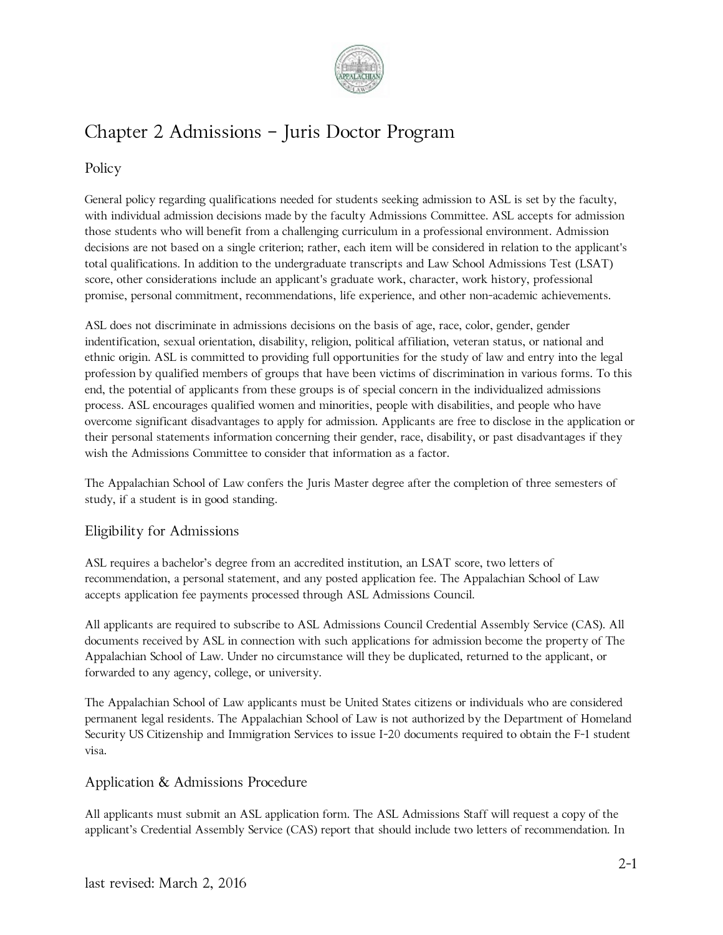

## Chapter 2 Admissions – Juris Doctor Program

#### Policy

General policy regarding qualifications needed for students seeking admission to ASL is set by the faculty, with individual admission decisions made by the faculty Admissions Committee. ASL accepts for admission those students who will benefit from a challenging curriculum in a professional environment. Admission decisions are not based on a single criterion; rather, each item will be considered in relation to the applicant's total qualifications. In addition to the undergraduate transcripts and Law School Admissions Test (LSAT) score, other considerations include an applicant's graduate work, character, work history, professional promise, personal commitment, recommendations, life experience, and other non-academic achievements.

ASL does not discriminate in admissions decisions on the basis of age, race, color, gender, gender indentification, sexual orientation, disability, religion, political affiliation, veteran status, or national and ethnic origin. ASL is committed to providing full opportunities for the study of law and entry into the legal profession by qualified members of groups that have been victims of discrimination in various forms. To this end, the potential of applicants from these groups is of special concern in the individualized admissions process. ASL encourages qualified women and minorities, people with disabilities, and people who have overcome significant disadvantages to apply for admission. Applicants are free to disclose in the application or their personal statements information concerning their gender, race, disability, or past disadvantages if they wish the Admissions Committee to consider that information as a factor.

The Appalachian School of Law confers the Juris Master degree after the completion of three semesters of study, if a student is in good standing.

#### Eligibility for Admissions

ASL requires a bachelor's degree from an accredited institution, an LSAT score, two letters of recommendation, a personal statement, and any posted application fee. The Appalachian School of Law accepts application fee payments processed through ASL Admissions Council.

All applicants are required to subscribe to ASL Admissions Council Credential Assembly Service (CAS). All documents received by ASL in connection with such applications for admission become the property of The Appalachian School of Law. Under no circumstance will they be duplicated, returned to the applicant, or forwarded to any agency, college, or university.

The Appalachian School of Law applicants must be United States citizens or individuals who are considered permanent legal residents. The Appalachian School of Law is not authorized by the Department of Homeland Security US Citizenship and Immigration Services to issue I-20 documents required to obtain the F-1 student visa.

#### Application & Admissions Procedure

All applicants must submit an ASL application form. The ASL Admissions Staff will request a copy of the applicant's Credential Assembly Service (CAS) report that should include two letters of recommendation. In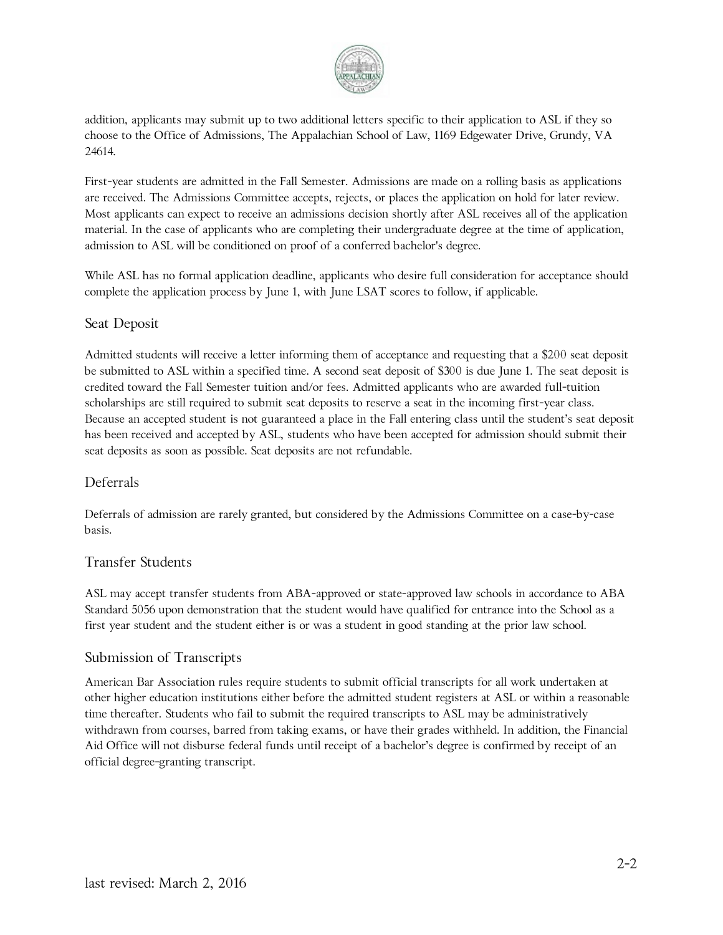

addition, applicants may submit up to two additional letters specific to their application to ASL if they so choose to the Office of Admissions, The Appalachian School of Law, 1169 Edgewater Drive, Grundy, VA 24614.

First-year students are admitted in the Fall Semester. Admissions are made on a rolling basis as applications are received. The Admissions Committee accepts, rejects, or places the application on hold for later review. Most applicants can expect to receive an admissions decision shortly after ASL receives all of the application material. In the case of applicants who are completing their undergraduate degree at the time of application, admission to ASL will be conditioned on proof of a conferred bachelor's degree.

While ASL has no formal application deadline, applicants who desire full consideration for acceptance should complete the application process by June 1, with June LSAT scores to follow, if applicable.

#### Seat Deposit

Admitted students will receive a letter informing them of acceptance and requesting that a \$200 seat deposit be submitted to ASL within a specified time. A second seat deposit of \$300 is due June 1. The seat deposit is credited toward the Fall Semester tuition and/or fees. Admitted applicants who are awarded full-tuition scholarships are still required to submit seat deposits to reserve a seat in the incoming first-year class. Because an accepted student is not guaranteed a place in the Fall entering class until the student's seat deposit has been received and accepted by ASL, students who have been accepted for admission should submit their seat deposits as soon as possible. Seat deposits are not refundable.

#### Deferrals

Deferrals of admission are rarely granted, but considered by the Admissions Committee on a case-by-case basis.

#### Transfer Students

ASL may accept transfer students from ABA-approved or state-approved law schools in accordance to ABA Standard 5056 upon demonstration that the student would have qualified for entrance into the School as a first year student and the student either is or was a student in good standing at the prior law school.

#### Submission of Transcripts

American Bar Association rules require students to submit official transcripts for all work undertaken at other higher education institutions either before the admitted student registers at ASL or within a reasonable time thereafter. Students who fail to submit the required transcripts to ASL may be administratively withdrawn from courses, barred from taking exams, or have their grades withheld. In addition, the Financial Aid Office will not disburse federal funds until receipt of a bachelor's degree is confirmed by receipt of an official degree-granting transcript.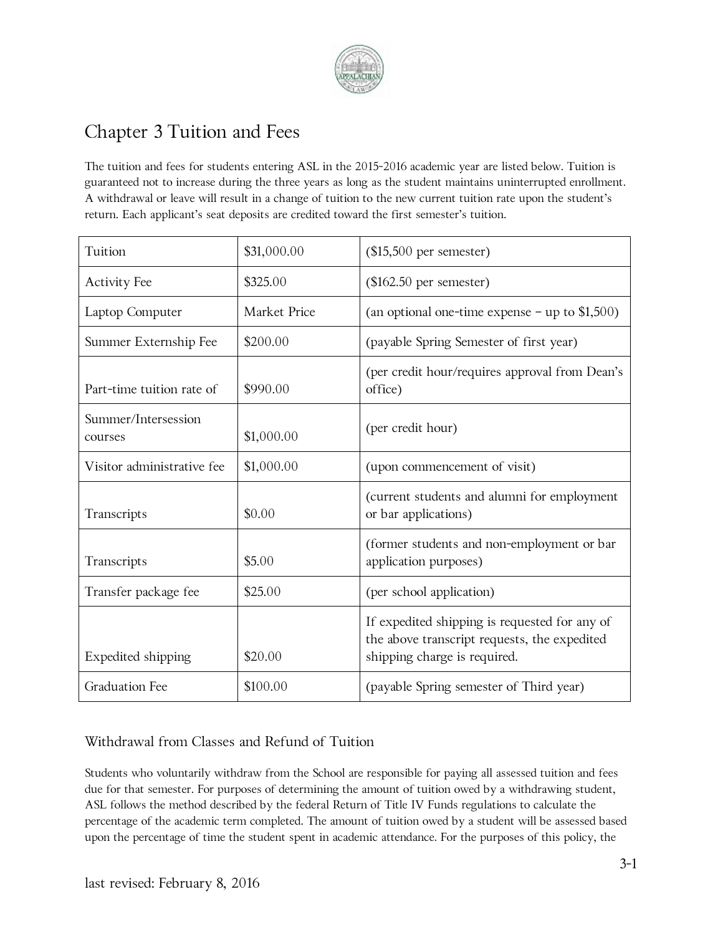

## Chapter 3 Tuition and Fees

The tuition and fees for students entering ASL in the 2015-2016 academic year are listed below. Tuition is guaranteed not to increase during the three years as long as the student maintains uninterrupted enrollment. A withdrawal or leave will result in a change of tuition to the new current tuition rate upon the student's return. Each applicant's seat deposits are credited toward the first semester's tuition.

| Tuition                        | \$31,000.00  | $($15,500$ per semester)                                                                                                      |
|--------------------------------|--------------|-------------------------------------------------------------------------------------------------------------------------------|
| <b>Activity Fee</b>            | \$325.00     | $(\$162.50$ per semester)                                                                                                     |
| Laptop Computer                | Market Price | (an optional one-time expense $-$ up to \$1,500)                                                                              |
| Summer Externship Fee          | \$200.00     | (payable Spring Semester of first year)                                                                                       |
| Part-time tuition rate of      | \$990.00     | (per credit hour/requires approval from Dean's<br>office)                                                                     |
| Summer/Intersession<br>courses | \$1,000.00   | (per credit hour)                                                                                                             |
| Visitor administrative fee     | \$1,000.00   | (upon commencement of visit)                                                                                                  |
| Transcripts                    | \$0.00       | (current students and alumni for employment<br>or bar applications)                                                           |
| Transcripts                    | \$5.00       | (former students and non-employment or bar<br>application purposes)                                                           |
| Transfer package fee           | \$25.00      | (per school application)                                                                                                      |
| Expedited shipping             | \$20.00      | If expedited shipping is requested for any of<br>the above transcript requests, the expedited<br>shipping charge is required. |
| <b>Graduation Fee</b>          | \$100.00     | (payable Spring semester of Third year)                                                                                       |

#### Withdrawal from Classes and Refund of Tuition

Students who voluntarily withdraw from the School are responsible for paying all assessed tuition and fees due for that semester. For purposes of determining the amount of tuition owed by a withdrawing student, ASL follows the method described by the federal Return of Title IV Funds regulations to calculate the percentage of the academic term completed. The amount of tuition owed by a student will be assessed based upon the percentage of time the student spent in academic attendance. For the purposes of this policy, the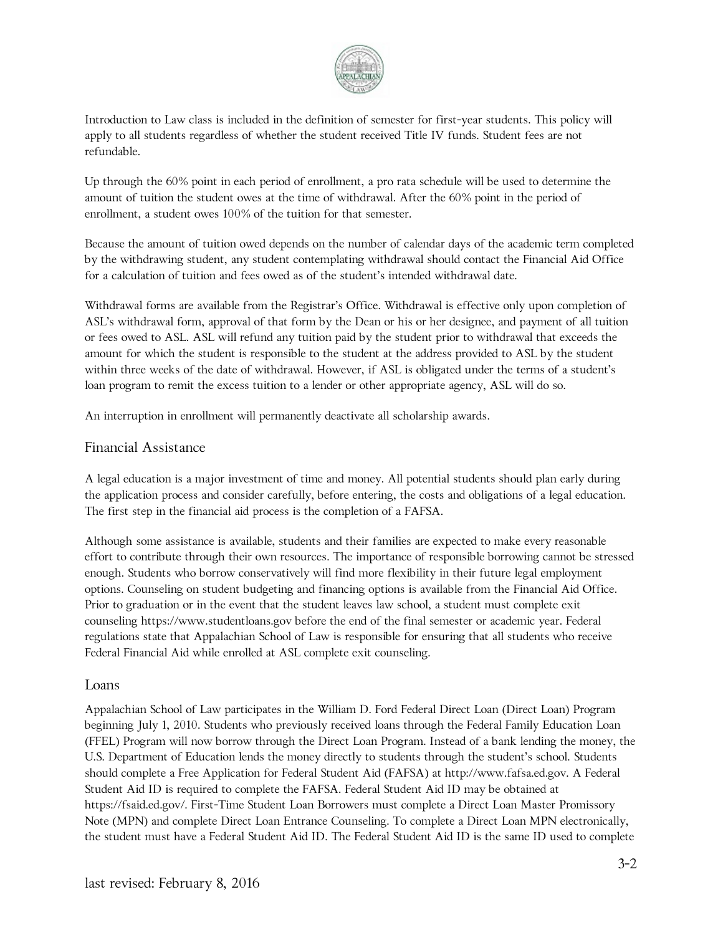

Introduction to Law class is included in the definition of semester for first-year students. This policy will apply to all students regardless of whether the student received Title IV funds. Student fees are not refundable.

Up through the 60% point in each period of enrollment, a pro rata schedule will be used to determine the amount of tuition the student owes at the time of withdrawal. After the 60% point in the period of enrollment, a student owes 100% of the tuition for that semester.

Because the amount of tuition owed depends on the number of calendar days of the academic term completed by the withdrawing student, any student contemplating withdrawal should contact the Financial Aid Office for a calculation of tuition and fees owed as of the student's intended withdrawal date.

Withdrawal forms are available from the Registrar's Office. Withdrawal is effective only upon completion of ASL's withdrawal form, approval of that form by the Dean or his or her designee, and payment of all tuition or fees owed to ASL. ASL will refund any tuition paid by the student prior to withdrawal that exceeds the amount for which the student is responsible to the student at the address provided to ASL by the student within three weeks of the date of withdrawal. However, if ASL is obligated under the terms of a student's loan program to remit the excess tuition to a lender or other appropriate agency, ASL will do so.

An interruption in enrollment will permanently deactivate all scholarship awards.

#### Financial Assistance

A legal education is a major investment of time and money. All potential students should plan early during the application process and consider carefully, before entering, the costs and obligations of a legal education. The first step in the financial aid process is the completion of a FAFSA.

Although some assistance is available, students and their families are expected to make every reasonable effort to contribute through their own resources. The importance of responsible borrowing cannot be stressed enough. Students who borrow conservatively will find more flexibility in their future legal employment options. Counseling on student budgeting and financing options is available from the Financial Aid Office. Prior to graduation or in the event that the student leaves law school, a student must complete exit counseling https://www.studentloans.gov before the end of the final semester or academic year. Federal regulations state that Appalachian School of Law is responsible for ensuring that all students who receive Federal Financial Aid while enrolled at ASL complete exit counseling.

#### Loans

Appalachian School of Law participates in the William D. Ford Federal Direct Loan (Direct Loan) Program beginning July 1, 2010. Students who previously received loans through the Federal Family Education Loan (FFEL) Program will now borrow through the Direct Loan Program. Instead of a bank lending the money, the U.S. Department of Education lends the money directly to students through the student's school. Students should complete a Free Application for Federal Student Aid (FAFSA) at http://www.fafsa.ed.gov. A Federal Student Aid ID is required to complete the FAFSA. Federal Student Aid ID may be obtained at https://fsaid.ed.gov/. First-Time Student Loan Borrowers must complete a Direct Loan Master Promissory Note (MPN) and complete Direct Loan Entrance Counseling. To complete a Direct Loan MPN electronically, the student must have a Federal Student Aid ID. The Federal Student Aid ID is the same ID used to complete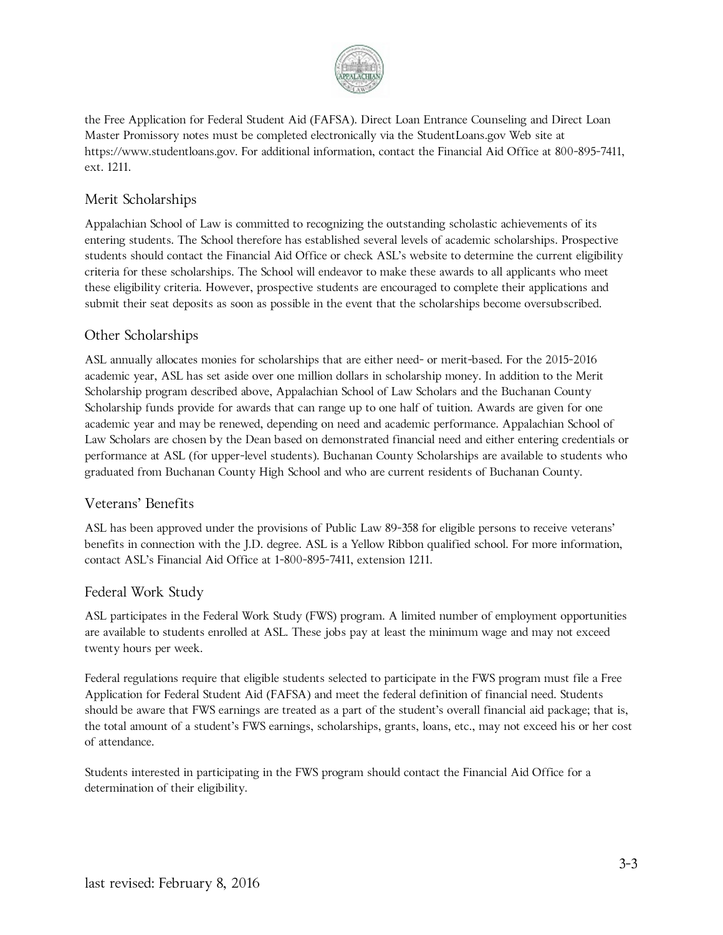

the Free Application for Federal Student Aid (FAFSA). Direct Loan Entrance Counseling and Direct Loan Master Promissory notes must be completed electronically via the StudentLoans.gov Web site at https://www.studentloans.gov. For additional information, contact the Financial Aid Office at 800-895-7411, ext. 1211.

#### Merit Scholarships

Appalachian School of Law is committed to recognizing the outstanding scholastic achievements of its entering students. The School therefore has established several levels of academic scholarships. Prospective students should contact the Financial Aid Office or check ASL's website to determine the current eligibility criteria for these scholarships. The School will endeavor to make these awards to all applicants who meet these eligibility criteria. However, prospective students are encouraged to complete their applications and submit their seat deposits as soon as possible in the event that the scholarships become oversubscribed.

#### Other Scholarships

ASL annually allocates monies for scholarships that are either need- or merit-based. For the 2015-2016 academic year, ASL has set aside over one million dollars in scholarship money. In addition to the Merit Scholarship program described above, Appalachian School of Law Scholars and the Buchanan County Scholarship funds provide for awards that can range up to one half of tuition. Awards are given for one academic year and may be renewed, depending on need and academic performance. Appalachian School of Law Scholars are chosen by the Dean based on demonstrated financial need and either entering credentials or performance at ASL (for upper-level students). Buchanan County Scholarships are available to students who graduated from Buchanan County High School and who are current residents of Buchanan County.

#### Veterans' Benefits

ASL has been approved under the provisions of Public Law 89-358 for eligible persons to receive veterans' benefits in connection with the J.D. degree. ASL is a Yellow Ribbon qualified school. For more information, contact ASL's Financial Aid Office at 1-800-895-7411, extension 1211.

#### Federal Work Study

ASL participates in the Federal Work Study (FWS) program. A limited number of employment opportunities are available to students enrolled at ASL. These jobs pay at least the minimum wage and may not exceed twenty hours per week.

Federal regulations require that eligible students selected to participate in the FWS program must file a Free Application for Federal Student Aid (FAFSA) and meet the federal definition of financial need. Students should be aware that FWS earnings are treated as a part of the student's overall financial aid package; that is, the total amount of a student's FWS earnings, scholarships, grants, loans, etc., may not exceed his or her cost of attendance.

Students interested in participating in the FWS program should contact the Financial Aid Office for a determination of their eligibility.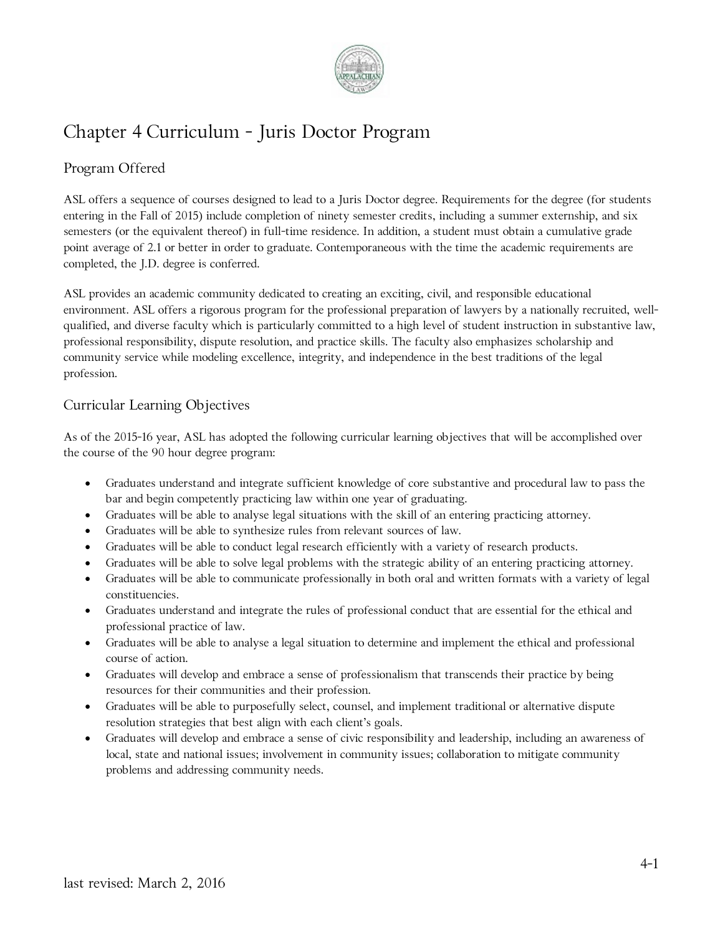

## Chapter 4 Curriculum - Juris Doctor Program

#### Program Offered

ASL offers a sequence of courses designed to lead to a Juris Doctor degree. Requirements for the degree (for students entering in the Fall of 2015) include completion of ninety semester credits, including a summer externship, and six semesters (or the equivalent thereof) in full-time residence. In addition, a student must obtain a cumulative grade point average of 2.1 or better in order to graduate. Contemporaneous with the time the academic requirements are completed, the J.D. degree is conferred.

ASL provides an academic community dedicated to creating an exciting, civil, and responsible educational environment. ASL offers a rigorous program for the professional preparation of lawyers by a nationally recruited, wellqualified, and diverse faculty which is particularly committed to a high level of student instruction in substantive law, professional responsibility, dispute resolution, and practice skills. The faculty also emphasizes scholarship and community service while modeling excellence, integrity, and independence in the best traditions of the legal profession.

#### Curricular Learning Objectives

As of the 2015-16 year, ASL has adopted the following curricular learning objectives that will be accomplished over the course of the 90 hour degree program:

- Graduates understand and integrate sufficient knowledge of core substantive and procedural law to pass the bar and begin competently practicing law within one year of graduating.
- Graduates will be able to analyse legal situations with the skill of an entering practicing attorney.
- Graduates will be able to synthesize rules from relevant sources of law.
- Graduates will be able to conduct legal research efficiently with a variety of research products.
- Graduates will be able to solve legal problems with the strategic ability of an entering practicing attorney.
- Graduates will be able to communicate professionally in both oral and written formats with a variety of legal constituencies.
- Graduates understand and integrate the rules of professional conduct that are essential for the ethical and professional practice of law.
- Graduates will be able to analyse a legal situation to determine and implement the ethical and professional course of action.
- Graduates will develop and embrace a sense of professionalism that transcends their practice by being resources for their communities and their profession.
- Graduates will be able to purposefully select, counsel, and implement traditional or alternative dispute resolution strategies that best align with each client's goals.
- Graduates will develop and embrace a sense of civic responsibility and leadership, including an awareness of local, state and national issues; involvement in community issues; collaboration to mitigate community problems and addressing community needs.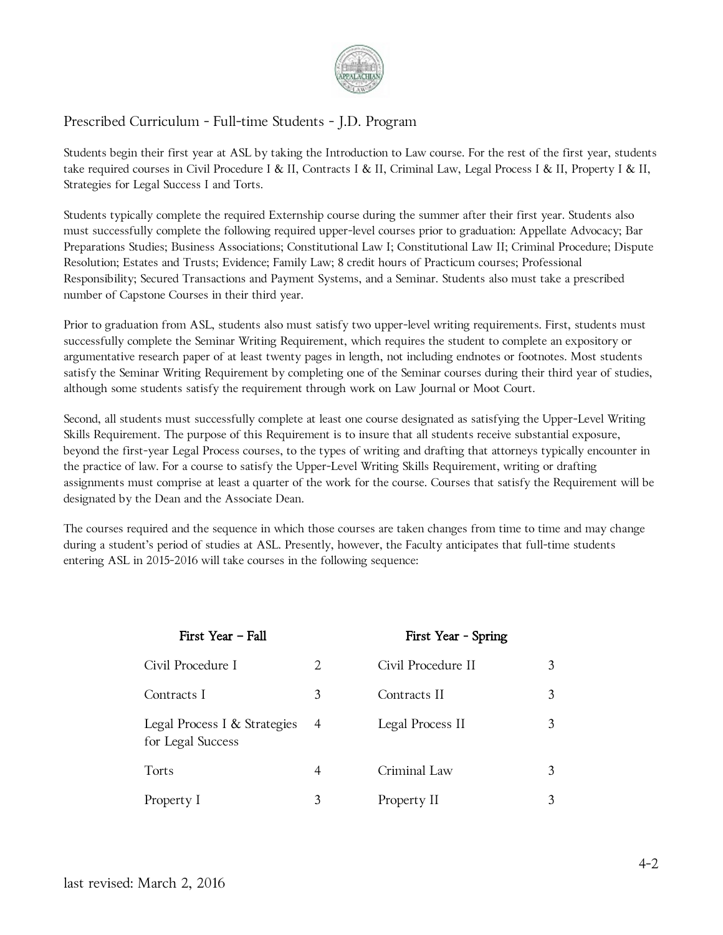

#### Prescribed Curriculum - Full-time Students - J.D. Program

Students begin their first year at ASL by taking the Introduction to Law course. For the rest of the first year, students take required courses in Civil Procedure I & II, Contracts I & II, Criminal Law, Legal Process I & II, Property I & II, Strategies for Legal Success I and Torts.

Students typically complete the required Externship course during the summer after their first year. Students also must successfully complete the following required upper-level courses prior to graduation: Appellate Advocacy; Bar Preparations Studies; Business Associations; Constitutional Law I; Constitutional Law II; Criminal Procedure; Dispute Resolution; Estates and Trusts; Evidence; Family Law; 8 credit hours of Practicum courses; Professional Responsibility; Secured Transactions and Payment Systems, and a Seminar. Students also must take a prescribed number of Capstone Courses in their third year.

Prior to graduation from ASL, students also must satisfy two upper-level writing requirements. First, students must successfully complete the Seminar Writing Requirement, which requires the student to complete an expository or argumentative research paper of at least twenty pages in length, not including endnotes or footnotes. Most students satisfy the Seminar Writing Requirement by completing one of the Seminar courses during their third year of studies, although some students satisfy the requirement through work on Law Journal or Moot Court.

Second, all students must successfully complete at least one course designated as satisfying the Upper-Level Writing Skills Requirement. The purpose of this Requirement is to insure that all students receive substantial exposure, beyond the first-year Legal Process courses, to the types of writing and drafting that attorneys typically encounter in the practice of law. For a course to satisfy the Upper-Level Writing Skills Requirement, writing or drafting assignments must comprise at least a quarter of the work for the course. Courses that satisfy the Requirement will be designated by the Dean and the Associate Dean.

The courses required and the sequence in which those courses are taken changes from time to time and may change during a student's period of studies at ASL. Presently, however, the Faculty anticipates that full-time students entering ASL in 2015-2016 will take courses in the following sequence:

| First Year - Fall                                 |                | First Year - Spring |   |
|---------------------------------------------------|----------------|---------------------|---|
| Civil Procedure I                                 | 2              | Civil Procedure II  | 3 |
| Contracts I                                       | 3              | Contracts II        | 3 |
| Legal Process I & Strategies<br>for Legal Success | $\overline{4}$ | Legal Process II    | 3 |
| Torts                                             | 4              | Criminal Law        | 3 |
| Property I                                        | 3              | Property II         | 3 |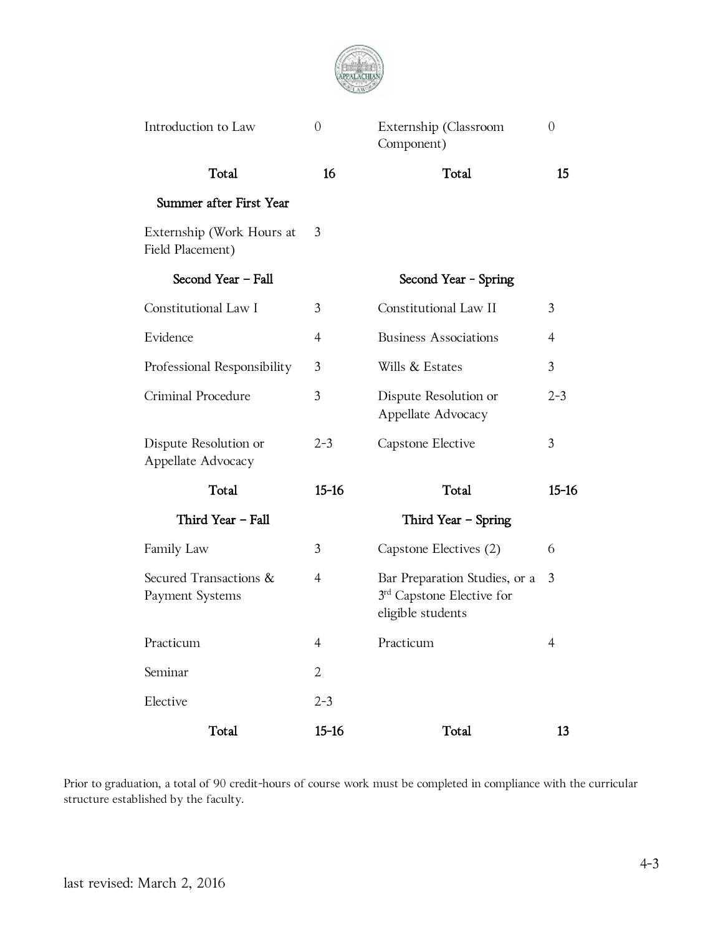

| Introduction to Law                           | $\theta$       | Externship (Classroom<br>Component)                                                      | $\Omega$  |
|-----------------------------------------------|----------------|------------------------------------------------------------------------------------------|-----------|
| Total                                         | 16             | Total                                                                                    | 15        |
| Summer after First Year                       |                |                                                                                          |           |
| Externship (Work Hours at<br>Field Placement) | 3              |                                                                                          |           |
| Second Year - Fall                            |                | Second Year - Spring                                                                     |           |
| Constitutional Law I                          | 3              | Constitutional Law II                                                                    | 3         |
| Evidence                                      | $\overline{4}$ | <b>Business Associations</b>                                                             | 4         |
| Professional Responsibility                   | 3              | Wills & Estates                                                                          | 3         |
| Criminal Procedure                            | 3              | Dispute Resolution or<br>Appellate Advocacy                                              | $2 - 3$   |
| Dispute Resolution or<br>Appellate Advocacy   | $2 - 3$        | Capstone Elective                                                                        | 3         |
| Total                                         | $15 - 16$      | Total                                                                                    | $15 - 16$ |
| Third Year - Fall                             |                | Third Year – Spring                                                                      |           |
| Family Law                                    | 3              | Capstone Electives (2)                                                                   | 6         |
| Secured Transactions &<br>Payment Systems     | 4              | Bar Preparation Studies, or a<br>$3^{\rm rd}$ Capstone Elective for<br>eligible students | 3         |
| Practicum                                     | 4              | Practicum                                                                                |           |
| Seminar                                       | $\overline{2}$ |                                                                                          |           |
| Elective                                      | $2 - 3$        |                                                                                          |           |
| Total                                         | $15 - 16$      | Total                                                                                    | 13        |

Prior to graduation, a total of 90 credit-hours of course work must be completed in compliance with the curricular structure established by the faculty.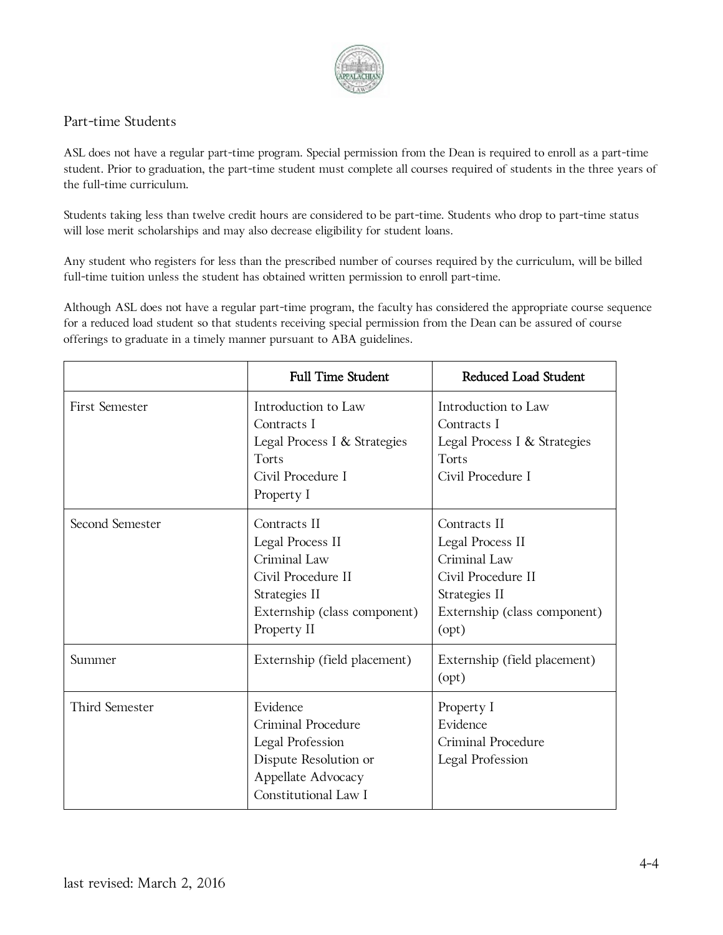

#### Part-time Students

ASL does not have a regular part-time program. Special permission from the Dean is required to enroll as a part-time student. Prior to graduation, the part-time student must complete all courses required of students in the three years of the full-time curriculum.

Students taking less than twelve credit hours are considered to be part-time. Students who drop to part-time status will lose merit scholarships and may also decrease eligibility for student loans.

Any student who registers for less than the prescribed number of courses required by the curriculum, will be billed full-time tuition unless the student has obtained written permission to enroll part-time.

Although ASL does not have a regular part-time program, the faculty has considered the appropriate course sequence for a reduced load student so that students receiving special permission from the Dean can be assured of course offerings to graduate in a timely manner pursuant to ABA guidelines.

|                       | <b>Full Time Student</b>                                                                                                               | Reduced Load Student                                                                                                             |
|-----------------------|----------------------------------------------------------------------------------------------------------------------------------------|----------------------------------------------------------------------------------------------------------------------------------|
| <b>First Semester</b> | Introduction to Law<br>Contracts I<br>Legal Process I & Strategies<br>Torts<br>Civil Procedure I<br>Property I                         | Introduction to Law<br>Contracts I<br>Legal Process I & Strategies<br>Torts<br>Civil Procedure I                                 |
| Second Semester       | Contracts II<br>Legal Process II<br>Criminal Law<br>Civil Procedure II<br>Strategies II<br>Externship (class component)<br>Property II | Contracts II<br>Legal Process II<br>Criminal Law<br>Civil Procedure II<br>Strategies II<br>Externship (class component)<br>(opt) |
| Summer                | Externship (field placement)                                                                                                           | Externship (field placement)<br>(opt)                                                                                            |
| Third Semester        | Evidence<br>Criminal Procedure<br>Legal Profession<br>Dispute Resolution or<br>Appellate Advocacy<br>Constitutional Law I              | Property I<br>Evidence<br>Criminal Procedure<br>Legal Profession                                                                 |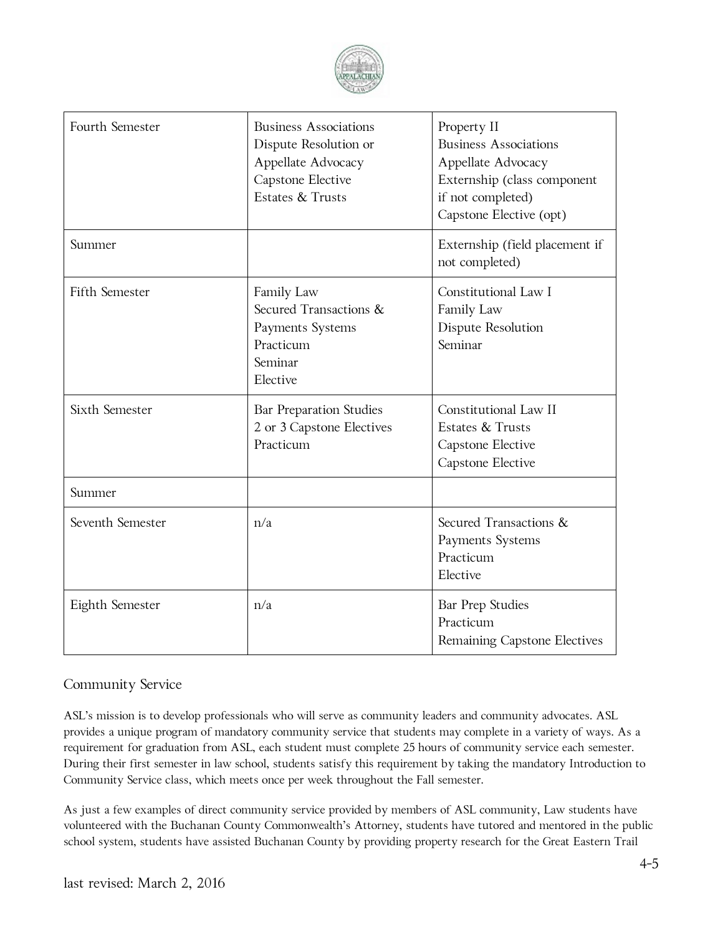

| Fourth Semester  | <b>Business Associations</b><br>Dispute Resolution or<br>Appellate Advocacy<br>Capstone Elective<br>Estates & Trusts | Property II<br><b>Business Associations</b><br>Appellate Advocacy<br>Externship (class component<br>if not completed)<br>Capstone Elective (opt) |
|------------------|----------------------------------------------------------------------------------------------------------------------|--------------------------------------------------------------------------------------------------------------------------------------------------|
| Summer           |                                                                                                                      | Externship (field placement if<br>not completed)                                                                                                 |
| Fifth Semester   | Family Law<br>Secured Transactions &<br>Payments Systems<br>Practicum<br>Seminar<br>Elective                         | Constitutional Law I<br>Family Law<br>Dispute Resolution<br>Seminar                                                                              |
| Sixth Semester   | Bar Preparation Studies<br>2 or 3 Capstone Electives<br>Practicum                                                    | Constitutional Law II<br>Estates & Trusts<br>Capstone Elective<br>Capstone Elective                                                              |
| Summer           |                                                                                                                      |                                                                                                                                                  |
| Seventh Semester | n/a                                                                                                                  | Secured Transactions &<br>Payments Systems<br>Practicum<br>Elective                                                                              |
| Eighth Semester  | n/a                                                                                                                  | Bar Prep Studies<br>Practicum<br>Remaining Capstone Electives                                                                                    |

#### Community Service

ASL's mission is to develop professionals who will serve as community leaders and community advocates. ASL provides a unique program of mandatory community service that students may complete in a variety of ways. As a requirement for graduation from ASL, each student must complete 25 hours of community service each semester. During their first semester in law school, students satisfy this requirement by taking the mandatory Introduction to Community Service class, which meets once per week throughout the Fall semester.

As just a few examples of direct community service provided by members of ASL community, Law students have volunteered with the Buchanan County Commonwealth's Attorney, students have tutored and mentored in the public school system, students have assisted Buchanan County by providing property research for the Great Eastern Trail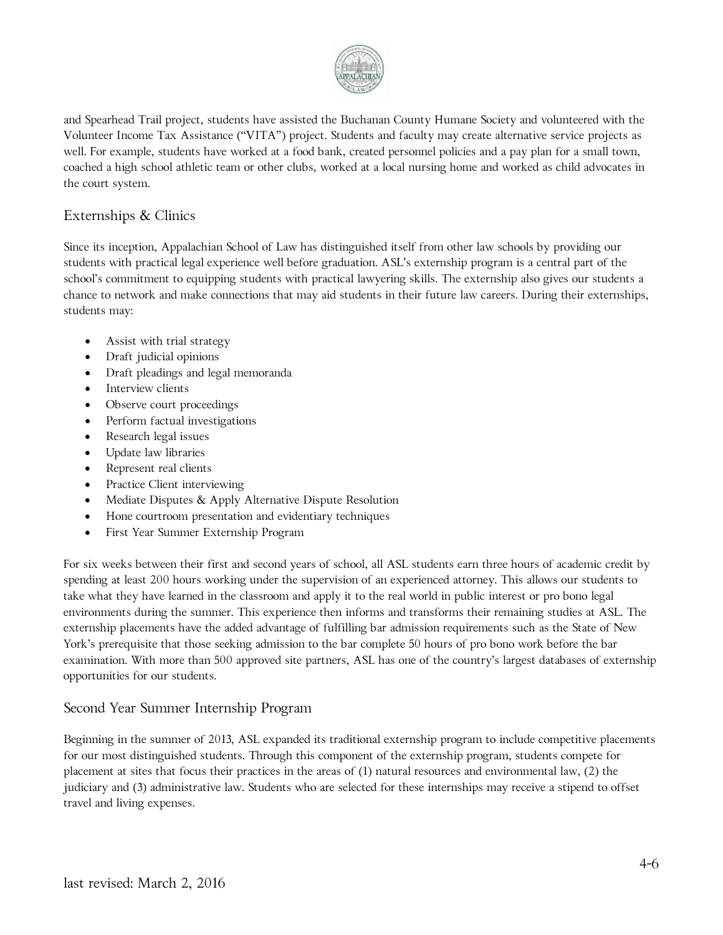

and Spearhead Trail project, students have assisted the Buchanan County Humane Society and volunteered with the Volunteer Income Tax Assistance ("VITA") project. Students and faculty may create alternative service projects as well. For example, students have worked at a food bank, created personnel policies and a pay plan for a small town, coached a high school athletic team or other clubs, worked at a local nursing home and worked as child advocates in the court system.

#### Externships & Clinics

Since its inception, Appalachian School of Law has distinguished itself from other law schools by providing our students with practical legal experience well before graduation. ASL's externship program is a central part of the school's commitment to equipping students with practical lawyering skills. The externship also gives our students a chance to network and make connections that may aid students in their future law careers. During their externships, students may:

- Assist with trial strategy
- Draft judicial opinions
- Draft pleadings and legal memoranda
- Interview clients
- Observe court proceedings
- Perform factual investigations
- Research legal issues
- Update law libraries
- Represent real clients
- Practice Client interviewing
- Mediate Disputes & Apply Alternative Dispute Resolution
- Hone courtroom presentation and evidentiary techniques
- First Year Summer Externship Program

For six weeks between their first and second years of school, all ASL students earn three hours of academic credit by spending at least 200 hours working under the supervision of an experienced attorney. This allows our students to take what they have learned in the classroom and apply it to the real world in public interest or pro bono legal environments during the summer. This experience then informs and transforms their remaining studies at ASL. The externship placements have the added advantage of fulfilling bar admission requirements such as the State of New York's prerequisite that those seeking admission to the bar complete 50 hours of pro bono work before the bar examination. With more than 500 approved site partners, ASL has one of the country's largest databases of externship opportunities for our students.

#### Second Year Summer Internship Program

Beginning in the summer of 2013, ASL expanded its traditional externship program to include competitive placements for our most distinguished students. Through this component of the externship program, students compete for placement at sites that focus their practices in the areas of (1) natural resources and environmental law, (2) the judiciary and (3) administrative law. Students who are selected for these internships may receive a stipend to offset travel and living expenses.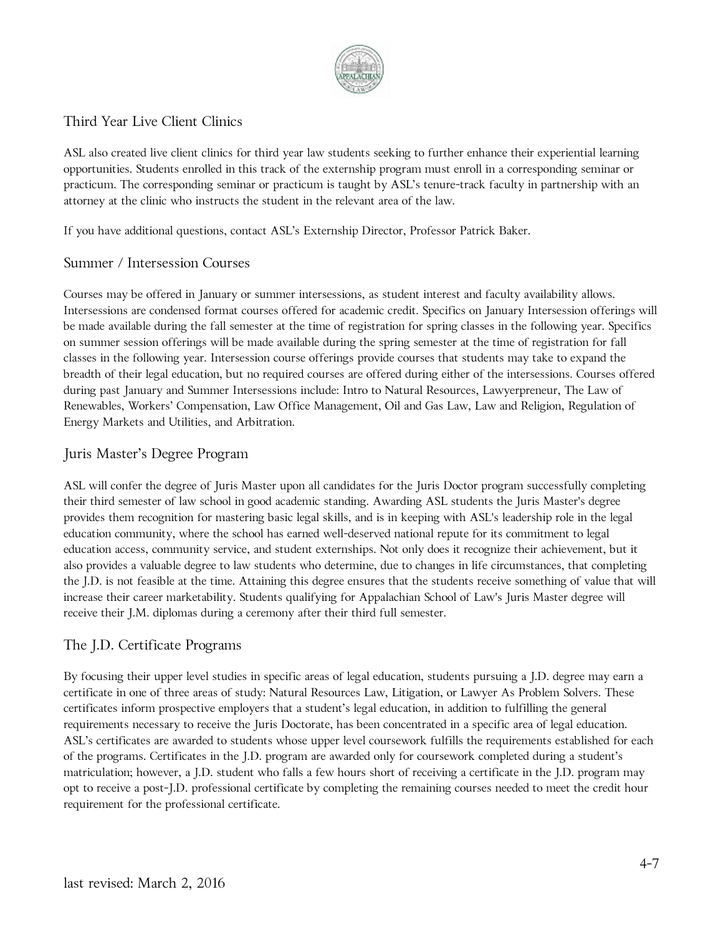

#### Third Year Live Client Clinics

ASL also created live client clinics for third year law students seeking to further enhance their experiential learning opportunities. Students enrolled in this track of the externship program must enroll in a corresponding seminar or practicum. The corresponding seminar or practicum is taught by ASL's tenure-track faculty in partnership with an attorney at the clinic who instructs the student in the relevant area of the law.

If you have additional questions, contact ASL's Externship Director, Professor Patrick Baker.

#### Summer / Intersession Courses

Courses may be offered in January or summer intersessions, as student interest and faculty availability allows. Intersessions are condensed format courses offered for academic credit. Specifics on January Intersession offerings will be made available during the fall semester at the time of registration for spring classes in the following year. Specifics on summer session offerings will be made available during the spring semester at the time of registration for fall classes in the following year. Intersession course offerings provide courses that students may take to expand the breadth of their legal education, but no required courses are offered during either of the intersessions. Courses offered during past January and Summer Intersessions include: Intro to Natural Resources, Lawyerpreneur, The Law of Renewables, Workers' Compensation, Law Office Management, Oil and Gas Law, Law and Religion, Regulation of Energy Markets and Utilities, and Arbitration.

#### Juris Master's Degree Program

ASL will confer the degree of Juris Master upon all candidates for the Juris Doctor program successfully completing their third semester of law school in good academic standing. Awarding ASL students the Juris Master's degree provides them recognition for mastering basic legal skills, and is in keeping with ASL's leadership role in the legal education community, where the school has earned well-deserved national repute for its commitment to legal education access, community service, and student externships. Not only does it recognize their achievement, but it also provides a valuable degree to law students who determine, due to changes in life circumstances, that completing the J.D. is not feasible at the time. Attaining this degree ensures that the students receive something of value that will increase their career marketability. Students qualifying for Appalachian School of Law's Juris Master degree will receive their J.M. diplomas during a ceremony after their third full semester.

#### The J.D. Certificate Programs

By focusing their upper level studies in specific areas of legal education, students pursuing a J.D. degree may earn a certificate in one of three areas of study: Natural Resources Law, Litigation, or Lawyer As Problem Solvers. These certificates inform prospective employers that a student's legal education, in addition to fulfilling the general requirements necessary to receive the Juris Doctorate, has been concentrated in a specific area of legal education. ASL's certificates are awarded to students whose upper level coursework fulfills the requirements established for each of the programs. Certificates in the J.D. program are awarded only for coursework completed during a student's matriculation; however, a J.D. student who falls a few hours short of receiving a certificate in the J.D. program may opt to receive a post-J.D. professional certificate by completing the remaining courses needed to meet the credit hour requirement for the professional certificate.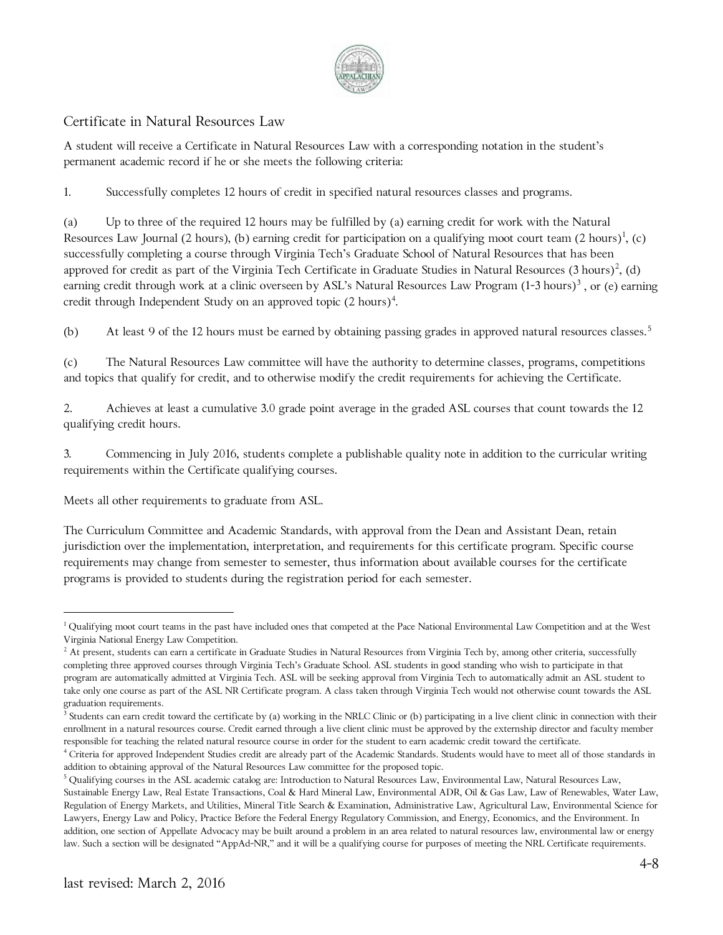

#### Certificate in Natural Resources Law

A student will receive a Certificate in Natural Resources Law with a corresponding notation in the student's permanent academic record if he or she meets the following criteria:

1. Successfully completes 12 hours of credit in specified natural resources classes and programs.

(a) Up to three of the required 12 hours may be fulfilled by (a) earning credit for work with the Natural Resources Law Journal (2 hours), (b) earning credit for participation on a qualifying moot court team (2 hours) $^1$  $^1$ , (c) successfully completing a course through Virginia Tech's Graduate School of Natural Resources that has been approved for credit as part of the Virginia Tech Certificate in Graduate Studies in Natural Resources (3 hours)<sup>[2](#page-31-1)</sup>, (d) earning credit through work at a clinic overseen by ASL's Natural Resources Law Program  $(1-3 \text{ hours})^3$  $(1-3 \text{ hours})^3$  $(1-3 \text{ hours})^3$ , or (e) earning credit through Independent Study on an approved topic (2 hours) $^4$  $^4$ .

(b) At least 9 of the 12 hours must be earned by obtaining passing grades in approved natural resources classes.<sup>[5](#page-31-4)</sup>

(c) The Natural Resources Law committee will have the authority to determine classes, programs, competitions and topics that qualify for credit, and to otherwise modify the credit requirements for achieving the Certificate.

2. Achieves at least a cumulative 3.0 grade point average in the graded ASL courses that count towards the 12 qualifying credit hours.

3. Commencing in July 2016, students complete a publishable quality note in addition to the curricular writing requirements within the Certificate qualifying courses.

Meets all other requirements to graduate from ASL.

The Curriculum Committee and Academic Standards, with approval from the Dean and Assistant Dean, retain jurisdiction over the implementation, interpretation, and requirements for this certificate program. Specific course requirements may change from semester to semester, thus information about available courses for the certificate programs is provided to students during the registration period for each semester.

 $\overline{a}$ 

<span id="page-31-0"></span><sup>&</sup>lt;sup>1</sup> Qualifying moot court teams in the past have included ones that competed at the Pace National Environmental Law Competition and at the West Virginia National Energy Law Competition.

<span id="page-31-1"></span> $^2$  At present, students can earn a certificate in Graduate Studies in Natural Resources from Virginia Tech by, among other criteria, successfully completing three approved courses through Virginia Tech's Graduate School. ASL students in good standing who wish to participate in that program are automatically admitted at Virginia Tech. ASL will be seeking approval from Virginia Tech to automatically admit an ASL student to take only one course as part of the ASL NR Certificate program. A class taken through Virginia Tech would not otherwise count towards the ASL graduation requirements.

<span id="page-31-2"></span><sup>&</sup>lt;sup>3</sup> Students can earn credit toward the certificate by (a) working in the NRLC Clinic or (b) participating in a live client clinic in connection with their enrollment in a natural resources course. Credit earned through a live client clinic must be approved by the externship director and faculty member responsible for teaching the related natural resource course in order for the student to earn academic credit toward the certificate.

<span id="page-31-3"></span><sup>&</sup>lt;sup>4</sup> Criteria for approved Independent Studies credit are already part of the Academic Standards. Students would have to meet all of those standards in addition to obtaining approval of the Natural Resources Law committee for the proposed topic.

<span id="page-31-4"></span><sup>5</sup> Qualifying courses in the ASL academic catalog are: Introduction to Natural Resources Law, Environmental Law, Natural Resources Law, Sustainable Energy Law, Real Estate Transactions, Coal & Hard Mineral Law, Environmental ADR, Oil & Gas Law, Law of Renewables, Water Law, Regulation of Energy Markets, and Utilities, Mineral Title Search & Examination, Administrative Law, Agricultural Law, Environmental Science for Lawyers, Energy Law and Policy, Practice Before the Federal Energy Regulatory Commission, and Energy, Economics, and the Environment. In addition, one section of Appellate Advocacy may be built around a problem in an area related to natural resources law, environmental law or energy law. Such a section will be designated "AppAd-NR," and it will be a qualifying course for purposes of meeting the NRL Certificate requirements.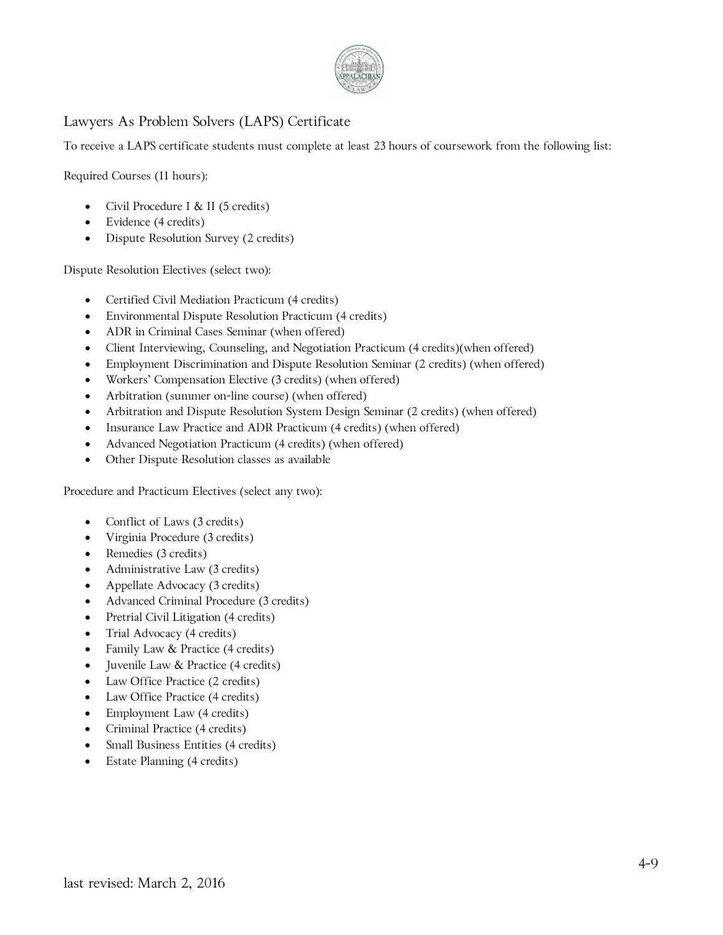

#### Lawyers As Problem Solvers (LAPS) Certificate

To receive a LAPS certificate students must complete at least 23 hours of coursework from the following list:

Required Courses (11 hours):

- Civil Procedure I & II (5 credits)
- Evidence (4 credits)
- Dispute Resolution Survey (2 credits)

Dispute Resolution Electives (select two):

- Certified Civil Mediation Practicum (4 credits)
- Environmental Dispute Resolution Practicum (4 credits)
- ADR in Criminal Cases Seminar (when offered)
- Client Interviewing, Counseling, and Negotiation Practicum (4 credits)(when offered)
- Employment Discrimination and Dispute Resolution Seminar (2 credits) (when offered)
- Workers' Compensation Elective (3 credits) (when offered)
- Arbitration (summer on-line course) (when offered)
- Arbitration and Dispute Resolution System Design Seminar (2 credits) (when offered)
- Insurance Law Practice and ADR Practicum (4 credits) (when offered)
- Advanced Negotiation Practicum (4 credits) (when offered)
- Other Dispute Resolution classes as available

Procedure and Practicum Electives (select any two):

- Conflict of Laws (3 credits)
- Virginia Procedure (3 credits)
- Remedies (3 credits)
- Administrative Law (3 credits)
- Appellate Advocacy (3 credits)
- Advanced Criminal Procedure (3 credits)
- Pretrial Civil Litigation (4 credits)
- Trial Advocacy (4 credits)
- Family Law & Practice (4 credits)
- Juvenile Law & Practice (4 credits)
- Law Office Practice (2 credits)
- Law Office Practice (4 credits)
- Employment Law (4 credits)
- Criminal Practice (4 credits)
- Small Business Entities (4 credits)
- Estate Planning (4 credits)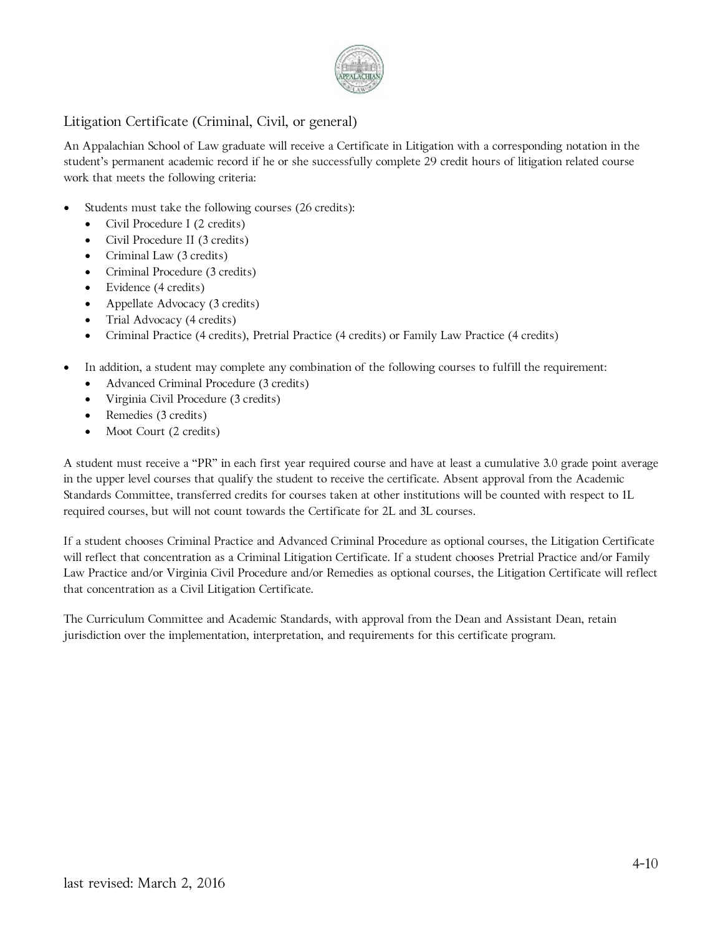

#### Litigation Certificate (Criminal, Civil, or general)

An Appalachian School of Law graduate will receive a Certificate in Litigation with a corresponding notation in the student's permanent academic record if he or she successfully complete 29 credit hours of litigation related course work that meets the following criteria:

- Students must take the following courses (26 credits):
	- Civil Procedure I (2 credits)
	- Civil Procedure II (3 credits)
	- Criminal Law (3 credits)
	- Criminal Procedure (3 credits)
	- Evidence (4 credits)
	- Appellate Advocacy (3 credits)
	- Trial Advocacy (4 credits)
	- Criminal Practice (4 credits), Pretrial Practice (4 credits) or Family Law Practice (4 credits)
- In addition, a student may complete any combination of the following courses to fulfill the requirement:
	- Advanced Criminal Procedure (3 credits)
	- Virginia Civil Procedure (3 credits)
	- Remedies (3 credits)
	- Moot Court (2 credits)

A student must receive a "PR" in each first year required course and have at least a cumulative 3.0 grade point average in the upper level courses that qualify the student to receive the certificate. Absent approval from the Academic Standards Committee, transferred credits for courses taken at other institutions will be counted with respect to 1L required courses, but will not count towards the Certificate for 2L and 3L courses.

If a student chooses Criminal Practice and Advanced Criminal Procedure as optional courses, the Litigation Certificate will reflect that concentration as a Criminal Litigation Certificate. If a student chooses Pretrial Practice and/or Family Law Practice and/or Virginia Civil Procedure and/or Remedies as optional courses, the Litigation Certificate will reflect that concentration as a Civil Litigation Certificate.

The Curriculum Committee and Academic Standards, with approval from the Dean and Assistant Dean, retain jurisdiction over the implementation, interpretation, and requirements for this certificate program.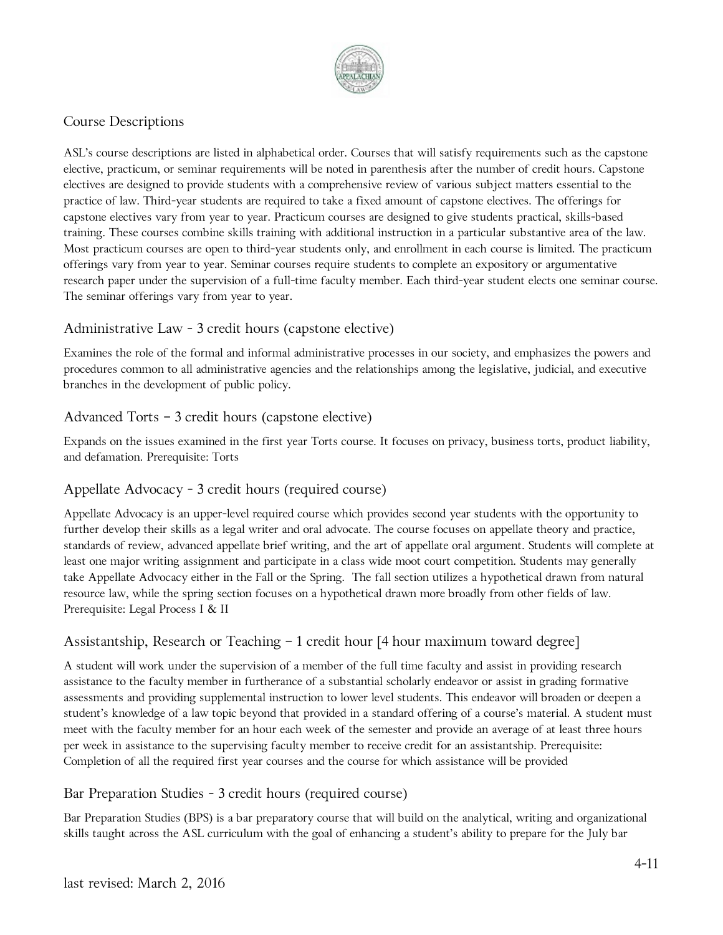

#### Course Descriptions

ASL's course descriptions are listed in alphabetical order. Courses that will satisfy requirements such as the capstone elective, practicum, or seminar requirements will be noted in parenthesis after the number of credit hours. Capstone electives are designed to provide students with a comprehensive review of various subject matters essential to the practice of law. Third-year students are required to take a fixed amount of capstone electives. The offerings for capstone electives vary from year to year. Practicum courses are designed to give students practical, skills-based training. These courses combine skills training with additional instruction in a particular substantive area of the law. Most practicum courses are open to third-year students only, and enrollment in each course is limited. The practicum offerings vary from year to year. Seminar courses require students to complete an expository or argumentative research paper under the supervision of a full-time faculty member. Each third-year student elects one seminar course. The seminar offerings vary from year to year.

#### Administrative Law - 3 credit hours (capstone elective)

Examines the role of the formal and informal administrative processes in our society, and emphasizes the powers and procedures common to all administrative agencies and the relationships among the legislative, judicial, and executive branches in the development of public policy.

#### Advanced Torts – 3 credit hours (capstone elective)

Expands on the issues examined in the first year Torts course. It focuses on privacy, business torts, product liability, and defamation. Prerequisite: Torts

#### Appellate Advocacy - 3 credit hours (required course)

Appellate Advocacy is an upper-level required course which provides second year students with the opportunity to further develop their skills as a legal writer and oral advocate. The course focuses on appellate theory and practice, standards of review, advanced appellate brief writing, and the art of appellate oral argument. Students will complete at least one major writing assignment and participate in a class wide moot court competition. Students may generally take Appellate Advocacy either in the Fall or the Spring. The fall section utilizes a hypothetical drawn from natural resource law, while the spring section focuses on a hypothetical drawn more broadly from other fields of law. Prerequisite: Legal Process I & II

#### Assistantship, Research or Teaching  $-1$  credit hour [4 hour maximum toward degree]

A student will work under the supervision of a member of the full time faculty and assist in providing research assistance to the faculty member in furtherance of a substantial scholarly endeavor or assist in grading formative assessments and providing supplemental instruction to lower level students. This endeavor will broaden or deepen a student's knowledge of a law topic beyond that provided in a standard offering of a course's material. A student must meet with the faculty member for an hour each week of the semester and provide an average of at least three hours per week in assistance to the supervising faculty member to receive credit for an assistantship. Prerequisite: Completion of all the required first year courses and the course for which assistance will be provided

#### Bar Preparation Studies - 3 credit hours (required course)

Bar Preparation Studies (BPS) is a bar preparatory course that will build on the analytical, writing and organizational skills taught across the ASL curriculum with the goal of enhancing a student's ability to prepare for the July bar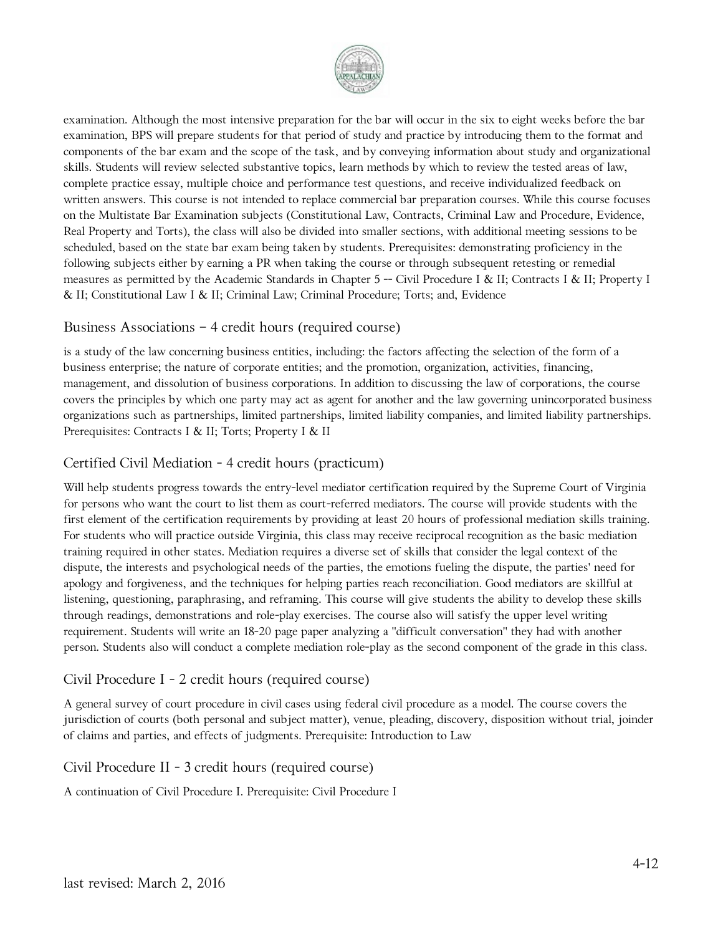

examination. Although the most intensive preparation for the bar will occur in the six to eight weeks before the bar examination, BPS will prepare students for that period of study and practice by introducing them to the format and components of the bar exam and the scope of the task, and by conveying information about study and organizational skills. Students will review selected substantive topics, learn methods by which to review the tested areas of law, complete practice essay, multiple choice and performance test questions, and receive individualized feedback on written answers. This course is not intended to replace commercial bar preparation courses. While this course focuses on the Multistate Bar Examination subjects (Constitutional Law, Contracts, Criminal Law and Procedure, Evidence, Real Property and Torts), the class will also be divided into smaller sections, with additional meeting sessions to be scheduled, based on the state bar exam being taken by students. Prerequisites: demonstrating proficiency in the following subjects either by earning a PR when taking the course or through subsequent retesting or remedial measures as permitted by the Academic Standards in Chapter 5 -- Civil Procedure I & II; Contracts I & II; Property I & II; Constitutional Law I & II; Criminal Law; Criminal Procedure; Torts; and, Evidence

#### Business Associations – 4 credit hours (required course)

is a study of the law concerning business entities, including: the factors affecting the selection of the form of a business enterprise; the nature of corporate entities; and the promotion, organization, activities, financing, management, and dissolution of business corporations. In addition to discussing the law of corporations, the course covers the principles by which one party may act as agent for another and the law governing unincorporated business organizations such as partnerships, limited partnerships, limited liability companies, and limited liability partnerships. Prerequisites: Contracts I & II; Torts; Property I & II

#### Certified Civil Mediation - 4 credit hours (practicum)

Will help students progress towards the entry-level mediator certification required by the Supreme Court of Virginia for persons who want the court to list them as court-referred mediators. The course will provide students with the first element of the certification requirements by providing at least 20 hours of professional mediation skills training. For students who will practice outside Virginia, this class may receive reciprocal recognition as the basic mediation training required in other states. Mediation requires a diverse set of skills that consider the legal context of the dispute, the interests and psychological needs of the parties, the emotions fueling the dispute, the parties' need for apology and forgiveness, and the techniques for helping parties reach reconciliation. Good mediators are skillful at listening, questioning, paraphrasing, and reframing. This course will give students the ability to develop these skills through readings, demonstrations and role-play exercises. The course also will satisfy the upper level writing requirement. Students will write an 18-20 page paper analyzing a "difficult conversation" they had with another person. Students also will conduct a complete mediation role-play as the second component of the grade in this class.

#### Civil Procedure I - 2 credit hours (required course)

A general survey of court procedure in civil cases using federal civil procedure as a model. The course covers the jurisdiction of courts (both personal and subject matter), venue, pleading, discovery, disposition without trial, joinder of claims and parties, and effects of judgments. Prerequisite: Introduction to Law

#### Civil Procedure II - 3 credit hours (required course)

A continuation of Civil Procedure I. Prerequisite: Civil Procedure I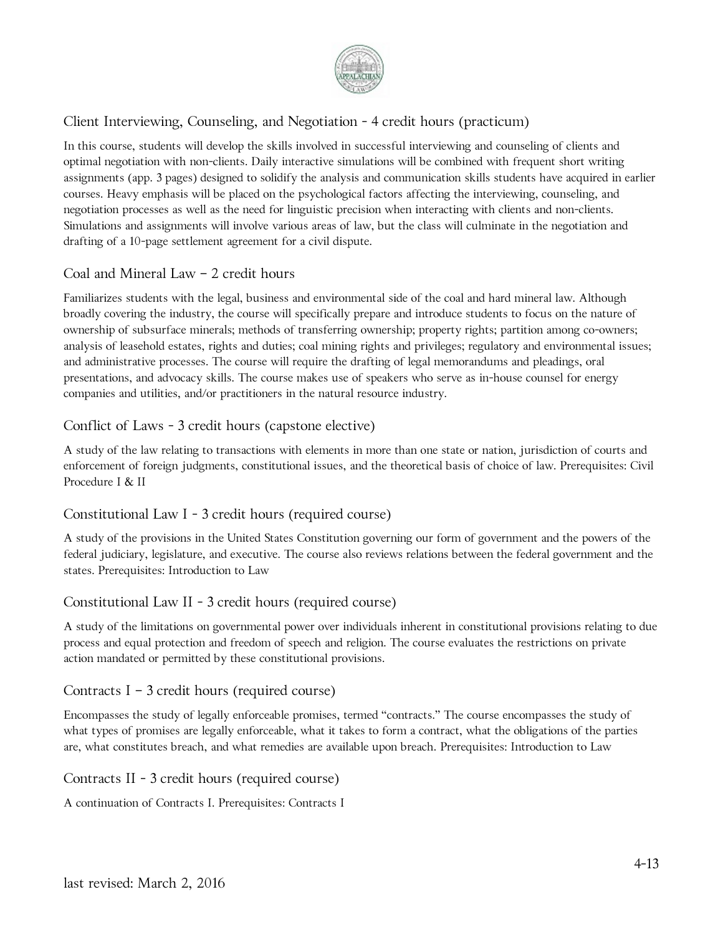

# Client Interviewing, Counseling, and Negotiation - 4 credit hours (practicum)

In this course, students will develop the skills involved in successful interviewing and counseling of clients and optimal negotiation with non-clients. Daily interactive simulations will be combined with frequent short writing assignments (app. 3 pages) designed to solidify the analysis and communication skills students have acquired in earlier courses. Heavy emphasis will be placed on the psychological factors affecting the interviewing, counseling, and negotiation processes as well as the need for linguistic precision when interacting with clients and non-clients. Simulations and assignments will involve various areas of law, but the class will culminate in the negotiation and drafting of a 10-page settlement agreement for a civil dispute.

# Coal and Mineral Law – 2 credit hours

Familiarizes students with the legal, business and environmental side of the coal and hard mineral law. Although broadly covering the industry, the course will specifically prepare and introduce students to focus on the nature of ownership of subsurface minerals; methods of transferring ownership; property rights; partition among co-owners; analysis of leasehold estates, rights and duties; coal mining rights and privileges; regulatory and environmental issues; and administrative processes. The course will require the drafting of legal memorandums and pleadings, oral presentations, and advocacy skills. The course makes use of speakers who serve as in-house counsel for energy companies and utilities, and/or practitioners in the natural resource industry.

### Conflict of Laws - 3 credit hours (capstone elective)

A study of the law relating to transactions with elements in more than one state or nation, jurisdiction of courts and enforcement of foreign judgments, constitutional issues, and the theoretical basis of choice of law. Prerequisites: Civil Procedure I & II

### Constitutional Law I - 3 credit hours (required course)

A study of the provisions in the United States Constitution governing our form of government and the powers of the federal judiciary, legislature, and executive. The course also reviews relations between the federal government and the states. Prerequisites: Introduction to Law

### Constitutional Law II - 3 credit hours (required course)

A study of the limitations on governmental power over individuals inherent in constitutional provisions relating to due process and equal protection and freedom of speech and religion. The course evaluates the restrictions on private action mandated or permitted by these constitutional provisions.

### Contracts I – 3 credit hours (required course)

Encompasses the study of legally enforceable promises, termed "contracts." The course encompasses the study of what types of promises are legally enforceable, what it takes to form a contract, what the obligations of the parties are, what constitutes breach, and what remedies are available upon breach. Prerequisites: Introduction to Law

#### Contracts II - 3 credit hours (required course)

A continuation of Contracts I. Prerequisites: Contracts I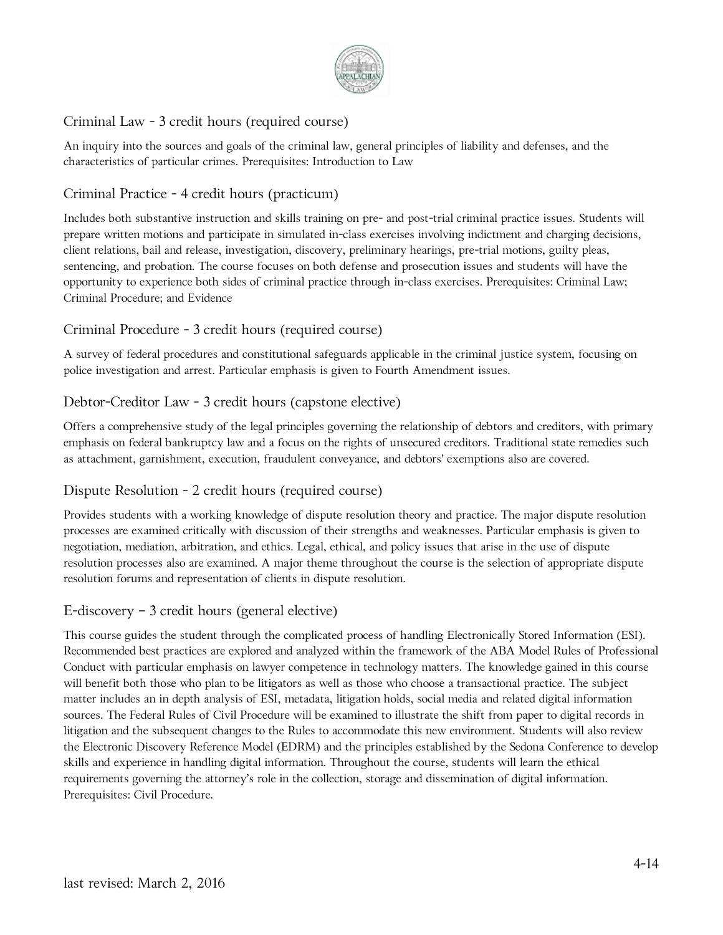

# Criminal Law - 3 credit hours (required course)

An inquiry into the sources and goals of the criminal law, general principles of liability and defenses, and the characteristics of particular crimes. Prerequisites: Introduction to Law

### Criminal Practice - 4 credit hours (practicum)

Includes both substantive instruction and skills training on pre- and post-trial criminal practice issues. Students will prepare written motions and participate in simulated in-class exercises involving indictment and charging decisions, client relations, bail and release, investigation, discovery, preliminary hearings, pre-trial motions, guilty pleas, sentencing, and probation. The course focuses on both defense and prosecution issues and students will have the opportunity to experience both sides of criminal practice through in-class exercises. Prerequisites: Criminal Law; Criminal Procedure; and Evidence

### Criminal Procedure - 3 credit hours (required course)

A survey of federal procedures and constitutional safeguards applicable in the criminal justice system, focusing on police investigation and arrest. Particular emphasis is given to Fourth Amendment issues.

### Debtor-Creditor Law - 3 credit hours (capstone elective)

Offers a comprehensive study of the legal principles governing the relationship of debtors and creditors, with primary emphasis on federal bankruptcy law and a focus on the rights of unsecured creditors. Traditional state remedies such as attachment, garnishment, execution, fraudulent conveyance, and debtors' exemptions also are covered.

### Dispute Resolution - 2 credit hours (required course)

Provides students with a working knowledge of dispute resolution theory and practice. The major dispute resolution processes are examined critically with discussion of their strengths and weaknesses. Particular emphasis is given to negotiation, mediation, arbitration, and ethics. Legal, ethical, and policy issues that arise in the use of dispute resolution processes also are examined. A major theme throughout the course is the selection of appropriate dispute resolution forums and representation of clients in dispute resolution.

#### E-discovery – 3 credit hours (general elective)

This course guides the student through the complicated process of handling Electronically Stored Information (ESI). Recommended best practices are explored and analyzed within the framework of the ABA Model Rules of Professional Conduct with particular emphasis on lawyer competence in technology matters. The knowledge gained in this course will benefit both those who plan to be litigators as well as those who choose a transactional practice. The subject matter includes an in depth analysis of ESI, metadata, litigation holds, social media and related digital information sources. The Federal Rules of Civil Procedure will be examined to illustrate the shift from paper to digital records in litigation and the subsequent changes to the Rules to accommodate this new environment. Students will also review the Electronic Discovery Reference Model (EDRM) and the principles established by the Sedona Conference to develop skills and experience in handling digital information. Throughout the course, students will learn the ethical requirements governing the attorney's role in the collection, storage and dissemination of digital information. Prerequisites: Civil Procedure.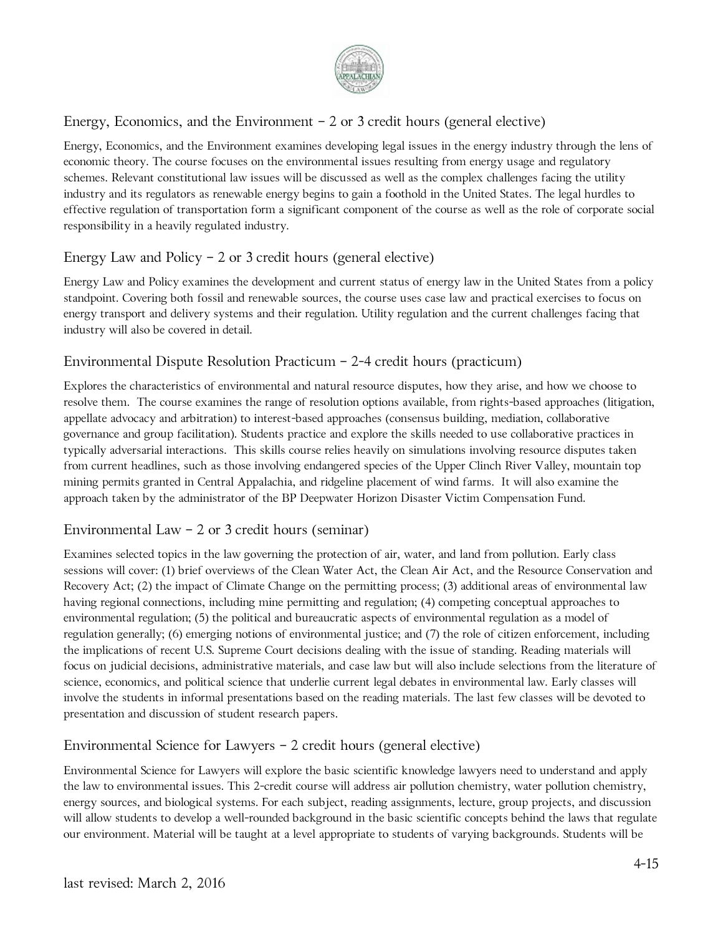

# Energy, Economics, and the Environment  $-2$  or 3 credit hours (general elective)

Energy, Economics, and the Environment examines developing legal issues in the energy industry through the lens of economic theory. The course focuses on the environmental issues resulting from energy usage and regulatory schemes. Relevant constitutional law issues will be discussed as well as the complex challenges facing the utility industry and its regulators as renewable energy begins to gain a foothold in the United States. The legal hurdles to effective regulation of transportation form a significant component of the course as well as the role of corporate social responsibility in a heavily regulated industry.

# Energy Law and Policy – 2 or 3 credit hours (general elective)

Energy Law and Policy examines the development and current status of energy law in the United States from a policy standpoint. Covering both fossil and renewable sources, the course uses case law and practical exercises to focus on energy transport and delivery systems and their regulation. Utility regulation and the current challenges facing that industry will also be covered in detail.

# Environmental Dispute Resolution Practicum – 2-4 credit hours (practicum)

Explores the characteristics of environmental and natural resource disputes, how they arise, and how we choose to resolve them. The course examines the range of resolution options available, from rights-based approaches (litigation, appellate advocacy and arbitration) to interest-based approaches (consensus building, mediation, collaborative governance and group facilitation). Students practice and explore the skills needed to use collaborative practices in typically adversarial interactions. This skills course relies heavily on simulations involving resource disputes taken from current headlines, such as those involving endangered species of the Upper Clinch River Valley, mountain top mining permits granted in Central Appalachia, and ridgeline placement of wind farms. It will also examine the approach taken by the administrator of the BP Deepwater Horizon Disaster Victim Compensation Fund.

### Environmental Law  $-$  2 or 3 credit hours (seminar)

Examines selected topics in the law governing the protection of air, water, and land from pollution. Early class sessions will cover: (1) brief overviews of the Clean Water Act, the Clean Air Act, and the Resource Conservation and Recovery Act; (2) the impact of Climate Change on the permitting process; (3) additional areas of environmental law having regional connections, including mine permitting and regulation; (4) competing conceptual approaches to environmental regulation; (5) the political and bureaucratic aspects of environmental regulation as a model of regulation generally; (6) emerging notions of environmental justice; and (7) the role of citizen enforcement, including the implications of recent U.S. Supreme Court decisions dealing with the issue of standing. Reading materials will focus on judicial decisions, administrative materials, and case law but will also include selections from the literature of science, economics, and political science that underlie current legal debates in environmental law. Early classes will involve the students in informal presentations based on the reading materials. The last few classes will be devoted to presentation and discussion of student research papers.

# Environmental Science for Lawyers – 2 credit hours (general elective)

Environmental Science for Lawyers will explore the basic scientific knowledge lawyers need to understand and apply the law to environmental issues. This 2-credit course will address air pollution chemistry, water pollution chemistry, energy sources, and biological systems. For each subject, reading assignments, lecture, group projects, and discussion will allow students to develop a well-rounded background in the basic scientific concepts behind the laws that regulate our environment. Material will be taught at a level appropriate to students of varying backgrounds. Students will be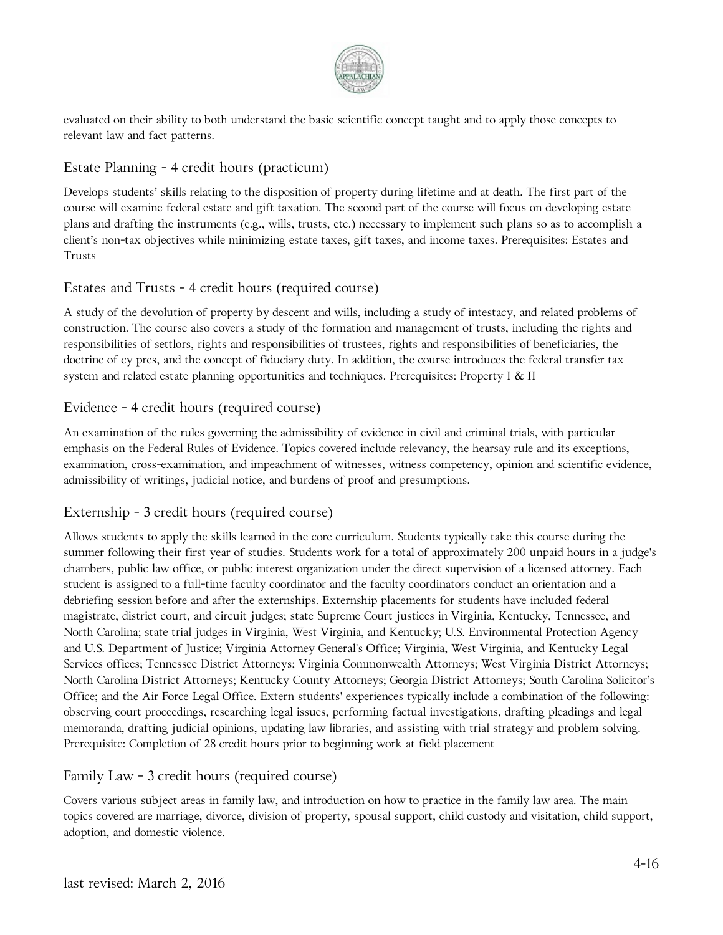

evaluated on their ability to both understand the basic scientific concept taught and to apply those concepts to relevant law and fact patterns.

# Estate Planning - 4 credit hours (practicum)

Develops students' skills relating to the disposition of property during lifetime and at death. The first part of the course will examine federal estate and gift taxation. The second part of the course will focus on developing estate plans and drafting the instruments (e.g., wills, trusts, etc.) necessary to implement such plans so as to accomplish a client's non-tax objectives while minimizing estate taxes, gift taxes, and income taxes. Prerequisites: Estates and Trusts

### Estates and Trusts - 4 credit hours (required course)

A study of the devolution of property by descent and wills, including a study of intestacy, and related problems of construction. The course also covers a study of the formation and management of trusts, including the rights and responsibilities of settlors, rights and responsibilities of trustees, rights and responsibilities of beneficiaries, the doctrine of cy pres, and the concept of fiduciary duty. In addition, the course introduces the federal transfer tax system and related estate planning opportunities and techniques. Prerequisites: Property I & II

### Evidence - 4 credit hours (required course)

An examination of the rules governing the admissibility of evidence in civil and criminal trials, with particular emphasis on the Federal Rules of Evidence. Topics covered include relevancy, the hearsay rule and its exceptions, examination, cross-examination, and impeachment of witnesses, witness competency, opinion and scientific evidence, admissibility of writings, judicial notice, and burdens of proof and presumptions.

### Externship - 3 credit hours (required course)

Allows students to apply the skills learned in the core curriculum. Students typically take this course during the summer following their first year of studies. Students work for a total of approximately 200 unpaid hours in a judge's chambers, public law office, or public interest organization under the direct supervision of a licensed attorney. Each student is assigned to a full-time faculty coordinator and the faculty coordinators conduct an orientation and a debriefing session before and after the externships. Externship placements for students have included federal magistrate, district court, and circuit judges; state Supreme Court justices in Virginia, Kentucky, Tennessee, and North Carolina; state trial judges in Virginia, West Virginia, and Kentucky; U.S. Environmental Protection Agency and U.S. Department of Justice; Virginia Attorney General's Office; Virginia, West Virginia, and Kentucky Legal Services offices; Tennessee District Attorneys; Virginia Commonwealth Attorneys; West Virginia District Attorneys; North Carolina District Attorneys; Kentucky County Attorneys; Georgia District Attorneys; South Carolina Solicitor's Office; and the Air Force Legal Office. Extern students' experiences typically include a combination of the following: observing court proceedings, researching legal issues, performing factual investigations, drafting pleadings and legal memoranda, drafting judicial opinions, updating law libraries, and assisting with trial strategy and problem solving. Prerequisite: Completion of 28 credit hours prior to beginning work at field placement

### Family Law - 3 credit hours (required course)

Covers various subject areas in family law, and introduction on how to practice in the family law area. The main topics covered are marriage, divorce, division of property, spousal support, child custody and visitation, child support, adoption, and domestic violence.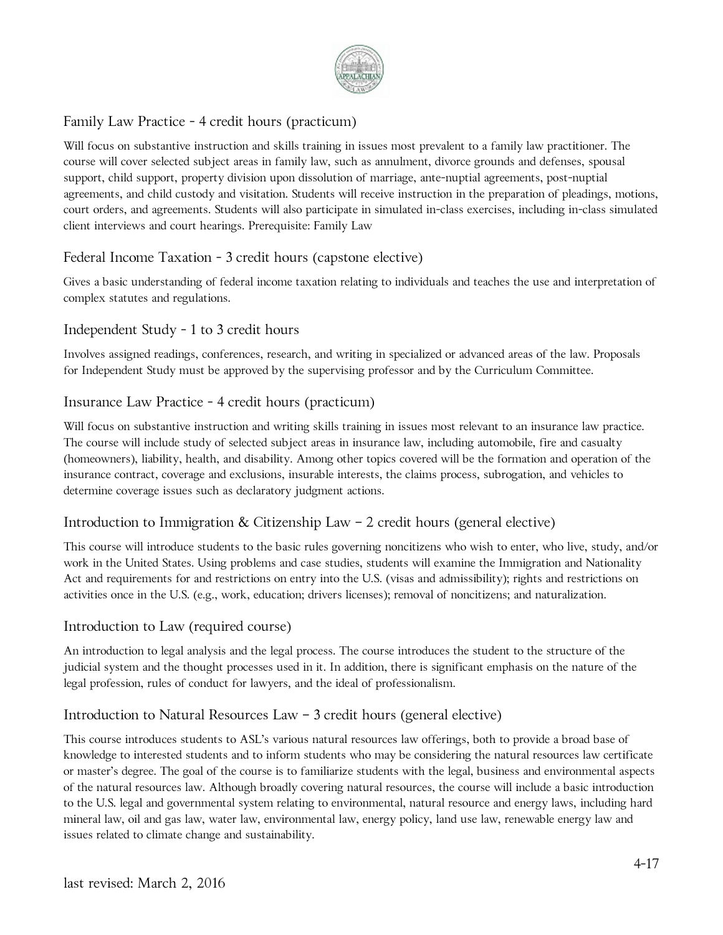

# Family Law Practice - 4 credit hours (practicum)

Will focus on substantive instruction and skills training in issues most prevalent to a family law practitioner. The course will cover selected subject areas in family law, such as annulment, divorce grounds and defenses, spousal support, child support, property division upon dissolution of marriage, ante-nuptial agreements, post-nuptial agreements, and child custody and visitation. Students will receive instruction in the preparation of pleadings, motions, court orders, and agreements. Students will also participate in simulated in-class exercises, including in-class simulated client interviews and court hearings. Prerequisite: Family Law

# Federal Income Taxation - 3 credit hours (capstone elective)

Gives a basic understanding of federal income taxation relating to individuals and teaches the use and interpretation of complex statutes and regulations.

# Independent Study - 1 to 3 credit hours

Involves assigned readings, conferences, research, and writing in specialized or advanced areas of the law. Proposals for Independent Study must be approved by the supervising professor and by the Curriculum Committee.

### Insurance Law Practice - 4 credit hours (practicum)

Will focus on substantive instruction and writing skills training in issues most relevant to an insurance law practice. The course will include study of selected subject areas in insurance law, including automobile, fire and casualty (homeowners), liability, health, and disability. Among other topics covered will be the formation and operation of the insurance contract, coverage and exclusions, insurable interests, the claims process, subrogation, and vehicles to determine coverage issues such as declaratory judgment actions.

### Introduction to Immigration & Citizenship Law – 2 credit hours (general elective)

This course will introduce students to the basic rules governing noncitizens who wish to enter, who live, study, and/or work in the United States. Using problems and case studies, students will examine the Immigration and Nationality Act and requirements for and restrictions on entry into the U.S. (visas and admissibility); rights and restrictions on activities once in the U.S. (e.g., work, education; drivers licenses); removal of noncitizens; and naturalization.

### Introduction to Law (required course)

An introduction to legal analysis and the legal process. The course introduces the student to the structure of the judicial system and the thought processes used in it. In addition, there is significant emphasis on the nature of the legal profession, rules of conduct for lawyers, and the ideal of professionalism.

### Introduction to Natural Resources Law – 3 credit hours (general elective)

This course introduces students to ASL's various natural resources law offerings, both to provide a broad base of knowledge to interested students and to inform students who may be considering the natural resources law certificate or master's degree. The goal of the course is to familiarize students with the legal, business and environmental aspects of the natural resources law. Although broadly covering natural resources, the course will include a basic introduction to the U.S. legal and governmental system relating to environmental, natural resource and energy laws, including hard mineral law, oil and gas law, water law, environmental law, energy policy, land use law, renewable energy law and issues related to climate change and sustainability.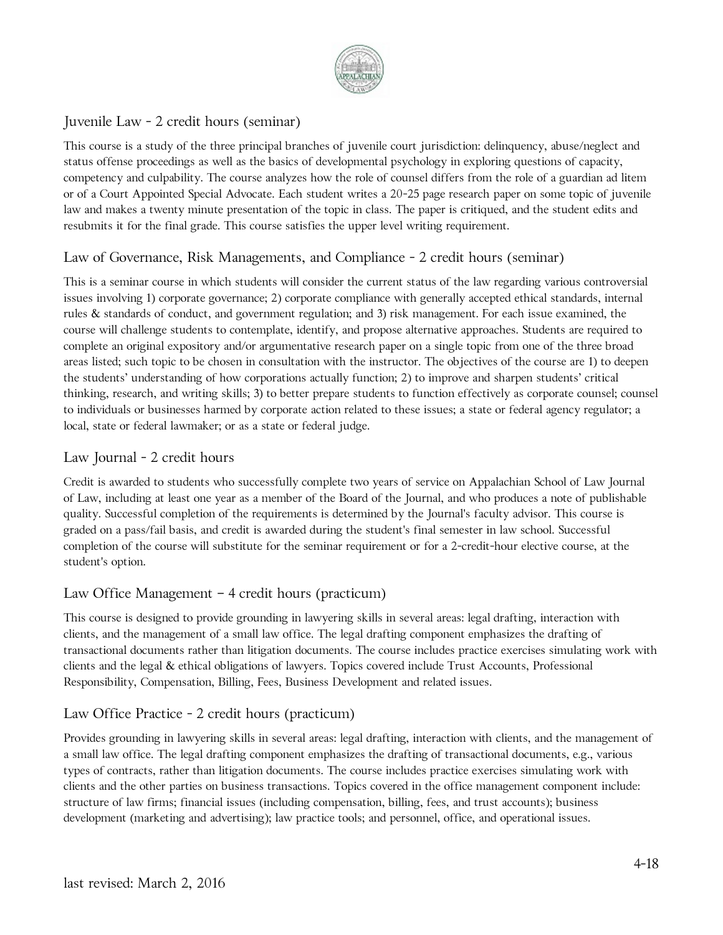

# Juvenile Law - 2 credit hours (seminar)

This course is a study of the three principal branches of juvenile court jurisdiction: delinquency, abuse/neglect and status offense proceedings as well as the basics of developmental psychology in exploring questions of capacity, competency and culpability. The course analyzes how the role of counsel differs from the role of a guardian ad litem or of a Court Appointed Special Advocate. Each student writes a 20-25 page research paper on some topic of juvenile law and makes a twenty minute presentation of the topic in class. The paper is critiqued, and the student edits and resubmits it for the final grade. This course satisfies the upper level writing requirement.

# Law of Governance, Risk Managements, and Compliance - 2 credit hours (seminar)

This is a seminar course in which students will consider the current status of the law regarding various controversial issues involving 1) corporate governance; 2) corporate compliance with generally accepted ethical standards, internal rules & standards of conduct, and government regulation; and 3) risk management. For each issue examined, the course will challenge students to contemplate, identify, and propose alternative approaches. Students are required to complete an original expository and/or argumentative research paper on a single topic from one of the three broad areas listed; such topic to be chosen in consultation with the instructor. The objectives of the course are 1) to deepen the students' understanding of how corporations actually function; 2) to improve and sharpen students' critical thinking, research, and writing skills; 3) to better prepare students to function effectively as corporate counsel; counsel to individuals or businesses harmed by corporate action related to these issues; a state or federal agency regulator; a local, state or federal lawmaker; or as a state or federal judge.

### Law Journal - 2 credit hours

Credit is awarded to students who successfully complete two years of service on Appalachian School of Law Journal of Law, including at least one year as a member of the Board of the Journal, and who produces a note of publishable quality. Successful completion of the requirements is determined by the Journal's faculty advisor. This course is graded on a pass/fail basis, and credit is awarded during the student's final semester in law school. Successful completion of the course will substitute for the seminar requirement or for a 2-credit-hour elective course, at the student's option.

### Law Office Management – 4 credit hours (practicum)

This course is designed to provide grounding in lawyering skills in several areas: legal drafting, interaction with clients, and the management of a small law office. The legal drafting component emphasizes the drafting of transactional documents rather than litigation documents. The course includes practice exercises simulating work with clients and the legal & ethical obligations of lawyers. Topics covered include Trust Accounts, Professional Responsibility, Compensation, Billing, Fees, Business Development and related issues.

### Law Office Practice - 2 credit hours (practicum)

Provides grounding in lawyering skills in several areas: legal drafting, interaction with clients, and the management of a small law office. The legal drafting component emphasizes the drafting of transactional documents, e.g., various types of contracts, rather than litigation documents. The course includes practice exercises simulating work with clients and the other parties on business transactions. Topics covered in the office management component include: structure of law firms; financial issues (including compensation, billing, fees, and trust accounts); business development (marketing and advertising); law practice tools; and personnel, office, and operational issues.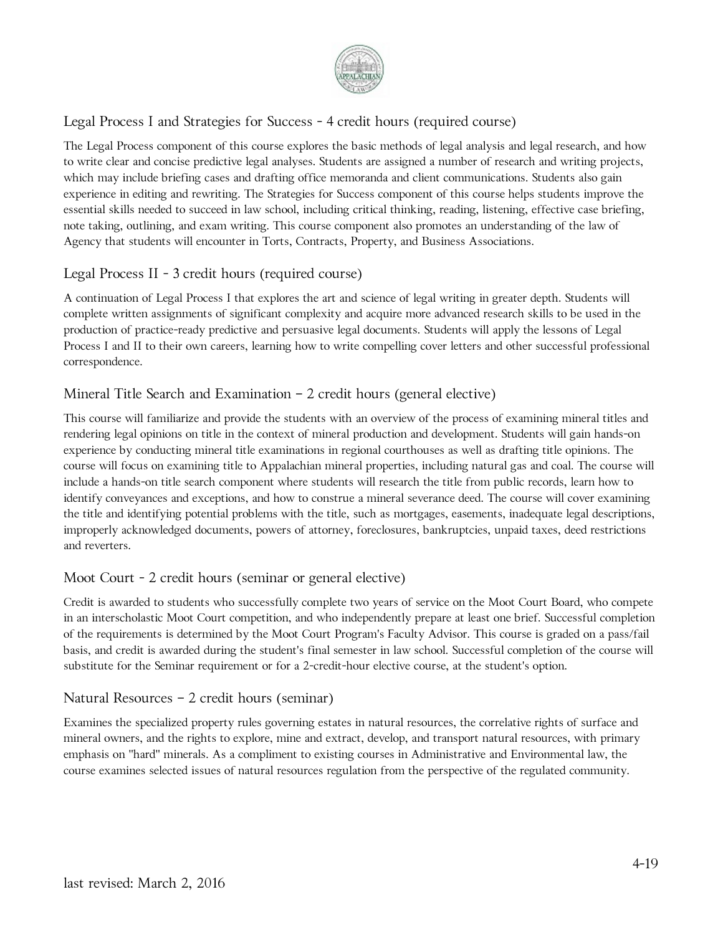

# Legal Process I and Strategies for Success - 4 credit hours (required course)

The Legal Process component of this course explores the basic methods of legal analysis and legal research, and how to write clear and concise predictive legal analyses. Students are assigned a number of research and writing projects, which may include briefing cases and drafting office memoranda and client communications. Students also gain experience in editing and rewriting. The Strategies for Success component of this course helps students improve the essential skills needed to succeed in law school, including critical thinking, reading, listening, effective case briefing, note taking, outlining, and exam writing. This course component also promotes an understanding of the law of Agency that students will encounter in Torts, Contracts, Property, and Business Associations.

# Legal Process II - 3 credit hours (required course)

A continuation of Legal Process I that explores the art and science of legal writing in greater depth. Students will complete written assignments of significant complexity and acquire more advanced research skills to be used in the production of practice-ready predictive and persuasive legal documents. Students will apply the lessons of Legal Process I and II to their own careers, learning how to write compelling cover letters and other successful professional correspondence.

# Mineral Title Search and Examination – 2 credit hours (general elective)

This course will familiarize and provide the students with an overview of the process of examining mineral titles and rendering legal opinions on title in the context of mineral production and development. Students will gain hands-on experience by conducting mineral title examinations in regional courthouses as well as drafting title opinions. The course will focus on examining title to Appalachian mineral properties, including natural gas and coal. The course will include a hands-on title search component where students will research the title from public records, learn how to identify conveyances and exceptions, and how to construe a mineral severance deed. The course will cover examining the title and identifying potential problems with the title, such as mortgages, easements, inadequate legal descriptions, improperly acknowledged documents, powers of attorney, foreclosures, bankruptcies, unpaid taxes, deed restrictions and reverters.

### Moot Court - 2 credit hours (seminar or general elective)

Credit is awarded to students who successfully complete two years of service on the Moot Court Board, who compete in an interscholastic Moot Court competition, and who independently prepare at least one brief. Successful completion of the requirements is determined by the Moot Court Program's Faculty Advisor. This course is graded on a pass/fail basis, and credit is awarded during the student's final semester in law school. Successful completion of the course will substitute for the Seminar requirement or for a 2-credit-hour elective course, at the student's option.

### Natural Resources – 2 credit hours (seminar)

Examines the specialized property rules governing estates in natural resources, the correlative rights of surface and mineral owners, and the rights to explore, mine and extract, develop, and transport natural resources, with primary emphasis on "hard" minerals. As a compliment to existing courses in Administrative and Environmental law, the course examines selected issues of natural resources regulation from the perspective of the regulated community.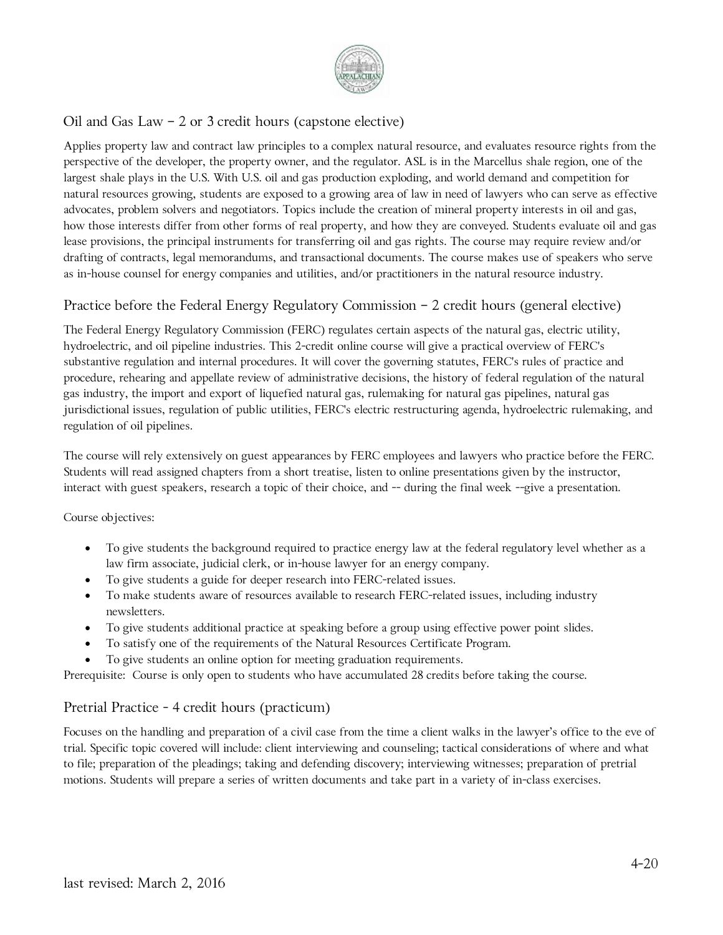

# Oil and Gas Law – 2 or 3 credit hours (capstone elective)

Applies property law and contract law principles to a complex natural resource, and evaluates resource rights from the perspective of the developer, the property owner, and the regulator. ASL is in the Marcellus shale region, one of the largest shale plays in the U.S. With U.S. oil and gas production exploding, and world demand and competition for natural resources growing, students are exposed to a growing area of law in need of lawyers who can serve as effective advocates, problem solvers and negotiators. Topics include the creation of mineral property interests in oil and gas, how those interests differ from other forms of real property, and how they are conveyed. Students evaluate oil and gas lease provisions, the principal instruments for transferring oil and gas rights. The course may require review and/or drafting of contracts, legal memorandums, and transactional documents. The course makes use of speakers who serve as in-house counsel for energy companies and utilities, and/or practitioners in the natural resource industry.

# Practice before the Federal Energy Regulatory Commission – 2 credit hours (general elective)

The Federal Energy Regulatory Commission (FERC) regulates certain aspects of the natural gas, electric utility, hydroelectric, and oil pipeline industries. This 2-credit online course will give a practical overview of FERC's substantive regulation and internal procedures. It will cover the governing statutes, FERC's rules of practice and procedure, rehearing and appellate review of administrative decisions, the history of federal regulation of the natural gas industry, the import and export of liquefied natural gas, rulemaking for natural gas pipelines, natural gas jurisdictional issues, regulation of public utilities, FERC's electric restructuring agenda, hydroelectric rulemaking, and regulation of oil pipelines.

The course will rely extensively on guest appearances by FERC employees and lawyers who practice before the FERC. Students will read assigned chapters from a short treatise, listen to online presentations given by the instructor, interact with guest speakers, research a topic of their choice, and -- during the final week --give a presentation.

Course objectives:

- To give students the background required to practice energy law at the federal regulatory level whether as a law firm associate, judicial clerk, or in-house lawyer for an energy company.
- To give students a guide for deeper research into FERC-related issues.
- To make students aware of resources available to research FERC-related issues, including industry newsletters.
- To give students additional practice at speaking before a group using effective power point slides.
- To satisfy one of the requirements of the Natural Resources Certificate Program.
- To give students an online option for meeting graduation requirements.

Prerequisite: Course is only open to students who have accumulated 28 credits before taking the course.

### Pretrial Practice - 4 credit hours (practicum)

Focuses on the handling and preparation of a civil case from the time a client walks in the lawyer's office to the eve of trial. Specific topic covered will include: client interviewing and counseling; tactical considerations of where and what to file; preparation of the pleadings; taking and defending discovery; interviewing witnesses; preparation of pretrial motions. Students will prepare a series of written documents and take part in a variety of in-class exercises.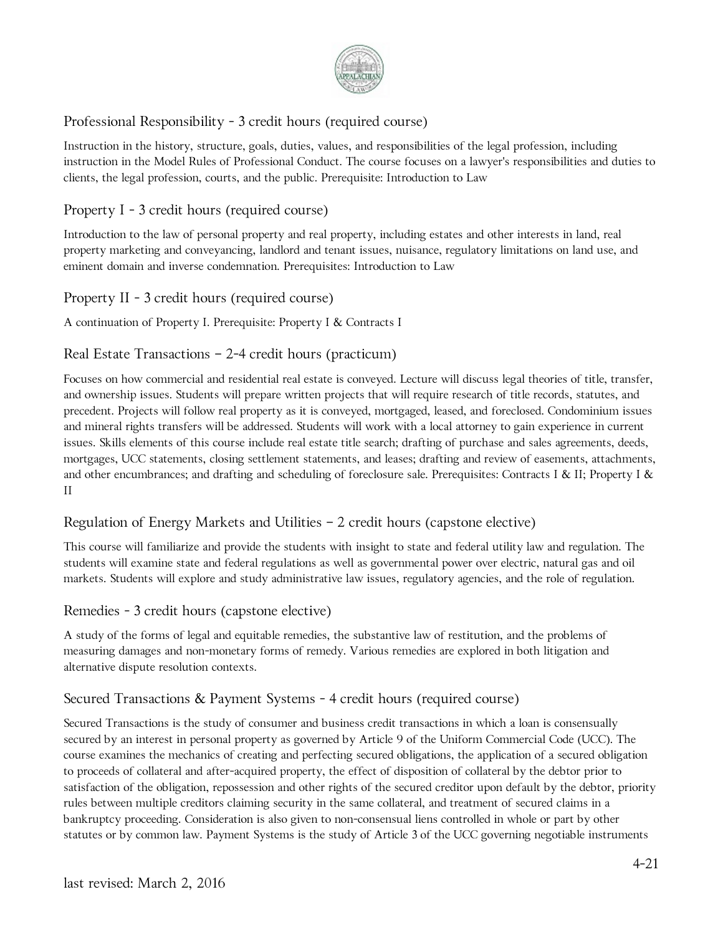

# Professional Responsibility - 3 credit hours (required course)

Instruction in the history, structure, goals, duties, values, and responsibilities of the legal profession, including instruction in the Model Rules of Professional Conduct. The course focuses on a lawyer's responsibilities and duties to clients, the legal profession, courts, and the public. Prerequisite: Introduction to Law

# Property I - 3 credit hours (required course)

Introduction to the law of personal property and real property, including estates and other interests in land, real property marketing and conveyancing, landlord and tenant issues, nuisance, regulatory limitations on land use, and eminent domain and inverse condemnation. Prerequisites: Introduction to Law

# Property II - 3 credit hours (required course)

A continuation of Property I. Prerequisite: Property I & Contracts I

# Real Estate Transactions – 2-4 credit hours (practicum)

Focuses on how commercial and residential real estate is conveyed. Lecture will discuss legal theories of title, transfer, and ownership issues. Students will prepare written projects that will require research of title records, statutes, and precedent. Projects will follow real property as it is conveyed, mortgaged, leased, and foreclosed. Condominium issues and mineral rights transfers will be addressed. Students will work with a local attorney to gain experience in current issues. Skills elements of this course include real estate title search; drafting of purchase and sales agreements, deeds, mortgages, UCC statements, closing settlement statements, and leases; drafting and review of easements, attachments, and other encumbrances; and drafting and scheduling of foreclosure sale. Prerequisites: Contracts I & II; Property I & II

### Regulation of Energy Markets and Utilities – 2 credit hours (capstone elective)

This course will familiarize and provide the students with insight to state and federal utility law and regulation. The students will examine state and federal regulations as well as governmental power over electric, natural gas and oil markets. Students will explore and study administrative law issues, regulatory agencies, and the role of regulation.

### Remedies - 3 credit hours (capstone elective)

A study of the forms of legal and equitable remedies, the substantive law of restitution, and the problems of measuring damages and non-monetary forms of remedy. Various remedies are explored in both litigation and alternative dispute resolution contexts.

### Secured Transactions & Payment Systems - 4 credit hours (required course)

Secured Transactions is the study of consumer and business credit transactions in which a loan is consensually secured by an interest in personal property as governed by Article 9 of the Uniform Commercial Code (UCC). The course examines the mechanics of creating and perfecting secured obligations, the application of a secured obligation to proceeds of collateral and after-acquired property, the effect of disposition of collateral by the debtor prior to satisfaction of the obligation, repossession and other rights of the secured creditor upon default by the debtor, priority rules between multiple creditors claiming security in the same collateral, and treatment of secured claims in a bankruptcy proceeding. Consideration is also given to non-consensual liens controlled in whole or part by other statutes or by common law. Payment Systems is the study of Article 3 of the UCC governing negotiable instruments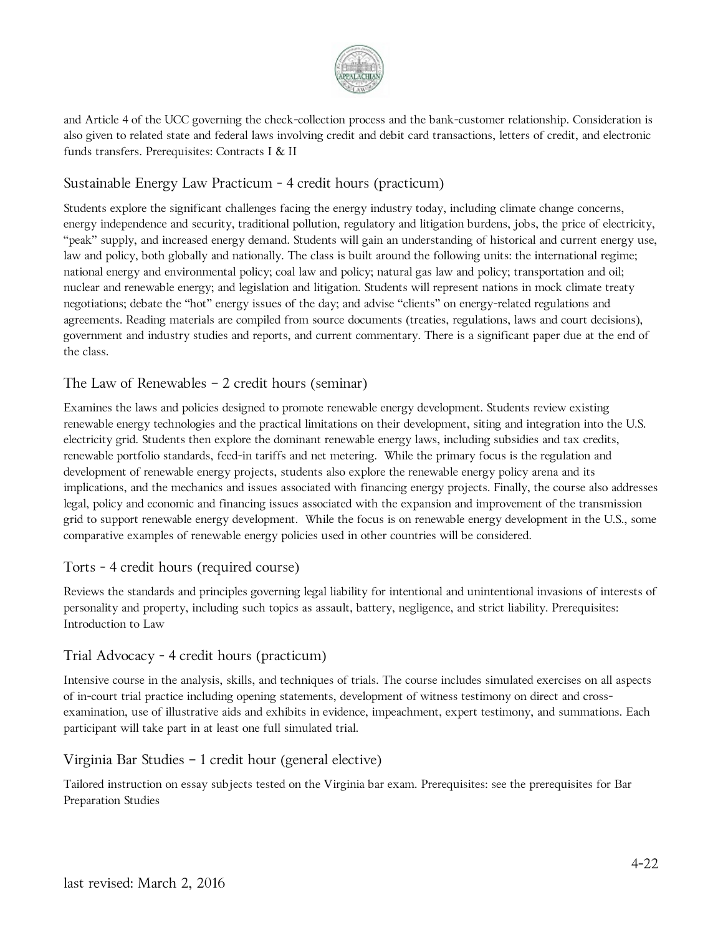

and Article 4 of the UCC governing the check-collection process and the bank-customer relationship. Consideration is also given to related state and federal laws involving credit and debit card transactions, letters of credit, and electronic funds transfers. Prerequisites: Contracts I & II

# Sustainable Energy Law Practicum - 4 credit hours (practicum)

Students explore the significant challenges facing the energy industry today, including climate change concerns, energy independence and security, traditional pollution, regulatory and litigation burdens, jobs, the price of electricity, "peak" supply, and increased energy demand. Students will gain an understanding of historical and current energy use, law and policy, both globally and nationally. The class is built around the following units: the international regime; national energy and environmental policy; coal law and policy; natural gas law and policy; transportation and oil; nuclear and renewable energy; and legislation and litigation. Students will represent nations in mock climate treaty negotiations; debate the "hot" energy issues of the day; and advise "clients" on energy-related regulations and agreements. Reading materials are compiled from source documents (treaties, regulations, laws and court decisions), government and industry studies and reports, and current commentary. There is a significant paper due at the end of the class.

### The Law of Renewables – 2 credit hours (seminar)

Examines the laws and policies designed to promote renewable energy development. Students review existing renewable energy technologies and the practical limitations on their development, siting and integration into the U.S. electricity grid. Students then explore the dominant renewable energy laws, including subsidies and tax credits, renewable portfolio standards, feed-in tariffs and net metering. While the primary focus is the regulation and development of renewable energy projects, students also explore the renewable energy policy arena and its implications, and the mechanics and issues associated with financing energy projects. Finally, the course also addresses legal, policy and economic and financing issues associated with the expansion and improvement of the transmission grid to support renewable energy development. While the focus is on renewable energy development in the U.S., some comparative examples of renewable energy policies used in other countries will be considered.

### Torts - 4 credit hours (required course)

Reviews the standards and principles governing legal liability for intentional and unintentional invasions of interests of personality and property, including such topics as assault, battery, negligence, and strict liability. Prerequisites: Introduction to Law

### Trial Advocacy - 4 credit hours (practicum)

Intensive course in the analysis, skills, and techniques of trials. The course includes simulated exercises on all aspects of in-court trial practice including opening statements, development of witness testimony on direct and crossexamination, use of illustrative aids and exhibits in evidence, impeachment, expert testimony, and summations. Each participant will take part in at least one full simulated trial.

#### Virginia Bar Studies – 1 credit hour (general elective)

Tailored instruction on essay subjects tested on the Virginia bar exam. Prerequisites: see the prerequisites for Bar Preparation Studies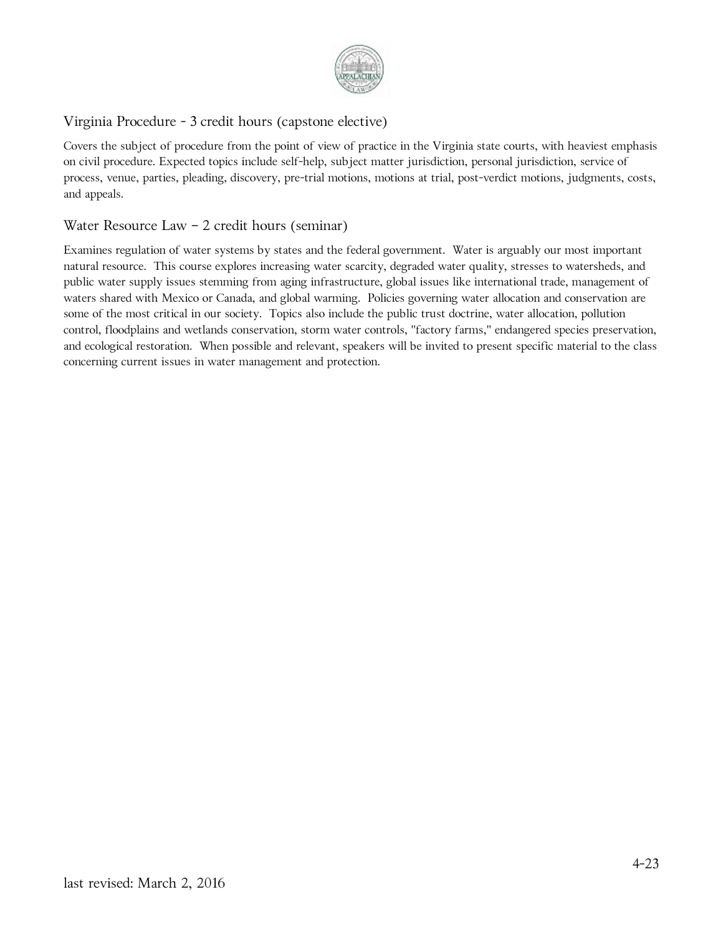

# Virginia Procedure - 3 credit hours (capstone elective)

Covers the subject of procedure from the point of view of practice in the Virginia state courts, with heaviest emphasis on civil procedure. Expected topics include self-help, subject matter jurisdiction, personal jurisdiction, service of process, venue, parties, pleading, discovery, pre-trial motions, motions at trial, post-verdict motions, judgments, costs, and appeals.

#### Water Resource Law – 2 credit hours (seminar)

Examines regulation of water systems by states and the federal government. Water is arguably our most important natural resource. This course explores increasing water scarcity, degraded water quality, stresses to watersheds, and public water supply issues stemming from aging infrastructure, global issues like international trade, management of waters shared with Mexico or Canada, and global warming. Policies governing water allocation and conservation are some of the most critical in our society. Topics also include the public trust doctrine, water allocation, pollution control, floodplains and wetlands conservation, storm water controls, "factory farms," endangered species preservation, and ecological restoration. When possible and relevant, speakers will be invited to present specific material to the class concerning current issues in water management and protection.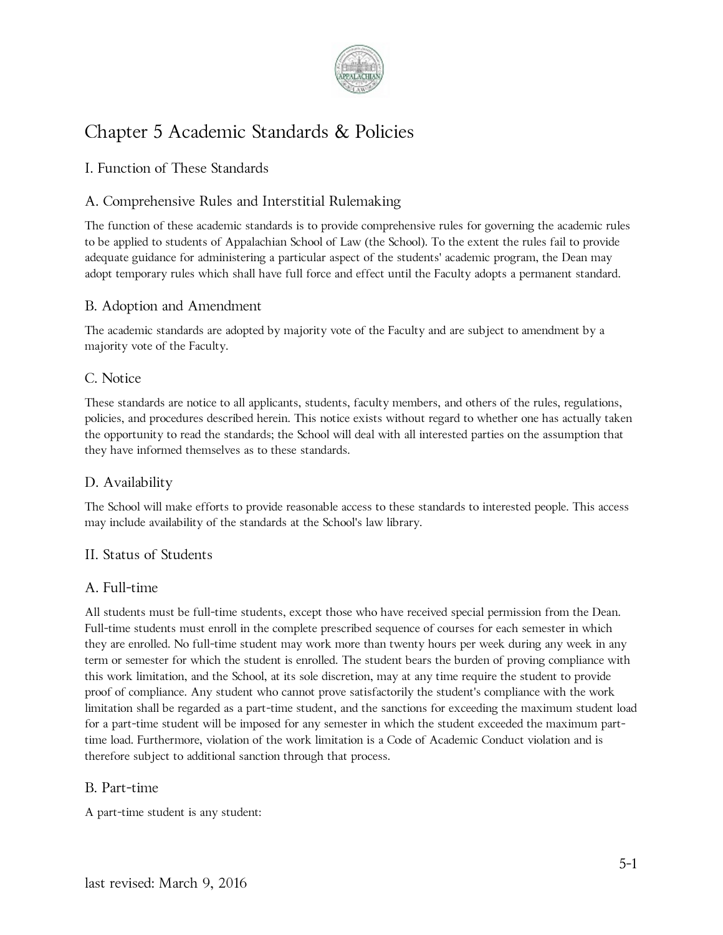

# Chapter 5 Academic Standards & Policies

# I. Function of These Standards

# A. Comprehensive Rules and Interstitial Rulemaking

The function of these academic standards is to provide comprehensive rules for governing the academic rules to be applied to students of Appalachian School of Law (the School). To the extent the rules fail to provide adequate guidance for administering a particular aspect of the students' academic program, the Dean may adopt temporary rules which shall have full force and effect until the Faculty adopts a permanent standard.

### B. Adoption and Amendment

The academic standards are adopted by majority vote of the Faculty and are subject to amendment by a majority vote of the Faculty.

### C. Notice

These standards are notice to all applicants, students, faculty members, and others of the rules, regulations, policies, and procedures described herein. This notice exists without regard to whether one has actually taken the opportunity to read the standards; the School will deal with all interested parties on the assumption that they have informed themselves as to these standards.

### D. Availability

The School will make efforts to provide reasonable access to these standards to interested people. This access may include availability of the standards at the School's law library.

#### II. Status of Students

#### A. Full-time

All students must be full-time students, except those who have received special permission from the Dean. Full-time students must enroll in the complete prescribed sequence of courses for each semester in which they are enrolled. No full-time student may work more than twenty hours per week during any week in any term or semester for which the student is enrolled. The student bears the burden of proving compliance with this work limitation, and the School, at its sole discretion, may at any time require the student to provide proof of compliance. Any student who cannot prove satisfactorily the student's compliance with the work limitation shall be regarded as a part-time student, and the sanctions for exceeding the maximum student load for a part-time student will be imposed for any semester in which the student exceeded the maximum parttime load. Furthermore, violation of the work limitation is a Code of Academic Conduct violation and is therefore subject to additional sanction through that process.

#### B. Part-time

A part-time student is any student: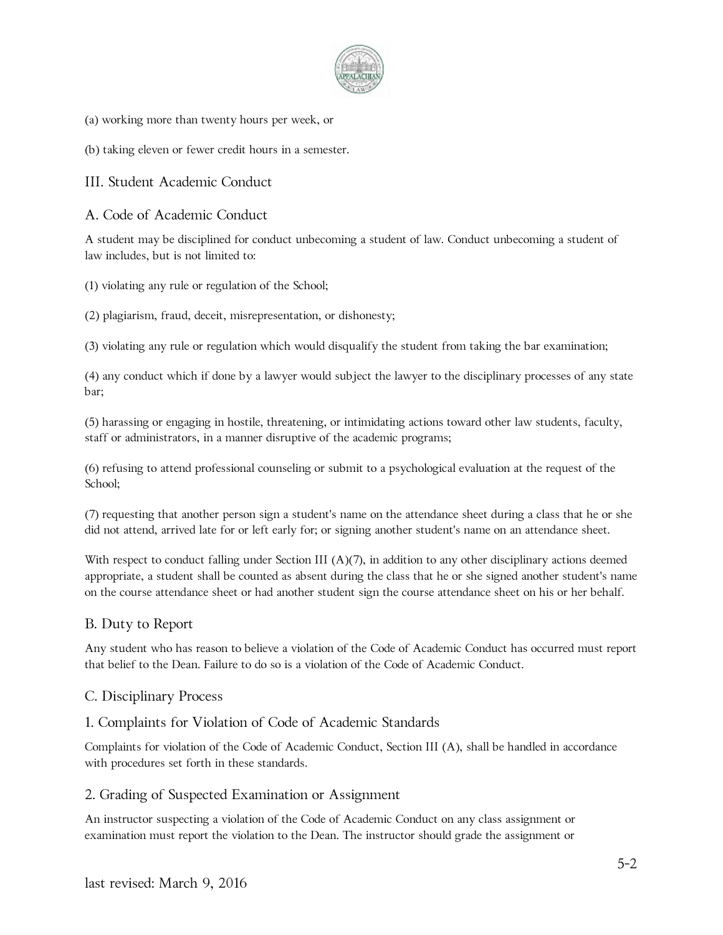

- (a) working more than twenty hours per week, or
- (b) taking eleven or fewer credit hours in a semester.

III. Student Academic Conduct

A. Code of Academic Conduct

A student may be disciplined for conduct unbecoming a student of law. Conduct unbecoming a student of law includes, but is not limited to:

(1) violating any rule or regulation of the School;

(2) plagiarism, fraud, deceit, misrepresentation, or dishonesty;

(3) violating any rule or regulation which would disqualify the student from taking the bar examination;

(4) any conduct which if done by a lawyer would subject the lawyer to the disciplinary processes of any state bar;

(5) harassing or engaging in hostile, threatening, or intimidating actions toward other law students, faculty, staff or administrators, in a manner disruptive of the academic programs;

(6) refusing to attend professional counseling or submit to a psychological evaluation at the request of the School;

(7) requesting that another person sign a student's name on the attendance sheet during a class that he or she did not attend, arrived late for or left early for; or signing another student's name on an attendance sheet.

With respect to conduct falling under Section III  $(A)(7)$ , in addition to any other disciplinary actions deemed appropriate, a student shall be counted as absent during the class that he or she signed another student's name on the course attendance sheet or had another student sign the course attendance sheet on his or her behalf.

#### B. Duty to Report

Any student who has reason to believe a violation of the Code of Academic Conduct has occurred must report that belief to the Dean. Failure to do so is a violation of the Code of Academic Conduct.

#### C. Disciplinary Process

#### 1. Complaints for Violation of Code of Academic Standards

Complaints for violation of the Code of Academic Conduct, Section III (A), shall be handled in accordance with procedures set forth in these standards.

#### 2. Grading of Suspected Examination or Assignment

An instructor suspecting a violation of the Code of Academic Conduct on any class assignment or examination must report the violation to the Dean. The instructor should grade the assignment or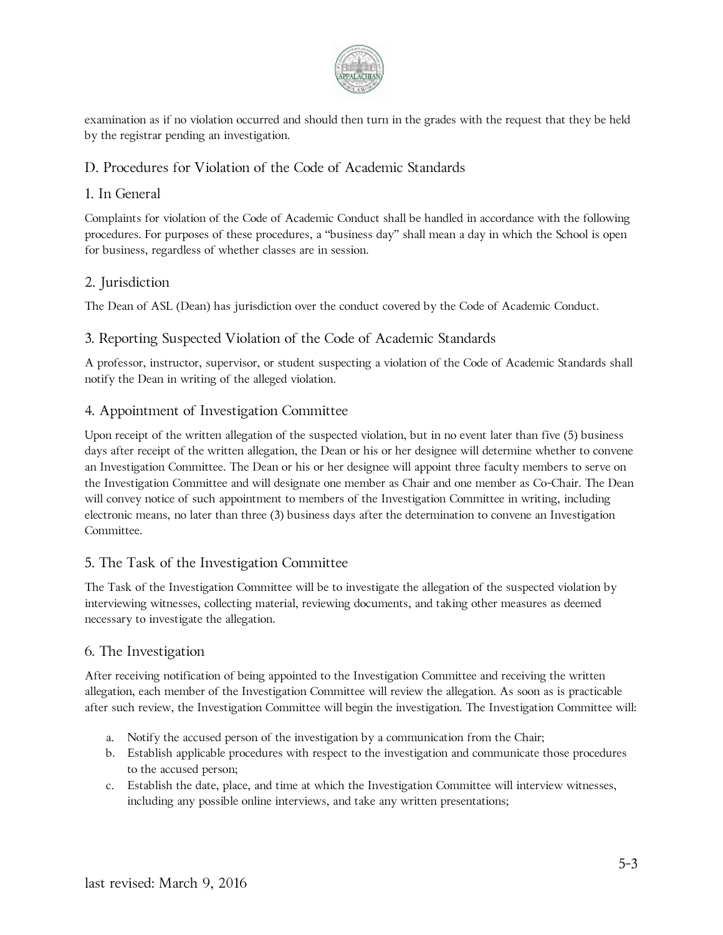

examination as if no violation occurred and should then turn in the grades with the request that they be held by the registrar pending an investigation.

# D. Procedures for Violation of the Code of Academic Standards

### 1. In General

Complaints for violation of the Code of Academic Conduct shall be handled in accordance with the following procedures. For purposes of these procedures, a "business day" shall mean a day in which the School is open for business, regardless of whether classes are in session.

### 2. Jurisdiction

The Dean of ASL (Dean) has jurisdiction over the conduct covered by the Code of Academic Conduct.

### 3. Reporting Suspected Violation of the Code of Academic Standards

A professor, instructor, supervisor, or student suspecting a violation of the Code of Academic Standards shall notify the Dean in writing of the alleged violation.

### 4. Appointment of Investigation Committee

Upon receipt of the written allegation of the suspected violation, but in no event later than five (5) business days after receipt of the written allegation, the Dean or his or her designee will determine whether to convene an Investigation Committee. The Dean or his or her designee will appoint three faculty members to serve on the Investigation Committee and will designate one member as Chair and one member as Co-Chair. The Dean will convey notice of such appointment to members of the Investigation Committee in writing, including electronic means, no later than three (3) business days after the determination to convene an Investigation Committee.

#### 5. The Task of the Investigation Committee

The Task of the Investigation Committee will be to investigate the allegation of the suspected violation by interviewing witnesses, collecting material, reviewing documents, and taking other measures as deemed necessary to investigate the allegation.

#### 6. The Investigation

After receiving notification of being appointed to the Investigation Committee and receiving the written allegation, each member of the Investigation Committee will review the allegation. As soon as is practicable after such review, the Investigation Committee will begin the investigation. The Investigation Committee will:

- a. Notify the accused person of the investigation by a communication from the Chair;
- b. Establish applicable procedures with respect to the investigation and communicate those procedures to the accused person;
- c. Establish the date, place, and time at which the Investigation Committee will interview witnesses, including any possible online interviews, and take any written presentations;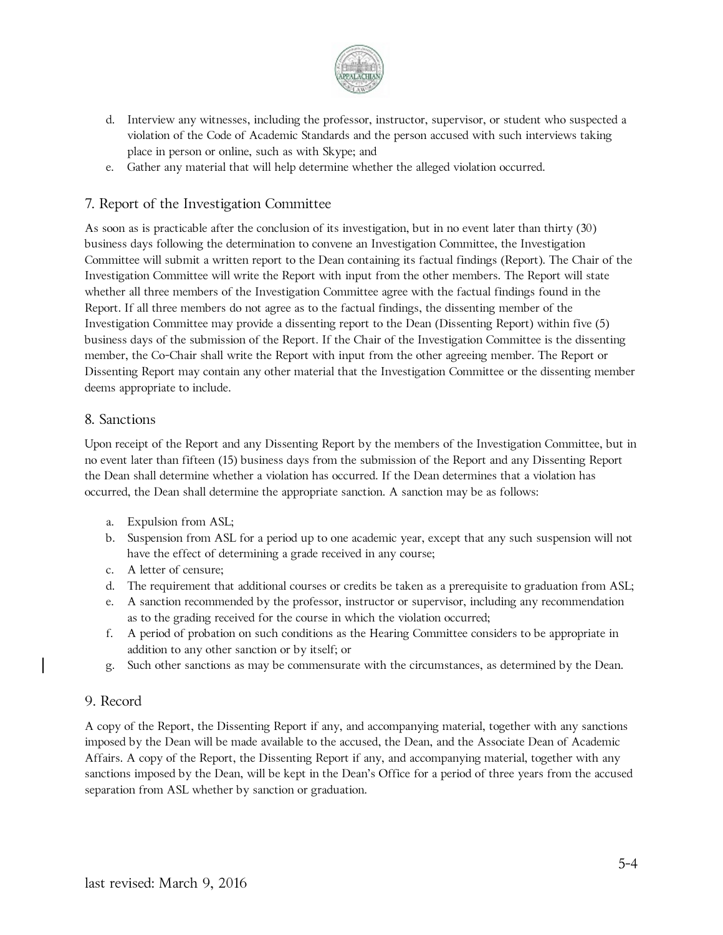

- d. Interview any witnesses, including the professor, instructor, supervisor, or student who suspected a violation of the Code of Academic Standards and the person accused with such interviews taking place in person or online, such as with Skype; and
- e. Gather any material that will help determine whether the alleged violation occurred.

### 7. Report of the Investigation Committee

As soon as is practicable after the conclusion of its investigation, but in no event later than thirty (30) business days following the determination to convene an Investigation Committee, the Investigation Committee will submit a written report to the Dean containing its factual findings (Report). The Chair of the Investigation Committee will write the Report with input from the other members. The Report will state whether all three members of the Investigation Committee agree with the factual findings found in the Report. If all three members do not agree as to the factual findings, the dissenting member of the Investigation Committee may provide a dissenting report to the Dean (Dissenting Report) within five (5) business days of the submission of the Report. If the Chair of the Investigation Committee is the dissenting member, the Co-Chair shall write the Report with input from the other agreeing member. The Report or Dissenting Report may contain any other material that the Investigation Committee or the dissenting member deems appropriate to include.

#### 8. Sanctions

Upon receipt of the Report and any Dissenting Report by the members of the Investigation Committee, but in no event later than fifteen (15) business days from the submission of the Report and any Dissenting Report the Dean shall determine whether a violation has occurred. If the Dean determines that a violation has occurred, the Dean shall determine the appropriate sanction. A sanction may be as follows:

- a. Expulsion from ASL;
- b. Suspension from ASL for a period up to one academic year, except that any such suspension will not have the effect of determining a grade received in any course;
- c. A letter of censure;
- d. The requirement that additional courses or credits be taken as a prerequisite to graduation from ASL;
- e. A sanction recommended by the professor, instructor or supervisor, including any recommendation as to the grading received for the course in which the violation occurred;
- f. A period of probation on such conditions as the Hearing Committee considers to be appropriate in addition to any other sanction or by itself; or
- g. Such other sanctions as may be commensurate with the circumstances, as determined by the Dean.

#### 9. Record

A copy of the Report, the Dissenting Report if any, and accompanying material, together with any sanctions imposed by the Dean will be made available to the accused, the Dean, and the Associate Dean of Academic Affairs. A copy of the Report, the Dissenting Report if any, and accompanying material, together with any sanctions imposed by the Dean, will be kept in the Dean's Office for a period of three years from the accused separation from ASL whether by sanction or graduation.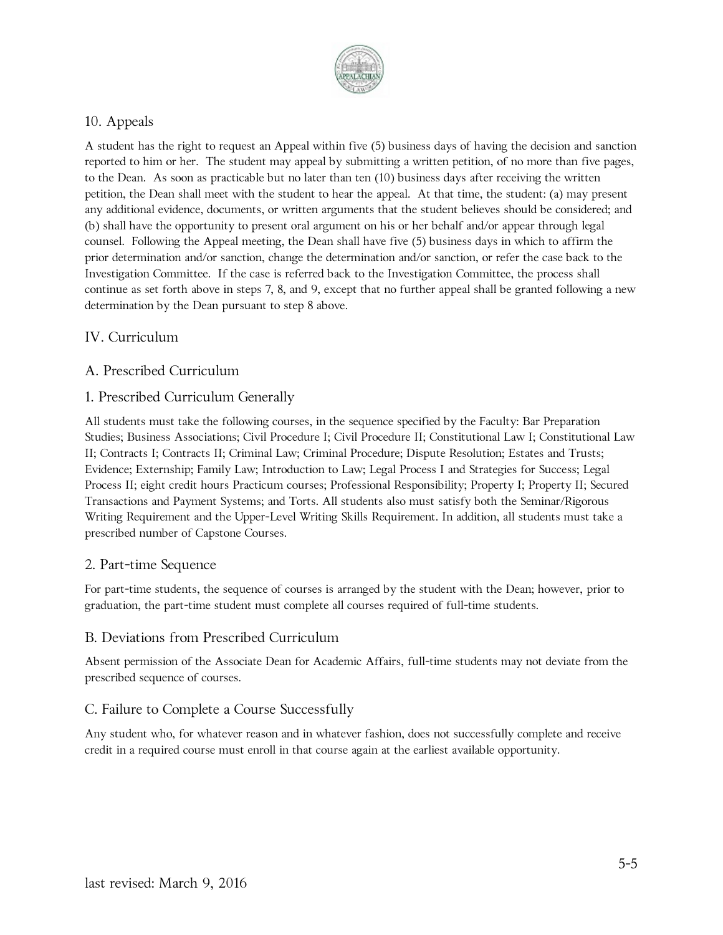

# 10. Appeals

A student has the right to request an Appeal within five (5) business days of having the decision and sanction reported to him or her. The student may appeal by submitting a written petition, of no more than five pages, to the Dean. As soon as practicable but no later than ten (10) business days after receiving the written petition, the Dean shall meet with the student to hear the appeal. At that time, the student: (a) may present any additional evidence, documents, or written arguments that the student believes should be considered; and (b) shall have the opportunity to present oral argument on his or her behalf and/or appear through legal counsel. Following the Appeal meeting, the Dean shall have five (5) business days in which to affirm the prior determination and/or sanction, change the determination and/or sanction, or refer the case back to the Investigation Committee. If the case is referred back to the Investigation Committee, the process shall continue as set forth above in steps 7, 8, and 9, except that no further appeal shall be granted following a new determination by the Dean pursuant to step 8 above.

### IV. Curriculum

### A. Prescribed Curriculum

#### 1. Prescribed Curriculum Generally

All students must take the following courses, in the sequence specified by the Faculty: Bar Preparation Studies; Business Associations; Civil Procedure I; Civil Procedure II; Constitutional Law I; Constitutional Law II; Contracts I; Contracts II; Criminal Law; Criminal Procedure; Dispute Resolution; Estates and Trusts; Evidence; Externship; Family Law; Introduction to Law; Legal Process I and Strategies for Success; Legal Process II; eight credit hours Practicum courses; Professional Responsibility; Property I; Property II; Secured Transactions and Payment Systems; and Torts. All students also must satisfy both the Seminar/Rigorous Writing Requirement and the Upper-Level Writing Skills Requirement. In addition, all students must take a prescribed number of Capstone Courses.

#### 2. Part-time Sequence

For part-time students, the sequence of courses is arranged by the student with the Dean; however, prior to graduation, the part-time student must complete all courses required of full-time students.

#### B. Deviations from Prescribed Curriculum

Absent permission of the Associate Dean for Academic Affairs, full-time students may not deviate from the prescribed sequence of courses.

### C. Failure to Complete a Course Successfully

Any student who, for whatever reason and in whatever fashion, does not successfully complete and receive credit in a required course must enroll in that course again at the earliest available opportunity.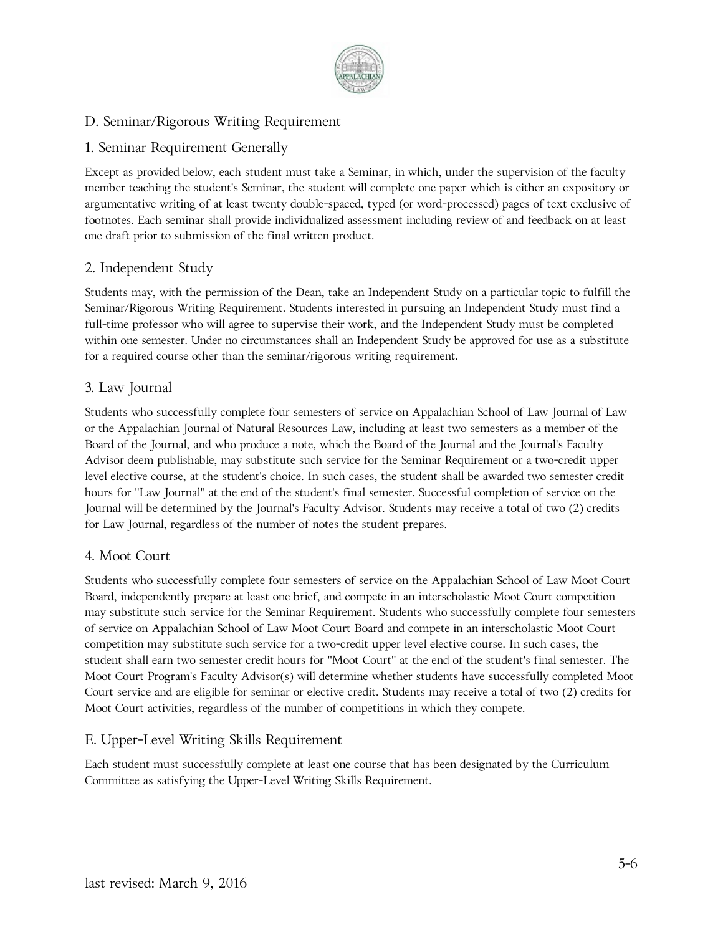

# D. Seminar/Rigorous Writing Requirement

# 1. Seminar Requirement Generally

Except as provided below, each student must take a Seminar, in which, under the supervision of the faculty member teaching the student's Seminar, the student will complete one paper which is either an expository or argumentative writing of at least twenty double-spaced, typed (or word-processed) pages of text exclusive of footnotes. Each seminar shall provide individualized assessment including review of and feedback on at least one draft prior to submission of the final written product.

# 2. Independent Study

Students may, with the permission of the Dean, take an Independent Study on a particular topic to fulfill the Seminar/Rigorous Writing Requirement. Students interested in pursuing an Independent Study must find a full-time professor who will agree to supervise their work, and the Independent Study must be completed within one semester. Under no circumstances shall an Independent Study be approved for use as a substitute for a required course other than the seminar/rigorous writing requirement.

### 3. Law Journal

Students who successfully complete four semesters of service on Appalachian School of Law Journal of Law or the Appalachian Journal of Natural Resources Law, including at least two semesters as a member of the Board of the Journal, and who produce a note, which the Board of the Journal and the Journal's Faculty Advisor deem publishable, may substitute such service for the Seminar Requirement or a two-credit upper level elective course, at the student's choice. In such cases, the student shall be awarded two semester credit hours for "Law Journal" at the end of the student's final semester. Successful completion of service on the Journal will be determined by the Journal's Faculty Advisor. Students may receive a total of two (2) credits for Law Journal, regardless of the number of notes the student prepares.

### 4. Moot Court

Students who successfully complete four semesters of service on the Appalachian School of Law Moot Court Board, independently prepare at least one brief, and compete in an interscholastic Moot Court competition may substitute such service for the Seminar Requirement. Students who successfully complete four semesters of service on Appalachian School of Law Moot Court Board and compete in an interscholastic Moot Court competition may substitute such service for a two-credit upper level elective course. In such cases, the student shall earn two semester credit hours for "Moot Court" at the end of the student's final semester. The Moot Court Program's Faculty Advisor(s) will determine whether students have successfully completed Moot Court service and are eligible for seminar or elective credit. Students may receive a total of two (2) credits for Moot Court activities, regardless of the number of competitions in which they compete.

# E. Upper-Level Writing Skills Requirement

Each student must successfully complete at least one course that has been designated by the Curriculum Committee as satisfying the Upper-Level Writing Skills Requirement.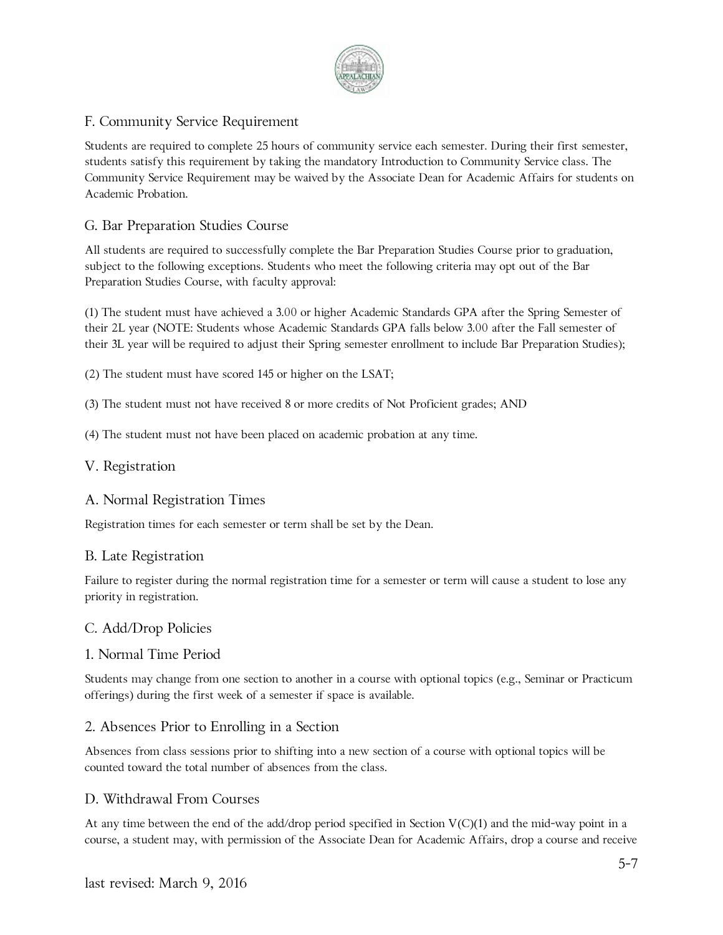

# F. Community Service Requirement

Students are required to complete 25 hours of community service each semester. During their first semester, students satisfy this requirement by taking the mandatory Introduction to Community Service class. The Community Service Requirement may be waived by the Associate Dean for Academic Affairs for students on Academic Probation.

### G. Bar Preparation Studies Course

All students are required to successfully complete the Bar Preparation Studies Course prior to graduation, subject to the following exceptions. Students who meet the following criteria may opt out of the Bar Preparation Studies Course, with faculty approval:

(1) The student must have achieved a 3.00 or higher Academic Standards GPA after the Spring Semester of their 2L year (NOTE: Students whose Academic Standards GPA falls below 3.00 after the Fall semester of their 3L year will be required to adjust their Spring semester enrollment to include Bar Preparation Studies);

(2) The student must have scored 145 or higher on the LSAT;

(3) The student must not have received 8 or more credits of Not Proficient grades; AND

(4) The student must not have been placed on academic probation at any time.

#### V. Registration

#### A. Normal Registration Times

Registration times for each semester or term shall be set by the Dean.

#### B. Late Registration

Failure to register during the normal registration time for a semester or term will cause a student to lose any priority in registration.

#### C. Add/Drop Policies

#### 1. Normal Time Period

Students may change from one section to another in a course with optional topics (e.g., Seminar or Practicum offerings) during the first week of a semester if space is available.

#### 2. Absences Prior to Enrolling in a Section

Absences from class sessions prior to shifting into a new section of a course with optional topics will be counted toward the total number of absences from the class.

#### D. Withdrawal From Courses

At any time between the end of the add/drop period specified in Section  $V(C)(1)$  and the mid-way point in a course, a student may, with permission of the Associate Dean for Academic Affairs, drop a course and receive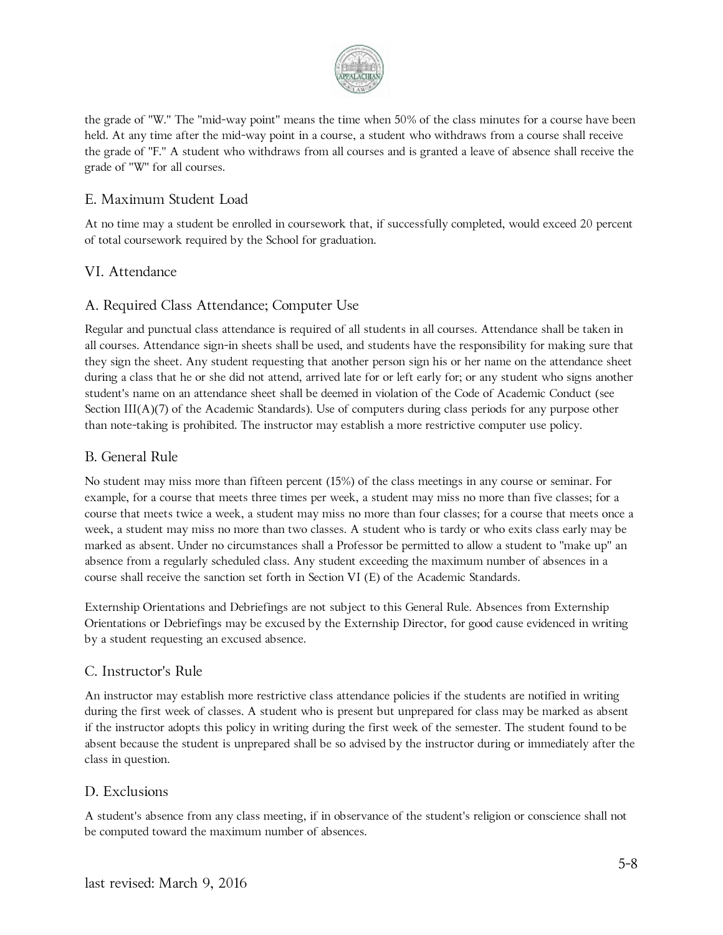

the grade of "W." The "mid-way point" means the time when 50% of the class minutes for a course have been held. At any time after the mid-way point in a course, a student who withdraws from a course shall receive the grade of "F." A student who withdraws from all courses and is granted a leave of absence shall receive the grade of "W" for all courses.

### E. Maximum Student Load

At no time may a student be enrolled in coursework that, if successfully completed, would exceed 20 percent of total coursework required by the School for graduation.

### VI. Attendance

### A. Required Class Attendance; Computer Use

Regular and punctual class attendance is required of all students in all courses. Attendance shall be taken in all courses. Attendance sign-in sheets shall be used, and students have the responsibility for making sure that they sign the sheet. Any student requesting that another person sign his or her name on the attendance sheet during a class that he or she did not attend, arrived late for or left early for; or any student who signs another student's name on an attendance sheet shall be deemed in violation of the Code of Academic Conduct (see Section III(A)(7) of the Academic Standards). Use of computers during class periods for any purpose other than note-taking is prohibited. The instructor may establish a more restrictive computer use policy.

### B. General Rule

No student may miss more than fifteen percent (15%) of the class meetings in any course or seminar. For example, for a course that meets three times per week, a student may miss no more than five classes; for a course that meets twice a week, a student may miss no more than four classes; for a course that meets once a week, a student may miss no more than two classes. A student who is tardy or who exits class early may be marked as absent. Under no circumstances shall a Professor be permitted to allow a student to "make up" an absence from a regularly scheduled class. Any student exceeding the maximum number of absences in a course shall receive the sanction set forth in Section VI (E) of the Academic Standards.

Externship Orientations and Debriefings are not subject to this General Rule. Absences from Externship Orientations or Debriefings may be excused by the Externship Director, for good cause evidenced in writing by a student requesting an excused absence.

#### C. Instructor's Rule

An instructor may establish more restrictive class attendance policies if the students are notified in writing during the first week of classes. A student who is present but unprepared for class may be marked as absent if the instructor adopts this policy in writing during the first week of the semester. The student found to be absent because the student is unprepared shall be so advised by the instructor during or immediately after the class in question.

### D. Exclusions

A student's absence from any class meeting, if in observance of the student's religion or conscience shall not be computed toward the maximum number of absences.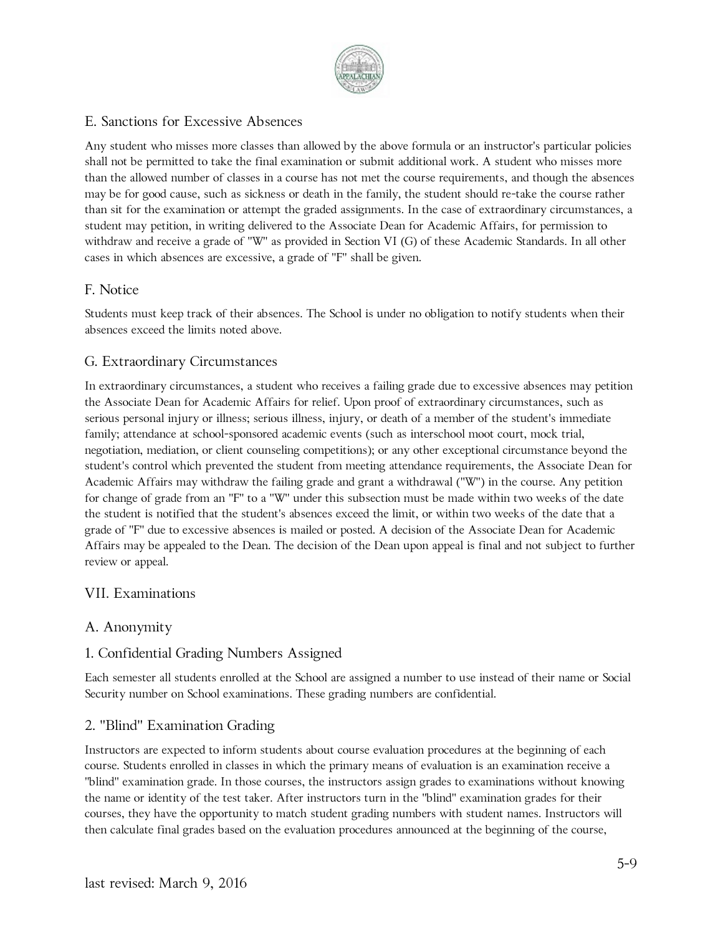

### E. Sanctions for Excessive Absences

Any student who misses more classes than allowed by the above formula or an instructor's particular policies shall not be permitted to take the final examination or submit additional work. A student who misses more than the allowed number of classes in a course has not met the course requirements, and though the absences may be for good cause, such as sickness or death in the family, the student should re-take the course rather than sit for the examination or attempt the graded assignments. In the case of extraordinary circumstances, a student may petition, in writing delivered to the Associate Dean for Academic Affairs, for permission to withdraw and receive a grade of "W" as provided in Section VI (G) of these Academic Standards. In all other cases in which absences are excessive, a grade of "F" shall be given.

#### F. Notice

Students must keep track of their absences. The School is under no obligation to notify students when their absences exceed the limits noted above.

### G. Extraordinary Circumstances

In extraordinary circumstances, a student who receives a failing grade due to excessive absences may petition the Associate Dean for Academic Affairs for relief. Upon proof of extraordinary circumstances, such as serious personal injury or illness; serious illness, injury, or death of a member of the student's immediate family; attendance at school-sponsored academic events (such as interschool moot court, mock trial, negotiation, mediation, or client counseling competitions); or any other exceptional circumstance beyond the student's control which prevented the student from meeting attendance requirements, the Associate Dean for Academic Affairs may withdraw the failing grade and grant a withdrawal ("W") in the course. Any petition for change of grade from an "F" to a "W" under this subsection must be made within two weeks of the date the student is notified that the student's absences exceed the limit, or within two weeks of the date that a grade of "F" due to excessive absences is mailed or posted. A decision of the Associate Dean for Academic Affairs may be appealed to the Dean. The decision of the Dean upon appeal is final and not subject to further review or appeal.

### VII. Examinations

#### A. Anonymity

### 1. Confidential Grading Numbers Assigned

Each semester all students enrolled at the School are assigned a number to use instead of their name or Social Security number on School examinations. These grading numbers are confidential.

#### 2. "Blind" Examination Grading

Instructors are expected to inform students about course evaluation procedures at the beginning of each course. Students enrolled in classes in which the primary means of evaluation is an examination receive a "blind" examination grade. In those courses, the instructors assign grades to examinations without knowing the name or identity of the test taker. After instructors turn in the "blind" examination grades for their courses, they have the opportunity to match student grading numbers with student names. Instructors will then calculate final grades based on the evaluation procedures announced at the beginning of the course,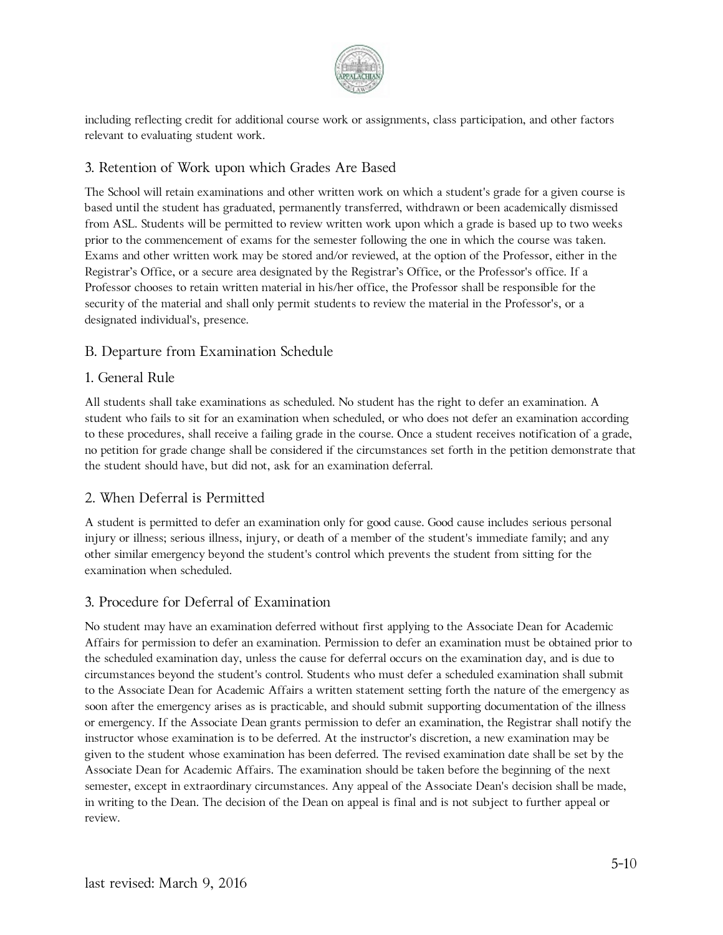

including reflecting credit for additional course work or assignments, class participation, and other factors relevant to evaluating student work.

# 3. Retention of Work upon which Grades Are Based

The School will retain examinations and other written work on which a student's grade for a given course is based until the student has graduated, permanently transferred, withdrawn or been academically dismissed from ASL. Students will be permitted to review written work upon which a grade is based up to two weeks prior to the commencement of exams for the semester following the one in which the course was taken. Exams and other written work may be stored and/or reviewed, at the option of the Professor, either in the Registrar's Office, or a secure area designated by the Registrar's Office, or the Professor's office. If a Professor chooses to retain written material in his/her office, the Professor shall be responsible for the security of the material and shall only permit students to review the material in the Professor's, or a designated individual's, presence.

### B. Departure from Examination Schedule

### 1. General Rule

All students shall take examinations as scheduled. No student has the right to defer an examination. A student who fails to sit for an examination when scheduled, or who does not defer an examination according to these procedures, shall receive a failing grade in the course. Once a student receives notification of a grade, no petition for grade change shall be considered if the circumstances set forth in the petition demonstrate that the student should have, but did not, ask for an examination deferral.

#### 2. When Deferral is Permitted

A student is permitted to defer an examination only for good cause. Good cause includes serious personal injury or illness; serious illness, injury, or death of a member of the student's immediate family; and any other similar emergency beyond the student's control which prevents the student from sitting for the examination when scheduled.

#### 3. Procedure for Deferral of Examination

No student may have an examination deferred without first applying to the Associate Dean for Academic Affairs for permission to defer an examination. Permission to defer an examination must be obtained prior to the scheduled examination day, unless the cause for deferral occurs on the examination day, and is due to circumstances beyond the student's control. Students who must defer a scheduled examination shall submit to the Associate Dean for Academic Affairs a written statement setting forth the nature of the emergency as soon after the emergency arises as is practicable, and should submit supporting documentation of the illness or emergency. If the Associate Dean grants permission to defer an examination, the Registrar shall notify the instructor whose examination is to be deferred. At the instructor's discretion, a new examination may be given to the student whose examination has been deferred. The revised examination date shall be set by the Associate Dean for Academic Affairs. The examination should be taken before the beginning of the next semester, except in extraordinary circumstances. Any appeal of the Associate Dean's decision shall be made, in writing to the Dean. The decision of the Dean on appeal is final and is not subject to further appeal or review.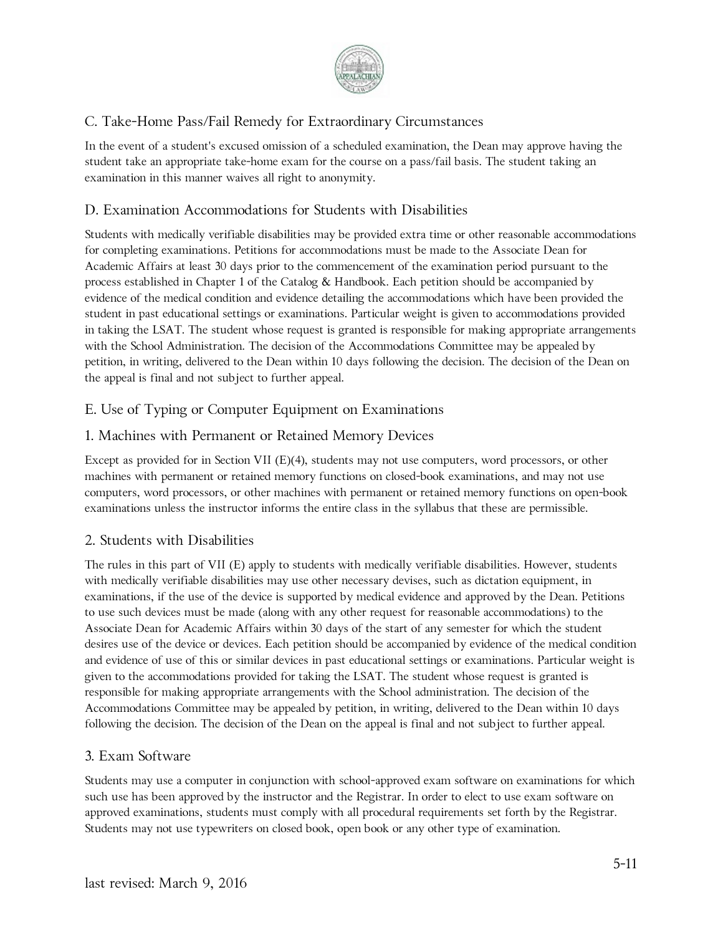

# C. Take-Home Pass/Fail Remedy for Extraordinary Circumstances

In the event of a student's excused omission of a scheduled examination, the Dean may approve having the student take an appropriate take-home exam for the course on a pass/fail basis. The student taking an examination in this manner waives all right to anonymity.

### D. Examination Accommodations for Students with Disabilities

Students with medically verifiable disabilities may be provided extra time or other reasonable accommodations for completing examinations. Petitions for accommodations must be made to the Associate Dean for Academic Affairs at least 30 days prior to the commencement of the examination period pursuant to the process established in Chapter 1 of the Catalog & Handbook. Each petition should be accompanied by evidence of the medical condition and evidence detailing the accommodations which have been provided the student in past educational settings or examinations. Particular weight is given to accommodations provided in taking the LSAT. The student whose request is granted is responsible for making appropriate arrangements with the School Administration. The decision of the Accommodations Committee may be appealed by petition, in writing, delivered to the Dean within 10 days following the decision. The decision of the Dean on the appeal is final and not subject to further appeal.

### E. Use of Typing or Computer Equipment on Examinations

### 1. Machines with Permanent or Retained Memory Devices

Except as provided for in Section VII (E)(4), students may not use computers, word processors, or other machines with permanent or retained memory functions on closed-book examinations, and may not use computers, word processors, or other machines with permanent or retained memory functions on open-book examinations unless the instructor informs the entire class in the syllabus that these are permissible.

### 2. Students with Disabilities

The rules in this part of VII (E) apply to students with medically verifiable disabilities. However, students with medically verifiable disabilities may use other necessary devises, such as dictation equipment, in examinations, if the use of the device is supported by medical evidence and approved by the Dean. Petitions to use such devices must be made (along with any other request for reasonable accommodations) to the Associate Dean for Academic Affairs within 30 days of the start of any semester for which the student desires use of the device or devices. Each petition should be accompanied by evidence of the medical condition and evidence of use of this or similar devices in past educational settings or examinations. Particular weight is given to the accommodations provided for taking the LSAT. The student whose request is granted is responsible for making appropriate arrangements with the School administration. The decision of the Accommodations Committee may be appealed by petition, in writing, delivered to the Dean within 10 days following the decision. The decision of the Dean on the appeal is final and not subject to further appeal.

#### 3. Exam Software

Students may use a computer in conjunction with school-approved exam software on examinations for which such use has been approved by the instructor and the Registrar. In order to elect to use exam software on approved examinations, students must comply with all procedural requirements set forth by the Registrar. Students may not use typewriters on closed book, open book or any other type of examination.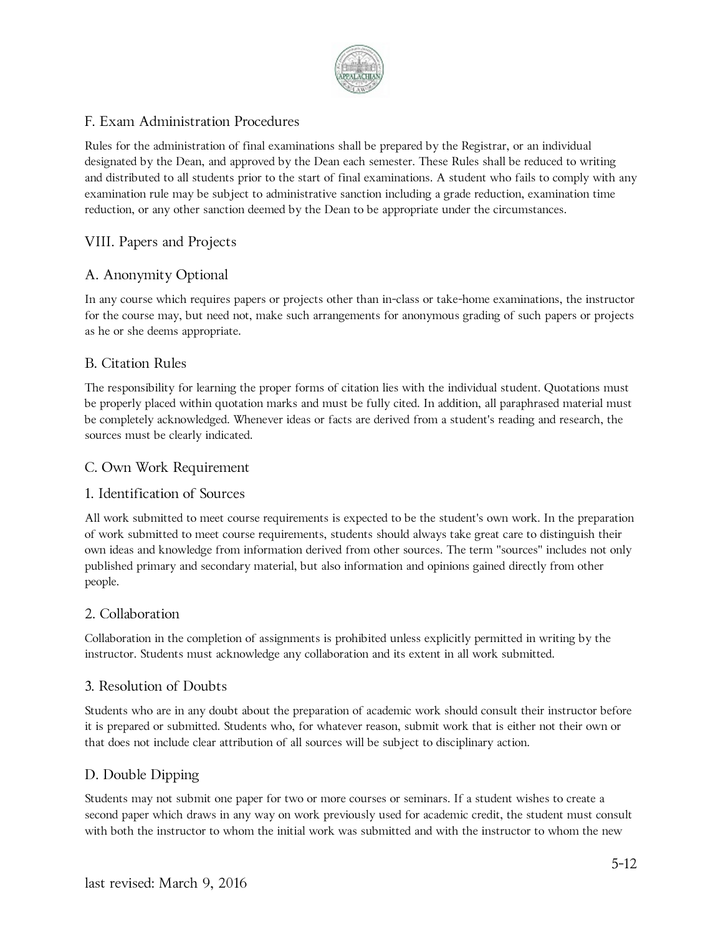

# F. Exam Administration Procedures

Rules for the administration of final examinations shall be prepared by the Registrar, or an individual designated by the Dean, and approved by the Dean each semester. These Rules shall be reduced to writing and distributed to all students prior to the start of final examinations. A student who fails to comply with any examination rule may be subject to administrative sanction including a grade reduction, examination time reduction, or any other sanction deemed by the Dean to be appropriate under the circumstances.

# VIII. Papers and Projects

# A. Anonymity Optional

In any course which requires papers or projects other than in-class or take-home examinations, the instructor for the course may, but need not, make such arrangements for anonymous grading of such papers or projects as he or she deems appropriate.

### B. Citation Rules

The responsibility for learning the proper forms of citation lies with the individual student. Quotations must be properly placed within quotation marks and must be fully cited. In addition, all paraphrased material must be completely acknowledged. Whenever ideas or facts are derived from a student's reading and research, the sources must be clearly indicated.

#### C. Own Work Requirement

#### 1. Identification of Sources

All work submitted to meet course requirements is expected to be the student's own work. In the preparation of work submitted to meet course requirements, students should always take great care to distinguish their own ideas and knowledge from information derived from other sources. The term "sources" includes not only published primary and secondary material, but also information and opinions gained directly from other people.

#### 2. Collaboration

Collaboration in the completion of assignments is prohibited unless explicitly permitted in writing by the instructor. Students must acknowledge any collaboration and its extent in all work submitted.

#### 3. Resolution of Doubts

Students who are in any doubt about the preparation of academic work should consult their instructor before it is prepared or submitted. Students who, for whatever reason, submit work that is either not their own or that does not include clear attribution of all sources will be subject to disciplinary action.

### D. Double Dipping

Students may not submit one paper for two or more courses or seminars. If a student wishes to create a second paper which draws in any way on work previously used for academic credit, the student must consult with both the instructor to whom the initial work was submitted and with the instructor to whom the new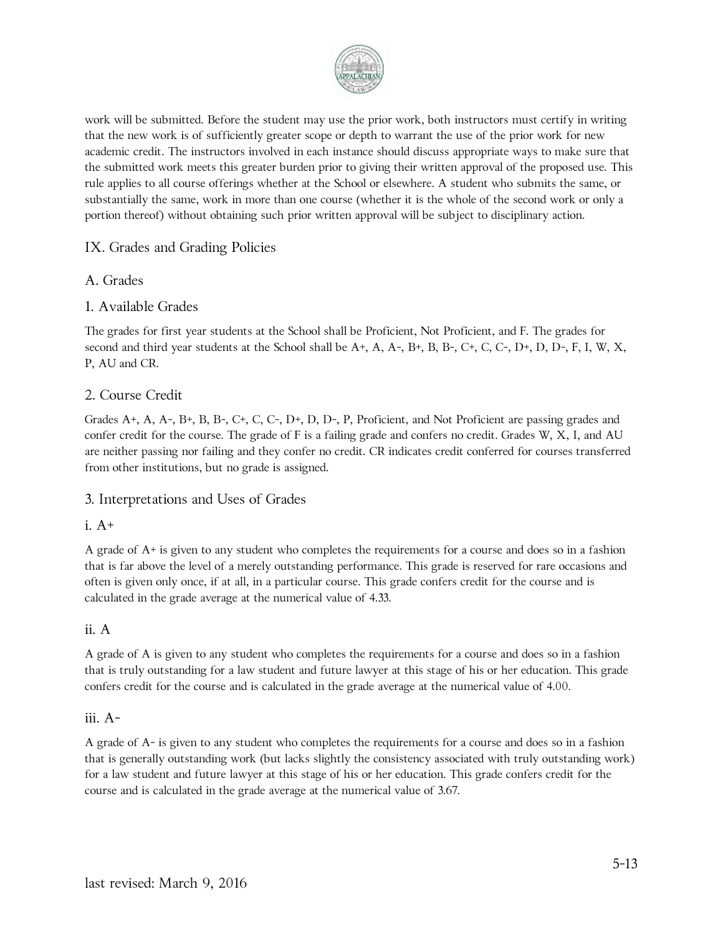

work will be submitted. Before the student may use the prior work, both instructors must certify in writing that the new work is of sufficiently greater scope or depth to warrant the use of the prior work for new academic credit. The instructors involved in each instance should discuss appropriate ways to make sure that the submitted work meets this greater burden prior to giving their written approval of the proposed use. This rule applies to all course offerings whether at the School or elsewhere. A student who submits the same, or substantially the same, work in more than one course (whether it is the whole of the second work or only a portion thereof) without obtaining such prior written approval will be subject to disciplinary action.

### IX. Grades and Grading Policies

#### A. Grades

#### 1. Available Grades

The grades for first year students at the School shall be Proficient, Not Proficient, and F. The grades for second and third year students at the School shall be A+, A, A-, B+, B, B-, C+, C, C-, D+, D, D-, F, I, W, X, P, AU and CR.

#### 2. Course Credit

Grades A+, A, A-, B+, B, B-, C+, C, C-, D+, D, D-, P, Proficient, and Not Proficient are passing grades and confer credit for the course. The grade of F is a failing grade and confers no credit. Grades W, X, I, and AU are neither passing nor failing and they confer no credit. CR indicates credit conferred for courses transferred from other institutions, but no grade is assigned.

#### 3. Interpretations and Uses of Grades

#### i. A+

A grade of A+ is given to any student who completes the requirements for a course and does so in a fashion that is far above the level of a merely outstanding performance. This grade is reserved for rare occasions and often is given only once, if at all, in a particular course. This grade confers credit for the course and is calculated in the grade average at the numerical value of 4.33.

#### ii. A

A grade of A is given to any student who completes the requirements for a course and does so in a fashion that is truly outstanding for a law student and future lawyer at this stage of his or her education. This grade confers credit for the course and is calculated in the grade average at the numerical value of 4.00.

#### iii. A-

A grade of A- is given to any student who completes the requirements for a course and does so in a fashion that is generally outstanding work (but lacks slightly the consistency associated with truly outstanding work) for a law student and future lawyer at this stage of his or her education. This grade confers credit for the course and is calculated in the grade average at the numerical value of 3.67.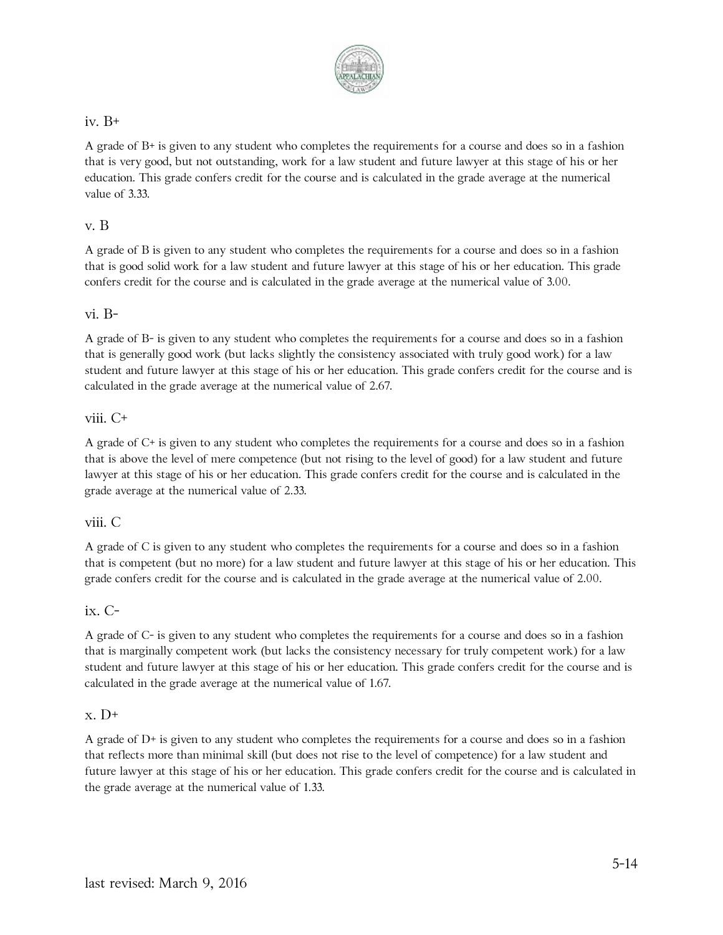

#### iv. B+

A grade of B+ is given to any student who completes the requirements for a course and does so in a fashion that is very good, but not outstanding, work for a law student and future lawyer at this stage of his or her education. This grade confers credit for the course and is calculated in the grade average at the numerical value of 3.33.

#### v. B

A grade of B is given to any student who completes the requirements for a course and does so in a fashion that is good solid work for a law student and future lawyer at this stage of his or her education. This grade confers credit for the course and is calculated in the grade average at the numerical value of 3.00.

#### vi. B-

A grade of B- is given to any student who completes the requirements for a course and does so in a fashion that is generally good work (but lacks slightly the consistency associated with truly good work) for a law student and future lawyer at this stage of his or her education. This grade confers credit for the course and is calculated in the grade average at the numerical value of 2.67.

#### viii. C+

A grade of C+ is given to any student who completes the requirements for a course and does so in a fashion that is above the level of mere competence (but not rising to the level of good) for a law student and future lawyer at this stage of his or her education. This grade confers credit for the course and is calculated in the grade average at the numerical value of 2.33.

#### viii. C

A grade of C is given to any student who completes the requirements for a course and does so in a fashion that is competent (but no more) for a law student and future lawyer at this stage of his or her education. This grade confers credit for the course and is calculated in the grade average at the numerical value of 2.00.

#### ix. C-

A grade of C- is given to any student who completes the requirements for a course and does so in a fashion that is marginally competent work (but lacks the consistency necessary for truly competent work) for a law student and future lawyer at this stage of his or her education. This grade confers credit for the course and is calculated in the grade average at the numerical value of 1.67.

#### $x. D<sup>+</sup>$

A grade of D+ is given to any student who completes the requirements for a course and does so in a fashion that reflects more than minimal skill (but does not rise to the level of competence) for a law student and future lawyer at this stage of his or her education. This grade confers credit for the course and is calculated in the grade average at the numerical value of 1.33.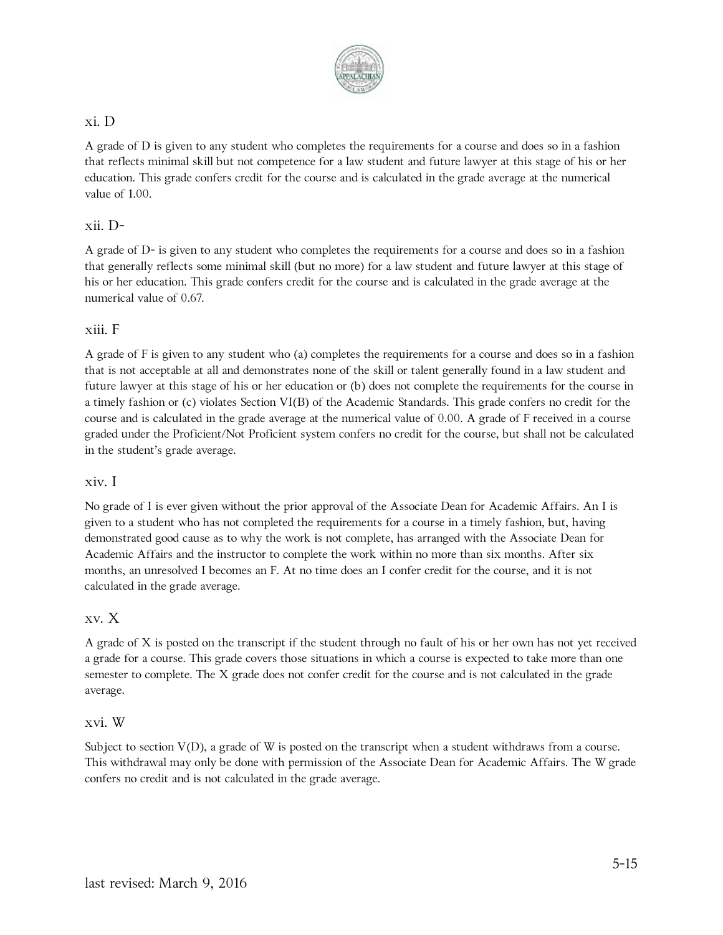

#### xi. D

A grade of D is given to any student who completes the requirements for a course and does so in a fashion that reflects minimal skill but not competence for a law student and future lawyer at this stage of his or her education. This grade confers credit for the course and is calculated in the grade average at the numerical value of 1.00.

### xii. D-

A grade of D- is given to any student who completes the requirements for a course and does so in a fashion that generally reflects some minimal skill (but no more) for a law student and future lawyer at this stage of his or her education. This grade confers credit for the course and is calculated in the grade average at the numerical value of 0.67.

#### xiii. F

A grade of F is given to any student who (a) completes the requirements for a course and does so in a fashion that is not acceptable at all and demonstrates none of the skill or talent generally found in a law student and future lawyer at this stage of his or her education or (b) does not complete the requirements for the course in a timely fashion or (c) violates Section VI(B) of the Academic Standards. This grade confers no credit for the course and is calculated in the grade average at the numerical value of 0.00. A grade of F received in a course graded under the Proficient/Not Proficient system confers no credit for the course, but shall not be calculated in the student's grade average.

#### xiv. I

No grade of I is ever given without the prior approval of the Associate Dean for Academic Affairs. An I is given to a student who has not completed the requirements for a course in a timely fashion, but, having demonstrated good cause as to why the work is not complete, has arranged with the Associate Dean for Academic Affairs and the instructor to complete the work within no more than six months. After six months, an unresolved I becomes an F. At no time does an I confer credit for the course, and it is not calculated in the grade average.

#### xv. X

A grade of X is posted on the transcript if the student through no fault of his or her own has not yet received a grade for a course. This grade covers those situations in which a course is expected to take more than one semester to complete. The X grade does not confer credit for the course and is not calculated in the grade average.

#### xvi. W

Subject to section V(D), a grade of W is posted on the transcript when a student withdraws from a course. This withdrawal may only be done with permission of the Associate Dean for Academic Affairs. The W grade confers no credit and is not calculated in the grade average.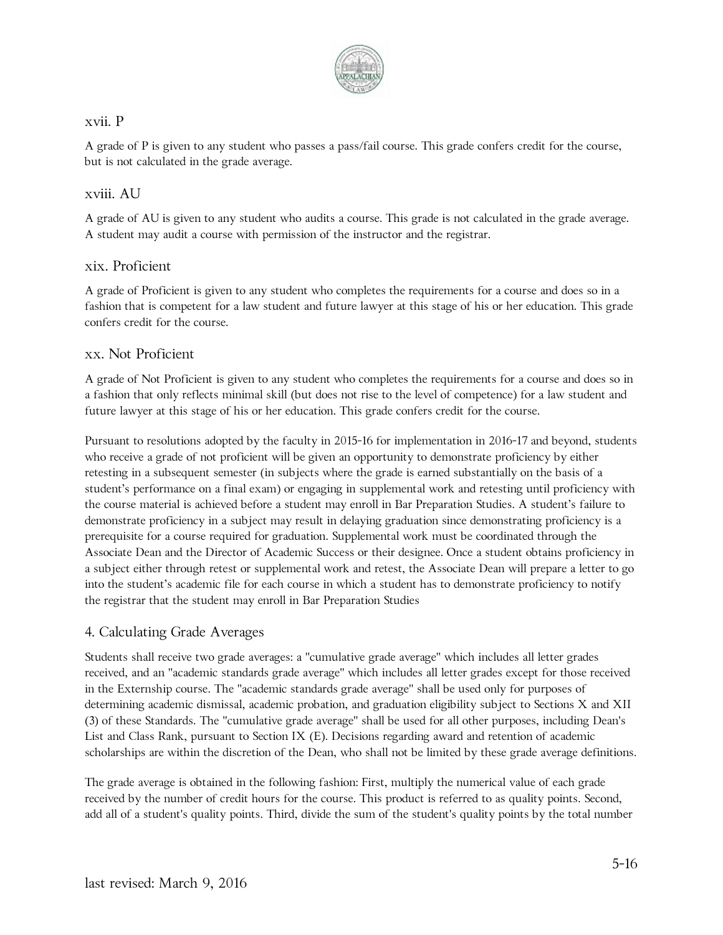

#### xvii. P

A grade of P is given to any student who passes a pass/fail course. This grade confers credit for the course, but is not calculated in the grade average.

#### xviii. AU

A grade of AU is given to any student who audits a course. This grade is not calculated in the grade average. A student may audit a course with permission of the instructor and the registrar.

#### xix. Proficient

A grade of Proficient is given to any student who completes the requirements for a course and does so in a fashion that is competent for a law student and future lawyer at this stage of his or her education. This grade confers credit for the course.

#### xx. Not Proficient

A grade of Not Proficient is given to any student who completes the requirements for a course and does so in a fashion that only reflects minimal skill (but does not rise to the level of competence) for a law student and future lawyer at this stage of his or her education. This grade confers credit for the course.

Pursuant to resolutions adopted by the faculty in 2015-16 for implementation in 2016-17 and beyond, students who receive a grade of not proficient will be given an opportunity to demonstrate proficiency by either retesting in a subsequent semester (in subjects where the grade is earned substantially on the basis of a student's performance on a final exam) or engaging in supplemental work and retesting until proficiency with the course material is achieved before a student may enroll in Bar Preparation Studies. A student's failure to demonstrate proficiency in a subject may result in delaying graduation since demonstrating proficiency is a prerequisite for a course required for graduation. Supplemental work must be coordinated through the Associate Dean and the Director of Academic Success or their designee. Once a student obtains proficiency in a subject either through retest or supplemental work and retest, the Associate Dean will prepare a letter to go into the student's academic file for each course in which a student has to demonstrate proficiency to notify the registrar that the student may enroll in Bar Preparation Studies

#### 4. Calculating Grade Averages

Students shall receive two grade averages: a "cumulative grade average" which includes all letter grades received, and an "academic standards grade average" which includes all letter grades except for those received in the Externship course. The "academic standards grade average" shall be used only for purposes of determining academic dismissal, academic probation, and graduation eligibility subject to Sections X and XII (3) of these Standards. The "cumulative grade average" shall be used for all other purposes, including Dean's List and Class Rank, pursuant to Section IX (E). Decisions regarding award and retention of academic scholarships are within the discretion of the Dean, who shall not be limited by these grade average definitions.

The grade average is obtained in the following fashion: First, multiply the numerical value of each grade received by the number of credit hours for the course. This product is referred to as quality points. Second, add all of a student's quality points. Third, divide the sum of the student's quality points by the total number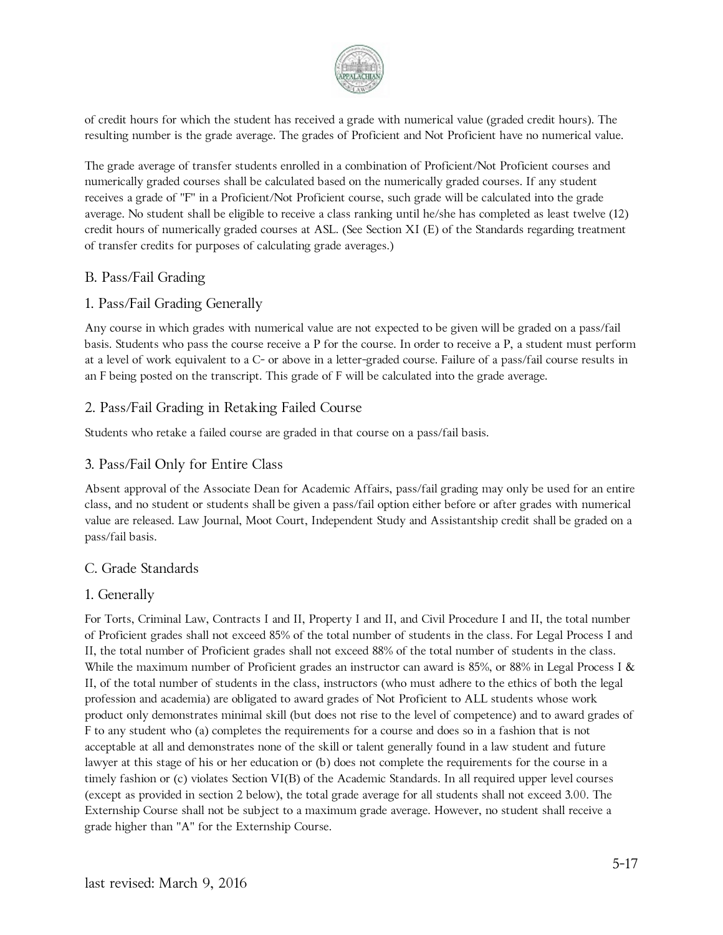

of credit hours for which the student has received a grade with numerical value (graded credit hours). The resulting number is the grade average. The grades of Proficient and Not Proficient have no numerical value.

The grade average of transfer students enrolled in a combination of Proficient/Not Proficient courses and numerically graded courses shall be calculated based on the numerically graded courses. If any student receives a grade of "F" in a Proficient/Not Proficient course, such grade will be calculated into the grade average. No student shall be eligible to receive a class ranking until he/she has completed as least twelve (12) credit hours of numerically graded courses at ASL. (See Section XI (E) of the Standards regarding treatment of transfer credits for purposes of calculating grade averages.)

### B. Pass/Fail Grading

### 1. Pass/Fail Grading Generally

Any course in which grades with numerical value are not expected to be given will be graded on a pass/fail basis. Students who pass the course receive a P for the course. In order to receive a P, a student must perform at a level of work equivalent to a C- or above in a letter-graded course. Failure of a pass/fail course results in an F being posted on the transcript. This grade of F will be calculated into the grade average.

### 2. Pass/Fail Grading in Retaking Failed Course

Students who retake a failed course are graded in that course on a pass/fail basis.

### 3. Pass/Fail Only for Entire Class

Absent approval of the Associate Dean for Academic Affairs, pass/fail grading may only be used for an entire class, and no student or students shall be given a pass/fail option either before or after grades with numerical value are released. Law Journal, Moot Court, Independent Study and Assistantship credit shall be graded on a pass/fail basis.

#### C. Grade Standards

#### 1. Generally

For Torts, Criminal Law, Contracts I and II, Property I and II, and Civil Procedure I and II, the total number of Proficient grades shall not exceed 85% of the total number of students in the class. For Legal Process I and II, the total number of Proficient grades shall not exceed 88% of the total number of students in the class. While the maximum number of Proficient grades an instructor can award is 85%, or 88% in Legal Process I & II, of the total number of students in the class, instructors (who must adhere to the ethics of both the legal profession and academia) are obligated to award grades of Not Proficient to ALL students whose work product only demonstrates minimal skill (but does not rise to the level of competence) and to award grades of F to any student who (a) completes the requirements for a course and does so in a fashion that is not acceptable at all and demonstrates none of the skill or talent generally found in a law student and future lawyer at this stage of his or her education or (b) does not complete the requirements for the course in a timely fashion or (c) violates Section VI(B) of the Academic Standards. In all required upper level courses (except as provided in section 2 below), the total grade average for all students shall not exceed 3.00. The Externship Course shall not be subject to a maximum grade average. However, no student shall receive a grade higher than "A" for the Externship Course.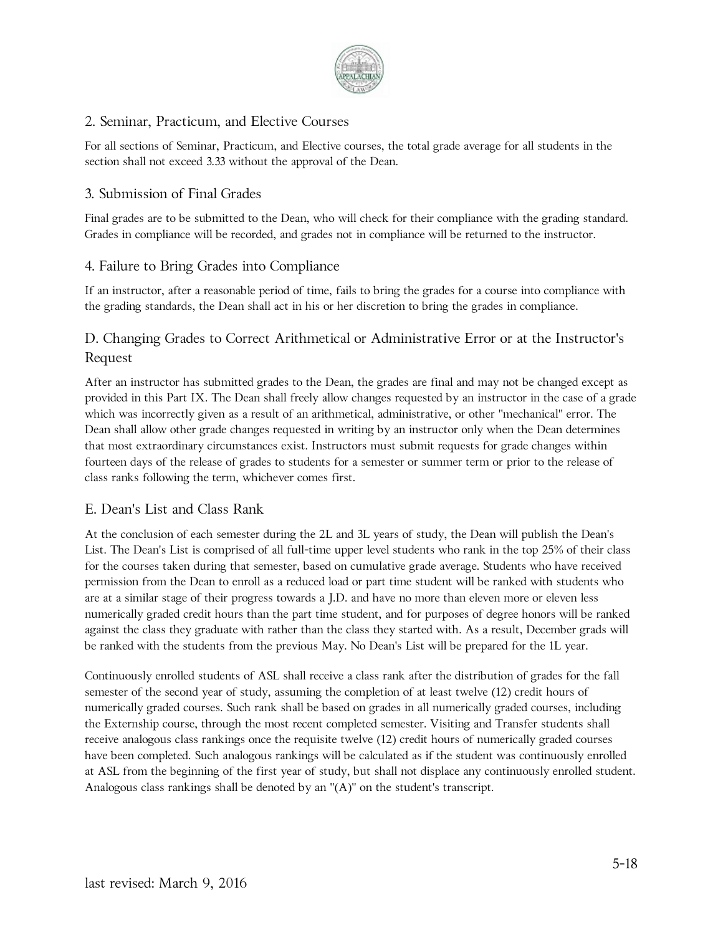

### 2. Seminar, Practicum, and Elective Courses

For all sections of Seminar, Practicum, and Elective courses, the total grade average for all students in the section shall not exceed 3.33 without the approval of the Dean.

### 3. Submission of Final Grades

Final grades are to be submitted to the Dean, who will check for their compliance with the grading standard. Grades in compliance will be recorded, and grades not in compliance will be returned to the instructor.

### 4. Failure to Bring Grades into Compliance

If an instructor, after a reasonable period of time, fails to bring the grades for a course into compliance with the grading standards, the Dean shall act in his or her discretion to bring the grades in compliance.

# D. Changing Grades to Correct Arithmetical or Administrative Error or at the Instructor's Request

After an instructor has submitted grades to the Dean, the grades are final and may not be changed except as provided in this Part IX. The Dean shall freely allow changes requested by an instructor in the case of a grade which was incorrectly given as a result of an arithmetical, administrative, or other "mechanical" error. The Dean shall allow other grade changes requested in writing by an instructor only when the Dean determines that most extraordinary circumstances exist. Instructors must submit requests for grade changes within fourteen days of the release of grades to students for a semester or summer term or prior to the release of class ranks following the term, whichever comes first.

### E. Dean's List and Class Rank

At the conclusion of each semester during the 2L and 3L years of study, the Dean will publish the Dean's List. The Dean's List is comprised of all full-time upper level students who rank in the top 25% of their class for the courses taken during that semester, based on cumulative grade average. Students who have received permission from the Dean to enroll as a reduced load or part time student will be ranked with students who are at a similar stage of their progress towards a J.D. and have no more than eleven more or eleven less numerically graded credit hours than the part time student, and for purposes of degree honors will be ranked against the class they graduate with rather than the class they started with. As a result, December grads will be ranked with the students from the previous May. No Dean's List will be prepared for the 1L year.

Continuously enrolled students of ASL shall receive a class rank after the distribution of grades for the fall semester of the second year of study, assuming the completion of at least twelve (12) credit hours of numerically graded courses. Such rank shall be based on grades in all numerically graded courses, including the Externship course, through the most recent completed semester. Visiting and Transfer students shall receive analogous class rankings once the requisite twelve (12) credit hours of numerically graded courses have been completed. Such analogous rankings will be calculated as if the student was continuously enrolled at ASL from the beginning of the first year of study, but shall not displace any continuously enrolled student. Analogous class rankings shall be denoted by an "(A)" on the student's transcript.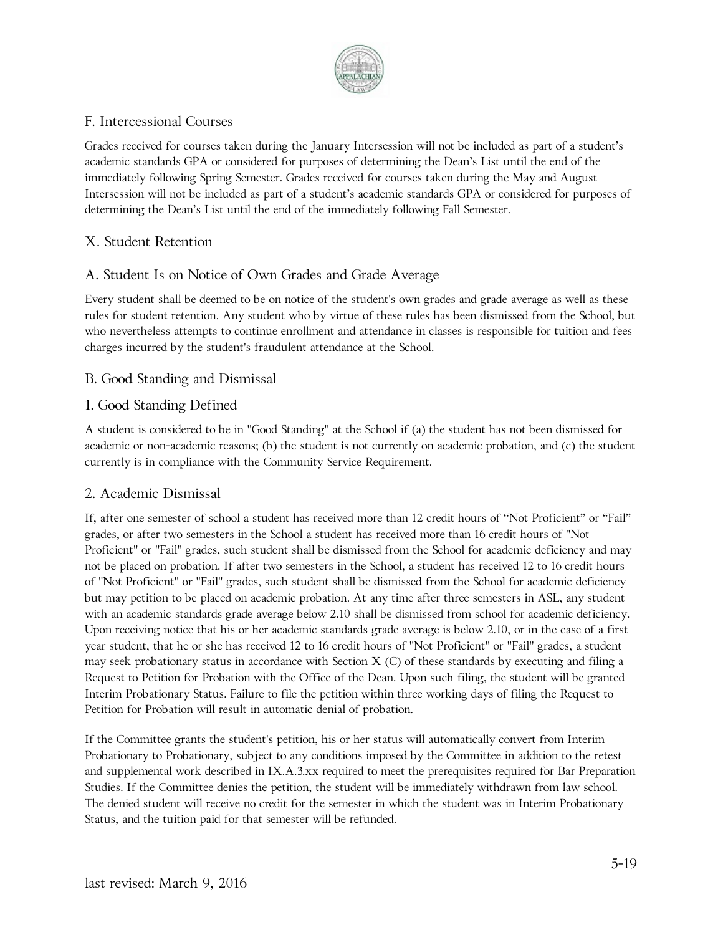

### F. Intercessional Courses

Grades received for courses taken during the January Intersession will not be included as part of a student's academic standards GPA or considered for purposes of determining the Dean's List until the end of the immediately following Spring Semester. Grades received for courses taken during the May and August Intersession will not be included as part of a student's academic standards GPA or considered for purposes of determining the Dean's List until the end of the immediately following Fall Semester.

# X. Student Retention

# A. Student Is on Notice of Own Grades and Grade Average

Every student shall be deemed to be on notice of the student's own grades and grade average as well as these rules for student retention. Any student who by virtue of these rules has been dismissed from the School, but who nevertheless attempts to continue enrollment and attendance in classes is responsible for tuition and fees charges incurred by the student's fraudulent attendance at the School.

### B. Good Standing and Dismissal

### 1. Good Standing Defined

A student is considered to be in "Good Standing" at the School if (a) the student has not been dismissed for academic or non-academic reasons; (b) the student is not currently on academic probation, and (c) the student currently is in compliance with the Community Service Requirement.

### 2. Academic Dismissal

If, after one semester of school a student has received more than 12 credit hours of "Not Proficient" or "Fail" grades, or after two semesters in the School a student has received more than 16 credit hours of "Not Proficient" or "Fail" grades, such student shall be dismissed from the School for academic deficiency and may not be placed on probation. If after two semesters in the School, a student has received 12 to 16 credit hours of "Not Proficient" or "Fail" grades, such student shall be dismissed from the School for academic deficiency but may petition to be placed on academic probation. At any time after three semesters in ASL, any student with an academic standards grade average below 2.10 shall be dismissed from school for academic deficiency. Upon receiving notice that his or her academic standards grade average is below 2.10, or in the case of a first year student, that he or she has received 12 to 16 credit hours of "Not Proficient" or "Fail" grades, a student may seek probationary status in accordance with Section X (C) of these standards by executing and filing a Request to Petition for Probation with the Office of the Dean. Upon such filing, the student will be granted Interim Probationary Status. Failure to file the petition within three working days of filing the Request to Petition for Probation will result in automatic denial of probation.

If the Committee grants the student's petition, his or her status will automatically convert from Interim Probationary to Probationary, subject to any conditions imposed by the Committee in addition to the retest and supplemental work described in IX.A.3.xx required to meet the prerequisites required for Bar Preparation Studies. If the Committee denies the petition, the student will be immediately withdrawn from law school. The denied student will receive no credit for the semester in which the student was in Interim Probationary Status, and the tuition paid for that semester will be refunded.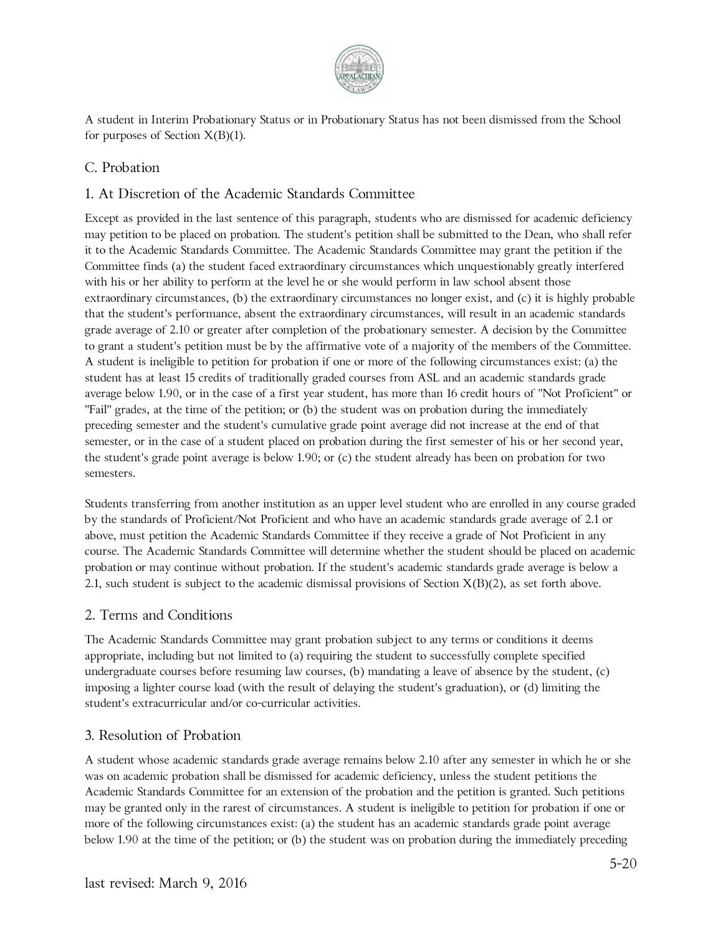

A student in Interim Probationary Status or in Probationary Status has not been dismissed from the School for purposes of Section  $X(B)(1)$ .

### C. Probation

### 1. At Discretion of the Academic Standards Committee

Except as provided in the last sentence of this paragraph, students who are dismissed for academic deficiency may petition to be placed on probation. The student's petition shall be submitted to the Dean, who shall refer it to the Academic Standards Committee. The Academic Standards Committee may grant the petition if the Committee finds (a) the student faced extraordinary circumstances which unquestionably greatly interfered with his or her ability to perform at the level he or she would perform in law school absent those extraordinary circumstances, (b) the extraordinary circumstances no longer exist, and (c) it is highly probable that the student's performance, absent the extraordinary circumstances, will result in an academic standards grade average of 2.10 or greater after completion of the probationary semester. A decision by the Committee to grant a student's petition must be by the affirmative vote of a majority of the members of the Committee. A student is ineligible to petition for probation if one or more of the following circumstances exist: (a) the student has at least 15 credits of traditionally graded courses from ASL and an academic standards grade average below 1.90, or in the case of a first year student, has more than 16 credit hours of "Not Proficient" or "Fail" grades, at the time of the petition; or (b) the student was on probation during the immediately preceding semester and the student's cumulative grade point average did not increase at the end of that semester, or in the case of a student placed on probation during the first semester of his or her second year, the student's grade point average is below 1.90; or (c) the student already has been on probation for two semesters.

Students transferring from another institution as an upper level student who are enrolled in any course graded by the standards of Proficient/Not Proficient and who have an academic standards grade average of 2.1 or above, must petition the Academic Standards Committee if they receive a grade of Not Proficient in any course. The Academic Standards Committee will determine whether the student should be placed on academic probation or may continue without probation. If the student's academic standards grade average is below a 2.1, such student is subject to the academic dismissal provisions of Section  $X(B)(2)$ , as set forth above.

#### 2. Terms and Conditions

The Academic Standards Committee may grant probation subject to any terms or conditions it deems appropriate, including but not limited to (a) requiring the student to successfully complete specified undergraduate courses before resuming law courses, (b) mandating a leave of absence by the student, (c) imposing a lighter course load (with the result of delaying the student's graduation), or (d) limiting the student's extracurricular and/or co-curricular activities.

#### 3. Resolution of Probation

A student whose academic standards grade average remains below 2.10 after any semester in which he or she was on academic probation shall be dismissed for academic deficiency, unless the student petitions the Academic Standards Committee for an extension of the probation and the petition is granted. Such petitions may be granted only in the rarest of circumstances. A student is ineligible to petition for probation if one or more of the following circumstances exist: (a) the student has an academic standards grade point average below 1.90 at the time of the petition; or (b) the student was on probation during the immediately preceding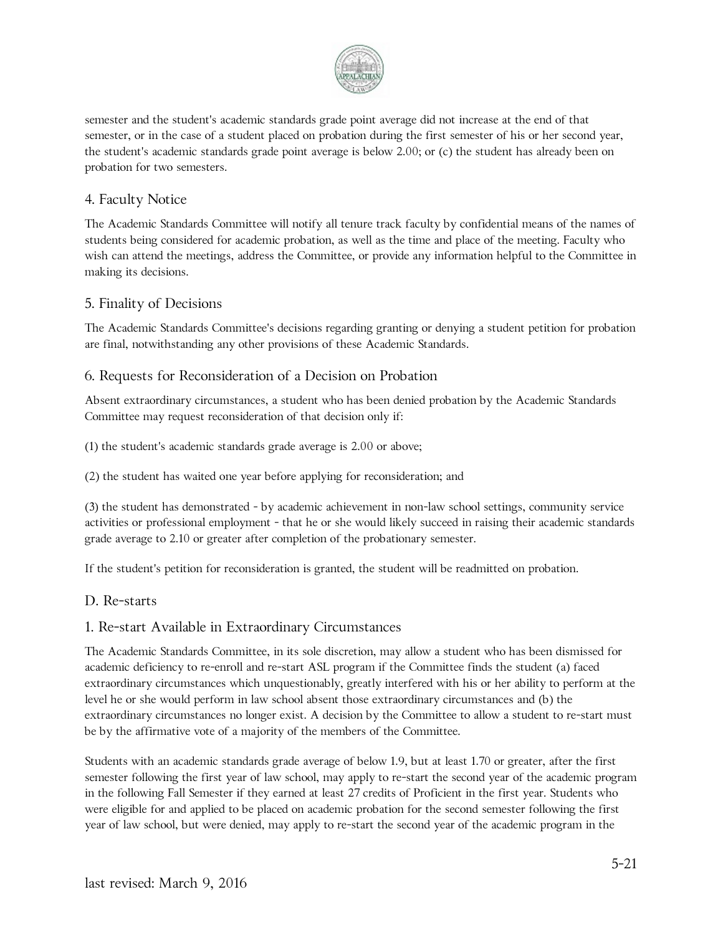

semester and the student's academic standards grade point average did not increase at the end of that semester, or in the case of a student placed on probation during the first semester of his or her second year, the student's academic standards grade point average is below 2.00; or (c) the student has already been on probation for two semesters.

### 4. Faculty Notice

The Academic Standards Committee will notify all tenure track faculty by confidential means of the names of students being considered for academic probation, as well as the time and place of the meeting. Faculty who wish can attend the meetings, address the Committee, or provide any information helpful to the Committee in making its decisions.

#### 5. Finality of Decisions

The Academic Standards Committee's decisions regarding granting or denying a student petition for probation are final, notwithstanding any other provisions of these Academic Standards.

### 6. Requests for Reconsideration of a Decision on Probation

Absent extraordinary circumstances, a student who has been denied probation by the Academic Standards Committee may request reconsideration of that decision only if:

(1) the student's academic standards grade average is 2.00 or above;

(2) the student has waited one year before applying for reconsideration; and

(3) the student has demonstrated - by academic achievement in non-law school settings, community service activities or professional employment - that he or she would likely succeed in raising their academic standards grade average to 2.10 or greater after completion of the probationary semester.

If the student's petition for reconsideration is granted, the student will be readmitted on probation.

#### D. Re-starts

#### 1. Re-start Available in Extraordinary Circumstances

The Academic Standards Committee, in its sole discretion, may allow a student who has been dismissed for academic deficiency to re-enroll and re-start ASL program if the Committee finds the student (a) faced extraordinary circumstances which unquestionably, greatly interfered with his or her ability to perform at the level he or she would perform in law school absent those extraordinary circumstances and (b) the extraordinary circumstances no longer exist. A decision by the Committee to allow a student to re-start must be by the affirmative vote of a majority of the members of the Committee.

Students with an academic standards grade average of below 1.9, but at least 1.70 or greater, after the first semester following the first year of law school, may apply to re-start the second year of the academic program in the following Fall Semester if they earned at least 27 credits of Proficient in the first year. Students who were eligible for and applied to be placed on academic probation for the second semester following the first year of law school, but were denied, may apply to re-start the second year of the academic program in the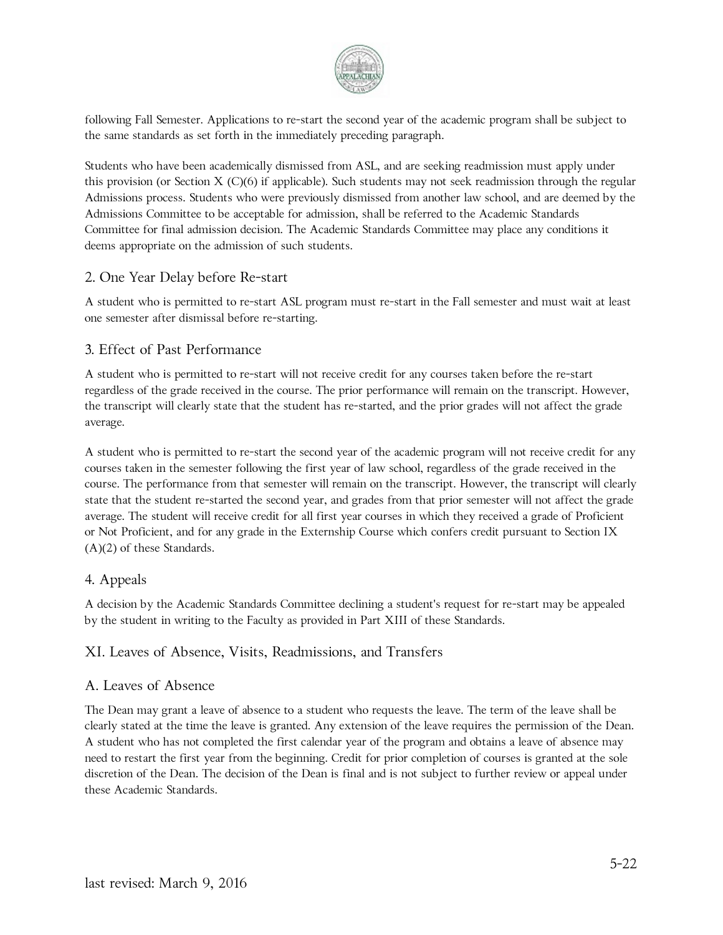

following Fall Semester. Applications to re-start the second year of the academic program shall be subject to the same standards as set forth in the immediately preceding paragraph.

Students who have been academically dismissed from ASL, and are seeking readmission must apply under this provision (or Section X (C)(6) if applicable). Such students may not seek readmission through the regular Admissions process. Students who were previously dismissed from another law school, and are deemed by the Admissions Committee to be acceptable for admission, shall be referred to the Academic Standards Committee for final admission decision. The Academic Standards Committee may place any conditions it deems appropriate on the admission of such students.

#### 2. One Year Delay before Re-start

A student who is permitted to re-start ASL program must re-start in the Fall semester and must wait at least one semester after dismissal before re-starting.

#### 3. Effect of Past Performance

A student who is permitted to re-start will not receive credit for any courses taken before the re-start regardless of the grade received in the course. The prior performance will remain on the transcript. However, the transcript will clearly state that the student has re-started, and the prior grades will not affect the grade average.

A student who is permitted to re-start the second year of the academic program will not receive credit for any courses taken in the semester following the first year of law school, regardless of the grade received in the course. The performance from that semester will remain on the transcript. However, the transcript will clearly state that the student re-started the second year, and grades from that prior semester will not affect the grade average. The student will receive credit for all first year courses in which they received a grade of Proficient or Not Proficient, and for any grade in the Externship Course which confers credit pursuant to Section IX (A)(2) of these Standards.

#### 4. Appeals

A decision by the Academic Standards Committee declining a student's request for re-start may be appealed by the student in writing to the Faculty as provided in Part XIII of these Standards.

#### XI. Leaves of Absence, Visits, Readmissions, and Transfers

#### A. Leaves of Absence

The Dean may grant a leave of absence to a student who requests the leave. The term of the leave shall be clearly stated at the time the leave is granted. Any extension of the leave requires the permission of the Dean. A student who has not completed the first calendar year of the program and obtains a leave of absence may need to restart the first year from the beginning. Credit for prior completion of courses is granted at the sole discretion of the Dean. The decision of the Dean is final and is not subject to further review or appeal under these Academic Standards.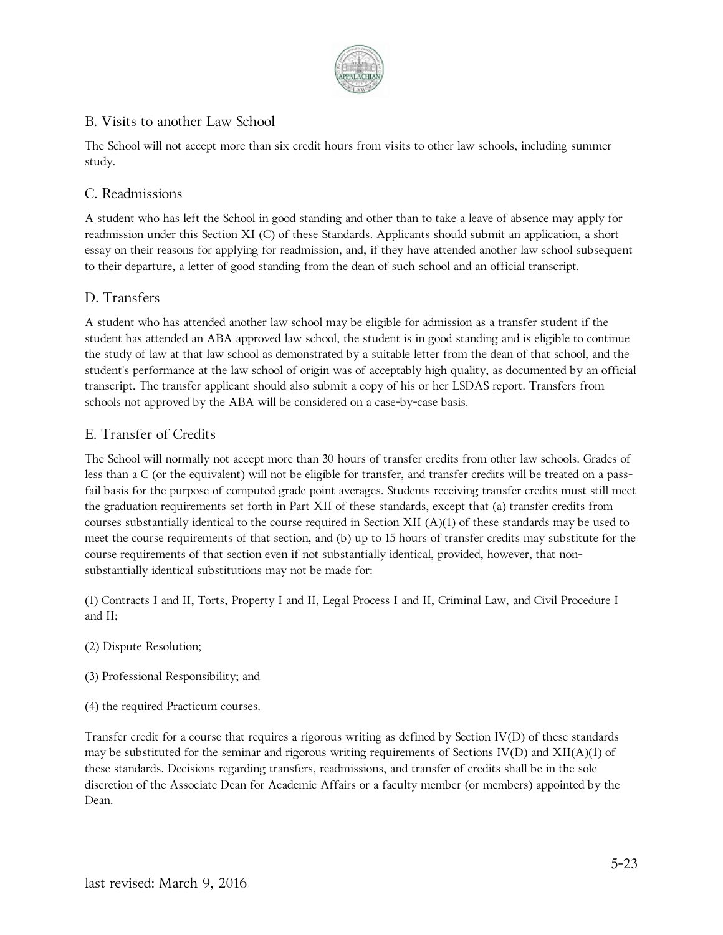

# B. Visits to another Law School

The School will not accept more than six credit hours from visits to other law schools, including summer study.

### C. Readmissions

A student who has left the School in good standing and other than to take a leave of absence may apply for readmission under this Section XI (C) of these Standards. Applicants should submit an application, a short essay on their reasons for applying for readmission, and, if they have attended another law school subsequent to their departure, a letter of good standing from the dean of such school and an official transcript.

### D. Transfers

A student who has attended another law school may be eligible for admission as a transfer student if the student has attended an ABA approved law school, the student is in good standing and is eligible to continue the study of law at that law school as demonstrated by a suitable letter from the dean of that school, and the student's performance at the law school of origin was of acceptably high quality, as documented by an official transcript. The transfer applicant should also submit a copy of his or her LSDAS report. Transfers from schools not approved by the ABA will be considered on a case-by-case basis.

### E. Transfer of Credits

The School will normally not accept more than 30 hours of transfer credits from other law schools. Grades of less than a C (or the equivalent) will not be eligible for transfer, and transfer credits will be treated on a passfail basis for the purpose of computed grade point averages. Students receiving transfer credits must still meet the graduation requirements set forth in Part XII of these standards, except that (a) transfer credits from courses substantially identical to the course required in Section XII (A)(1) of these standards may be used to meet the course requirements of that section, and (b) up to 15 hours of transfer credits may substitute for the course requirements of that section even if not substantially identical, provided, however, that nonsubstantially identical substitutions may not be made for:

(1) Contracts I and II, Torts, Property I and II, Legal Process I and II, Criminal Law, and Civil Procedure I and II;

- (2) Dispute Resolution;
- (3) Professional Responsibility; and
- (4) the required Practicum courses.

Transfer credit for a course that requires a rigorous writing as defined by Section IV(D) of these standards may be substituted for the seminar and rigorous writing requirements of Sections IV(D) and  $XII(A)(1)$  of these standards. Decisions regarding transfers, readmissions, and transfer of credits shall be in the sole discretion of the Associate Dean for Academic Affairs or a faculty member (or members) appointed by the Dean.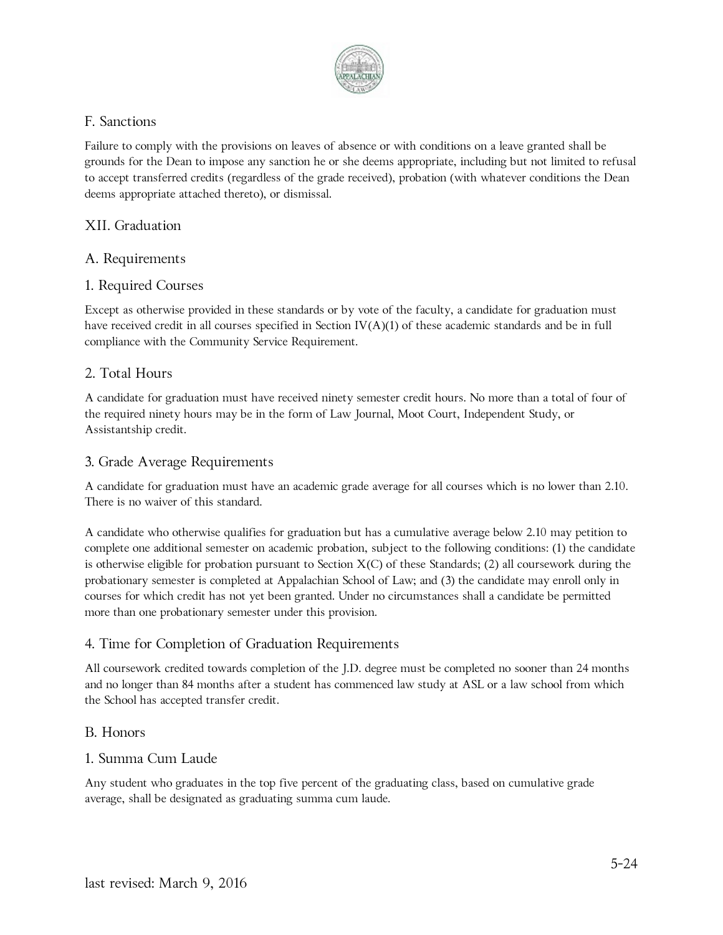

### F. Sanctions

Failure to comply with the provisions on leaves of absence or with conditions on a leave granted shall be grounds for the Dean to impose any sanction he or she deems appropriate, including but not limited to refusal to accept transferred credits (regardless of the grade received), probation (with whatever conditions the Dean deems appropriate attached thereto), or dismissal.

### XII. Graduation

### A. Requirements

#### 1. Required Courses

Except as otherwise provided in these standards or by vote of the faculty, a candidate for graduation must have received credit in all courses specified in Section IV(A)(1) of these academic standards and be in full compliance with the Community Service Requirement.

#### 2. Total Hours

A candidate for graduation must have received ninety semester credit hours. No more than a total of four of the required ninety hours may be in the form of Law Journal, Moot Court, Independent Study, or Assistantship credit.

#### 3. Grade Average Requirements

A candidate for graduation must have an academic grade average for all courses which is no lower than 2.10. There is no waiver of this standard.

A candidate who otherwise qualifies for graduation but has a cumulative average below 2.10 may petition to complete one additional semester on academic probation, subject to the following conditions: (1) the candidate is otherwise eligible for probation pursuant to Section X(C) of these Standards; (2) all coursework during the probationary semester is completed at Appalachian School of Law; and (3) the candidate may enroll only in courses for which credit has not yet been granted. Under no circumstances shall a candidate be permitted more than one probationary semester under this provision.

#### 4. Time for Completion of Graduation Requirements

All coursework credited towards completion of the J.D. degree must be completed no sooner than 24 months and no longer than 84 months after a student has commenced law study at ASL or a law school from which the School has accepted transfer credit.

#### B. Honors

#### 1. Summa Cum Laude

Any student who graduates in the top five percent of the graduating class, based on cumulative grade average, shall be designated as graduating summa cum laude.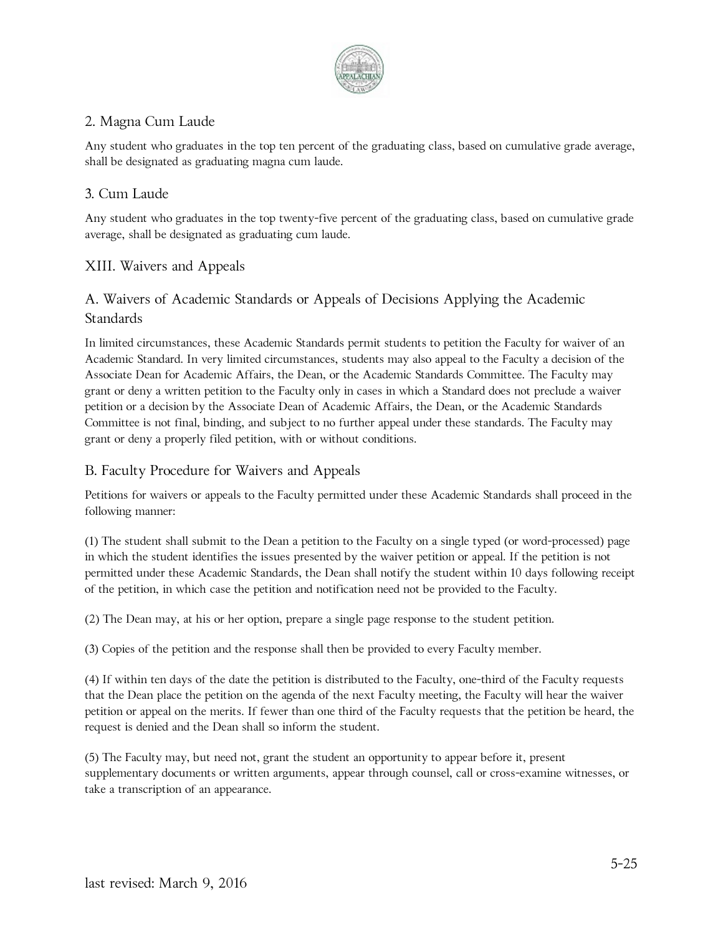

# 2. Magna Cum Laude

Any student who graduates in the top ten percent of the graduating class, based on cumulative grade average, shall be designated as graduating magna cum laude.

# 3. Cum Laude

Any student who graduates in the top twenty-five percent of the graduating class, based on cumulative grade average, shall be designated as graduating cum laude.

# XIII. Waivers and Appeals

# A. Waivers of Academic Standards or Appeals of Decisions Applying the Academic Standards

In limited circumstances, these Academic Standards permit students to petition the Faculty for waiver of an Academic Standard. In very limited circumstances, students may also appeal to the Faculty a decision of the Associate Dean for Academic Affairs, the Dean, or the Academic Standards Committee. The Faculty may grant or deny a written petition to the Faculty only in cases in which a Standard does not preclude a waiver petition or a decision by the Associate Dean of Academic Affairs, the Dean, or the Academic Standards Committee is not final, binding, and subject to no further appeal under these standards. The Faculty may grant or deny a properly filed petition, with or without conditions.

# B. Faculty Procedure for Waivers and Appeals

Petitions for waivers or appeals to the Faculty permitted under these Academic Standards shall proceed in the following manner:

(1) The student shall submit to the Dean a petition to the Faculty on a single typed (or word-processed) page in which the student identifies the issues presented by the waiver petition or appeal. If the petition is not permitted under these Academic Standards, the Dean shall notify the student within 10 days following receipt of the petition, in which case the petition and notification need not be provided to the Faculty.

(2) The Dean may, at his or her option, prepare a single page response to the student petition.

(3) Copies of the petition and the response shall then be provided to every Faculty member.

(4) If within ten days of the date the petition is distributed to the Faculty, one-third of the Faculty requests that the Dean place the petition on the agenda of the next Faculty meeting, the Faculty will hear the waiver petition or appeal on the merits. If fewer than one third of the Faculty requests that the petition be heard, the request is denied and the Dean shall so inform the student.

(5) The Faculty may, but need not, grant the student an opportunity to appear before it, present supplementary documents or written arguments, appear through counsel, call or cross-examine witnesses, or take a transcription of an appearance.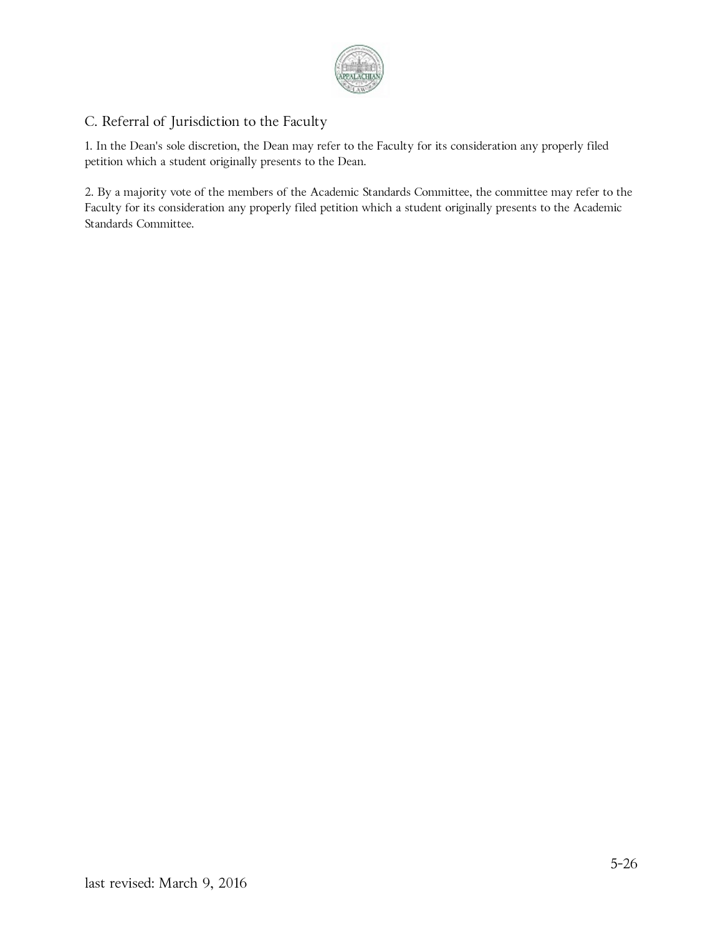

# C. Referral of Jurisdiction to the Faculty

1. In the Dean's sole discretion, the Dean may refer to the Faculty for its consideration any properly filed petition which a student originally presents to the Dean.

2. By a majority vote of the members of the Academic Standards Committee, the committee may refer to the Faculty for its consideration any properly filed petition which a student originally presents to the Academic Standards Committee.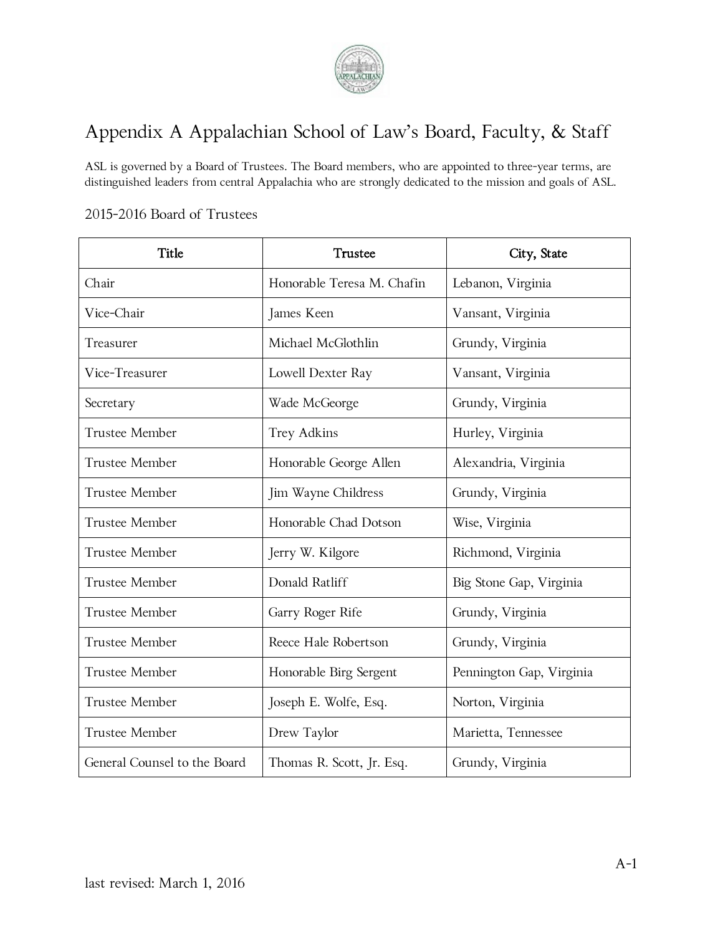

# Appendix A Appalachian School of Law's Board, Faculty, & Staff

ASL is governed by a Board of Trustees. The Board members, who are appointed to three-year terms, are distinguished leaders from central Appalachia who are strongly dedicated to the mission and goals of ASL.

### 2015-2016 Board of Trustees

| Title                        | Trustee                    | City, State              |
|------------------------------|----------------------------|--------------------------|
| Chair                        | Honorable Teresa M. Chafin | Lebanon, Virginia        |
| Vice-Chair                   | James Keen                 | Vansant, Virginia        |
| Treasurer                    | Michael McGlothlin         | Grundy, Virginia         |
| Vice-Treasurer               | Lowell Dexter Ray          | Vansant, Virginia        |
| Secretary                    | Wade McGeorge              | Grundy, Virginia         |
| Trustee Member               | <b>Trey Adkins</b>         | Hurley, Virginia         |
| Trustee Member               | Honorable George Allen     | Alexandria, Virginia     |
| <b>Trustee Member</b>        | Jim Wayne Childress        | Grundy, Virginia         |
| <b>Trustee Member</b>        | Honorable Chad Dotson      | Wise, Virginia           |
| Trustee Member               | Jerry W. Kilgore           | Richmond, Virginia       |
| <b>Trustee Member</b>        | Donald Ratliff             | Big Stone Gap, Virginia  |
| <b>Trustee Member</b>        | Garry Roger Rife           | Grundy, Virginia         |
| <b>Trustee Member</b>        | Reece Hale Robertson       | Grundy, Virginia         |
| <b>Trustee Member</b>        | Honorable Birg Sergent     | Pennington Gap, Virginia |
| <b>Trustee Member</b>        | Joseph E. Wolfe, Esq.      | Norton, Virginia         |
| <b>Trustee Member</b>        | Drew Taylor                | Marietta, Tennessee      |
| General Counsel to the Board | Thomas R. Scott, Jr. Esq.  | Grundy, Virginia         |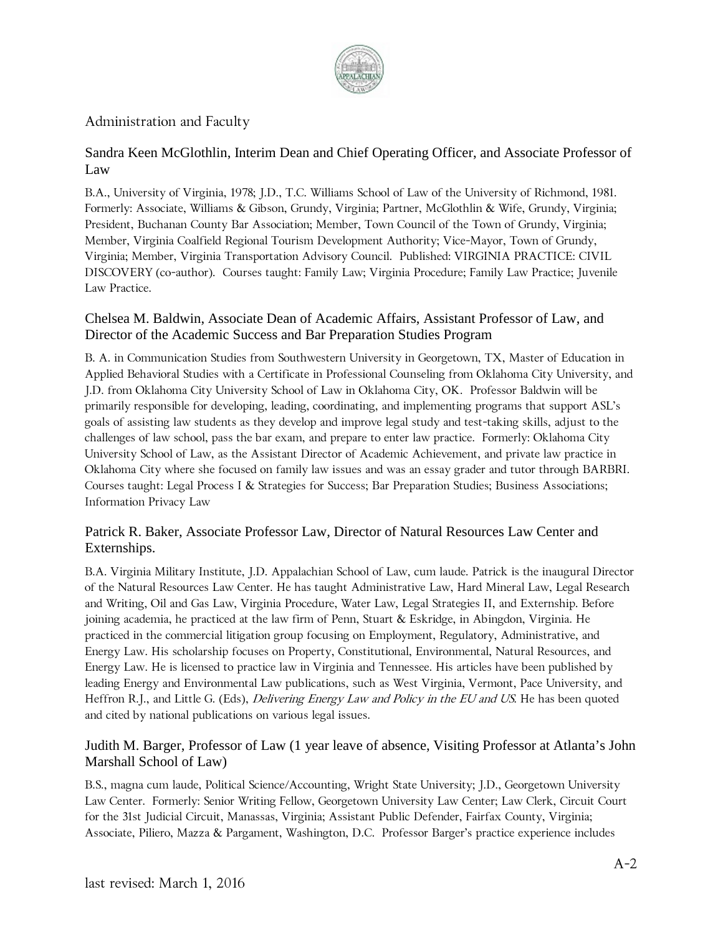

## Administration and Faculty

## Sandra Keen McGlothlin, Interim Dean and Chief Operating Officer, and Associate Professor of Law

B.A., University of Virginia, 1978; J.D., T.C. Williams School of Law of the University of Richmond, 1981. Formerly: Associate, Williams & Gibson, Grundy, Virginia; Partner, McGlothlin & Wife, Grundy, Virginia; President, Buchanan County Bar Association; Member, Town Council of the Town of Grundy, Virginia; Member, Virginia Coalfield Regional Tourism Development Authority; Vice-Mayor, Town of Grundy, Virginia; Member, Virginia Transportation Advisory Council. Published: VIRGINIA PRACTICE: CIVIL DISCOVERY (co-author). Courses taught: Family Law; Virginia Procedure; Family Law Practice; Juvenile Law Practice.

### Chelsea M. Baldwin, Associate Dean of Academic Affairs, Assistant Professor of Law, and Director of the Academic Success and Bar Preparation Studies Program

B. A. in Communication Studies from Southwestern University in Georgetown, TX, Master of Education in Applied Behavioral Studies with a Certificate in Professional Counseling from Oklahoma City University, and J.D. from Oklahoma City University School of Law in Oklahoma City, OK. Professor Baldwin will be primarily responsible for developing, leading, coordinating, and implementing programs that support ASL's goals of assisting law students as they develop and improve legal study and test-taking skills, adjust to the challenges of law school, pass the bar exam, and prepare to enter law practice. Formerly: Oklahoma City University School of Law, as the Assistant Director of Academic Achievement, and private law practice in Oklahoma City where she focused on family law issues and was an essay grader and tutor through BARBRI. Courses taught: Legal Process I & Strategies for Success; Bar Preparation Studies; Business Associations; Information Privacy Law

### Patrick R. Baker, Associate Professor Law, Director of Natural Resources Law Center and Externships.

B.A. Virginia Military Institute, J.D. Appalachian School of Law, cum laude. Patrick is the inaugural Director of the Natural Resources Law Center. He has taught Administrative Law, Hard Mineral Law, Legal Research and Writing, Oil and Gas Law, Virginia Procedure, Water Law, Legal Strategies II, and Externship. Before joining academia, he practiced at the law firm of Penn, Stuart & Eskridge, in Abingdon, Virginia. He practiced in the commercial litigation group focusing on Employment, Regulatory, Administrative, and Energy Law. His scholarship focuses on Property, Constitutional, Environmental, Natural Resources, and Energy Law. He is licensed to practice law in Virginia and Tennessee. His articles have been published by leading Energy and Environmental Law publications, such as West Virginia, Vermont, Pace University, and Heffron R.J., and Little G. (Eds), *Delivering Energy Law and Policy in the EU and US*. He has been quoted and cited by national publications on various legal issues.

### Judith M. Barger, Professor of Law (1 year leave of absence, Visiting Professor at Atlanta's John Marshall School of Law)

B.S., magna cum laude, Political Science/Accounting, Wright State University; J.D., Georgetown University Law Center. Formerly: Senior Writing Fellow, Georgetown University Law Center; Law Clerk, Circuit Court for the 31st Judicial Circuit, Manassas, Virginia; Assistant Public Defender, Fairfax County, Virginia; Associate, Piliero, Mazza & Pargament, Washington, D.C. Professor Barger's practice experience includes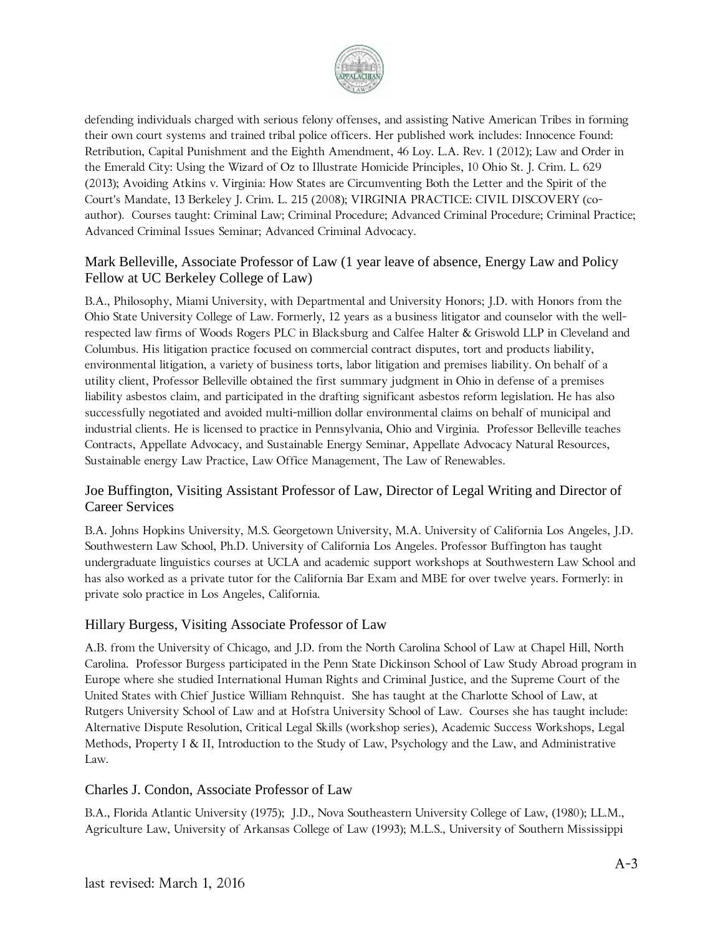

defending individuals charged with serious felony offenses, and assisting Native American Tribes in forming their own court systems and trained tribal police officers. Her published work includes: Innocence Found: Retribution, Capital Punishment and the Eighth Amendment, 46 Loy. L.A. Rev. 1 (2012); Law and Order in the Emerald City: Using the Wizard of Oz to Illustrate Homicide Principles, 10 Ohio St. J. Crim. L. 629 (2013); Avoiding Atkins v. Virginia: How States are Circumventing Both the Letter and the Spirit of the Court's Mandate, 13 Berkeley J. Crim. L. 215 (2008); VIRGINIA PRACTICE: CIVIL DISCOVERY (coauthor). Courses taught: Criminal Law; Criminal Procedure; Advanced Criminal Procedure; Criminal Practice; Advanced Criminal Issues Seminar; Advanced Criminal Advocacy.

#### Mark Belleville, Associate Professor of Law (1 year leave of absence, Energy Law and Policy Fellow at UC Berkeley College of Law)

B.A., Philosophy, Miami University, with Departmental and University Honors; J.D. with Honors from the Ohio State University College of Law. Formerly, 12 years as a business litigator and counselor with the wellrespected law firms of Woods Rogers PLC in Blacksburg and Calfee Halter & Griswold LLP in Cleveland and Columbus. His litigation practice focused on commercial contract disputes, tort and products liability, environmental litigation, a variety of business torts, labor litigation and premises liability. On behalf of a utility client, Professor Belleville obtained the first summary judgment in Ohio in defense of a premises liability asbestos claim, and participated in the drafting significant asbestos reform legislation. He has also successfully negotiated and avoided multi-million dollar environmental claims on behalf of municipal and industrial clients. He is licensed to practice in Pennsylvania, Ohio and Virginia. Professor Belleville teaches Contracts, Appellate Advocacy, and Sustainable Energy Seminar, Appellate Advocacy Natural Resources, Sustainable energy Law Practice, Law Office Management, The Law of Renewables.

### Joe Buffington, Visiting Assistant Professor of Law, Director of Legal Writing and Director of Career Services

B.A. Johns Hopkins University, M.S. Georgetown University, M.A. University of California Los Angeles, J.D. Southwestern Law School, Ph.D. University of California Los Angeles. Professor Buffington has taught undergraduate linguistics courses at UCLA and academic support workshops at Southwestern Law School and has also worked as a private tutor for the California Bar Exam and MBE for over twelve years. Formerly: in private solo practice in Los Angeles, California.

#### Hillary Burgess, Visiting Associate Professor of Law

A.B. from the University of Chicago, and J.D. from the North Carolina School of Law at Chapel Hill, North Carolina. Professor Burgess participated in the Penn State Dickinson School of Law Study Abroad program in Europe where she studied International Human Rights and Criminal Justice, and the Supreme Court of the United States with Chief Justice William Rehnquist. She has taught at the Charlotte School of Law, at Rutgers University School of Law and at Hofstra University School of Law. Courses she has taught include: Alternative Dispute Resolution, Critical Legal Skills (workshop series), Academic Success Workshops, Legal Methods, Property I & II, Introduction to the Study of Law, Psychology and the Law, and Administrative Law.

#### Charles J. Condon, Associate Professor of Law

B.A., Florida Atlantic University (1975); J.D., Nova Southeastern University College of Law, (1980); LL.M., Agriculture Law, University of Arkansas College of Law (1993); M.L.S., University of Southern Mississippi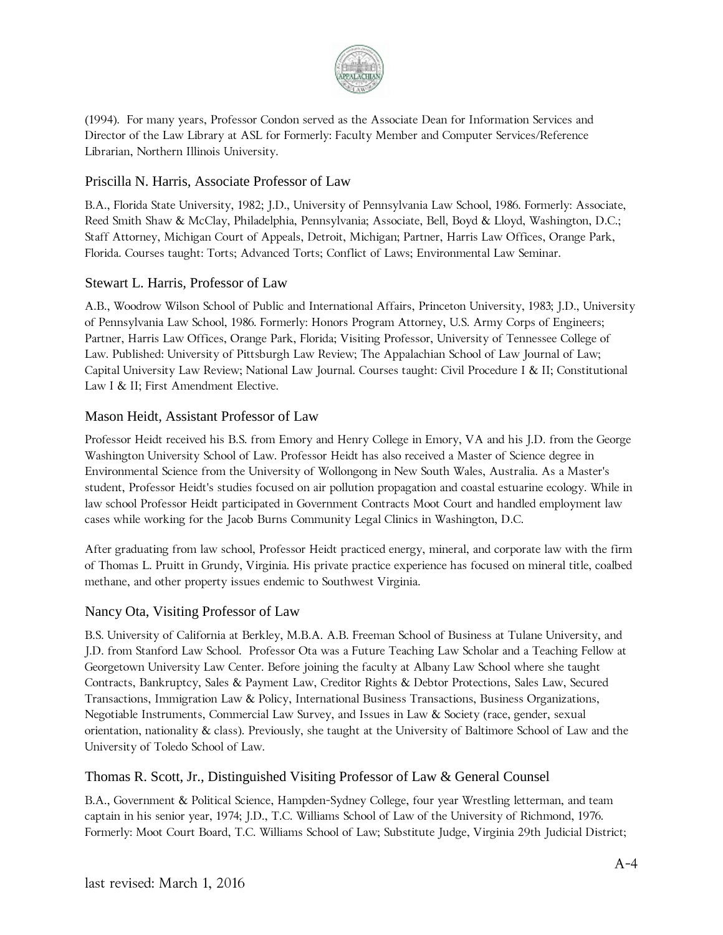

(1994). For many years, Professor Condon served as the Associate Dean for Information Services and Director of the Law Library at ASL for Formerly: Faculty Member and Computer Services/Reference Librarian, Northern Illinois University.

#### Priscilla N. Harris, Associate Professor of Law

B.A., Florida State University, 1982; J.D., University of Pennsylvania Law School, 1986. Formerly: Associate, Reed Smith Shaw & McClay, Philadelphia, Pennsylvania; Associate, Bell, Boyd & Lloyd, Washington, D.C.; Staff Attorney, Michigan Court of Appeals, Detroit, Michigan; Partner, Harris Law Offices, Orange Park, Florida. Courses taught: Torts; Advanced Torts; Conflict of Laws; Environmental Law Seminar.

### Stewart L. Harris, Professor of Law

A.B., Woodrow Wilson School of Public and International Affairs, Princeton University, 1983; J.D., University of Pennsylvania Law School, 1986. Formerly: Honors Program Attorney, U.S. Army Corps of Engineers; Partner, Harris Law Offices, Orange Park, Florida; Visiting Professor, University of Tennessee College of Law. Published: University of Pittsburgh Law Review; The Appalachian School of Law Journal of Law; Capital University Law Review; National Law Journal. Courses taught: Civil Procedure I & II; Constitutional Law I & II; First Amendment Elective.

### Mason Heidt, Assistant Professor of Law

Professor Heidt received his B.S. from Emory and Henry College in Emory, VA and his J.D. from the George Washington University School of Law. Professor Heidt has also received a Master of Science degree in Environmental Science from the University of Wollongong in New South Wales, Australia. As a Master's student, Professor Heidt's studies focused on air pollution propagation and coastal estuarine ecology. While in law school Professor Heidt participated in Government Contracts Moot Court and handled employment law cases while working for the Jacob Burns Community Legal Clinics in Washington, D.C.

After graduating from law school, Professor Heidt practiced energy, mineral, and corporate law with the firm of Thomas L. Pruitt in Grundy, Virginia. His private practice experience has focused on mineral title, coalbed methane, and other property issues endemic to Southwest Virginia.

#### Nancy Ota, Visiting Professor of Law

B.S. University of California at Berkley, M.B.A. A.B. Freeman School of Business at Tulane University, and J.D. from Stanford Law School. Professor Ota was a Future Teaching Law Scholar and a Teaching Fellow at Georgetown University Law Center. Before joining the faculty at Albany Law School where she taught Contracts, Bankruptcy, Sales & Payment Law, Creditor Rights & Debtor Protections, Sales Law, Secured Transactions, Immigration Law & Policy, International Business Transactions, Business Organizations, Negotiable Instruments, Commercial Law Survey, and Issues in Law & Society (race, gender, sexual orientation, nationality & class). Previously, she taught at the University of Baltimore School of Law and the University of Toledo School of Law.

#### Thomas R. Scott, Jr., Distinguished Visiting Professor of Law & General Counsel

B.A., Government & Political Science, Hampden-Sydney College, four year Wrestling letterman, and team captain in his senior year, 1974; J.D., T.C. Williams School of Law of the University of Richmond, 1976. Formerly: Moot Court Board, T.C. Williams School of Law; Substitute Judge, Virginia 29th Judicial District;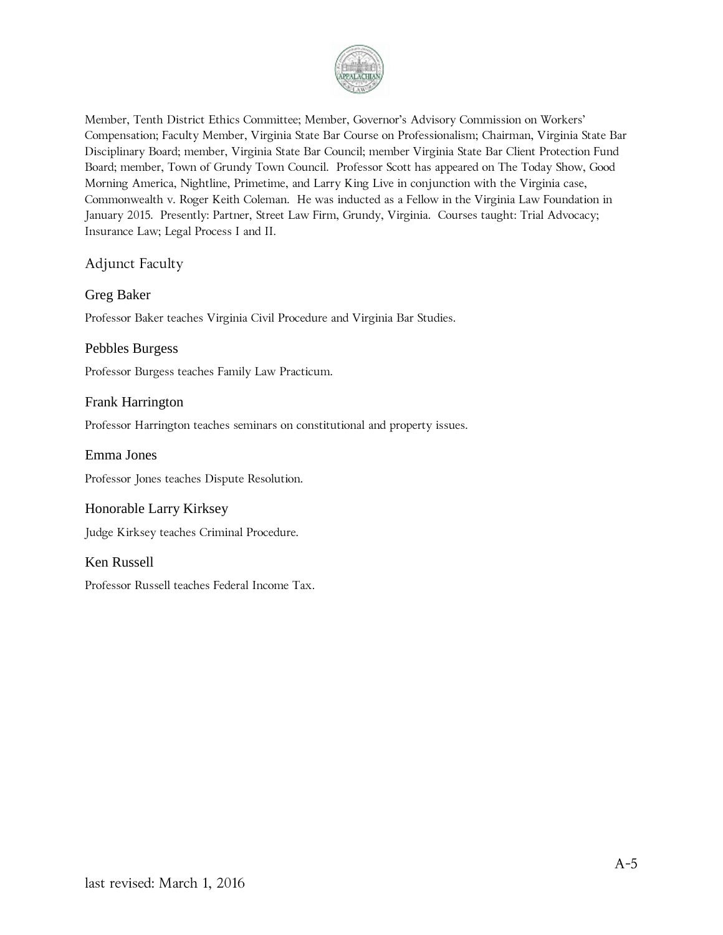

Member, Tenth District Ethics Committee; Member, Governor's Advisory Commission on Workers' Compensation; Faculty Member, Virginia State Bar Course on Professionalism; Chairman, Virginia State Bar Disciplinary Board; member, Virginia State Bar Council; member Virginia State Bar Client Protection Fund Board; member, Town of Grundy Town Council. Professor Scott has appeared on The Today Show, Good Morning America, Nightline, Primetime, and Larry King Live in conjunction with the Virginia case, Commonwealth v. Roger Keith Coleman. He was inducted as a Fellow in the Virginia Law Foundation in January 2015. Presently: Partner, Street Law Firm, Grundy, Virginia. Courses taught: Trial Advocacy; Insurance Law; Legal Process I and II.

Adjunct Faculty

### Greg Baker

Professor Baker teaches Virginia Civil Procedure and Virginia Bar Studies.

#### Pebbles Burgess

Professor Burgess teaches Family Law Practicum.

#### Frank Harrington

Professor Harrington teaches seminars on constitutional and property issues.

#### Emma Jones

Professor Jones teaches Dispute Resolution.

#### Honorable Larry Kirksey

Judge Kirksey teaches Criminal Procedure.

#### Ken Russell

Professor Russell teaches Federal Income Tax.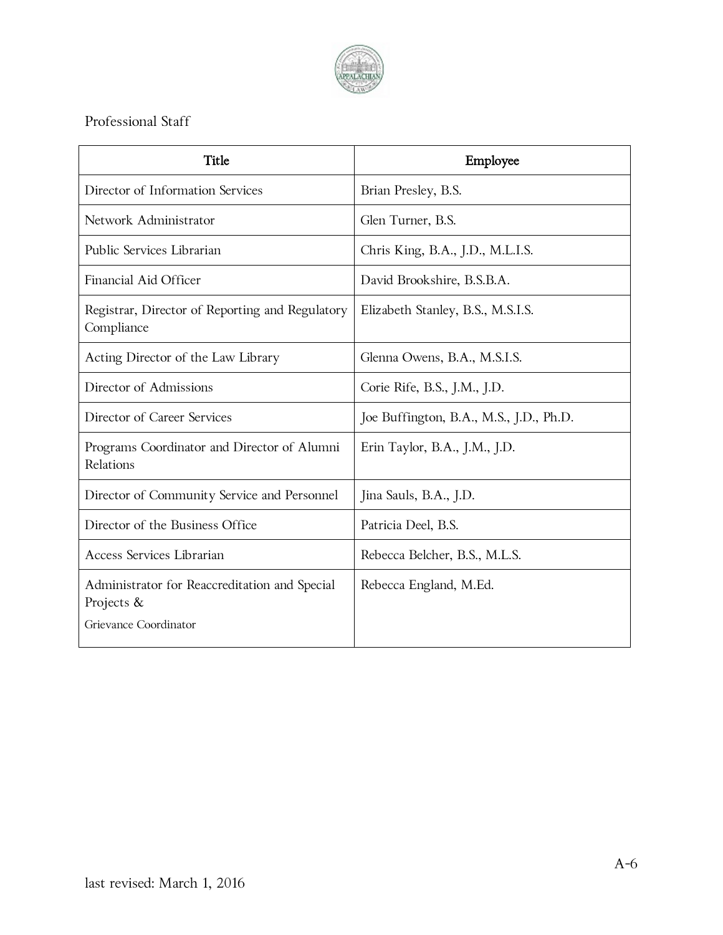

# Professional Staff

| Title                                                                                | Employee                                |
|--------------------------------------------------------------------------------------|-----------------------------------------|
| Director of Information Services                                                     | Brian Presley, B.S.                     |
| Network Administrator                                                                | Glen Turner, B.S.                       |
| Public Services Librarian                                                            | Chris King, B.A., J.D., M.L.I.S.        |
| Financial Aid Officer                                                                | David Brookshire, B.S.B.A.              |
| Registrar, Director of Reporting and Regulatory<br>Compliance                        | Elizabeth Stanley, B.S., M.S.I.S.       |
| Acting Director of the Law Library                                                   | Glenna Owens, B.A., M.S.I.S.            |
| Director of Admissions                                                               | Corie Rife, B.S., J.M., J.D.            |
| Director of Career Services                                                          | Joe Buffington, B.A., M.S., J.D., Ph.D. |
| Programs Coordinator and Director of Alumni<br>Relations                             | Erin Taylor, B.A., J.M., J.D.           |
| Director of Community Service and Personnel                                          | Jina Sauls, B.A., J.D.                  |
| Director of the Business Office                                                      | Patricia Deel, B.S.                     |
| Access Services Librarian                                                            | Rebecca Belcher, B.S., M.L.S.           |
| Administrator for Reaccreditation and Special<br>Projects &<br>Grievance Coordinator | Rebecca England, M.Ed.                  |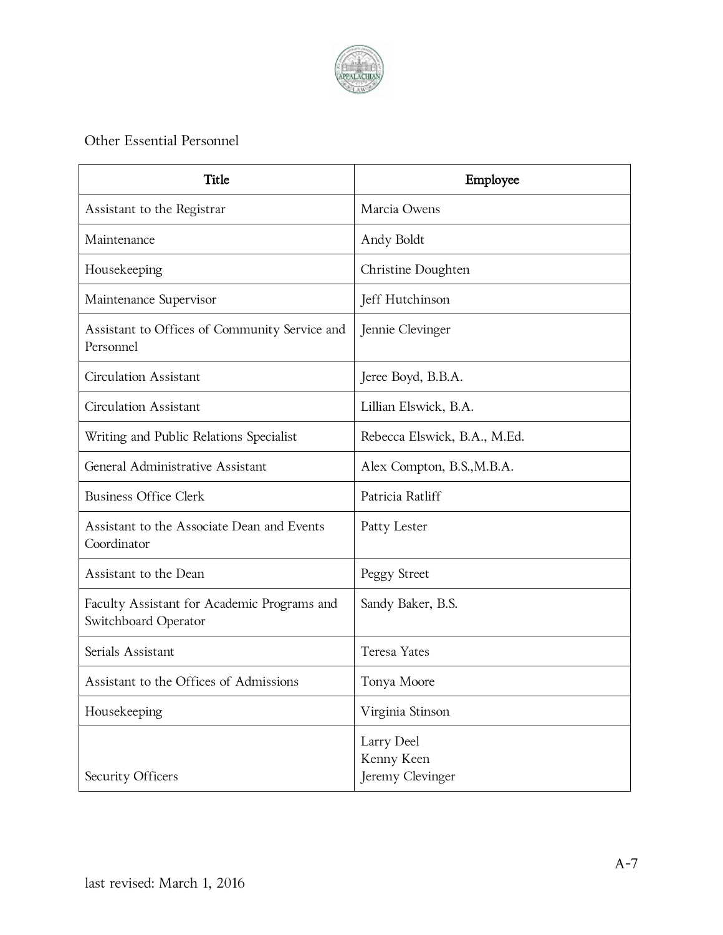

# Other Essential Personnel

| Title                                                               | Employee                                     |
|---------------------------------------------------------------------|----------------------------------------------|
| Assistant to the Registrar                                          | Marcia Owens                                 |
| Maintenance                                                         | Andy Boldt                                   |
| Housekeeping                                                        | Christine Doughten                           |
| Maintenance Supervisor                                              | Jeff Hutchinson                              |
| Assistant to Offices of Community Service and<br>Personnel          | Jennie Clevinger                             |
| Circulation Assistant                                               | Jeree Boyd, B.B.A.                           |
| <b>Circulation Assistant</b>                                        | Lillian Elswick, B.A.                        |
| Writing and Public Relations Specialist                             | Rebecca Elswick, B.A., M.Ed.                 |
| General Administrative Assistant                                    | Alex Compton, B.S., M.B.A.                   |
| <b>Business Office Clerk</b>                                        | Patricia Ratliff                             |
| Assistant to the Associate Dean and Events<br>Coordinator           | Patty Lester                                 |
| Assistant to the Dean                                               | Peggy Street                                 |
| Faculty Assistant for Academic Programs and<br>Switchboard Operator | Sandy Baker, B.S.                            |
| Serials Assistant                                                   | <b>Teresa Yates</b>                          |
| Assistant to the Offices of Admissions                              | Tonya Moore                                  |
| Housekeeping                                                        | Virginia Stinson                             |
| Security Officers                                                   | Larry Deel<br>Kenny Keen<br>Jeremy Clevinger |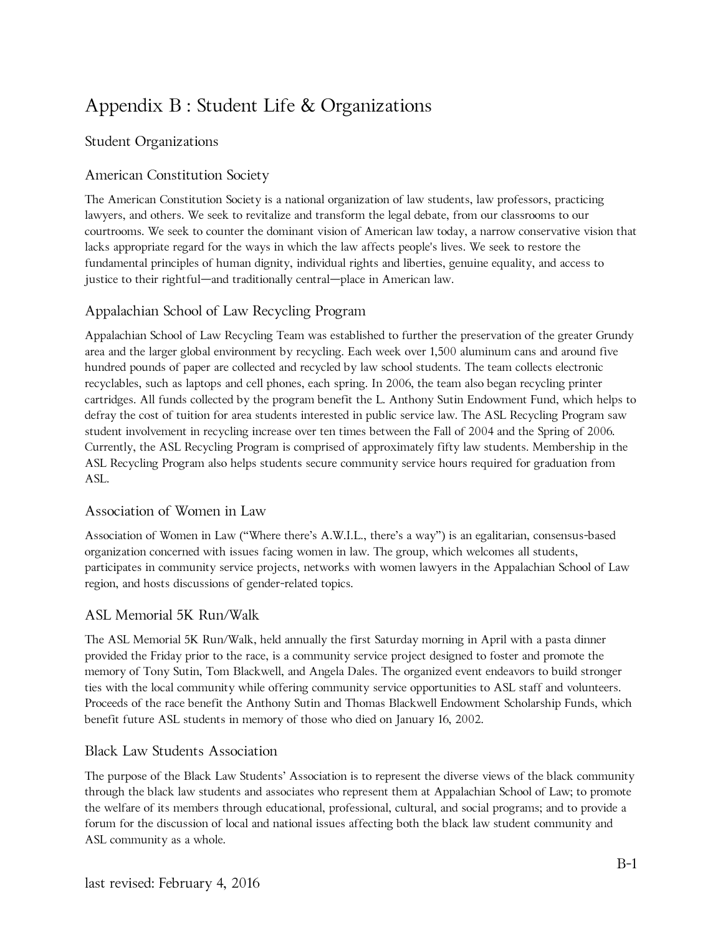# Appendix B : Student Life & Organizations

## Student Organizations

## American Constitution Society

The American Constitution Society is a national organization of law students, law professors, practicing lawyers, and others. We seek to revitalize and transform the legal debate, from our classrooms to our courtrooms. We seek to counter the dominant vision of American law today, a narrow conservative vision that lacks appropriate regard for the ways in which the law affects people's lives. We seek to restore the fundamental principles of human dignity, individual rights and liberties, genuine equality, and access to justice to their rightful—and traditionally central—place in American law.

## Appalachian School of Law Recycling Program

Appalachian School of Law Recycling Team was established to further the preservation of the greater Grundy area and the larger global environment by recycling. Each week over 1,500 aluminum cans and around five hundred pounds of paper are collected and recycled by law school students. The team collects electronic recyclables, such as laptops and cell phones, each spring. In 2006, the team also began recycling printer cartridges. All funds collected by the program benefit the L. Anthony Sutin Endowment Fund, which helps to defray the cost of tuition for area students interested in public service law. The ASL Recycling Program saw student involvement in recycling increase over ten times between the Fall of 2004 and the Spring of 2006. Currently, the ASL Recycling Program is comprised of approximately fifty law students. Membership in the ASL Recycling Program also helps students secure community service hours required for graduation from ASL.

## Association of Women in Law

Association of Women in Law ("Where there's A.W.I.L., there's a way") is an egalitarian, consensus-based organization concerned with issues facing women in law. The group, which welcomes all students, participates in community service projects, networks with women lawyers in the Appalachian School of Law region, and hosts discussions of gender-related topics.

## ASL Memorial 5K Run/Walk

The ASL Memorial 5K Run/Walk, held annually the first Saturday morning in April with a pasta dinner provided the Friday prior to the race, is a community service project designed to foster and promote the memory of Tony Sutin, Tom Blackwell, and Angela Dales. The organized event endeavors to build stronger ties with the local community while offering community service opportunities to ASL staff and volunteers. Proceeds of the race benefit the Anthony Sutin and Thomas Blackwell Endowment Scholarship Funds, which benefit future ASL students in memory of those who died on January 16, 2002.

#### Black Law Students Association

The purpose of the Black Law Students' Association is to represent the diverse views of the black community through the black law students and associates who represent them at Appalachian School of Law; to promote the welfare of its members through educational, professional, cultural, and social programs; and to provide a forum for the discussion of local and national issues affecting both the black law student community and ASL community as a whole.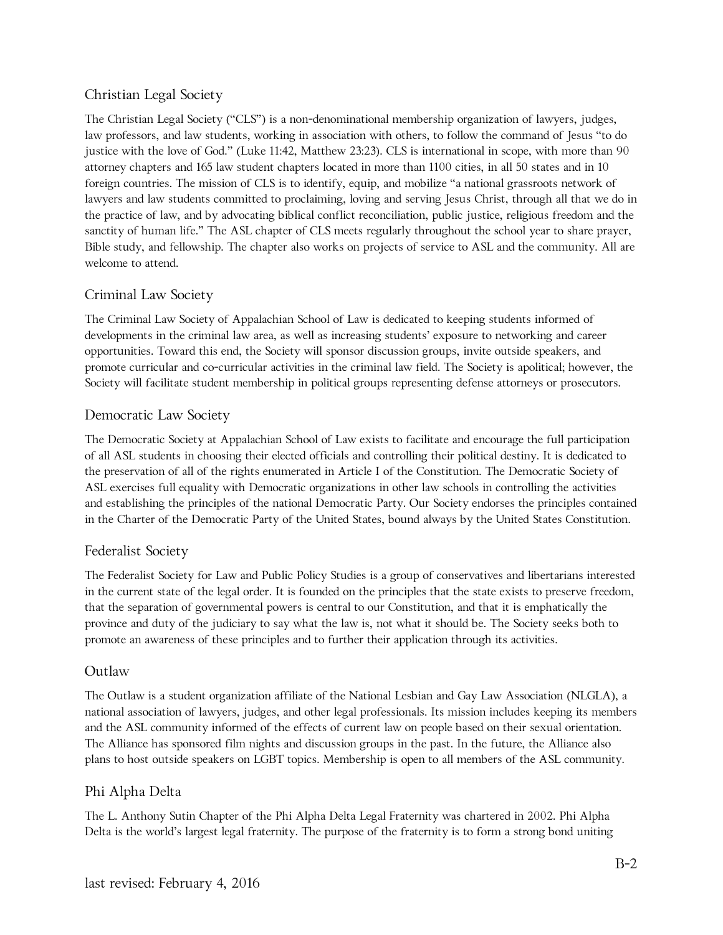## Christian Legal Society

The Christian Legal Society ("CLS") is a non-denominational membership organization of lawyers, judges, law professors, and law students, working in association with others, to follow the command of Jesus "to do justice with the love of God." (Luke 11:42, Matthew 23:23). CLS is international in scope, with more than 90 attorney chapters and 165 law student chapters located in more than 1100 cities, in all 50 states and in 10 foreign countries. The mission of CLS is to identify, equip, and mobilize "a national grassroots network of lawyers and law students committed to proclaiming, loving and serving Jesus Christ, through all that we do in the practice of law, and by advocating biblical conflict reconciliation, public justice, religious freedom and the sanctity of human life." The ASL chapter of CLS meets regularly throughout the school year to share prayer, Bible study, and fellowship. The chapter also works on projects of service to ASL and the community. All are welcome to attend.

## Criminal Law Society

The Criminal Law Society of Appalachian School of Law is dedicated to keeping students informed of developments in the criminal law area, as well as increasing students' exposure to networking and career opportunities. Toward this end, the Society will sponsor discussion groups, invite outside speakers, and promote curricular and co-curricular activities in the criminal law field. The Society is apolitical; however, the Society will facilitate student membership in political groups representing defense attorneys or prosecutors.

## Democratic Law Society

The Democratic Society at Appalachian School of Law exists to facilitate and encourage the full participation of all ASL students in choosing their elected officials and controlling their political destiny. It is dedicated to the preservation of all of the rights enumerated in Article I of the Constitution. The Democratic Society of ASL exercises full equality with Democratic organizations in other law schools in controlling the activities and establishing the principles of the national Democratic Party. Our Society endorses the principles contained in the Charter of the Democratic Party of the United States, bound always by the United States Constitution.

## Federalist Society

The Federalist Society for Law and Public Policy Studies is a group of conservatives and libertarians interested in the current state of the legal order. It is founded on the principles that the state exists to preserve freedom, that the separation of governmental powers is central to our Constitution, and that it is emphatically the province and duty of the judiciary to say what the law is, not what it should be. The Society seeks both to promote an awareness of these principles and to further their application through its activities.

## Outlaw

The Outlaw is a student organization affiliate of the National Lesbian and Gay Law Association (NLGLA), a national association of lawyers, judges, and other legal professionals. Its mission includes keeping its members and the ASL community informed of the effects of current law on people based on their sexual orientation. The Alliance has sponsored film nights and discussion groups in the past. In the future, the Alliance also plans to host outside speakers on LGBT topics. Membership is open to all members of the ASL community.

# Phi Alpha Delta

The L. Anthony Sutin Chapter of the Phi Alpha Delta Legal Fraternity was chartered in 2002. Phi Alpha Delta is the world's largest legal fraternity. The purpose of the fraternity is to form a strong bond uniting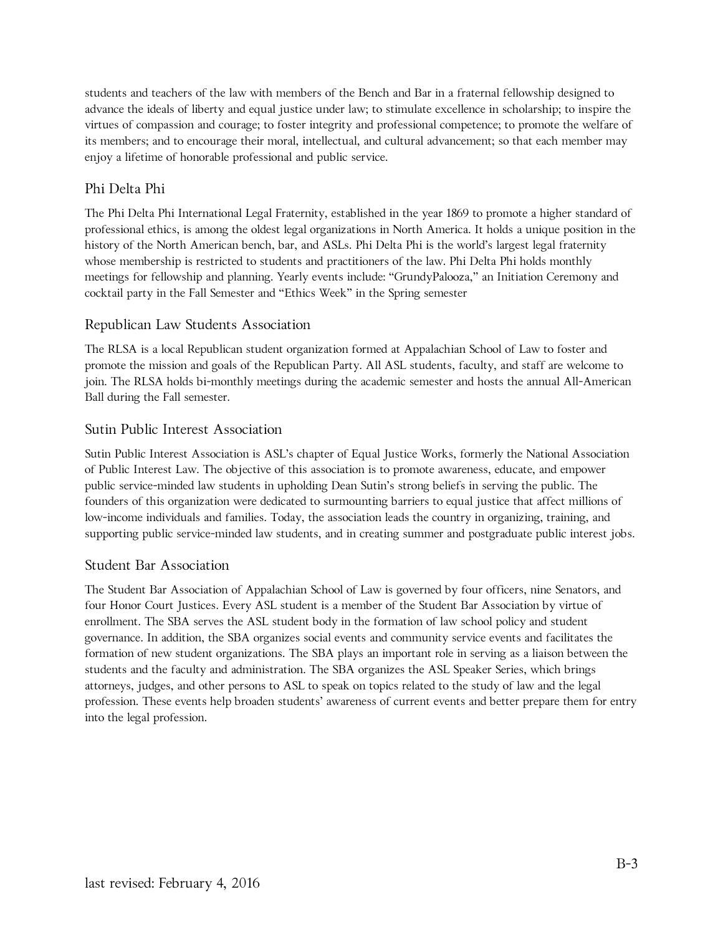students and teachers of the law with members of the Bench and Bar in a fraternal fellowship designed to advance the ideals of liberty and equal justice under law; to stimulate excellence in scholarship; to inspire the virtues of compassion and courage; to foster integrity and professional competence; to promote the welfare of its members; and to encourage their moral, intellectual, and cultural advancement; so that each member may enjoy a lifetime of honorable professional and public service.

#### Phi Delta Phi

The Phi Delta Phi International Legal Fraternity, established in the year 1869 to promote a higher standard of professional ethics, is among the oldest legal organizations in North America. It holds a unique position in the history of the North American bench, bar, and ASLs. Phi Delta Phi is the world's largest legal fraternity whose membership is restricted to students and practitioners of the law. Phi Delta Phi holds monthly meetings for fellowship and planning. Yearly events include: "GrundyPalooza," an Initiation Ceremony and cocktail party in the Fall Semester and "Ethics Week" in the Spring semester

### Republican Law Students Association

The RLSA is a local Republican student organization formed at Appalachian School of Law to foster and promote the mission and goals of the Republican Party. All ASL students, faculty, and staff are welcome to join. The RLSA holds bi-monthly meetings during the academic semester and hosts the annual All-American Ball during the Fall semester.

#### Sutin Public Interest Association

Sutin Public Interest Association is ASL's chapter of Equal Justice Works, formerly the National Association of Public Interest Law. The objective of this association is to promote awareness, educate, and empower public service-minded law students in upholding Dean Sutin's strong beliefs in serving the public. The founders of this organization were dedicated to surmounting barriers to equal justice that affect millions of low-income individuals and families. Today, the association leads the country in organizing, training, and supporting public service-minded law students, and in creating summer and postgraduate public interest jobs.

#### Student Bar Association

The Student Bar Association of Appalachian School of Law is governed by four officers, nine Senators, and four Honor Court Justices. Every ASL student is a member of the Student Bar Association by virtue of enrollment. The SBA serves the ASL student body in the formation of law school policy and student governance. In addition, the SBA organizes social events and community service events and facilitates the formation of new student organizations. The SBA plays an important role in serving as a liaison between the students and the faculty and administration. The SBA organizes the ASL Speaker Series, which brings attorneys, judges, and other persons to ASL to speak on topics related to the study of law and the legal profession. These events help broaden students' awareness of current events and better prepare them for entry into the legal profession.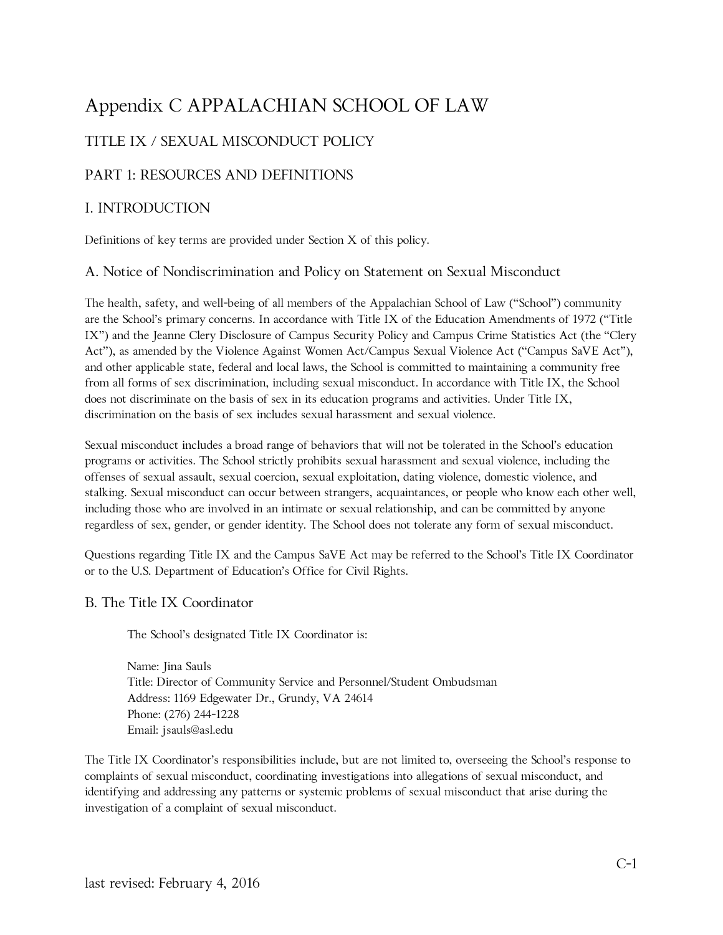# Appendix C APPALACHIAN SCHOOL OF LAW

# TITLE IX / SEXUAL MISCONDUCT POLICY

## PART 1: RESOURCES AND DEFINITIONS

### I. INTRODUCTION

Definitions of key terms are provided under Section X of this policy.

#### A. Notice of Nondiscrimination and Policy on Statement on Sexual Misconduct

The health, safety, and well-being of all members of the Appalachian School of Law ("School") community are the School's primary concerns. In accordance with Title IX of the Education Amendments of 1972 ("Title IX") and the Jeanne Clery Disclosure of Campus Security Policy and Campus Crime Statistics Act (the "Clery Act"), as amended by the Violence Against Women Act/Campus Sexual Violence Act ("Campus SaVE Act"), and other applicable state, federal and local laws, the School is committed to maintaining a community free from all forms of sex discrimination, including sexual misconduct. In accordance with Title IX, the School does not discriminate on the basis of sex in its education programs and activities. Under Title IX, discrimination on the basis of sex includes sexual harassment and sexual violence.

Sexual misconduct includes a broad range of behaviors that will not be tolerated in the School's education programs or activities. The School strictly prohibits sexual harassment and sexual violence, including the offenses of sexual assault, sexual coercion, sexual exploitation, dating violence, domestic violence, and stalking. Sexual misconduct can occur between strangers, acquaintances, or people who know each other well, including those who are involved in an intimate or sexual relationship, and can be committed by anyone regardless of sex, gender, or gender identity. The School does not tolerate any form of sexual misconduct.

Questions regarding Title IX and the Campus SaVE Act may be referred to the School's Title IX Coordinator or to the U.S. Department of Education's Office for Civil Rights.

#### B. The Title IX Coordinator

The School's designated Title IX Coordinator is:

Name: Jina Sauls Title: Director of Community Service and Personnel/Student Ombudsman Address: 1169 Edgewater Dr., Grundy, VA 24614 Phone: (276) 244-1228 Email: jsauls@asl.edu

The Title IX Coordinator's responsibilities include, but are not limited to, overseeing the School's response to complaints of sexual misconduct, coordinating investigations into allegations of sexual misconduct, and identifying and addressing any patterns or systemic problems of sexual misconduct that arise during the investigation of a complaint of sexual misconduct.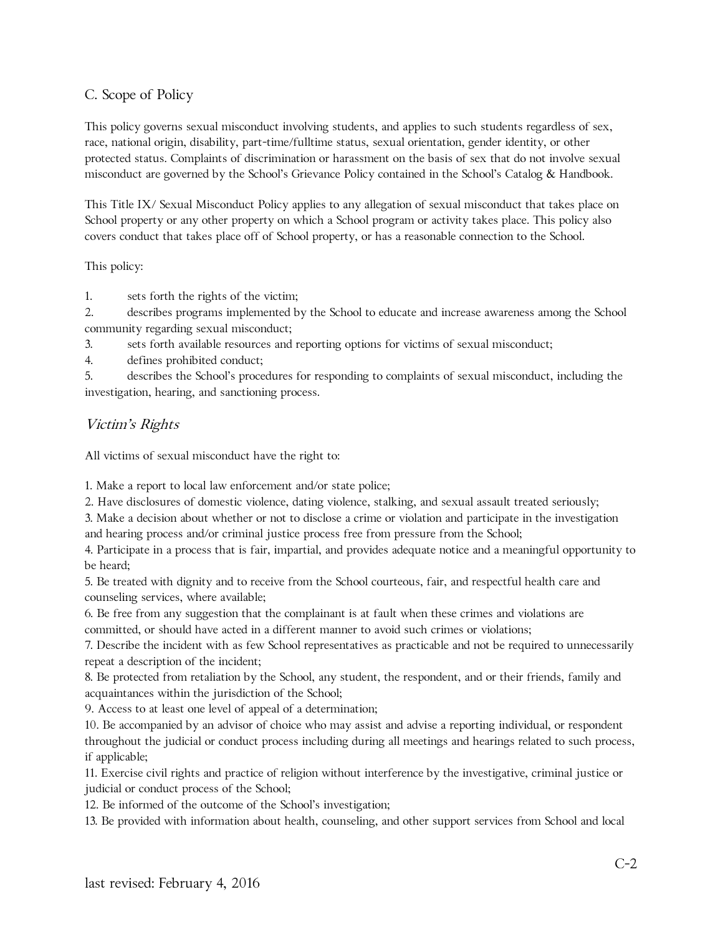## C. Scope of Policy

This policy governs sexual misconduct involving students, and applies to such students regardless of sex, race, national origin, disability, part-time/fulltime status, sexual orientation, gender identity, or other protected status. Complaints of discrimination or harassment on the basis of sex that do not involve sexual misconduct are governed by the School's Grievance Policy contained in the School's Catalog & Handbook.

This Title IX/ Sexual Misconduct Policy applies to any allegation of sexual misconduct that takes place on School property or any other property on which a School program or activity takes place. This policy also covers conduct that takes place off of School property, or has a reasonable connection to the School.

#### This policy:

1. sets forth the rights of the victim;

2. describes programs implemented by the School to educate and increase awareness among the School community regarding sexual misconduct;

3. sets forth available resources and reporting options for victims of sexual misconduct;

4. defines prohibited conduct;

5. describes the School's procedures for responding to complaints of sexual misconduct, including the investigation, hearing, and sanctioning process.

## Victim's Rights

All victims of sexual misconduct have the right to:

1. Make a report to local law enforcement and/or state police;

2. Have disclosures of domestic violence, dating violence, stalking, and sexual assault treated seriously;

3. Make a decision about whether or not to disclose a crime or violation and participate in the investigation and hearing process and/or criminal justice process free from pressure from the School;

4. Participate in a process that is fair, impartial, and provides adequate notice and a meaningful opportunity to be heard;

5. Be treated with dignity and to receive from the School courteous, fair, and respectful health care and counseling services, where available;

6. Be free from any suggestion that the complainant is at fault when these crimes and violations are committed, or should have acted in a different manner to avoid such crimes or violations;

7. Describe the incident with as few School representatives as practicable and not be required to unnecessarily repeat a description of the incident;

8. Be protected from retaliation by the School, any student, the respondent, and or their friends, family and acquaintances within the jurisdiction of the School;

9. Access to at least one level of appeal of a determination;

10. Be accompanied by an advisor of choice who may assist and advise a reporting individual, or respondent throughout the judicial or conduct process including during all meetings and hearings related to such process, if applicable;

11. Exercise civil rights and practice of religion without interference by the investigative, criminal justice or judicial or conduct process of the School;

12. Be informed of the outcome of the School's investigation;

13. Be provided with information about health, counseling, and other support services from School and local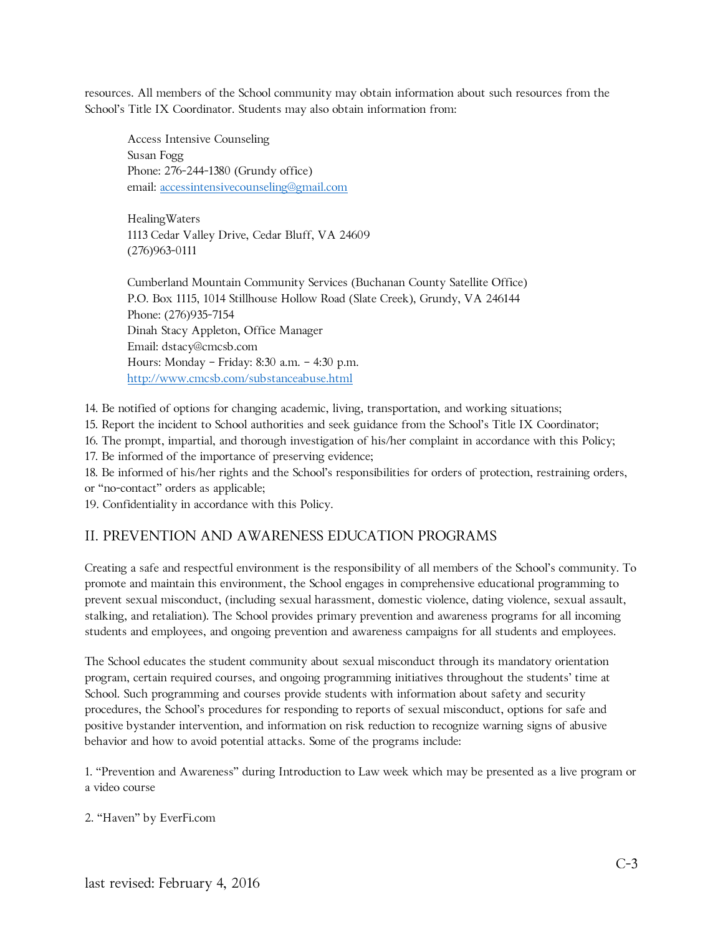resources. All members of the School community may obtain information about such resources from the School's Title IX Coordinator. Students may also obtain information from:

Access Intensive Counseling Susan Fogg Phone: 276-244-1380 (Grundy office) email: [accessintensivecounseling@gmail.com](mailto:accessintensivecounseling@gmail.com)

HealingWaters 1113 Cedar Valley Drive, Cedar Bluff, VA 24609 (276)963-0111

Cumberland Mountain Community Services (Buchanan County Satellite Office) P.O. Box 1115, 1014 Stillhouse Hollow Road (Slate Creek), Grundy, VA 246144 Phone: (276)935-7154 Dinah Stacy Appleton, Office Manager Email: dstacy@cmcsb.com Hours: Monday – Friday: 8:30 a.m. – 4:30 p.m. <http://www.cmcsb.com/substanceabuse.html>

14. Be notified of options for changing academic, living, transportation, and working situations;

15. Report the incident to School authorities and seek guidance from the School's Title IX Coordinator;

16. The prompt, impartial, and thorough investigation of his/her complaint in accordance with this Policy;

17. Be informed of the importance of preserving evidence;

18. Be informed of his/her rights and the School's responsibilities for orders of protection, restraining orders,

or "no-contact" orders as applicable;

19. Confidentiality in accordance with this Policy.

#### II. PREVENTION AND AWARENESS EDUCATION PROGRAMS

Creating a safe and respectful environment is the responsibility of all members of the School's community. To promote and maintain this environment, the School engages in comprehensive educational programming to prevent sexual misconduct, (including sexual harassment, domestic violence, dating violence, sexual assault, stalking, and retaliation). The School provides primary prevention and awareness programs for all incoming students and employees, and ongoing prevention and awareness campaigns for all students and employees.

The School educates the student community about sexual misconduct through its mandatory orientation program, certain required courses, and ongoing programming initiatives throughout the students' time at School. Such programming and courses provide students with information about safety and security procedures, the School's procedures for responding to reports of sexual misconduct, options for safe and positive bystander intervention, and information on risk reduction to recognize warning signs of abusive behavior and how to avoid potential attacks. Some of the programs include:

1. "Prevention and Awareness" during Introduction to Law week which may be presented as a live program or a video course

2. "Haven" by EverFi.com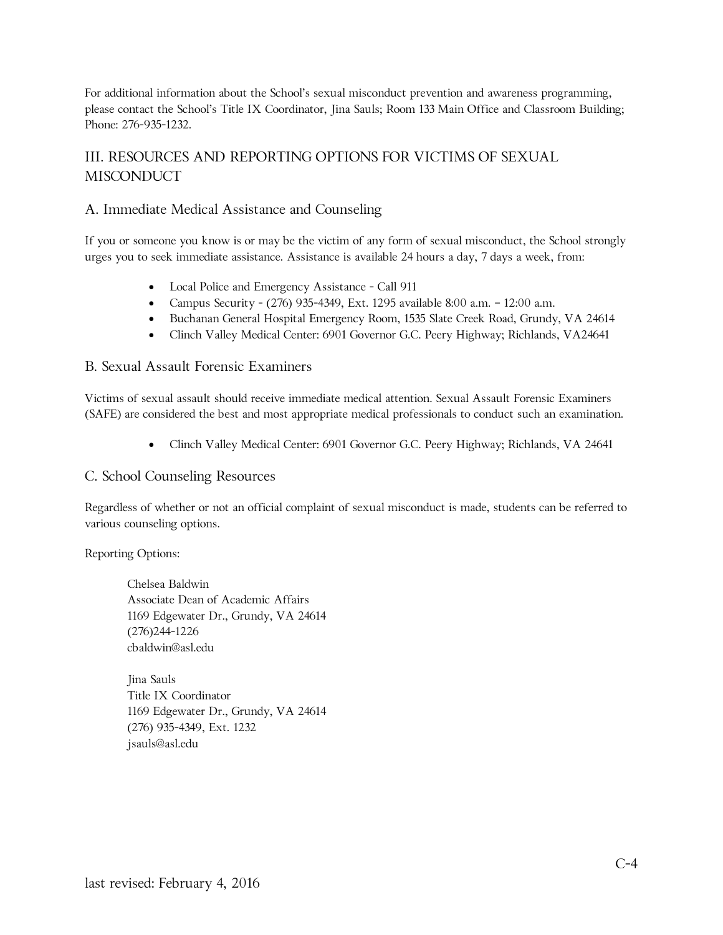For additional information about the School's sexual misconduct prevention and awareness programming, please contact the School's Title IX Coordinator, Jina Sauls; Room 133 Main Office and Classroom Building; Phone: 276-935-1232.

# III. RESOURCES AND REPORTING OPTIONS FOR VICTIMS OF SEXUAL **MISCONDUCT**

### A. Immediate Medical Assistance and Counseling

If you or someone you know is or may be the victim of any form of sexual misconduct, the School strongly urges you to seek immediate assistance. Assistance is available 24 hours a day, 7 days a week, from:

- Local Police and Emergency Assistance Call 911
- Campus Security (276) 935-4349, Ext. 1295 available 8:00 a.m. 12:00 a.m.
- Buchanan General Hospital Emergency Room, 1535 Slate Creek Road, Grundy, VA 24614
- Clinch Valley Medical Center: 6901 Governor G.C. Peery Highway; Richlands, VA24641

#### B. Sexual Assault Forensic Examiners

Victims of sexual assault should receive immediate medical attention. Sexual Assault Forensic Examiners (SAFE) are considered the best and most appropriate medical professionals to conduct such an examination.

• Clinch Valley Medical Center: 6901 Governor G.C. Peery Highway; Richlands, VA 24641

#### C. School Counseling Resources

Regardless of whether or not an official complaint of sexual misconduct is made, students can be referred to various counseling options.

Reporting Options:

Chelsea Baldwin Associate Dean of Academic Affairs 1169 Edgewater Dr., Grundy, VA 24614 (276)244-1226 cbaldwin@asl.edu

Jina Sauls Title IX Coordinator 1169 Edgewater Dr., Grundy, VA 24614 (276) 935-4349, Ext. 1232 jsauls@asl.edu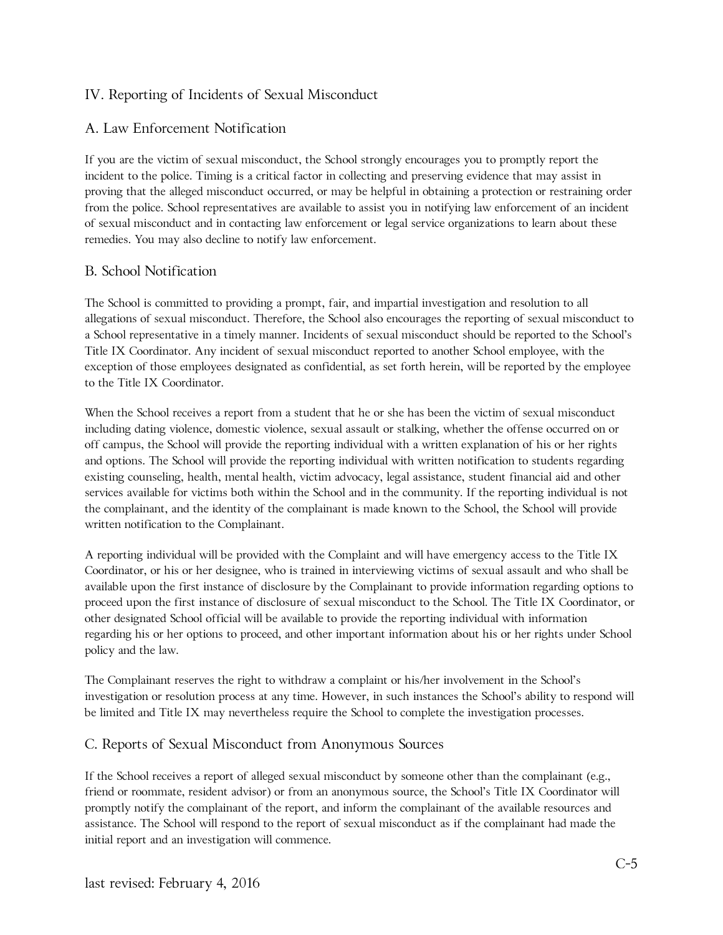## IV. Reporting of Incidents of Sexual Misconduct

### A. Law Enforcement Notification

If you are the victim of sexual misconduct, the School strongly encourages you to promptly report the incident to the police. Timing is a critical factor in collecting and preserving evidence that may assist in proving that the alleged misconduct occurred, or may be helpful in obtaining a protection or restraining order from the police. School representatives are available to assist you in notifying law enforcement of an incident of sexual misconduct and in contacting law enforcement or legal service organizations to learn about these remedies. You may also decline to notify law enforcement.

#### B. School Notification

The School is committed to providing a prompt, fair, and impartial investigation and resolution to all allegations of sexual misconduct. Therefore, the School also encourages the reporting of sexual misconduct to a School representative in a timely manner. Incidents of sexual misconduct should be reported to the School's Title IX Coordinator. Any incident of sexual misconduct reported to another School employee, with the exception of those employees designated as confidential, as set forth herein, will be reported by the employee to the Title IX Coordinator.

When the School receives a report from a student that he or she has been the victim of sexual misconduct including dating violence, domestic violence, sexual assault or stalking, whether the offense occurred on or off campus, the School will provide the reporting individual with a written explanation of his or her rights and options. The School will provide the reporting individual with written notification to students regarding existing counseling, health, mental health, victim advocacy, legal assistance, student financial aid and other services available for victims both within the School and in the community. If the reporting individual is not the complainant, and the identity of the complainant is made known to the School, the School will provide written notification to the Complainant.

A reporting individual will be provided with the Complaint and will have emergency access to the Title IX Coordinator, or his or her designee, who is trained in interviewing victims of sexual assault and who shall be available upon the first instance of disclosure by the Complainant to provide information regarding options to proceed upon the first instance of disclosure of sexual misconduct to the School. The Title IX Coordinator, or other designated School official will be available to provide the reporting individual with information regarding his or her options to proceed, and other important information about his or her rights under School policy and the law.

The Complainant reserves the right to withdraw a complaint or his/her involvement in the School's investigation or resolution process at any time. However, in such instances the School's ability to respond will be limited and Title IX may nevertheless require the School to complete the investigation processes.

#### C. Reports of Sexual Misconduct from Anonymous Sources

If the School receives a report of alleged sexual misconduct by someone other than the complainant (e.g., friend or roommate, resident advisor) or from an anonymous source, the School's Title IX Coordinator will promptly notify the complainant of the report, and inform the complainant of the available resources and assistance. The School will respond to the report of sexual misconduct as if the complainant had made the initial report and an investigation will commence.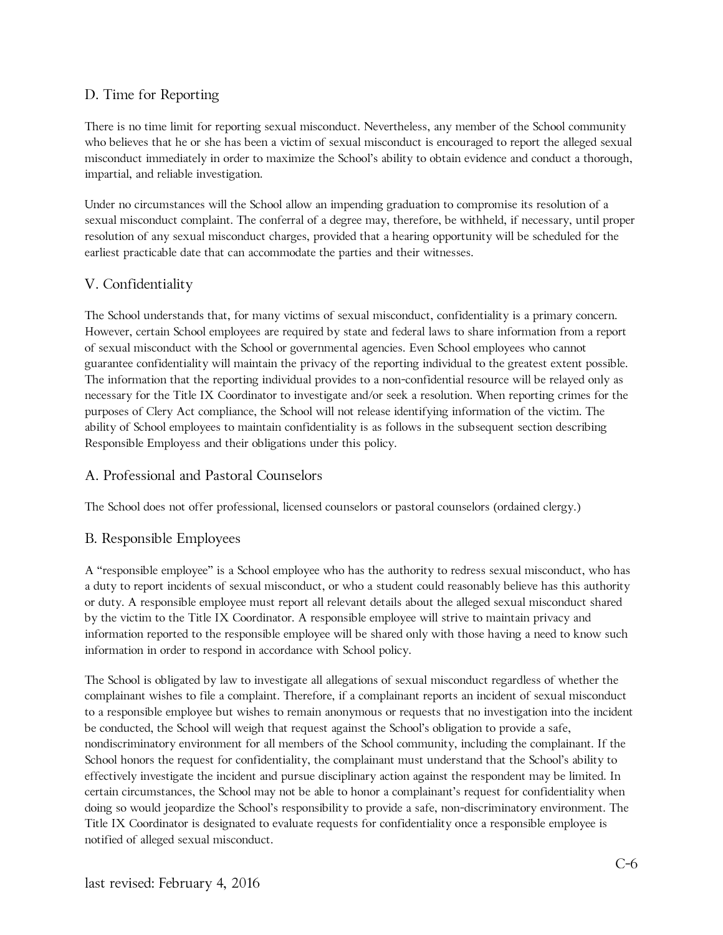## D. Time for Reporting

There is no time limit for reporting sexual misconduct. Nevertheless, any member of the School community who believes that he or she has been a victim of sexual misconduct is encouraged to report the alleged sexual misconduct immediately in order to maximize the School's ability to obtain evidence and conduct a thorough, impartial, and reliable investigation.

Under no circumstances will the School allow an impending graduation to compromise its resolution of a sexual misconduct complaint. The conferral of a degree may, therefore, be withheld, if necessary, until proper resolution of any sexual misconduct charges, provided that a hearing opportunity will be scheduled for the earliest practicable date that can accommodate the parties and their witnesses.

## V. Confidentiality

The School understands that, for many victims of sexual misconduct, confidentiality is a primary concern. However, certain School employees are required by state and federal laws to share information from a report of sexual misconduct with the School or governmental agencies. Even School employees who cannot guarantee confidentiality will maintain the privacy of the reporting individual to the greatest extent possible. The information that the reporting individual provides to a non-confidential resource will be relayed only as necessary for the Title IX Coordinator to investigate and/or seek a resolution. When reporting crimes for the purposes of Clery Act compliance, the School will not release identifying information of the victim. The ability of School employees to maintain confidentiality is as follows in the subsequent section describing Responsible Employess and their obligations under this policy.

## A. Professional and Pastoral Counselors

The School does not offer professional, licensed counselors or pastoral counselors (ordained clergy.)

## B. Responsible Employees

A "responsible employee" is a School employee who has the authority to redress sexual misconduct, who has a duty to report incidents of sexual misconduct, or who a student could reasonably believe has this authority or duty. A responsible employee must report all relevant details about the alleged sexual misconduct shared by the victim to the Title IX Coordinator. A responsible employee will strive to maintain privacy and information reported to the responsible employee will be shared only with those having a need to know such information in order to respond in accordance with School policy.

The School is obligated by law to investigate all allegations of sexual misconduct regardless of whether the complainant wishes to file a complaint. Therefore, if a complainant reports an incident of sexual misconduct to a responsible employee but wishes to remain anonymous or requests that no investigation into the incident be conducted, the School will weigh that request against the School's obligation to provide a safe, nondiscriminatory environment for all members of the School community, including the complainant. If the School honors the request for confidentiality, the complainant must understand that the School's ability to effectively investigate the incident and pursue disciplinary action against the respondent may be limited. In certain circumstances, the School may not be able to honor a complainant's request for confidentiality when doing so would jeopardize the School's responsibility to provide a safe, non-discriminatory environment. The Title IX Coordinator is designated to evaluate requests for confidentiality once a responsible employee is notified of alleged sexual misconduct.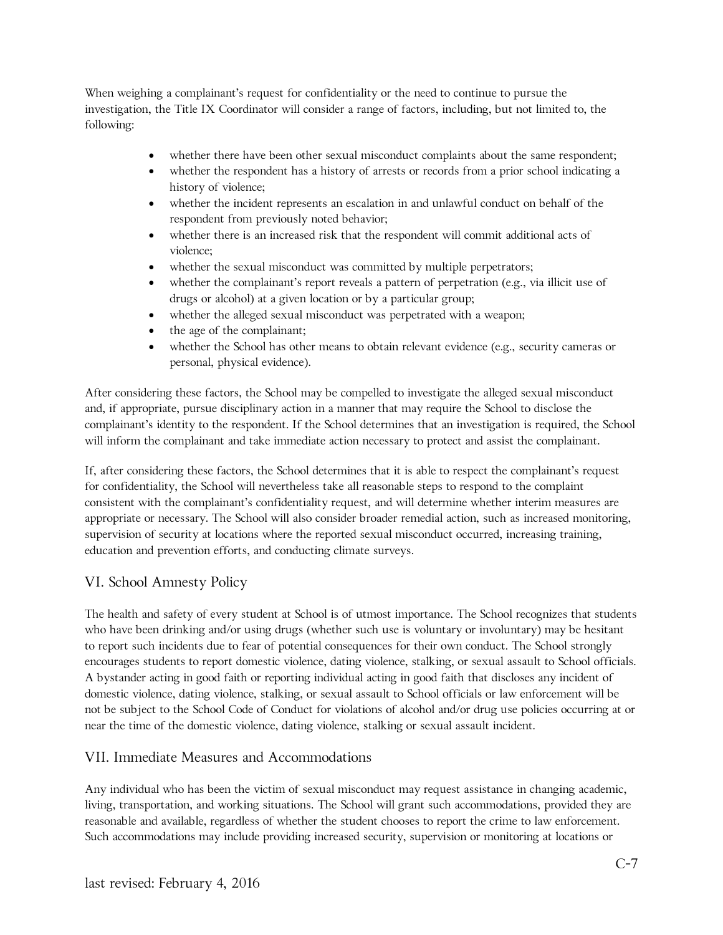When weighing a complainant's request for confidentiality or the need to continue to pursue the investigation, the Title IX Coordinator will consider a range of factors, including, but not limited to, the following:

- whether there have been other sexual misconduct complaints about the same respondent;
- whether the respondent has a history of arrests or records from a prior school indicating a history of violence;
- whether the incident represents an escalation in and unlawful conduct on behalf of the respondent from previously noted behavior;
- whether there is an increased risk that the respondent will commit additional acts of violence;
- whether the sexual misconduct was committed by multiple perpetrators;
- whether the complainant's report reveals a pattern of perpetration (e.g., via illicit use of drugs or alcohol) at a given location or by a particular group;
- whether the alleged sexual misconduct was perpetrated with a weapon;
- the age of the complainant;
- whether the School has other means to obtain relevant evidence (e.g., security cameras or personal, physical evidence).

After considering these factors, the School may be compelled to investigate the alleged sexual misconduct and, if appropriate, pursue disciplinary action in a manner that may require the School to disclose the complainant's identity to the respondent. If the School determines that an investigation is required, the School will inform the complainant and take immediate action necessary to protect and assist the complainant.

If, after considering these factors, the School determines that it is able to respect the complainant's request for confidentiality, the School will nevertheless take all reasonable steps to respond to the complaint consistent with the complainant's confidentiality request, and will determine whether interim measures are appropriate or necessary. The School will also consider broader remedial action, such as increased monitoring, supervision of security at locations where the reported sexual misconduct occurred, increasing training, education and prevention efforts, and conducting climate surveys.

## VI. School Amnesty Policy

The health and safety of every student at School is of utmost importance. The School recognizes that students who have been drinking and/or using drugs (whether such use is voluntary or involuntary) may be hesitant to report such incidents due to fear of potential consequences for their own conduct. The School strongly encourages students to report domestic violence, dating violence, stalking, or sexual assault to School officials. A bystander acting in good faith or reporting individual acting in good faith that discloses any incident of domestic violence, dating violence, stalking, or sexual assault to School officials or law enforcement will be not be subject to the School Code of Conduct for violations of alcohol and/or drug use policies occurring at or near the time of the domestic violence, dating violence, stalking or sexual assault incident.

#### VII. Immediate Measures and Accommodations

Any individual who has been the victim of sexual misconduct may request assistance in changing academic, living, transportation, and working situations. The School will grant such accommodations, provided they are reasonable and available, regardless of whether the student chooses to report the crime to law enforcement. Such accommodations may include providing increased security, supervision or monitoring at locations or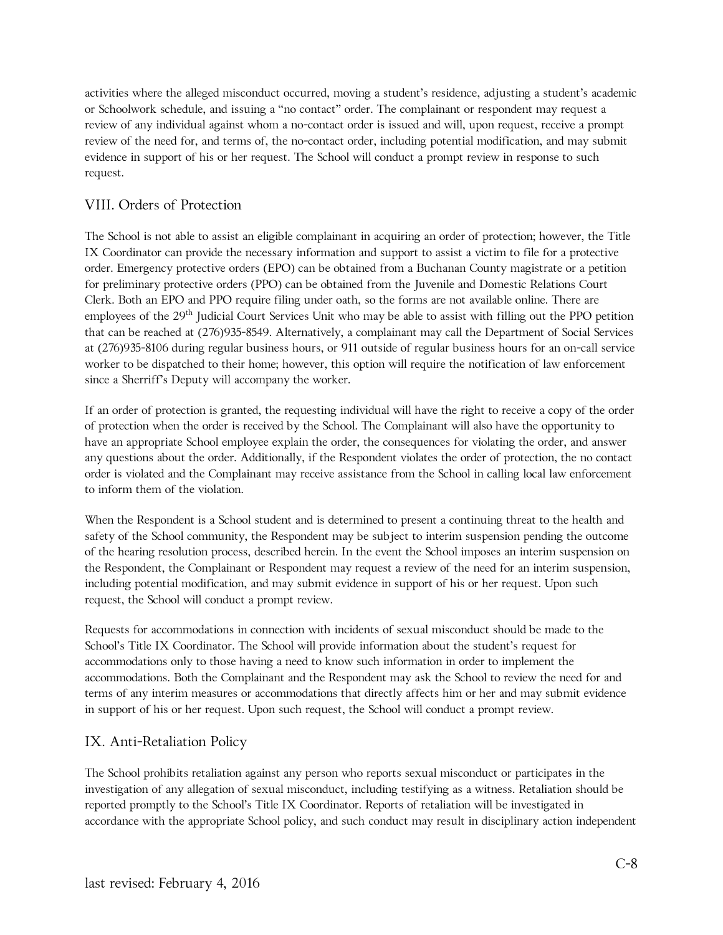activities where the alleged misconduct occurred, moving a student's residence, adjusting a student's academic or Schoolwork schedule, and issuing a "no contact" order. The complainant or respondent may request a review of any individual against whom a no-contact order is issued and will, upon request, receive a prompt review of the need for, and terms of, the no-contact order, including potential modification, and may submit evidence in support of his or her request. The School will conduct a prompt review in response to such request.

## VIII. Orders of Protection

The School is not able to assist an eligible complainant in acquiring an order of protection; however, the Title IX Coordinator can provide the necessary information and support to assist a victim to file for a protective order. Emergency protective orders (EPO) can be obtained from a Buchanan County magistrate or a petition for preliminary protective orders (PPO) can be obtained from the Juvenile and Domestic Relations Court Clerk. Both an EPO and PPO require filing under oath, so the forms are not available online. There are employees of the 29<sup>th</sup> Judicial Court Services Unit who may be able to assist with filling out the PPO petition that can be reached at (276)935-8549. Alternatively, a complainant may call the Department of Social Services at (276)935-8106 during regular business hours, or 911 outside of regular business hours for an on-call service worker to be dispatched to their home; however, this option will require the notification of law enforcement since a Sherriff's Deputy will accompany the worker.

If an order of protection is granted, the requesting individual will have the right to receive a copy of the order of protection when the order is received by the School. The Complainant will also have the opportunity to have an appropriate School employee explain the order, the consequences for violating the order, and answer any questions about the order. Additionally, if the Respondent violates the order of protection, the no contact order is violated and the Complainant may receive assistance from the School in calling local law enforcement to inform them of the violation.

When the Respondent is a School student and is determined to present a continuing threat to the health and safety of the School community, the Respondent may be subject to interim suspension pending the outcome of the hearing resolution process, described herein. In the event the School imposes an interim suspension on the Respondent, the Complainant or Respondent may request a review of the need for an interim suspension, including potential modification, and may submit evidence in support of his or her request. Upon such request, the School will conduct a prompt review.

Requests for accommodations in connection with incidents of sexual misconduct should be made to the School's Title IX Coordinator. The School will provide information about the student's request for accommodations only to those having a need to know such information in order to implement the accommodations. Both the Complainant and the Respondent may ask the School to review the need for and terms of any interim measures or accommodations that directly affects him or her and may submit evidence in support of his or her request. Upon such request, the School will conduct a prompt review.

## IX. Anti-Retaliation Policy

The School prohibits retaliation against any person who reports sexual misconduct or participates in the investigation of any allegation of sexual misconduct, including testifying as a witness. Retaliation should be reported promptly to the School's Title IX Coordinator. Reports of retaliation will be investigated in accordance with the appropriate School policy, and such conduct may result in disciplinary action independent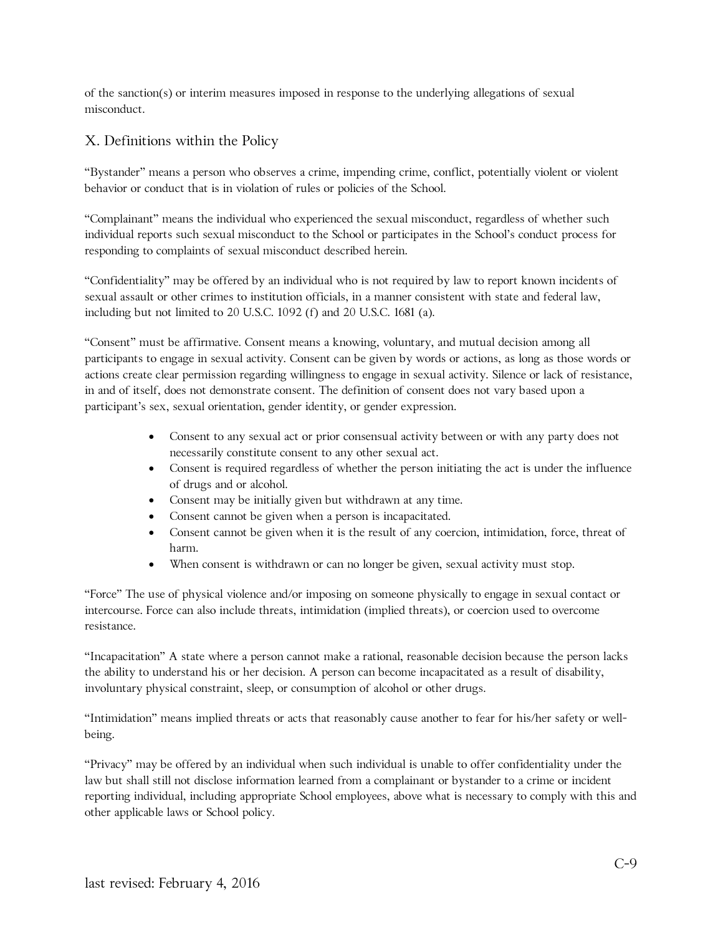of the sanction(s) or interim measures imposed in response to the underlying allegations of sexual misconduct.

## X. Definitions within the Policy

"Bystander" means a person who observes a crime, impending crime, conflict, potentially violent or violent behavior or conduct that is in violation of rules or policies of the School.

"Complainant" means the individual who experienced the sexual misconduct, regardless of whether such individual reports such sexual misconduct to the School or participates in the School's conduct process for responding to complaints of sexual misconduct described herein.

"Confidentiality" may be offered by an individual who is not required by law to report known incidents of sexual assault or other crimes to institution officials, in a manner consistent with state and federal law, including but not limited to 20 U.S.C. 1092 (f) and 20 U.S.C. 1681 (a).

"Consent" must be affirmative. Consent means a knowing, voluntary, and mutual decision among all participants to engage in sexual activity. Consent can be given by words or actions, as long as those words or actions create clear permission regarding willingness to engage in sexual activity. Silence or lack of resistance, in and of itself, does not demonstrate consent. The definition of consent does not vary based upon a participant's sex, sexual orientation, gender identity, or gender expression.

- Consent to any sexual act or prior consensual activity between or with any party does not necessarily constitute consent to any other sexual act.
- Consent is required regardless of whether the person initiating the act is under the influence of drugs and or alcohol.
- Consent may be initially given but withdrawn at any time.
- Consent cannot be given when a person is incapacitated.
- Consent cannot be given when it is the result of any coercion, intimidation, force, threat of harm.
- When consent is withdrawn or can no longer be given, sexual activity must stop.

"Force" The use of physical violence and/or imposing on someone physically to engage in sexual contact or intercourse. Force can also include threats, intimidation (implied threats), or coercion used to overcome resistance.

"Incapacitation" A state where a person cannot make a rational, reasonable decision because the person lacks the ability to understand his or her decision. A person can become incapacitated as a result of disability, involuntary physical constraint, sleep, or consumption of alcohol or other drugs.

"Intimidation" means implied threats or acts that reasonably cause another to fear for his/her safety or wellbeing.

"Privacy" may be offered by an individual when such individual is unable to offer confidentiality under the law but shall still not disclose information learned from a complainant or bystander to a crime or incident reporting individual, including appropriate School employees, above what is necessary to comply with this and other applicable laws or School policy.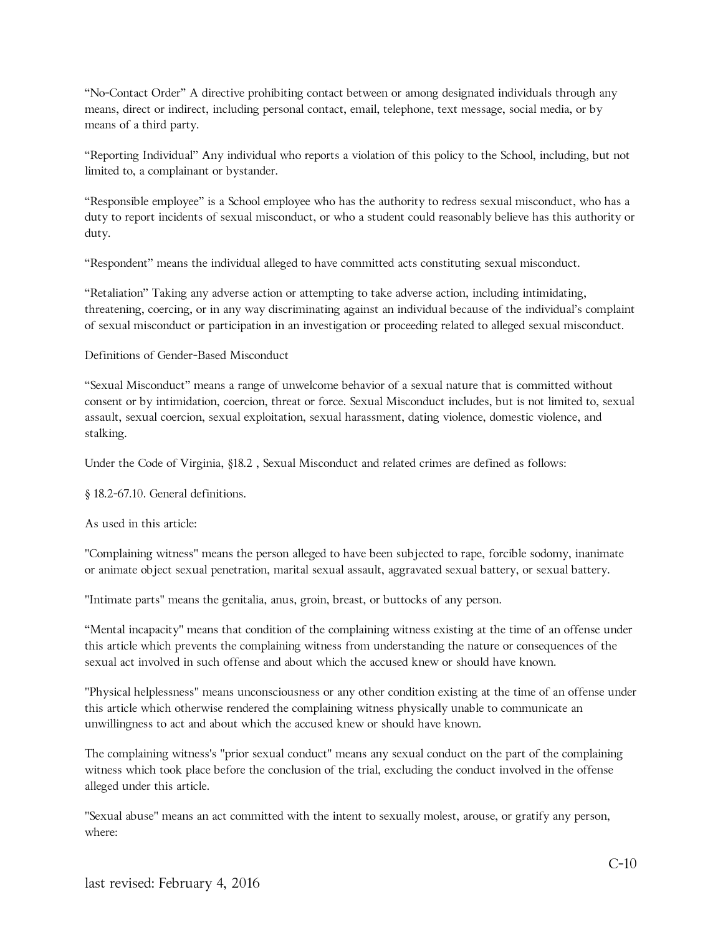"No-Contact Order" A directive prohibiting contact between or among designated individuals through any means, direct or indirect, including personal contact, email, telephone, text message, social media, or by means of a third party.

"Reporting Individual" Any individual who reports a violation of this policy to the School, including, but not limited to, a complainant or bystander.

"Responsible employee" is a School employee who has the authority to redress sexual misconduct, who has a duty to report incidents of sexual misconduct, or who a student could reasonably believe has this authority or duty.

"Respondent" means the individual alleged to have committed acts constituting sexual misconduct.

"Retaliation" Taking any adverse action or attempting to take adverse action, including intimidating, threatening, coercing, or in any way discriminating against an individual because of the individual's complaint of sexual misconduct or participation in an investigation or proceeding related to alleged sexual misconduct.

#### Definitions of Gender-Based Misconduct

"Sexual Misconduct" means a range of unwelcome behavior of a sexual nature that is committed without consent or by intimidation, coercion, threat or force. Sexual Misconduct includes, but is not limited to, sexual assault, sexual coercion, sexual exploitation, sexual harassment, dating violence, domestic violence, and stalking.

Under the Code of Virginia, §18.2 , Sexual Misconduct and related crimes are defined as follows:

§ 18.2-67.10. General definitions.

As used in this article:

"Complaining witness" means the person alleged to have been subjected to rape, forcible sodomy, inanimate or animate object sexual penetration, marital sexual assault, aggravated sexual battery, or sexual battery.

"Intimate parts" means the genitalia, anus, groin, breast, or buttocks of any person.

"Mental incapacity" means that condition of the complaining witness existing at the time of an offense under this article which prevents the complaining witness from understanding the nature or consequences of the sexual act involved in such offense and about which the accused knew or should have known.

"Physical helplessness" means unconsciousness or any other condition existing at the time of an offense under this article which otherwise rendered the complaining witness physically unable to communicate an unwillingness to act and about which the accused knew or should have known.

The complaining witness's "prior sexual conduct" means any sexual conduct on the part of the complaining witness which took place before the conclusion of the trial, excluding the conduct involved in the offense alleged under this article.

"Sexual abuse" means an act committed with the intent to sexually molest, arouse, or gratify any person, where: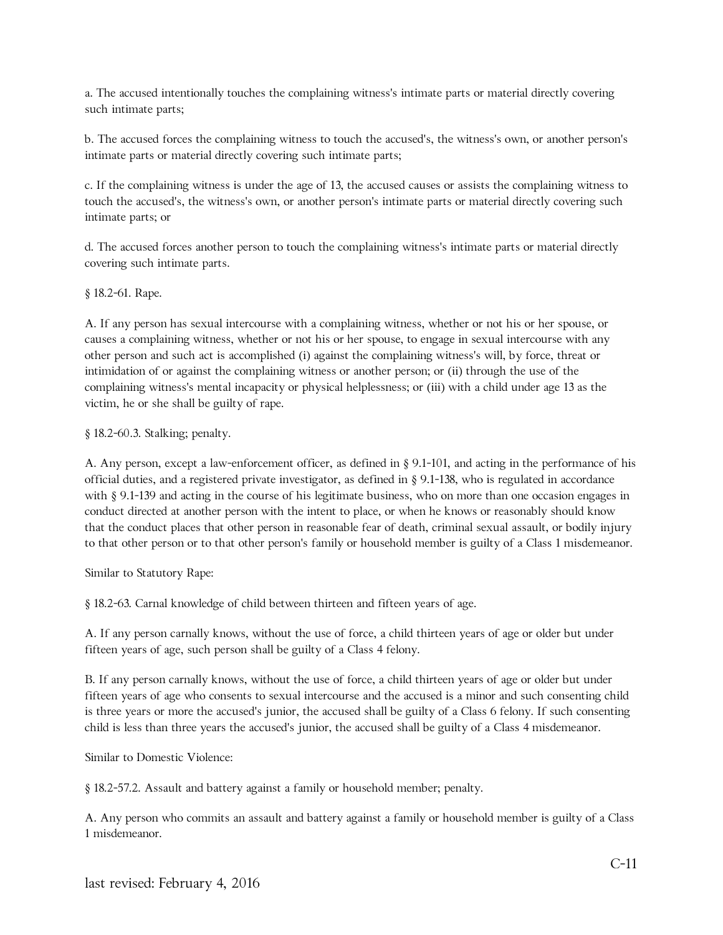a. The accused intentionally touches the complaining witness's intimate parts or material directly covering such intimate parts;

b. The accused forces the complaining witness to touch the accused's, the witness's own, or another person's intimate parts or material directly covering such intimate parts;

c. If the complaining witness is under the age of 13, the accused causes or assists the complaining witness to touch the accused's, the witness's own, or another person's intimate parts or material directly covering such intimate parts; or

d. The accused forces another person to touch the complaining witness's intimate parts or material directly covering such intimate parts.

§ 18.2-61. Rape.

A. If any person has sexual intercourse with a complaining witness, whether or not his or her spouse, or causes a complaining witness, whether or not his or her spouse, to engage in sexual intercourse with any other person and such act is accomplished (i) against the complaining witness's will, by force, threat or intimidation of or against the complaining witness or another person; or (ii) through the use of the complaining witness's mental incapacity or physical helplessness; or (iii) with a child under age 13 as the victim, he or she shall be guilty of rape.

§ 18.2-60.3. Stalking; penalty.

A. Any person, except a law-enforcement officer, as defined in § 9.1-101, and acting in the performance of his official duties, and a registered private investigator, as defined in § 9.1-138, who is regulated in accordance with § 9.1-139 and acting in the course of his legitimate business, who on more than one occasion engages in conduct directed at another person with the intent to place, or when he knows or reasonably should know that the conduct places that other person in reasonable fear of death, criminal sexual assault, or bodily injury to that other person or to that other person's family or household member is guilty of a Class 1 misdemeanor.

Similar to Statutory Rape:

§ 18.2-63. Carnal knowledge of child between thirteen and fifteen years of age.

A. If any person carnally knows, without the use of force, a child thirteen years of age or older but under fifteen years of age, such person shall be guilty of a Class 4 felony.

B. If any person carnally knows, without the use of force, a child thirteen years of age or older but under fifteen years of age who consents to sexual intercourse and the accused is a minor and such consenting child is three years or more the accused's junior, the accused shall be guilty of a Class 6 felony. If such consenting child is less than three years the accused's junior, the accused shall be guilty of a Class 4 misdemeanor.

Similar to Domestic Violence:

§ 18.2-57.2. Assault and battery against a family or household member; penalty.

A. Any person who commits an assault and battery against a family or household member is guilty of a Class 1 misdemeanor.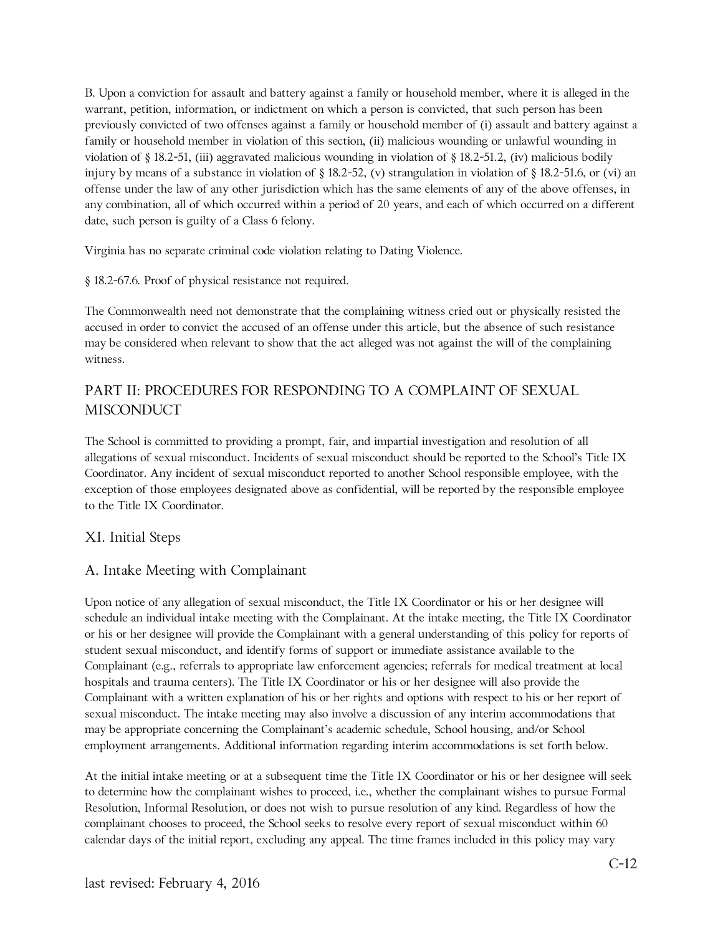B. Upon a conviction for assault and battery against a family or household member, where it is alleged in the warrant, petition, information, or indictment on which a person is convicted, that such person has been previously convicted of two offenses against a family or household member of (i) assault and battery against a family or household member in violation of this section, (ii) malicious wounding or unlawful wounding in violation of § 18.2-51, (iii) aggravated malicious wounding in violation of § 18.2-51.2, (iv) malicious bodily injury by means of a substance in violation of § 18.2-52, (v) strangulation in violation of § 18.2-51.6, or (vi) an offense under the law of any other jurisdiction which has the same elements of any of the above offenses, in any combination, all of which occurred within a period of 20 years, and each of which occurred on a different date, such person is guilty of a Class 6 felony.

Virginia has no separate criminal code violation relating to Dating Violence.

§ 18.2-67.6. Proof of physical resistance not required.

The Commonwealth need not demonstrate that the complaining witness cried out or physically resisted the accused in order to convict the accused of an offense under this article, but the absence of such resistance may be considered when relevant to show that the act alleged was not against the will of the complaining witness.

## PART II: PROCEDURES FOR RESPONDING TO A COMPLAINT OF SEXUAL **MISCONDUCT**

The School is committed to providing a prompt, fair, and impartial investigation and resolution of all allegations of sexual misconduct. Incidents of sexual misconduct should be reported to the School's Title IX Coordinator. Any incident of sexual misconduct reported to another School responsible employee, with the exception of those employees designated above as confidential, will be reported by the responsible employee to the Title IX Coordinator.

#### XI. Initial Steps

#### A. Intake Meeting with Complainant

Upon notice of any allegation of sexual misconduct, the Title IX Coordinator or his or her designee will schedule an individual intake meeting with the Complainant. At the intake meeting, the Title IX Coordinator or his or her designee will provide the Complainant with a general understanding of this policy for reports of student sexual misconduct, and identify forms of support or immediate assistance available to the Complainant (e.g., referrals to appropriate law enforcement agencies; referrals for medical treatment at local hospitals and trauma centers). The Title IX Coordinator or his or her designee will also provide the Complainant with a written explanation of his or her rights and options with respect to his or her report of sexual misconduct. The intake meeting may also involve a discussion of any interim accommodations that may be appropriate concerning the Complainant's academic schedule, School housing, and/or School employment arrangements. Additional information regarding interim accommodations is set forth below.

At the initial intake meeting or at a subsequent time the Title IX Coordinator or his or her designee will seek to determine how the complainant wishes to proceed, i.e., whether the complainant wishes to pursue Formal Resolution, Informal Resolution, or does not wish to pursue resolution of any kind. Regardless of how the complainant chooses to proceed, the School seeks to resolve every report of sexual misconduct within 60 calendar days of the initial report, excluding any appeal. The time frames included in this policy may vary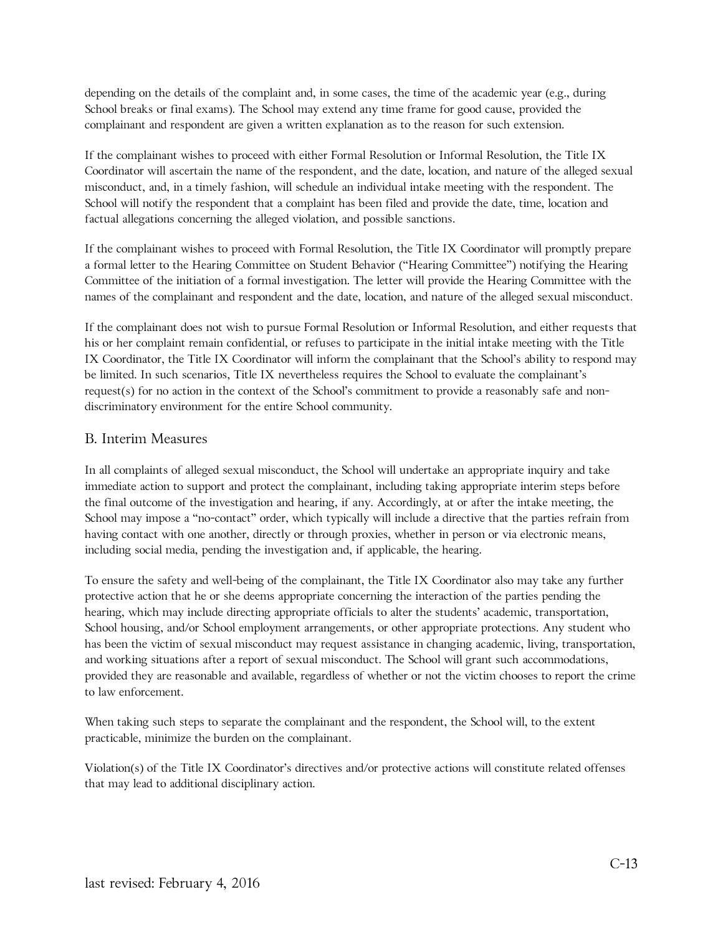depending on the details of the complaint and, in some cases, the time of the academic year (e.g., during School breaks or final exams). The School may extend any time frame for good cause, provided the complainant and respondent are given a written explanation as to the reason for such extension.

If the complainant wishes to proceed with either Formal Resolution or Informal Resolution, the Title IX Coordinator will ascertain the name of the respondent, and the date, location, and nature of the alleged sexual misconduct, and, in a timely fashion, will schedule an individual intake meeting with the respondent. The School will notify the respondent that a complaint has been filed and provide the date, time, location and factual allegations concerning the alleged violation, and possible sanctions.

If the complainant wishes to proceed with Formal Resolution, the Title IX Coordinator will promptly prepare a formal letter to the Hearing Committee on Student Behavior ("Hearing Committee") notifying the Hearing Committee of the initiation of a formal investigation. The letter will provide the Hearing Committee with the names of the complainant and respondent and the date, location, and nature of the alleged sexual misconduct.

If the complainant does not wish to pursue Formal Resolution or Informal Resolution, and either requests that his or her complaint remain confidential, or refuses to participate in the initial intake meeting with the Title IX Coordinator, the Title IX Coordinator will inform the complainant that the School's ability to respond may be limited. In such scenarios, Title IX nevertheless requires the School to evaluate the complainant's request(s) for no action in the context of the School's commitment to provide a reasonably safe and nondiscriminatory environment for the entire School community.

#### B. Interim Measures

In all complaints of alleged sexual misconduct, the School will undertake an appropriate inquiry and take immediate action to support and protect the complainant, including taking appropriate interim steps before the final outcome of the investigation and hearing, if any. Accordingly, at or after the intake meeting, the School may impose a "no-contact" order, which typically will include a directive that the parties refrain from having contact with one another, directly or through proxies, whether in person or via electronic means, including social media, pending the investigation and, if applicable, the hearing.

To ensure the safety and well-being of the complainant, the Title IX Coordinator also may take any further protective action that he or she deems appropriate concerning the interaction of the parties pending the hearing, which may include directing appropriate officials to alter the students' academic, transportation, School housing, and/or School employment arrangements, or other appropriate protections. Any student who has been the victim of sexual misconduct may request assistance in changing academic, living, transportation, and working situations after a report of sexual misconduct. The School will grant such accommodations, provided they are reasonable and available, regardless of whether or not the victim chooses to report the crime to law enforcement.

When taking such steps to separate the complainant and the respondent, the School will, to the extent practicable, minimize the burden on the complainant.

Violation(s) of the Title IX Coordinator's directives and/or protective actions will constitute related offenses that may lead to additional disciplinary action.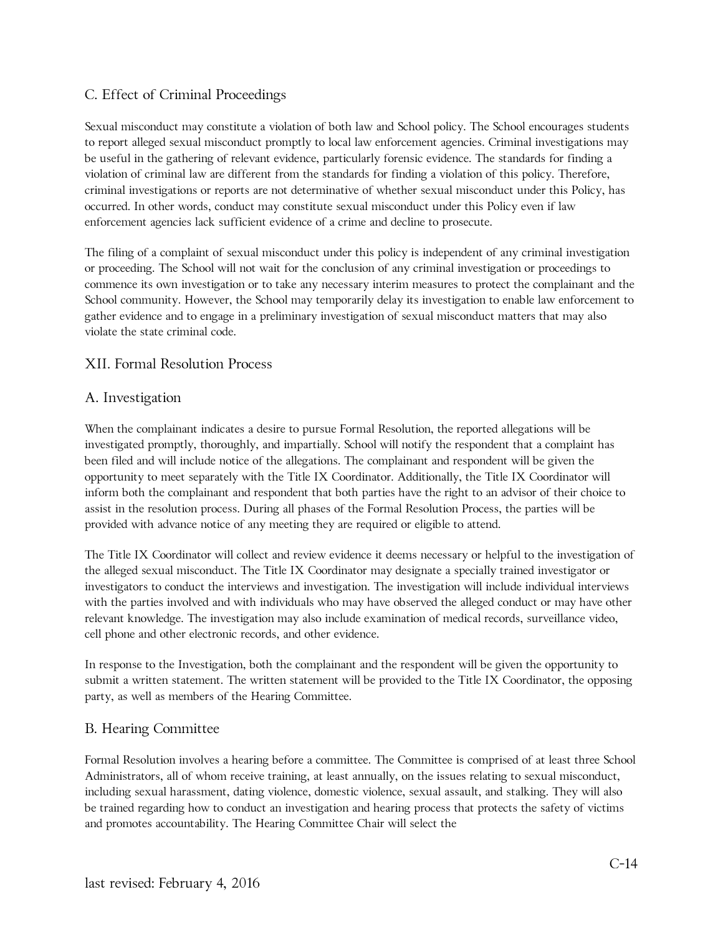## C. Effect of Criminal Proceedings

Sexual misconduct may constitute a violation of both law and School policy. The School encourages students to report alleged sexual misconduct promptly to local law enforcement agencies. Criminal investigations may be useful in the gathering of relevant evidence, particularly forensic evidence. The standards for finding a violation of criminal law are different from the standards for finding a violation of this policy. Therefore, criminal investigations or reports are not determinative of whether sexual misconduct under this Policy, has occurred. In other words, conduct may constitute sexual misconduct under this Policy even if law enforcement agencies lack sufficient evidence of a crime and decline to prosecute.

The filing of a complaint of sexual misconduct under this policy is independent of any criminal investigation or proceeding. The School will not wait for the conclusion of any criminal investigation or proceedings to commence its own investigation or to take any necessary interim measures to protect the complainant and the School community. However, the School may temporarily delay its investigation to enable law enforcement to gather evidence and to engage in a preliminary investigation of sexual misconduct matters that may also violate the state criminal code.

#### XII. Formal Resolution Process

#### A. Investigation

When the complainant indicates a desire to pursue Formal Resolution, the reported allegations will be investigated promptly, thoroughly, and impartially. School will notify the respondent that a complaint has been filed and will include notice of the allegations. The complainant and respondent will be given the opportunity to meet separately with the Title IX Coordinator. Additionally, the Title IX Coordinator will inform both the complainant and respondent that both parties have the right to an advisor of their choice to assist in the resolution process. During all phases of the Formal Resolution Process, the parties will be provided with advance notice of any meeting they are required or eligible to attend.

The Title IX Coordinator will collect and review evidence it deems necessary or helpful to the investigation of the alleged sexual misconduct. The Title IX Coordinator may designate a specially trained investigator or investigators to conduct the interviews and investigation. The investigation will include individual interviews with the parties involved and with individuals who may have observed the alleged conduct or may have other relevant knowledge. The investigation may also include examination of medical records, surveillance video, cell phone and other electronic records, and other evidence.

In response to the Investigation, both the complainant and the respondent will be given the opportunity to submit a written statement. The written statement will be provided to the Title IX Coordinator, the opposing party, as well as members of the Hearing Committee.

#### B. Hearing Committee

Formal Resolution involves a hearing before a committee. The Committee is comprised of at least three School Administrators, all of whom receive training, at least annually, on the issues relating to sexual misconduct, including sexual harassment, dating violence, domestic violence, sexual assault, and stalking. They will also be trained regarding how to conduct an investigation and hearing process that protects the safety of victims and promotes accountability. The Hearing Committee Chair will select the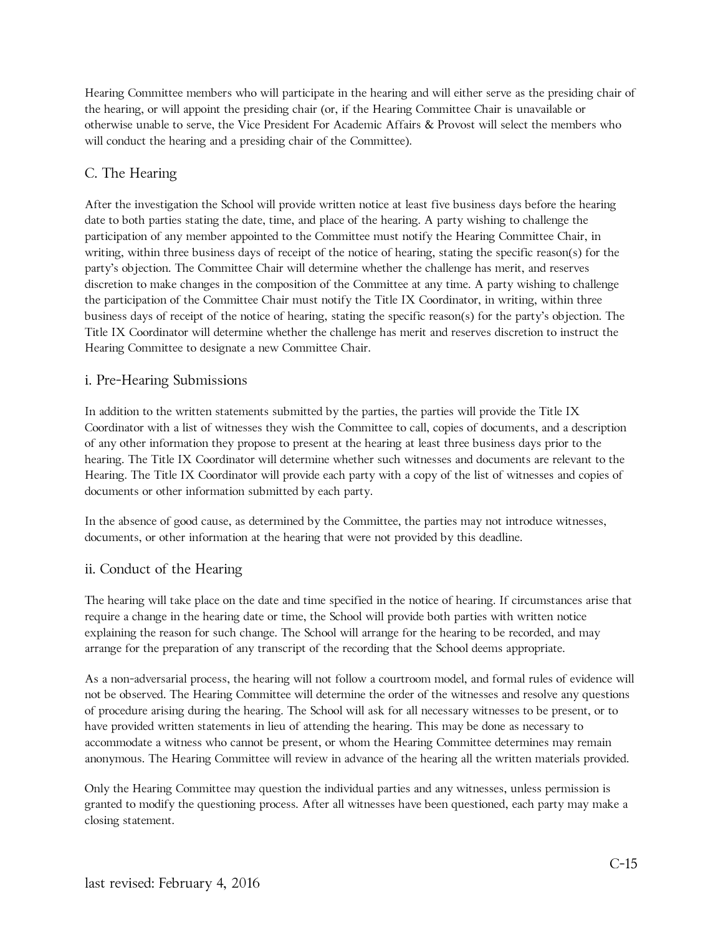Hearing Committee members who will participate in the hearing and will either serve as the presiding chair of the hearing, or will appoint the presiding chair (or, if the Hearing Committee Chair is unavailable or otherwise unable to serve, the Vice President For Academic Affairs & Provost will select the members who will conduct the hearing and a presiding chair of the Committee).

## C. The Hearing

After the investigation the School will provide written notice at least five business days before the hearing date to both parties stating the date, time, and place of the hearing. A party wishing to challenge the participation of any member appointed to the Committee must notify the Hearing Committee Chair, in writing, within three business days of receipt of the notice of hearing, stating the specific reason(s) for the party's objection. The Committee Chair will determine whether the challenge has merit, and reserves discretion to make changes in the composition of the Committee at any time. A party wishing to challenge the participation of the Committee Chair must notify the Title IX Coordinator, in writing, within three business days of receipt of the notice of hearing, stating the specific reason(s) for the party's objection. The Title IX Coordinator will determine whether the challenge has merit and reserves discretion to instruct the Hearing Committee to designate a new Committee Chair.

### i. Pre-Hearing Submissions

In addition to the written statements submitted by the parties, the parties will provide the Title IX Coordinator with a list of witnesses they wish the Committee to call, copies of documents, and a description of any other information they propose to present at the hearing at least three business days prior to the hearing. The Title IX Coordinator will determine whether such witnesses and documents are relevant to the Hearing. The Title IX Coordinator will provide each party with a copy of the list of witnesses and copies of documents or other information submitted by each party.

In the absence of good cause, as determined by the Committee, the parties may not introduce witnesses, documents, or other information at the hearing that were not provided by this deadline.

## ii. Conduct of the Hearing

The hearing will take place on the date and time specified in the notice of hearing. If circumstances arise that require a change in the hearing date or time, the School will provide both parties with written notice explaining the reason for such change. The School will arrange for the hearing to be recorded, and may arrange for the preparation of any transcript of the recording that the School deems appropriate.

As a non-adversarial process, the hearing will not follow a courtroom model, and formal rules of evidence will not be observed. The Hearing Committee will determine the order of the witnesses and resolve any questions of procedure arising during the hearing. The School will ask for all necessary witnesses to be present, or to have provided written statements in lieu of attending the hearing. This may be done as necessary to accommodate a witness who cannot be present, or whom the Hearing Committee determines may remain anonymous. The Hearing Committee will review in advance of the hearing all the written materials provided.

Only the Hearing Committee may question the individual parties and any witnesses, unless permission is granted to modify the questioning process. After all witnesses have been questioned, each party may make a closing statement.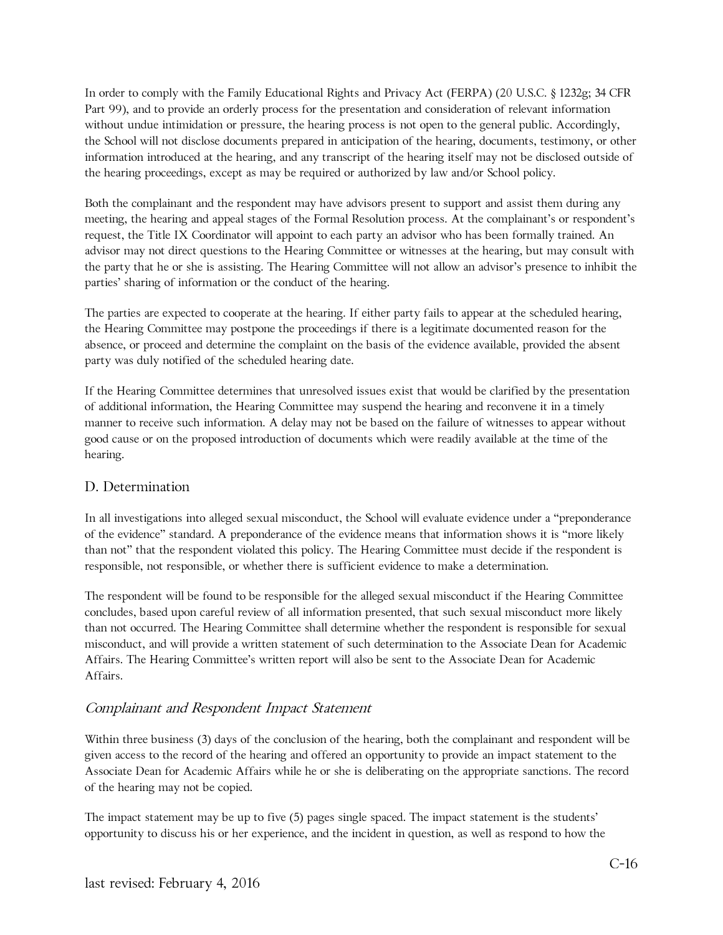In order to comply with the Family Educational Rights and Privacy Act (FERPA) (20 U.S.C. § 1232g; 34 CFR Part 99), and to provide an orderly process for the presentation and consideration of relevant information without undue intimidation or pressure, the hearing process is not open to the general public. Accordingly, the School will not disclose documents prepared in anticipation of the hearing, documents, testimony, or other information introduced at the hearing, and any transcript of the hearing itself may not be disclosed outside of the hearing proceedings, except as may be required or authorized by law and/or School policy.

Both the complainant and the respondent may have advisors present to support and assist them during any meeting, the hearing and appeal stages of the Formal Resolution process. At the complainant's or respondent's request, the Title IX Coordinator will appoint to each party an advisor who has been formally trained. An advisor may not direct questions to the Hearing Committee or witnesses at the hearing, but may consult with the party that he or she is assisting. The Hearing Committee will not allow an advisor's presence to inhibit the parties' sharing of information or the conduct of the hearing.

The parties are expected to cooperate at the hearing. If either party fails to appear at the scheduled hearing, the Hearing Committee may postpone the proceedings if there is a legitimate documented reason for the absence, or proceed and determine the complaint on the basis of the evidence available, provided the absent party was duly notified of the scheduled hearing date.

If the Hearing Committee determines that unresolved issues exist that would be clarified by the presentation of additional information, the Hearing Committee may suspend the hearing and reconvene it in a timely manner to receive such information. A delay may not be based on the failure of witnesses to appear without good cause or on the proposed introduction of documents which were readily available at the time of the hearing.

#### D. Determination

In all investigations into alleged sexual misconduct, the School will evaluate evidence under a "preponderance of the evidence" standard. A preponderance of the evidence means that information shows it is "more likely than not" that the respondent violated this policy. The Hearing Committee must decide if the respondent is responsible, not responsible, or whether there is sufficient evidence to make a determination.

The respondent will be found to be responsible for the alleged sexual misconduct if the Hearing Committee concludes, based upon careful review of all information presented, that such sexual misconduct more likely than not occurred. The Hearing Committee shall determine whether the respondent is responsible for sexual misconduct, and will provide a written statement of such determination to the Associate Dean for Academic Affairs. The Hearing Committee's written report will also be sent to the Associate Dean for Academic Affairs.

## Complainant and Respondent Impact Statement

Within three business (3) days of the conclusion of the hearing, both the complainant and respondent will be given access to the record of the hearing and offered an opportunity to provide an impact statement to the Associate Dean for Academic Affairs while he or she is deliberating on the appropriate sanctions. The record of the hearing may not be copied.

The impact statement may be up to five (5) pages single spaced. The impact statement is the students' opportunity to discuss his or her experience, and the incident in question, as well as respond to how the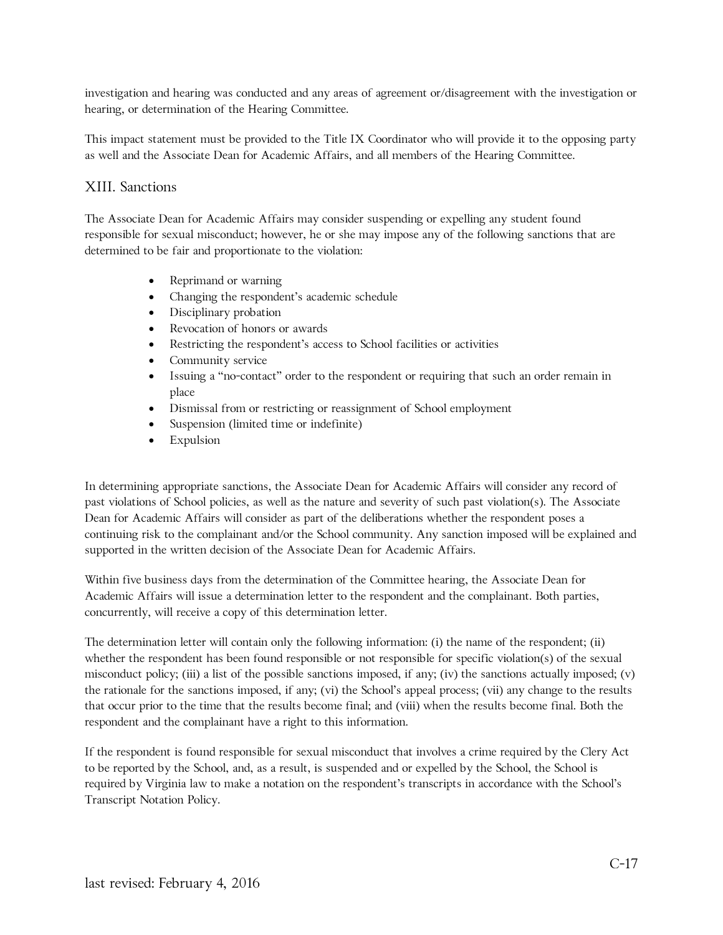investigation and hearing was conducted and any areas of agreement or/disagreement with the investigation or hearing, or determination of the Hearing Committee.

This impact statement must be provided to the Title IX Coordinator who will provide it to the opposing party as well and the Associate Dean for Academic Affairs, and all members of the Hearing Committee.

## XIII. Sanctions

The Associate Dean for Academic Affairs may consider suspending or expelling any student found responsible for sexual misconduct; however, he or she may impose any of the following sanctions that are determined to be fair and proportionate to the violation:

- Reprimand or warning
- Changing the respondent's academic schedule
- Disciplinary probation
- Revocation of honors or awards
- Restricting the respondent's access to School facilities or activities
- Community service
- Issuing a "no-contact" order to the respondent or requiring that such an order remain in place
- Dismissal from or restricting or reassignment of School employment
- Suspension (limited time or indefinite)
- Expulsion

In determining appropriate sanctions, the Associate Dean for Academic Affairs will consider any record of past violations of School policies, as well as the nature and severity of such past violation(s). The Associate Dean for Academic Affairs will consider as part of the deliberations whether the respondent poses a continuing risk to the complainant and/or the School community. Any sanction imposed will be explained and supported in the written decision of the Associate Dean for Academic Affairs.

Within five business days from the determination of the Committee hearing, the Associate Dean for Academic Affairs will issue a determination letter to the respondent and the complainant. Both parties, concurrently, will receive a copy of this determination letter.

The determination letter will contain only the following information: (i) the name of the respondent; (ii) whether the respondent has been found responsible or not responsible for specific violation(s) of the sexual misconduct policy; (iii) a list of the possible sanctions imposed, if any; (iv) the sanctions actually imposed; (v) the rationale for the sanctions imposed, if any; (vi) the School's appeal process; (vii) any change to the results that occur prior to the time that the results become final; and (viii) when the results become final. Both the respondent and the complainant have a right to this information.

If the respondent is found responsible for sexual misconduct that involves a crime required by the Clery Act to be reported by the School, and, as a result, is suspended and or expelled by the School, the School is required by Virginia law to make a notation on the respondent's transcripts in accordance with the School's Transcript Notation Policy.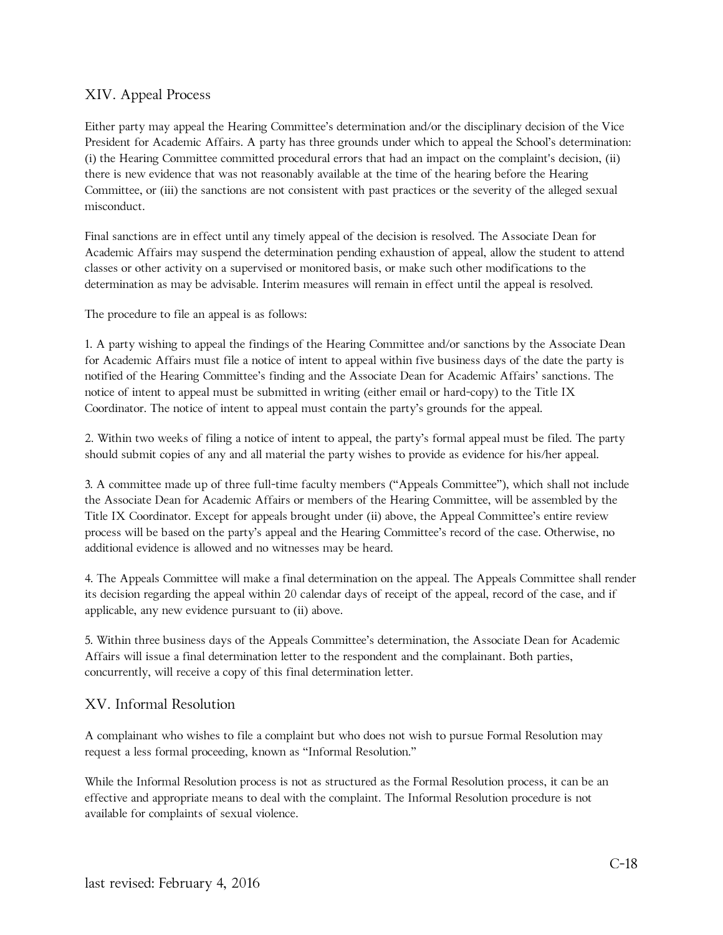## XIV. Appeal Process

Either party may appeal the Hearing Committee's determination and/or the disciplinary decision of the Vice President for Academic Affairs. A party has three grounds under which to appeal the School's determination: (i) the Hearing Committee committed procedural errors that had an impact on the complaint's decision, (ii) there is new evidence that was not reasonably available at the time of the hearing before the Hearing Committee, or (iii) the sanctions are not consistent with past practices or the severity of the alleged sexual misconduct.

Final sanctions are in effect until any timely appeal of the decision is resolved. The Associate Dean for Academic Affairs may suspend the determination pending exhaustion of appeal, allow the student to attend classes or other activity on a supervised or monitored basis, or make such other modifications to the determination as may be advisable. Interim measures will remain in effect until the appeal is resolved.

The procedure to file an appeal is as follows:

1. A party wishing to appeal the findings of the Hearing Committee and/or sanctions by the Associate Dean for Academic Affairs must file a notice of intent to appeal within five business days of the date the party is notified of the Hearing Committee's finding and the Associate Dean for Academic Affairs' sanctions. The notice of intent to appeal must be submitted in writing (either email or hard-copy) to the Title IX Coordinator. The notice of intent to appeal must contain the party's grounds for the appeal.

2. Within two weeks of filing a notice of intent to appeal, the party's formal appeal must be filed. The party should submit copies of any and all material the party wishes to provide as evidence for his/her appeal.

3. A committee made up of three full-time faculty members ("Appeals Committee"), which shall not include the Associate Dean for Academic Affairs or members of the Hearing Committee, will be assembled by the Title IX Coordinator. Except for appeals brought under (ii) above, the Appeal Committee's entire review process will be based on the party's appeal and the Hearing Committee's record of the case. Otherwise, no additional evidence is allowed and no witnesses may be heard.

4. The Appeals Committee will make a final determination on the appeal. The Appeals Committee shall render its decision regarding the appeal within 20 calendar days of receipt of the appeal, record of the case, and if applicable, any new evidence pursuant to (ii) above.

5. Within three business days of the Appeals Committee's determination, the Associate Dean for Academic Affairs will issue a final determination letter to the respondent and the complainant. Both parties, concurrently, will receive a copy of this final determination letter.

## XV. Informal Resolution

A complainant who wishes to file a complaint but who does not wish to pursue Formal Resolution may request a less formal proceeding, known as "Informal Resolution."

While the Informal Resolution process is not as structured as the Formal Resolution process, it can be an effective and appropriate means to deal with the complaint. The Informal Resolution procedure is not available for complaints of sexual violence.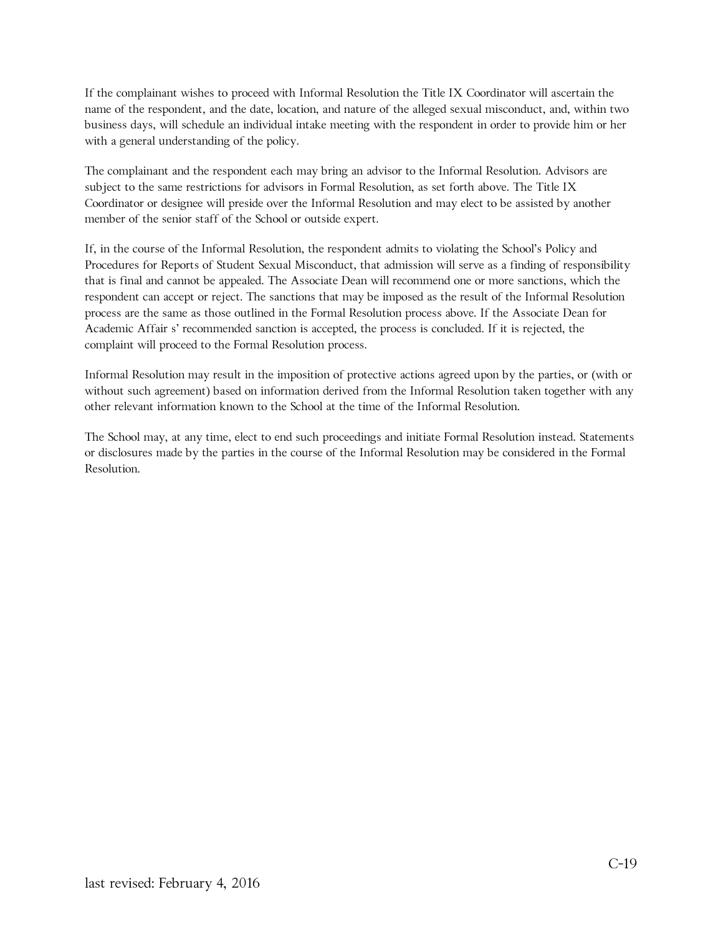If the complainant wishes to proceed with Informal Resolution the Title IX Coordinator will ascertain the name of the respondent, and the date, location, and nature of the alleged sexual misconduct, and, within two business days, will schedule an individual intake meeting with the respondent in order to provide him or her with a general understanding of the policy.

The complainant and the respondent each may bring an advisor to the Informal Resolution. Advisors are subject to the same restrictions for advisors in Formal Resolution, as set forth above. The Title IX Coordinator or designee will preside over the Informal Resolution and may elect to be assisted by another member of the senior staff of the School or outside expert.

If, in the course of the Informal Resolution, the respondent admits to violating the School's Policy and Procedures for Reports of Student Sexual Misconduct, that admission will serve as a finding of responsibility that is final and cannot be appealed. The Associate Dean will recommend one or more sanctions, which the respondent can accept or reject. The sanctions that may be imposed as the result of the Informal Resolution process are the same as those outlined in the Formal Resolution process above. If the Associate Dean for Academic Affair s' recommended sanction is accepted, the process is concluded. If it is rejected, the complaint will proceed to the Formal Resolution process.

Informal Resolution may result in the imposition of protective actions agreed upon by the parties, or (with or without such agreement) based on information derived from the Informal Resolution taken together with any other relevant information known to the School at the time of the Informal Resolution.

The School may, at any time, elect to end such proceedings and initiate Formal Resolution instead. Statements or disclosures made by the parties in the course of the Informal Resolution may be considered in the Formal Resolution.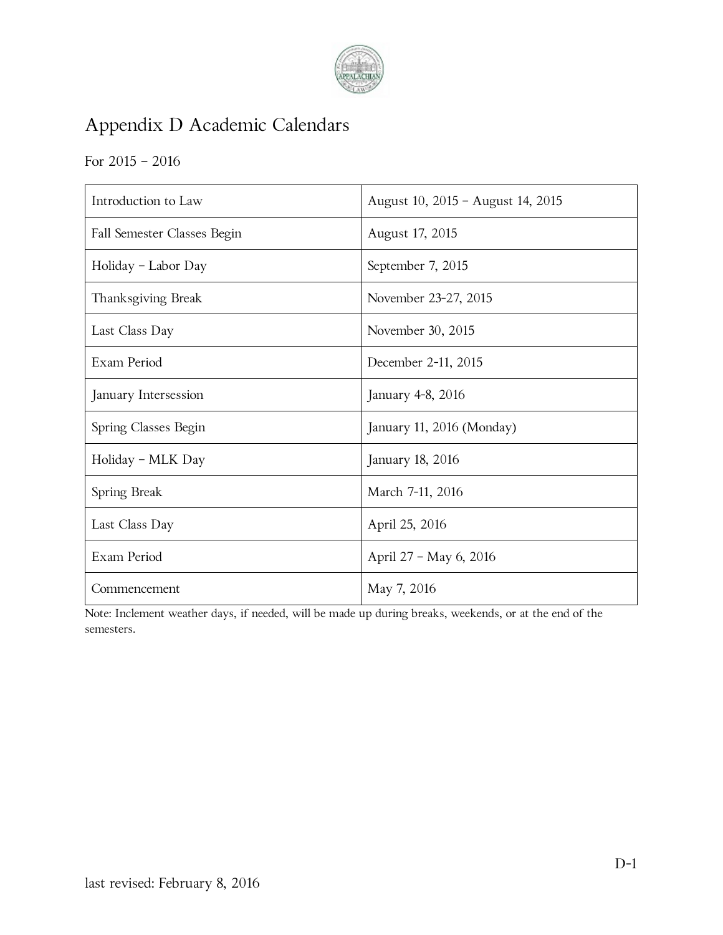

# Appendix D Academic Calendars

# For 2015 – 2016

| Introduction to Law         | August 10, 2015 - August 14, 2015 |
|-----------------------------|-----------------------------------|
| Fall Semester Classes Begin | August 17, 2015                   |
| Holiday - Labor Day         | September 7, 2015                 |
| Thanksgiving Break          | November 23-27, 2015              |
| Last Class Day              | November 30, 2015                 |
| Exam Period                 | December 2-11, 2015               |
| January Intersession        | January 4-8, 2016                 |
| Spring Classes Begin        | January 11, 2016 (Monday)         |
| Holiday - MLK Day           | January 18, 2016                  |
| Spring Break                | March 7-11, 2016                  |
| Last Class Day              | April 25, 2016                    |
| Exam Period                 | April 27 - May 6, 2016            |
| Commencement                | May 7, 2016                       |

Note: Inclement weather days, if needed, will be made up during breaks, weekends, or at the end of the semesters.